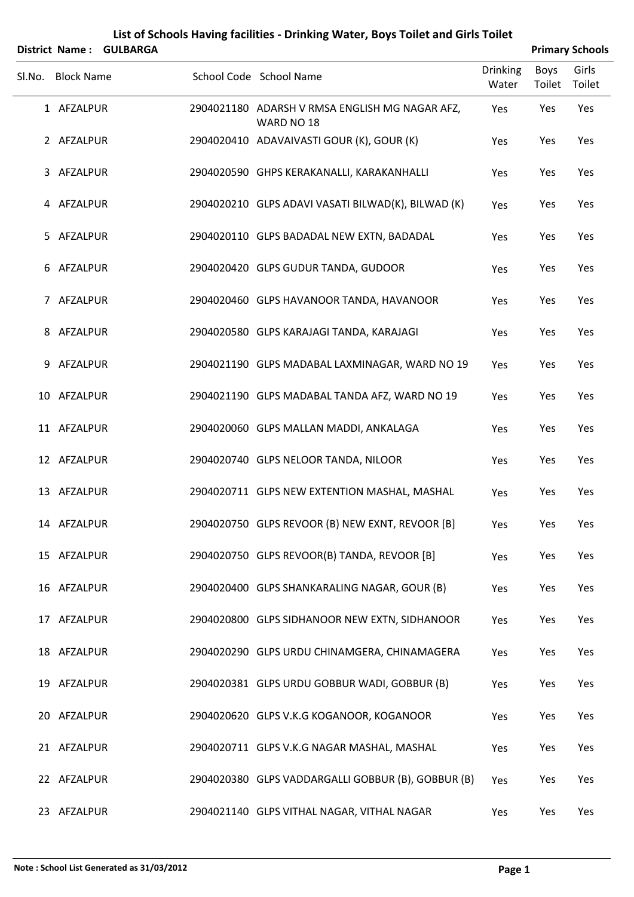|        |                   | District Name: GULBARGA |                                                              |                   |                       | <b>Primary Schools</b> |
|--------|-------------------|-------------------------|--------------------------------------------------------------|-------------------|-----------------------|------------------------|
| SI.No. | <b>Block Name</b> |                         | School Code School Name                                      | Drinking<br>Water | <b>Boys</b><br>Toilet | Girls<br>Toilet        |
|        | 1 AFZALPUR        |                         | 2904021180 ADARSH V RMSA ENGLISH MG NAGAR AFZ,<br>WARD NO 18 | Yes               | Yes                   | Yes                    |
|        | 2 AFZALPUR        |                         | 2904020410 ADAVAIVASTI GOUR (K), GOUR (K)                    | Yes               | Yes                   | Yes                    |
|        | 3 AFZALPUR        |                         | 2904020590 GHPS KERAKANALLI, KARAKANHALLI                    | Yes               | Yes                   | Yes                    |
|        | 4 AFZALPUR        |                         | 2904020210 GLPS ADAVI VASATI BILWAD(K), BILWAD (K)           | Yes               | Yes                   | Yes                    |
| 5      | AFZALPUR          |                         | 2904020110 GLPS BADADAL NEW EXTN, BADADAL                    | Yes               | Yes                   | Yes                    |
|        | 6 AFZALPUR        |                         | 2904020420 GLPS GUDUR TANDA, GUDOOR                          | Yes               | Yes                   | Yes                    |
|        | 7 AFZALPUR        |                         | 2904020460 GLPS HAVANOOR TANDA, HAVANOOR                     | Yes               | Yes                   | Yes                    |
|        | 8 AFZALPUR        |                         | 2904020580 GLPS KARAJAGI TANDA, KARAJAGI                     | Yes               | Yes                   | Yes                    |
| 9      | AFZALPUR          |                         | 2904021190 GLPS MADABAL LAXMINAGAR, WARD NO 19               | Yes               | Yes                   | Yes                    |
|        | 10 AFZALPUR       |                         | 2904021190 GLPS MADABAL TANDA AFZ, WARD NO 19                | Yes               | Yes                   | Yes                    |
|        | 11 AFZALPUR       |                         | 2904020060 GLPS MALLAN MADDI, ANKALAGA                       | Yes               | Yes                   | Yes                    |
|        | 12 AFZALPUR       |                         | 2904020740 GLPS NELOOR TANDA, NILOOR                         | Yes               | Yes                   | Yes                    |
|        | 13 AFZALPUR       |                         | 2904020711 GLPS NEW EXTENTION MASHAL, MASHAL                 | Yes               | Yes                   | Yes                    |
|        | 14 AFZALPUR       |                         | 2904020750 GLPS REVOOR (B) NEW EXNT, REVOOR [B]              | Yes               | Yes                   | Yes                    |
|        | 15 AFZALPUR       |                         | 2904020750 GLPS REVOOR(B) TANDA, REVOOR [B]                  | Yes               | Yes                   | Yes                    |
|        | 16 AFZALPUR       |                         | 2904020400 GLPS SHANKARALING NAGAR, GOUR (B)                 | Yes               | Yes                   | Yes                    |
|        | 17 AFZALPUR       |                         | 2904020800 GLPS SIDHANOOR NEW EXTN, SIDHANOOR                | Yes               | Yes                   | Yes                    |
|        | 18 AFZALPUR       |                         | 2904020290 GLPS URDU CHINAMGERA, CHINAMAGERA                 | Yes               | Yes                   | Yes                    |
|        | 19 AFZALPUR       |                         | 2904020381 GLPS URDU GOBBUR WADI, GOBBUR (B)                 | Yes               | Yes                   | Yes                    |
|        | 20 AFZALPUR       |                         | 2904020620 GLPS V.K.G KOGANOOR, KOGANOOR                     | Yes               | Yes                   | Yes                    |
|        | 21 AFZALPUR       |                         | 2904020711 GLPS V.K.G NAGAR MASHAL, MASHAL                   | Yes               | Yes                   | Yes                    |
|        | 22 AFZALPUR       |                         | 2904020380 GLPS VADDARGALLI GOBBUR (B), GOBBUR (B)           | Yes               | Yes                   | Yes                    |
|        | 23 AFZALPUR       |                         | 2904021140 GLPS VITHAL NAGAR, VITHAL NAGAR                   | Yes               | Yes                   | Yes                    |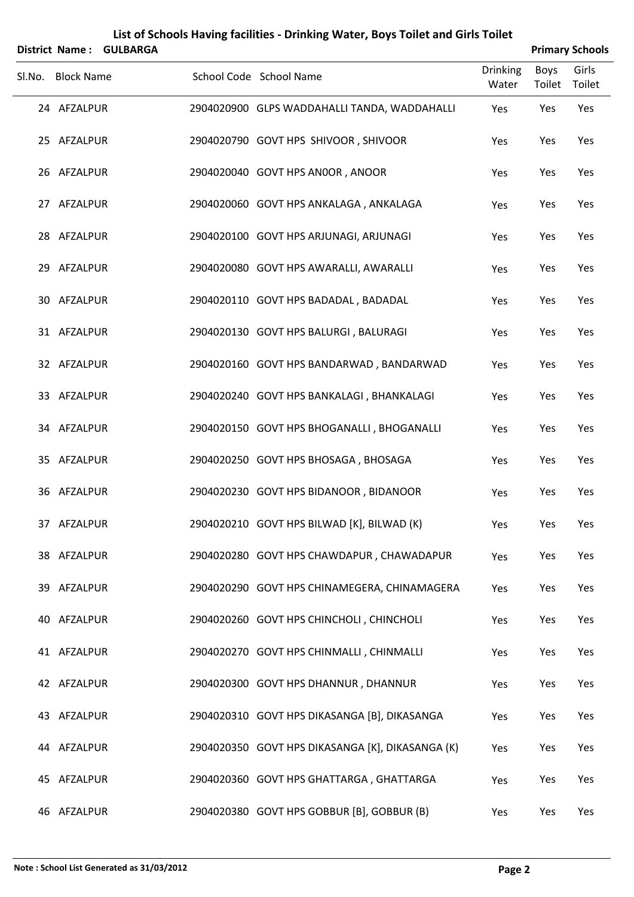| <b>District Name:</b> | <b>GULBARGA</b> |                                                  |                          |                       | <b>Primary Schools</b> |
|-----------------------|-----------------|--------------------------------------------------|--------------------------|-----------------------|------------------------|
| Sl.No. Block Name     |                 | School Code School Name                          | <b>Drinking</b><br>Water | <b>Boys</b><br>Toilet | Girls<br>Toilet        |
| 24 AFZALPUR           |                 | 2904020900 GLPS WADDAHALLI TANDA, WADDAHALLI     | Yes                      | Yes                   | Yes                    |
| 25 AFZALPUR           |                 | 2904020790 GOVT HPS SHIVOOR, SHIVOOR             | Yes                      | Yes                   | Yes                    |
| 26 AFZALPUR           |                 | 2904020040 GOVT HPS ANOOR, ANOOR                 | Yes                      | Yes                   | Yes                    |
| 27 AFZALPUR           |                 | 2904020060 GOVT HPS ANKALAGA, ANKALAGA           | Yes                      | Yes                   | Yes                    |
| 28 AFZALPUR           |                 | 2904020100 GOVT HPS ARJUNAGI, ARJUNAGI           | Yes                      | Yes                   | Yes                    |
| 29 AFZALPUR           |                 | 2904020080 GOVT HPS AWARALLI, AWARALLI           | Yes                      | Yes                   | Yes                    |
| 30 AFZALPUR           |                 | 2904020110 GOVT HPS BADADAL, BADADAL             | Yes                      | Yes                   | Yes                    |
| 31 AFZALPUR           |                 | 2904020130 GOVT HPS BALURGI, BALURAGI            | Yes                      | Yes                   | Yes                    |
| 32 AFZALPUR           |                 | 2904020160 GOVT HPS BANDARWAD, BANDARWAD         | Yes                      | Yes                   | Yes                    |
| 33 AFZALPUR           |                 | 2904020240 GOVT HPS BANKALAGI, BHANKALAGI        | Yes                      | Yes                   | Yes                    |
| 34 AFZALPUR           |                 | 2904020150 GOVT HPS BHOGANALLI, BHOGANALLI       | Yes                      | Yes                   | Yes                    |
| 35 AFZALPUR           |                 | 2904020250 GOVT HPS BHOSAGA, BHOSAGA             | Yes                      | Yes                   | Yes                    |
| 36 AFZALPUR           |                 | 2904020230 GOVT HPS BIDANOOR, BIDANOOR           | Yes                      | Yes                   | Yes                    |
| 37 AFZALPUR           |                 | 2904020210 GOVT HPS BILWAD [K], BILWAD (K)       | Yes                      | Yes                   | Yes                    |
| 38 AFZALPUR           |                 | 2904020280 GOVT HPS CHAWDAPUR, CHAWADAPUR        | Yes                      | Yes                   | Yes                    |
| 39 AFZALPUR           |                 | 2904020290 GOVT HPS CHINAMEGERA, CHINAMAGERA     | Yes                      | Yes                   | Yes                    |
| 40 AFZALPUR           |                 | 2904020260 GOVT HPS CHINCHOLI, CHINCHOLI         | Yes                      | Yes                   | Yes                    |
| 41 AFZALPUR           |                 | 2904020270 GOVT HPS CHINMALLI, CHINMALLI         | Yes                      | Yes                   | Yes                    |
| 42 AFZALPUR           |                 | 2904020300 GOVT HPS DHANNUR, DHANNUR             | Yes                      | Yes                   | Yes                    |
| 43 AFZALPUR           |                 | 2904020310 GOVT HPS DIKASANGA [B], DIKASANGA     | Yes                      | Yes                   | Yes                    |
| 44 AFZALPUR           |                 | 2904020350 GOVT HPS DIKASANGA [K], DIKASANGA (K) | Yes                      | Yes                   | Yes                    |
| 45 AFZALPUR           |                 | 2904020360 GOVT HPS GHATTARGA, GHATTARGA         | Yes                      | Yes                   | Yes                    |
| 46 AFZALPUR           |                 | 2904020380 GOVT HPS GOBBUR [B], GOBBUR (B)       | Yes                      | Yes                   | Yes                    |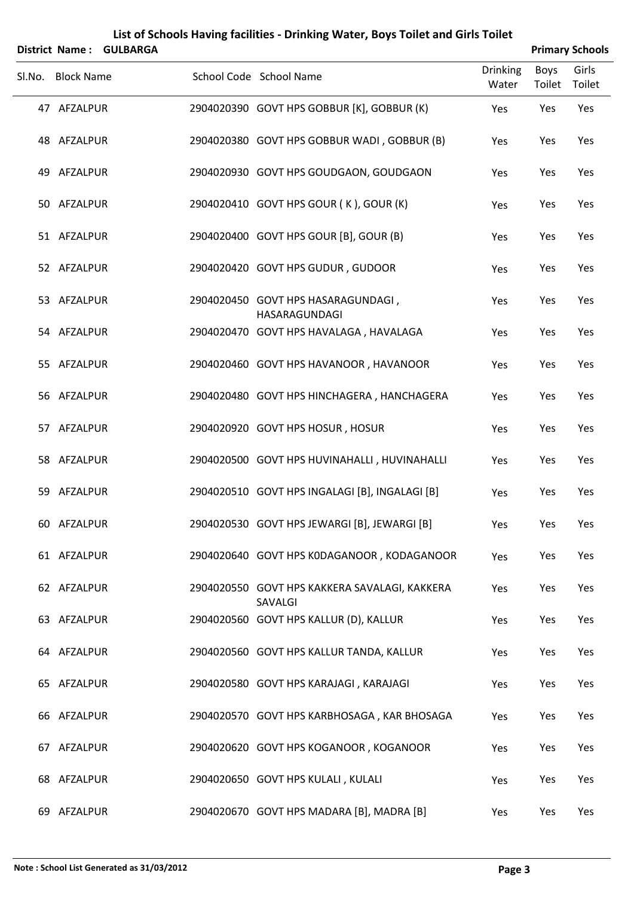|        | List of Schools Having facilities - Drinking Water, Boys Toilet and Girls Toilet<br><b>Primary Schools</b><br><b>District Name:</b><br><b>GULBARGA</b> |  |  |                                                          |                          |                       |                 |
|--------|--------------------------------------------------------------------------------------------------------------------------------------------------------|--|--|----------------------------------------------------------|--------------------------|-----------------------|-----------------|
| Sl.No. | <b>Block Name</b>                                                                                                                                      |  |  | School Code School Name                                  | <b>Drinking</b><br>Water | <b>Boys</b><br>Toilet | Girls<br>Toilet |
|        | 47 AFZALPUR                                                                                                                                            |  |  | 2904020390 GOVT HPS GOBBUR [K], GOBBUR (K)               | Yes                      | Yes                   | Yes             |
|        | 48 AFZALPUR                                                                                                                                            |  |  | 2904020380 GOVT HPS GOBBUR WADI, GOBBUR (B)              | Yes                      | Yes                   | Yes             |
| 49     | AFZALPUR                                                                                                                                               |  |  | 2904020930 GOVT HPS GOUDGAON, GOUDGAON                   | Yes                      | Yes                   | Yes             |
|        | 50 AFZALPUR                                                                                                                                            |  |  | 2904020410 GOVT HPS GOUR (K), GOUR (K)                   | Yes                      | Yes                   | Yes             |
|        | 51 AFZALPUR                                                                                                                                            |  |  | 2904020400 GOVT HPS GOUR [B], GOUR (B)                   | Yes                      | Yes                   | Yes             |
|        | 52 AFZALPUR                                                                                                                                            |  |  | 2904020420 GOVT HPS GUDUR, GUDOOR                        | Yes                      | Yes                   | Yes             |
|        | 53 AFZALPUR                                                                                                                                            |  |  | 2904020450 GOVT HPS HASARAGUNDAGI,<br>HASARAGUNDAGI      | Yes                      | Yes                   | Yes             |
|        | 54 AFZALPUR                                                                                                                                            |  |  | 2904020470 GOVT HPS HAVALAGA, HAVALAGA                   | Yes                      | Yes                   | Yes             |
|        | 55 AFZALPUR                                                                                                                                            |  |  | 2904020460 GOVT HPS HAVANOOR, HAVANOOR                   | Yes                      | Yes                   | Yes             |
|        | 56 AFZALPUR                                                                                                                                            |  |  | 2904020480 GOVT HPS HINCHAGERA, HANCHAGERA               | Yes                      | Yes                   | Yes             |
|        | 57 AFZALPUR                                                                                                                                            |  |  | 2904020920 GOVT HPS HOSUR, HOSUR                         | Yes                      | Yes                   | Yes             |
|        | 58 AFZALPUR                                                                                                                                            |  |  | 2904020500 GOVT HPS HUVINAHALLI, HUVINAHALLI             | Yes                      | Yes                   | Yes             |
|        | 59 AFZALPUR                                                                                                                                            |  |  | 2904020510 GOVT HPS INGALAGI [B], INGALAGI [B]           | Yes                      | Yes                   | Yes             |
|        | 60 AFZALPUR                                                                                                                                            |  |  | 2904020530 GOVT HPS JEWARGI [B], JEWARGI [B]             | Yes                      | Yes                   | Yes             |
|        | 61 AFZALPUR                                                                                                                                            |  |  | 2904020640 GOVT HPS KODAGANOOR, KODAGANOOR               | Yes                      | Yes                   | Yes             |
|        | 62 AFZALPUR                                                                                                                                            |  |  | 2904020550 GOVT HPS KAKKERA SAVALAGI, KAKKERA<br>SAVALGI | Yes                      | Yes                   | Yes             |
|        | 63 AFZALPUR                                                                                                                                            |  |  | 2904020560 GOVT HPS KALLUR (D), KALLUR                   | Yes                      | Yes                   | Yes             |
|        | 64 AFZALPUR                                                                                                                                            |  |  | 2904020560 GOVT HPS KALLUR TANDA, KALLUR                 | Yes                      | Yes                   | Yes             |
|        | 65 AFZALPUR                                                                                                                                            |  |  | 2904020580 GOVT HPS KARAJAGI, KARAJAGI                   | Yes                      | Yes                   | Yes             |
|        | 66 AFZALPUR                                                                                                                                            |  |  | 2904020570 GOVT HPS KARBHOSAGA, KAR BHOSAGA              | Yes                      | Yes                   | Yes             |
|        | 67 AFZALPUR                                                                                                                                            |  |  | 2904020620 GOVT HPS KOGANOOR, KOGANOOR                   | Yes                      | Yes                   | Yes             |
|        | 68 AFZALPUR                                                                                                                                            |  |  | 2904020650 GOVT HPS KULALI, KULALI                       | Yes                      | Yes                   | Yes             |
|        | 69 AFZALPUR                                                                                                                                            |  |  | 2904020670 GOVT HPS MADARA [B], MADRA [B]                | Yes                      | Yes                   | Yes             |

#### **Note : School List Generated as 31/03/2012 Page 3**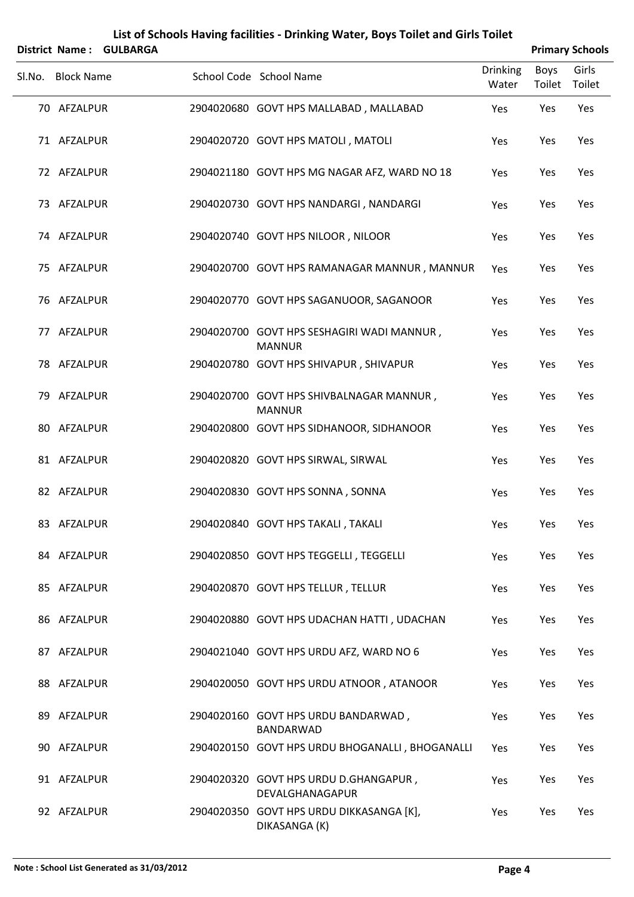| List of Schools Having facilities - Drinking Water, Boys Toilet and Girls Toilet<br><b>Primary Schools</b><br>District Name:<br><b>GULBARGA</b> |                   |  |  |                                                             |                          |                       |                 |
|-------------------------------------------------------------------------------------------------------------------------------------------------|-------------------|--|--|-------------------------------------------------------------|--------------------------|-----------------------|-----------------|
|                                                                                                                                                 | Sl.No. Block Name |  |  | School Code School Name                                     | <b>Drinking</b><br>Water | <b>Boys</b><br>Toilet | Girls<br>Toilet |
|                                                                                                                                                 | 70 AFZALPUR       |  |  | 2904020680 GOVT HPS MALLABAD, MALLABAD                      | Yes                      | Yes                   | Yes             |
|                                                                                                                                                 | 71 AFZALPUR       |  |  | 2904020720 GOVT HPS MATOLI, MATOLI                          | Yes                      | Yes                   | Yes             |
|                                                                                                                                                 | 72 AFZALPUR       |  |  | 2904021180 GOVT HPS MG NAGAR AFZ, WARD NO 18                | Yes                      | Yes                   | Yes             |
|                                                                                                                                                 | 73 AFZALPUR       |  |  | 2904020730 GOVT HPS NANDARGI, NANDARGI                      | Yes                      | Yes                   | Yes             |
|                                                                                                                                                 | 74 AFZALPUR       |  |  | 2904020740 GOVT HPS NILOOR, NILOOR                          | Yes                      | Yes                   | Yes             |
|                                                                                                                                                 | 75 AFZALPUR       |  |  | 2904020700 GOVT HPS RAMANAGAR MANNUR, MANNUR                | Yes                      | Yes                   | Yes             |
|                                                                                                                                                 | 76 AFZALPUR       |  |  | 2904020770 GOVT HPS SAGANUOOR, SAGANOOR                     | Yes                      | Yes                   | Yes             |
|                                                                                                                                                 | 77 AFZALPUR       |  |  | 2904020700 GOVT HPS SESHAGIRI WADI MANNUR,<br><b>MANNUR</b> | Yes                      | Yes                   | Yes             |
|                                                                                                                                                 | 78 AFZALPUR       |  |  | 2904020780 GOVT HPS SHIVAPUR, SHIVAPUR                      | Yes                      | Yes                   | Yes             |
|                                                                                                                                                 | 79 AFZALPUR       |  |  | 2904020700 GOVT HPS SHIVBALNAGAR MANNUR,<br><b>MANNUR</b>   | Yes                      | Yes                   | Yes             |
|                                                                                                                                                 | 80 AFZALPUR       |  |  | 2904020800 GOVT HPS SIDHANOOR, SIDHANOOR                    | Yes                      | Yes                   | Yes             |
|                                                                                                                                                 | 81 AFZALPUR       |  |  | 2904020820 GOVT HPS SIRWAL, SIRWAL                          | Yes                      | Yes                   | Yes             |
|                                                                                                                                                 | 82 AFZALPUR       |  |  | 2904020830 GOVT HPS SONNA, SONNA                            | Yes                      | Yes                   | Yes             |
|                                                                                                                                                 | 83 AFZALPUR       |  |  | 2904020840 GOVT HPS TAKALI, TAKALI                          | Yes                      | Yes                   | Yes             |
|                                                                                                                                                 | 84 AFZALPUR       |  |  | 2904020850 GOVT HPS TEGGELLI, TEGGELLI                      | Yes                      | Yes                   | Yes             |
|                                                                                                                                                 | 85 AFZALPUR       |  |  | 2904020870 GOVT HPS TELLUR, TELLUR                          | Yes                      | Yes                   | Yes             |
|                                                                                                                                                 | 86 AFZALPUR       |  |  | 2904020880 GOVT HPS UDACHAN HATTI, UDACHAN                  | Yes                      | Yes                   | Yes             |
|                                                                                                                                                 | 87 AFZALPUR       |  |  | 2904021040 GOVT HPS URDU AFZ, WARD NO 6                     | Yes                      | Yes                   | Yes             |
|                                                                                                                                                 | 88 AFZALPUR       |  |  | 2904020050 GOVT HPS URDU ATNOOR, ATANOOR                    | Yes                      | Yes                   | Yes             |
|                                                                                                                                                 | 89 AFZALPUR       |  |  | 2904020160 GOVT HPS URDU BANDARWAD,<br>BANDARWAD            | Yes                      | Yes                   | Yes             |
|                                                                                                                                                 | 90 AFZALPUR       |  |  | 2904020150 GOVT HPS URDU BHOGANALLI, BHOGANALLI             | Yes                      | Yes                   | Yes             |
|                                                                                                                                                 | 91 AFZALPUR       |  |  | 2904020320 GOVT HPS URDU D.GHANGAPUR,<br>DEVALGHANAGAPUR    | Yes                      | Yes                   | Yes             |
|                                                                                                                                                 | 92 AFZALPUR       |  |  | 2904020350 GOVT HPS URDU DIKKASANGA [K],<br>DIKASANGA (K)   | Yes                      | Yes                   | Yes             |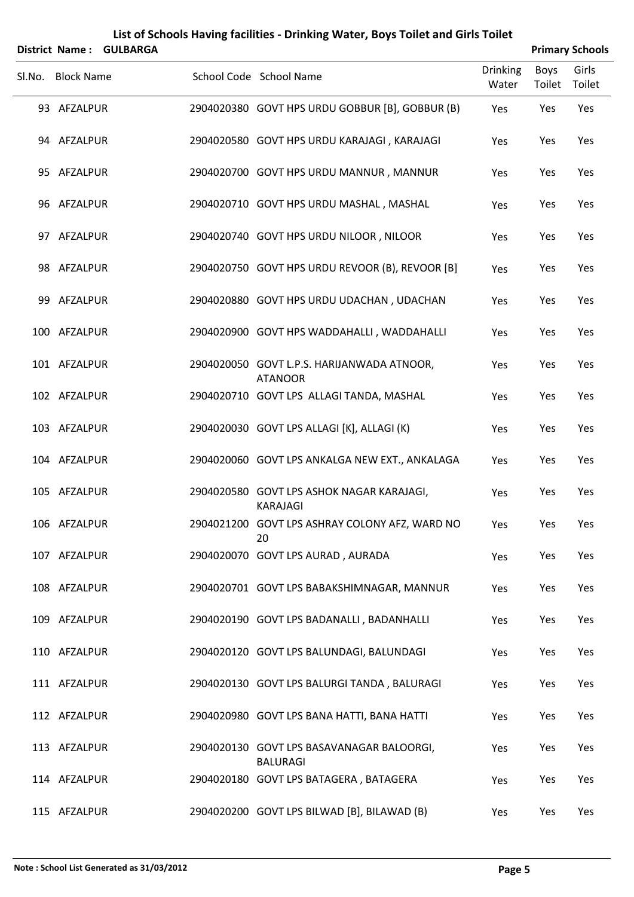|        |                   | District Name: GULBARGA |                                                              |                          |                       | <b>Primary Schools</b> |
|--------|-------------------|-------------------------|--------------------------------------------------------------|--------------------------|-----------------------|------------------------|
| SI.No. | <b>Block Name</b> |                         | School Code School Name                                      | <b>Drinking</b><br>Water | <b>Boys</b><br>Toilet | Girls<br>Toilet        |
|        | 93 AFZALPUR       |                         | 2904020380 GOVT HPS URDU GOBBUR [B], GOBBUR (B)              | Yes                      | Yes                   | Yes                    |
|        | 94 AFZALPUR       |                         | 2904020580 GOVT HPS URDU KARAJAGI, KARAJAGI                  | Yes                      | Yes                   | Yes                    |
|        | 95 AFZALPUR       |                         | 2904020700 GOVT HPS URDU MANNUR, MANNUR                      | Yes                      | Yes                   | Yes                    |
|        | 96 AFZALPUR       |                         | 2904020710 GOVT HPS URDU MASHAL, MASHAL                      | Yes                      | Yes                   | Yes                    |
|        | 97 AFZALPUR       |                         | 2904020740 GOVT HPS URDU NILOOR, NILOOR                      | Yes                      | Yes                   | Yes                    |
|        | 98 AFZALPUR       |                         | 2904020750 GOVT HPS URDU REVOOR (B), REVOOR [B]              | Yes                      | Yes                   | Yes                    |
|        | 99 AFZALPUR       |                         | 2904020880 GOVT HPS URDU UDACHAN, UDACHAN                    | Yes                      | Yes                   | Yes                    |
|        | 100 AFZALPUR      |                         | 2904020900 GOVT HPS WADDAHALLI, WADDAHALLI                   | Yes                      | Yes                   | Yes                    |
|        | 101 AFZALPUR      |                         | 2904020050 GOVT L.P.S. HARIJANWADA ATNOOR,<br><b>ATANOOR</b> | Yes                      | Yes                   | Yes                    |
|        | 102 AFZALPUR      |                         | 2904020710 GOVT LPS ALLAGI TANDA, MASHAL                     | Yes                      | Yes                   | Yes                    |
|        | 103 AFZALPUR      |                         | 2904020030 GOVT LPS ALLAGI [K], ALLAGI (K)                   | Yes                      | Yes                   | Yes                    |
|        | 104 AFZALPUR      |                         | 2904020060 GOVT LPS ANKALGA NEW EXT., ANKALAGA               | Yes                      | Yes                   | Yes                    |
|        | 105 AFZALPUR      |                         | 2904020580 GOVT LPS ASHOK NAGAR KARAJAGI,<br><b>KARAJAGI</b> | Yes                      | Yes                   | Yes                    |
|        | 106 AFZALPUR      |                         | 2904021200 GOVT LPS ASHRAY COLONY AFZ, WARD NO<br>20         | Yes                      | Yes                   | Yes                    |
|        | 107 AFZALPUR      |                         | 2904020070 GOVT LPS AURAD, AURADA                            | Yes                      | Yes                   | Yes                    |
|        | 108 AFZALPUR      |                         | 2904020701 GOVT LPS BABAKSHIMNAGAR, MANNUR                   | Yes                      | Yes                   | Yes                    |
|        | 109 AFZALPUR      |                         | 2904020190 GOVT LPS BADANALLI, BADANHALLI                    | Yes                      | Yes                   | Yes                    |
|        | 110 AFZALPUR      |                         | 2904020120 GOVT LPS BALUNDAGI, BALUNDAGI                     | Yes                      | Yes                   | Yes                    |
|        | 111 AFZALPUR      |                         | 2904020130 GOVT LPS BALURGI TANDA, BALURAGI                  | Yes                      | Yes                   | Yes                    |
|        | 112 AFZALPUR      |                         | 2904020980 GOVT LPS BANA HATTI, BANA HATTI                   | Yes                      | Yes                   | Yes                    |
|        | 113 AFZALPUR      |                         | 2904020130 GOVT LPS BASAVANAGAR BALOORGI,<br><b>BALURAGI</b> | Yes                      | Yes                   | Yes                    |
|        | 114 AFZALPUR      |                         | 2904020180 GOVT LPS BATAGERA, BATAGERA                       | Yes                      | Yes                   | Yes                    |
|        | 115 AFZALPUR      |                         | 2904020200 GOVT LPS BILWAD [B], BILAWAD (B)                  | Yes                      | Yes                   | Yes                    |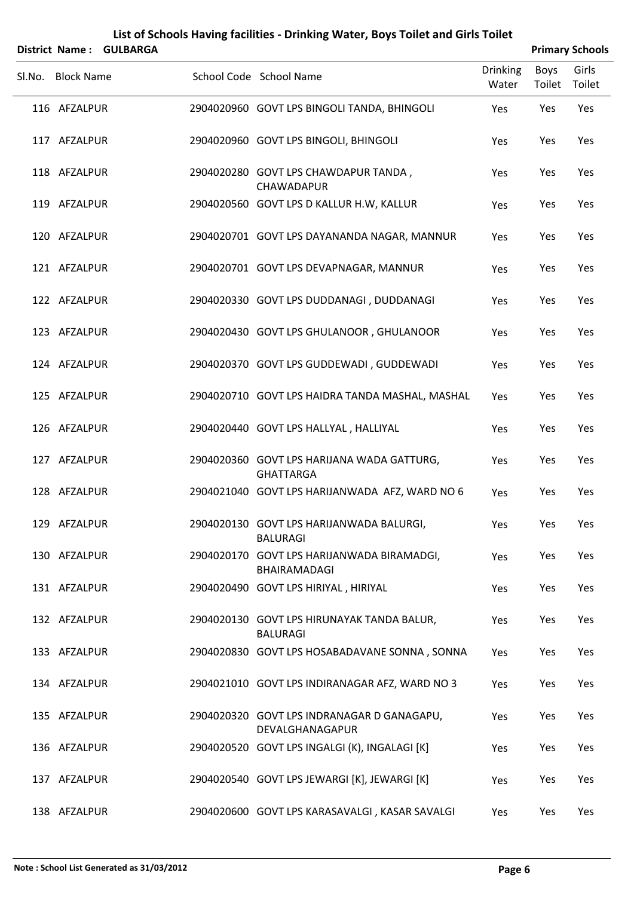|                   | District Name: GULBARGA |                                                                |                          |                | <b>Primary Schools</b> |
|-------------------|-------------------------|----------------------------------------------------------------|--------------------------|----------------|------------------------|
| Sl.No. Block Name |                         | School Code School Name                                        | <b>Drinking</b><br>Water | Boys<br>Toilet | Girls<br>Toilet        |
| 116 AFZALPUR      |                         | 2904020960 GOVT LPS BINGOLI TANDA, BHINGOLI                    | Yes                      | Yes            | Yes                    |
| 117 AFZALPUR      |                         | 2904020960 GOVT LPS BINGOLI, BHINGOLI                          | Yes                      | Yes            | Yes                    |
| 118 AFZALPUR      |                         | 2904020280 GOVT LPS CHAWDAPUR TANDA,<br><b>CHAWADAPUR</b>      | Yes                      | Yes            | Yes                    |
| 119 AFZALPUR      |                         | 2904020560 GOVT LPS D KALLUR H.W, KALLUR                       | Yes                      | Yes            | Yes                    |
| 120 AFZALPUR      |                         | 2904020701 GOVT LPS DAYANANDA NAGAR, MANNUR                    | Yes                      | Yes            | Yes                    |
| 121 AFZALPUR      |                         | 2904020701 GOVT LPS DEVAPNAGAR, MANNUR                         | Yes                      | Yes            | Yes                    |
| 122 AFZALPUR      |                         | 2904020330 GOVT LPS DUDDANAGI, DUDDANAGI                       | Yes                      | Yes            | Yes                    |
| 123 AFZALPUR      |                         | 2904020430 GOVT LPS GHULANOOR, GHULANOOR                       | Yes                      | Yes            | Yes                    |
| 124 AFZALPUR      |                         | 2904020370 GOVT LPS GUDDEWADI, GUDDEWADI                       | Yes                      | Yes            | Yes                    |
| 125 AFZALPUR      |                         | 2904020710 GOVT LPS HAIDRA TANDA MASHAL, MASHAL                | Yes                      | Yes            | Yes                    |
| 126 AFZALPUR      |                         | 2904020440 GOVT LPS HALLYAL, HALLIYAL                          | Yes                      | Yes            | Yes                    |
| 127 AFZALPUR      |                         | 2904020360 GOVT LPS HARIJANA WADA GATTURG,<br><b>GHATTARGA</b> | Yes                      | Yes            | Yes                    |
| 128 AFZALPUR      |                         | 2904021040 GOVT LPS HARIJANWADA AFZ, WARD NO 6                 | Yes                      | Yes            | Yes                    |
| 129 AFZALPUR      |                         | 2904020130 GOVT LPS HARIJANWADA BALURGI,<br><b>BALURAGI</b>    | Yes                      | Yes            | Yes                    |
| 130 AFZALPUR      |                         | 2904020170 GOVT LPS HARIJANWADA BIRAMADGI,<br>BHAIRAMADAGI     | Yes                      | Yes            | Yes                    |
| 131 AFZALPUR      |                         | 2904020490 GOVT LPS HIRIYAL, HIRIYAL                           | Yes                      | Yes            | Yes                    |
| 132 AFZALPUR      |                         | 2904020130 GOVT LPS HIRUNAYAK TANDA BALUR,<br><b>BALURAGI</b>  | Yes                      | Yes            | Yes                    |
| 133 AFZALPUR      |                         | 2904020830 GOVT LPS HOSABADAVANE SONNA, SONNA                  | Yes                      | Yes            | Yes                    |
| 134 AFZALPUR      |                         | 2904021010 GOVT LPS INDIRANAGAR AFZ, WARD NO 3                 | Yes                      | Yes            | Yes                    |
| 135 AFZALPUR      |                         | 2904020320 GOVT LPS INDRANAGAR D GANAGAPU,<br>DEVALGHANAGAPUR  | Yes                      | Yes            | Yes                    |
| 136 AFZALPUR      |                         | 2904020520 GOVT LPS INGALGI (K), INGALAGI [K]                  | Yes                      | Yes            | Yes                    |
| 137 AFZALPUR      |                         | 2904020540 GOVT LPS JEWARGI [K], JEWARGI [K]                   | Yes                      | Yes            | Yes                    |
| 138 AFZALPUR      |                         | 2904020600 GOVT LPS KARASAVALGI, KASAR SAVALGI                 | Yes                      | Yes            | Yes                    |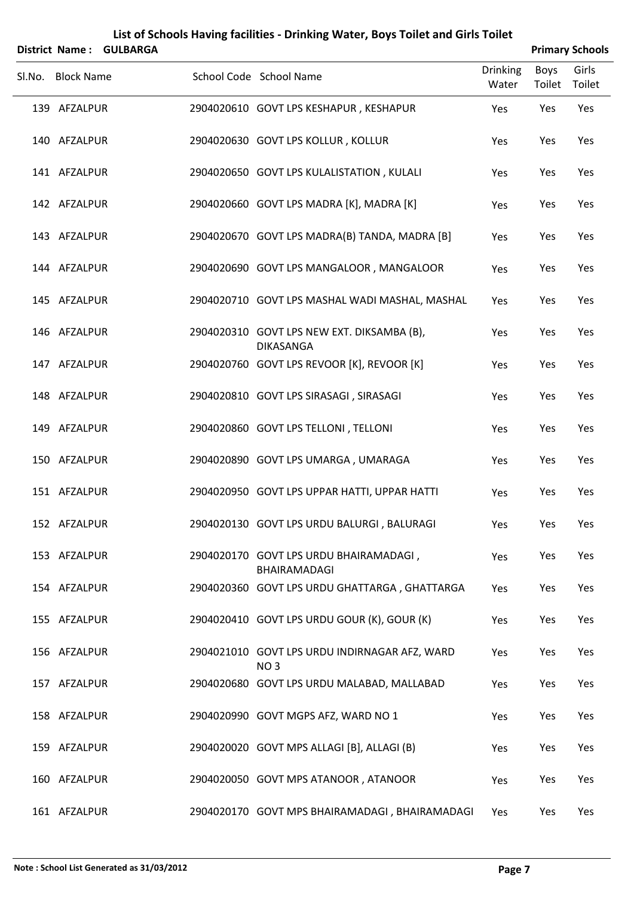|        | District Name:    | <b>GULBARGA</b> |                                                                  |                          |                              | <b>Primary Schools</b> |
|--------|-------------------|-----------------|------------------------------------------------------------------|--------------------------|------------------------------|------------------------|
| Sl.No. | <b>Block Name</b> |                 | School Code School Name                                          | <b>Drinking</b><br>Water | <b>Boys</b><br>Toilet Toilet | Girls                  |
|        | 139 AFZALPUR      |                 | 2904020610 GOVT LPS KESHAPUR, KESHAPUR                           | Yes                      | Yes                          | Yes                    |
|        | 140 AFZALPUR      |                 | 2904020630 GOVT LPS KOLLUR, KOLLUR                               | Yes                      | Yes                          | Yes                    |
|        | 141 AFZALPUR      |                 | 2904020650 GOVT LPS KULALISTATION, KULALI                        | Yes                      | Yes                          | Yes                    |
|        | 142 AFZALPUR      |                 | 2904020660 GOVT LPS MADRA [K], MADRA [K]                         | Yes                      | Yes                          | Yes                    |
|        | 143 AFZALPUR      |                 | 2904020670 GOVT LPS MADRA(B) TANDA, MADRA [B]                    | Yes                      | Yes                          | Yes                    |
|        | 144 AFZALPUR      |                 | 2904020690 GOVT LPS MANGALOOR, MANGALOOR                         | Yes                      | Yes                          | Yes                    |
|        | 145 AFZALPUR      |                 | 2904020710 GOVT LPS MASHAL WADI MASHAL, MASHAL                   | Yes                      | Yes                          | Yes                    |
|        | 146 AFZALPUR      |                 | 2904020310 GOVT LPS NEW EXT. DIKSAMBA (B),<br>DIKASANGA          | Yes                      | Yes                          | Yes                    |
|        | 147 AFZALPUR      |                 | 2904020760 GOVT LPS REVOOR [K], REVOOR [K]                       | Yes                      | Yes                          | Yes                    |
|        | 148 AFZALPUR      |                 | 2904020810 GOVT LPS SIRASAGI, SIRASAGI                           | Yes                      | Yes                          | Yes                    |
|        | 149 AFZALPUR      |                 | 2904020860 GOVT LPS TELLONI, TELLONI                             | Yes                      | Yes                          | Yes                    |
|        | 150 AFZALPUR      |                 | 2904020890 GOVT LPS UMARGA, UMARAGA                              | Yes                      | Yes                          | Yes                    |
|        | 151 AFZALPUR      |                 | 2904020950 GOVT LPS UPPAR HATTI, UPPAR HATTI                     | Yes                      | Yes                          | Yes                    |
|        | 152 AFZALPUR      |                 | 2904020130 GOVT LPS URDU BALURGI, BALURAGI                       | Yes                      | Yes                          | Yes                    |
|        | 153 AFZALPUR      |                 | 2904020170 GOVT LPS URDU BHAIRAMADAGI,<br>BHAIRAMADAGI           | Yes                      | Yes                          | Yes                    |
|        | 154 AFZALPUR      |                 | 2904020360 GOVT LPS URDU GHATTARGA, GHATTARGA                    | Yes                      | Yes                          | Yes                    |
|        | 155 AFZALPUR      |                 | 2904020410 GOVT LPS URDU GOUR (K), GOUR (K)                      | Yes                      | Yes                          | Yes                    |
|        | 156 AFZALPUR      |                 | 2904021010 GOVT LPS URDU INDIRNAGAR AFZ, WARD<br>NO <sub>3</sub> | Yes                      | Yes                          | Yes                    |
|        | 157 AFZALPUR      |                 | 2904020680 GOVT LPS URDU MALABAD, MALLABAD                       | Yes                      | Yes                          | Yes                    |
|        | 158 AFZALPUR      |                 | 2904020990 GOVT MGPS AFZ, WARD NO 1                              | Yes                      | Yes                          | Yes                    |
|        | 159 AFZALPUR      |                 | 2904020020 GOVT MPS ALLAGI [B], ALLAGI (B)                       | Yes                      | Yes                          | Yes                    |
|        | 160 AFZALPUR      |                 | 2904020050 GOVT MPS ATANOOR, ATANOOR                             | Yes                      | Yes                          | Yes                    |
|        | 161 AFZALPUR      |                 | 2904020170 GOVT MPS BHAIRAMADAGI, BHAIRAMADAGI                   | Yes                      | Yes                          | Yes                    |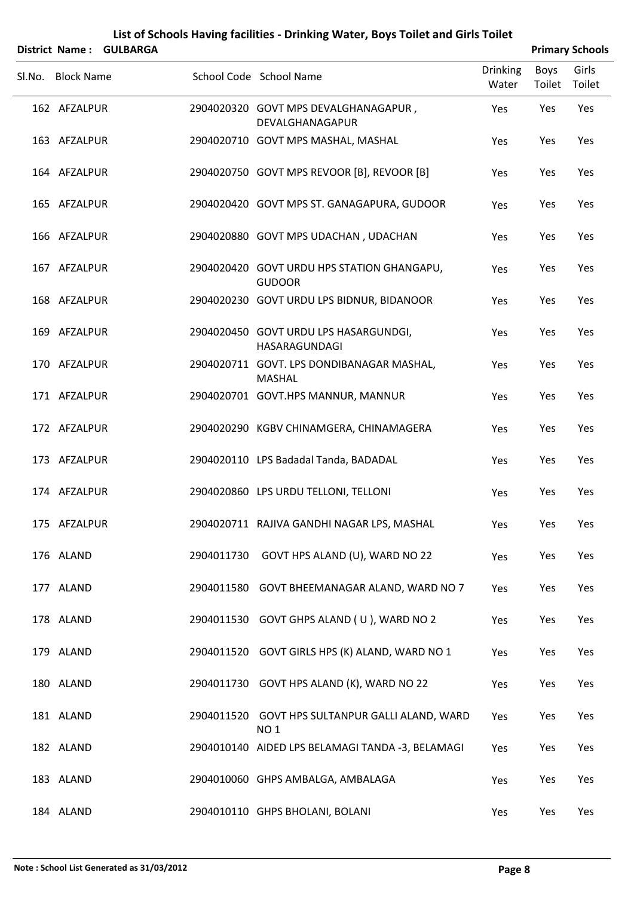|        |                   | District Name: GULBARGA |            |                                                                    |                          |                | <b>Primary Schools</b> |
|--------|-------------------|-------------------------|------------|--------------------------------------------------------------------|--------------------------|----------------|------------------------|
| Sl.No. | <b>Block Name</b> |                         |            | School Code School Name                                            | <b>Drinking</b><br>Water | Boys<br>Toilet | Girls<br>Toilet        |
|        | 162 AFZALPUR      |                         |            | 2904020320 GOVT MPS DEVALGHANAGAPUR,<br>DEVALGHANAGAPUR            | Yes                      | Yes            | Yes                    |
|        | 163 AFZALPUR      |                         |            | 2904020710 GOVT MPS MASHAL, MASHAL                                 | Yes                      | Yes            | Yes                    |
|        | 164 AFZALPUR      |                         |            | 2904020750 GOVT MPS REVOOR [B], REVOOR [B]                         | Yes                      | Yes            | Yes                    |
|        | 165 AFZALPUR      |                         |            | 2904020420 GOVT MPS ST. GANAGAPURA, GUDOOR                         | Yes                      | Yes            | Yes                    |
|        | 166 AFZALPUR      |                         |            | 2904020880 GOVT MPS UDACHAN, UDACHAN                               | Yes                      | Yes            | Yes                    |
|        | 167 AFZALPUR      |                         |            | 2904020420 GOVT URDU HPS STATION GHANGAPU,<br><b>GUDOOR</b>        | Yes                      | Yes            | Yes                    |
|        | 168 AFZALPUR      |                         |            | 2904020230 GOVT URDU LPS BIDNUR, BIDANOOR                          | Yes                      | Yes            | Yes                    |
|        | 169 AFZALPUR      |                         |            | 2904020450 GOVT URDU LPS HASARGUNDGI,<br>HASARAGUNDAGI             | Yes                      | Yes            | Yes                    |
|        | 170 AFZALPUR      |                         |            | 2904020711 GOVT. LPS DONDIBANAGAR MASHAL,<br><b>MASHAL</b>         | Yes                      | Yes            | Yes                    |
|        | 171 AFZALPUR      |                         |            | 2904020701 GOVT.HPS MANNUR, MANNUR                                 | Yes                      | Yes            | Yes                    |
|        | 172 AFZALPUR      |                         |            | 2904020290 KGBV CHINAMGERA, CHINAMAGERA                            | Yes                      | Yes            | Yes                    |
|        | 173 AFZALPUR      |                         |            | 2904020110 LPS Badadal Tanda, BADADAL                              | Yes                      | Yes            | Yes                    |
|        | 174 AFZALPUR      |                         |            | 2904020860 LPS URDU TELLONI, TELLONI                               | Yes                      | Yes            | Yes                    |
|        | 175 AFZALPUR      |                         |            | 2904020711 RAJIVA GANDHI NAGAR LPS, MASHAL                         | Yes                      | Yes            | Yes                    |
|        | 176 ALAND         |                         | 2904011730 | GOVT HPS ALAND (U), WARD NO 22                                     | Yes                      | Yes            | Yes                    |
|        | 177 ALAND         |                         |            | 2904011580 GOVT BHEEMANAGAR ALAND, WARD NO 7                       | Yes                      | Yes            | Yes                    |
|        | 178 ALAND         |                         |            | 2904011530 GOVT GHPS ALAND (U), WARD NO 2                          | Yes                      | Yes            | Yes                    |
|        | 179 ALAND         |                         |            | 2904011520 GOVT GIRLS HPS (K) ALAND, WARD NO 1                     | Yes                      | Yes            | Yes                    |
|        | 180 ALAND         |                         |            | 2904011730 GOVT HPS ALAND (K), WARD NO 22                          | Yes                      | Yes            | Yes                    |
|        | 181 ALAND         |                         |            | 2904011520 GOVT HPS SULTANPUR GALLI ALAND, WARD<br>NO <sub>1</sub> | Yes                      | Yes            | Yes                    |
|        | 182 ALAND         |                         |            | 2904010140 AIDED LPS BELAMAGI TANDA -3, BELAMAGI                   | Yes                      | Yes            | Yes                    |
|        | 183 ALAND         |                         |            | 2904010060 GHPS AMBALGA, AMBALAGA                                  | Yes                      | Yes            | Yes                    |
|        |                   |                         |            |                                                                    |                          |                |                        |

184 ALAND 2904010110 GHPS BHOLANI, BOLANI 7es Yes Yes Yes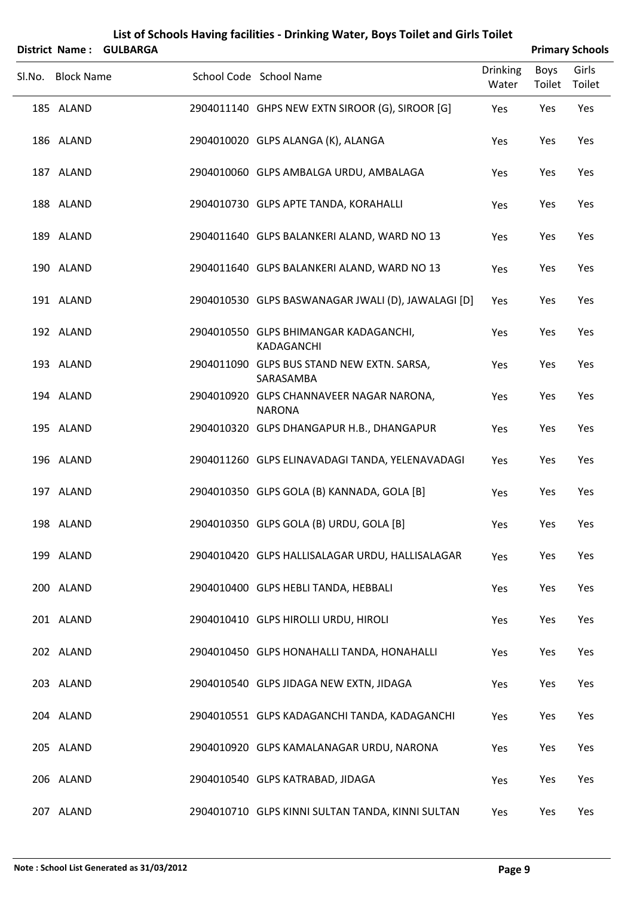|        | <b>District Name:</b> | <b>GULBARGA</b> |                                                           |                          |                | <b>Primary Schools</b> |
|--------|-----------------------|-----------------|-----------------------------------------------------------|--------------------------|----------------|------------------------|
| Sl.No. | <b>Block Name</b>     |                 | School Code School Name                                   | <b>Drinking</b><br>Water | Boys<br>Toilet | Girls<br>Toilet        |
|        | 185 ALAND             |                 | 2904011140 GHPS NEW EXTN SIROOR (G), SIROOR [G]           | Yes                      | Yes            | Yes                    |
|        | 186 ALAND             |                 | 2904010020 GLPS ALANGA (K), ALANGA                        | Yes                      | Yes            | Yes                    |
|        | 187 ALAND             |                 | 2904010060 GLPS AMBALGA URDU, AMBALAGA                    | Yes                      | Yes            | Yes                    |
|        | 188 ALAND             |                 | 2904010730 GLPS APTE TANDA, KORAHALLI                     | Yes                      | Yes            | Yes                    |
|        | 189 ALAND             |                 | 2904011640 GLPS BALANKERI ALAND, WARD NO 13               | Yes                      | Yes            | Yes                    |
|        | 190 ALAND             |                 | 2904011640 GLPS BALANKERI ALAND, WARD NO 13               | Yes                      | Yes            | Yes                    |
|        | 191 ALAND             |                 | 2904010530 GLPS BASWANAGAR JWALI (D), JAWALAGI [D]        | Yes                      | Yes            | Yes                    |
|        | 192 ALAND             |                 | 2904010550 GLPS BHIMANGAR KADAGANCHI,<br>KADAGANCHI       | Yes                      | Yes            | Yes                    |
|        | 193 ALAND             |                 | 2904011090 GLPS BUS STAND NEW EXTN. SARSA,<br>SARASAMBA   | Yes                      | Yes            | Yes                    |
|        | 194 ALAND             |                 | 2904010920 GLPS CHANNAVEER NAGAR NARONA,<br><b>NARONA</b> | Yes                      | Yes            | Yes                    |
|        | 195 ALAND             |                 | 2904010320 GLPS DHANGAPUR H.B., DHANGAPUR                 | Yes                      | Yes            | Yes                    |
|        | 196 ALAND             |                 | 2904011260 GLPS ELINAVADAGI TANDA, YELENAVADAGI           | Yes                      | Yes            | Yes                    |
|        | 197 ALAND             |                 | 2904010350 GLPS GOLA (B) KANNADA, GOLA [B]                | Yes                      | Yes            | Yes                    |
|        | 198 ALAND             |                 | 2904010350 GLPS GOLA (B) URDU, GOLA [B]                   | Yes                      | Yes            | Yes                    |
|        | 199 ALAND             |                 | 2904010420 GLPS HALLISALAGAR URDU, HALLISALAGAR           | Yes                      | Yes            | Yes                    |
|        | 200 ALAND             |                 | 2904010400 GLPS HEBLI TANDA, HEBBALI                      | Yes                      | Yes            | Yes                    |
|        | 201 ALAND             |                 | 2904010410 GLPS HIROLLI URDU, HIROLI                      | Yes                      | Yes            | Yes                    |
|        | 202 ALAND             |                 | 2904010450 GLPS HONAHALLI TANDA, HONAHALLI                | Yes                      | Yes            | Yes                    |
|        | 203 ALAND             |                 | 2904010540 GLPS JIDAGA NEW EXTN, JIDAGA                   | Yes                      | Yes            | Yes                    |
|        | 204 ALAND             |                 | 2904010551 GLPS KADAGANCHI TANDA, KADAGANCHI              | Yes                      | Yes            | Yes                    |
|        | 205 ALAND             |                 | 2904010920 GLPS KAMALANAGAR URDU, NARONA                  | Yes                      | Yes            | Yes                    |
|        | 206 ALAND             |                 | 2904010540 GLPS KATRABAD, JIDAGA                          | Yes                      | Yes            | Yes                    |
|        | 207 ALAND             |                 | 2904010710 GLPS KINNI SULTAN TANDA, KINNI SULTAN          | Yes                      | Yes            | Yes                    |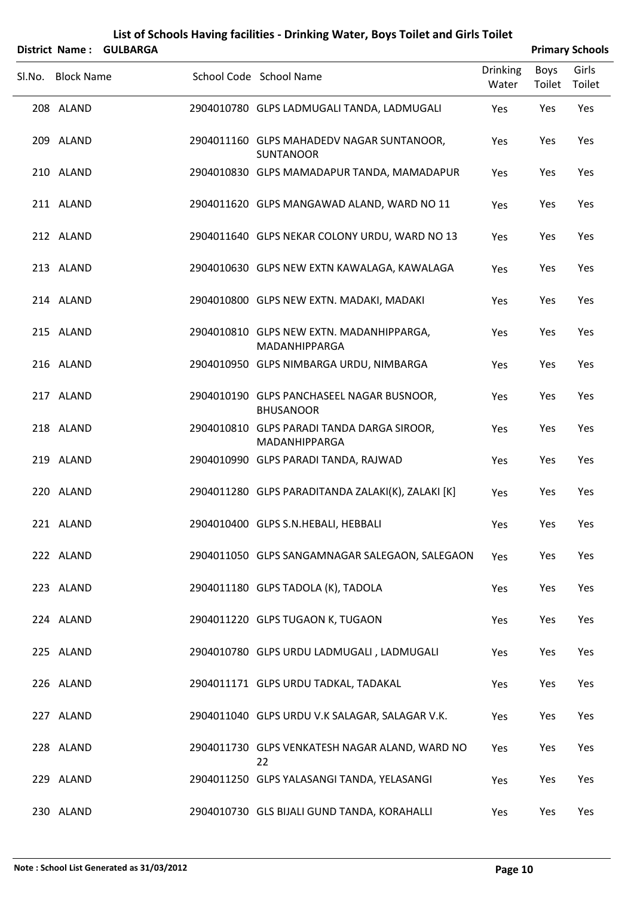|        | <b>District Name:</b> | <b>GULBARGA</b> |                                                               |                          |                | <b>Primary Schools</b> |
|--------|-----------------------|-----------------|---------------------------------------------------------------|--------------------------|----------------|------------------------|
| Sl.No. | <b>Block Name</b>     |                 | School Code School Name                                       | <b>Drinking</b><br>Water | Boys<br>Toilet | Girls<br>Toilet        |
|        | 208 ALAND             |                 | 2904010780 GLPS LADMUGALI TANDA, LADMUGALI                    | Yes                      | Yes            | Yes                    |
|        | 209 ALAND             |                 | 2904011160 GLPS MAHADEDV NAGAR SUNTANOOR,<br><b>SUNTANOOR</b> | Yes                      | Yes            | Yes                    |
|        | 210 ALAND             |                 | 2904010830 GLPS MAMADAPUR TANDA, MAMADAPUR                    | Yes                      | Yes            | Yes                    |
|        | 211 ALAND             |                 | 2904011620 GLPS MANGAWAD ALAND, WARD NO 11                    | Yes                      | Yes            | Yes                    |
|        | 212 ALAND             |                 | 2904011640 GLPS NEKAR COLONY URDU, WARD NO 13                 | Yes                      | Yes            | Yes                    |
|        | 213 ALAND             |                 | 2904010630 GLPS NEW EXTN KAWALAGA, KAWALAGA                   | Yes                      | Yes            | Yes                    |
|        | 214 ALAND             |                 | 2904010800 GLPS NEW EXTN. MADAKI, MADAKI                      | Yes                      | Yes            | Yes                    |
|        | 215 ALAND             |                 | 2904010810 GLPS NEW EXTN. MADANHIPPARGA,<br>MADANHIPPARGA     | Yes                      | Yes            | Yes                    |
|        | 216 ALAND             |                 | 2904010950 GLPS NIMBARGA URDU, NIMBARGA                       | Yes                      | Yes            | Yes                    |
|        | 217 ALAND             |                 | 2904010190 GLPS PANCHASEEL NAGAR BUSNOOR,<br><b>BHUSANOOR</b> | Yes                      | Yes            | Yes                    |
|        | 218 ALAND             |                 | 2904010810 GLPS PARADI TANDA DARGA SIROOR,<br>MADANHIPPARGA   | Yes                      | Yes            | Yes                    |
|        | 219 ALAND             |                 | 2904010990 GLPS PARADI TANDA, RAJWAD                          | Yes                      | Yes            | Yes                    |
|        | 220 ALAND             |                 | 2904011280 GLPS PARADITANDA ZALAKI(K), ZALAKI [K]             | Yes                      | Yes            | Yes                    |
|        | 221 ALAND             |                 | 2904010400 GLPS S.N.HEBALI, HEBBALI                           | Yes                      | Yes            | Yes                    |
|        | 222 ALAND             |                 | 2904011050 GLPS SANGAMNAGAR SALEGAON, SALEGAON                | Yes                      | Yes            | Yes                    |
|        | 223 ALAND             |                 | 2904011180 GLPS TADOLA (K), TADOLA                            | Yes                      | Yes            | Yes                    |
|        | 224 ALAND             |                 | 2904011220 GLPS TUGAON K, TUGAON                              | Yes                      | Yes            | Yes                    |
|        | 225 ALAND             |                 | 2904010780 GLPS URDU LADMUGALI, LADMUGALI                     | Yes                      | Yes            | Yes                    |
|        | 226 ALAND             |                 | 2904011171 GLPS URDU TADKAL, TADAKAL                          | Yes                      | Yes            | Yes                    |
|        | 227 ALAND             |                 | 2904011040 GLPS URDU V.K SALAGAR, SALAGAR V.K.                | Yes                      | Yes            | Yes                    |
|        | 228 ALAND             |                 | 2904011730 GLPS VENKATESH NAGAR ALAND, WARD NO<br>22          | Yes                      | Yes            | Yes                    |
|        | 229 ALAND             |                 | 2904011250 GLPS YALASANGI TANDA, YELASANGI                    | Yes                      | Yes            | Yes                    |
|        | 230 ALAND             |                 | 2904010730 GLS BIJALI GUND TANDA, KORAHALLI                   | Yes                      | Yes            | Yes                    |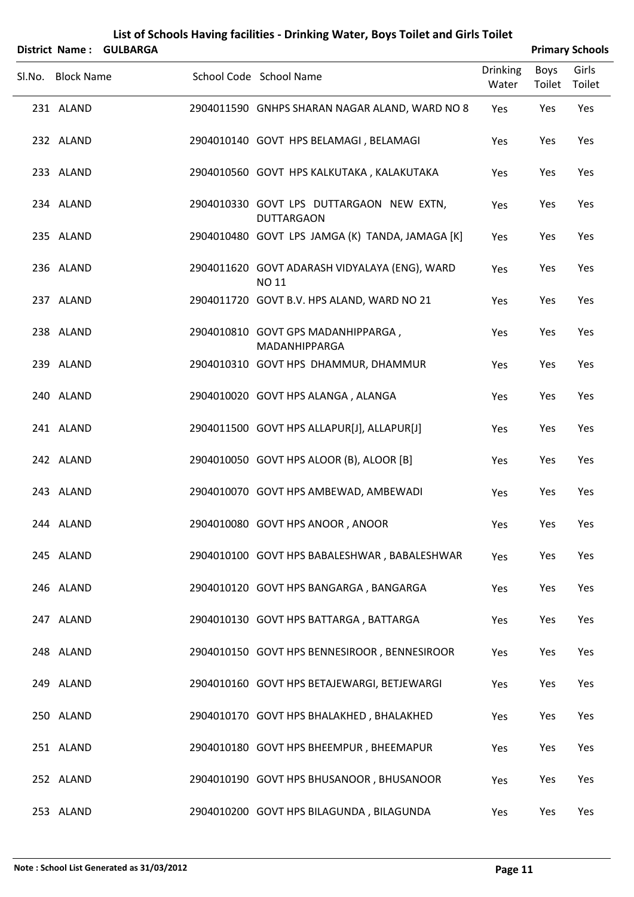| <b>District Name:</b> | <b>GULBARGA</b> | List of Schools Having facilities - Drinking Water, Boys Toilet and Girls Toilet |                          |                | <b>Primary Schools</b> |
|-----------------------|-----------------|----------------------------------------------------------------------------------|--------------------------|----------------|------------------------|
| Sl.No. Block Name     |                 | School Code School Name                                                          | <b>Drinking</b><br>Water | Boys<br>Toilet | Girls<br>Toilet        |
| 231 ALAND             |                 | 2904011590 GNHPS SHARAN NAGAR ALAND, WARD NO 8                                   | Yes                      | Yes            | Yes                    |
| 232 ALAND             |                 | 2904010140 GOVT HPS BELAMAGI, BELAMAGI                                           | Yes                      | Yes            | Yes                    |
| 233 ALAND             |                 | 2904010560 GOVT HPS KALKUTAKA, KALAKUTAKA                                        | Yes                      | Yes            | Yes                    |
| 234 ALAND             |                 | 2904010330 GOVT LPS DUTTARGAON NEW EXTN,<br><b>DUTTARGAON</b>                    | Yes                      | Yes            | Yes                    |
| 235 ALAND             |                 | 2904010480 GOVT LPS JAMGA (K) TANDA, JAMAGA [K]                                  | Yes                      | Yes            | Yes                    |
| 236 ALAND             |                 | 2904011620 GOVT ADARASH VIDYALAYA (ENG), WARD<br>NO 11                           | Yes                      | Yes            | Yes                    |
| 237 ALAND             |                 | 2904011720 GOVT B.V. HPS ALAND, WARD NO 21                                       | Yes                      | Yes            | Yes                    |
| 238 ALAND             |                 | 2904010810 GOVT GPS MADANHIPPARGA,<br>MADANHIPPARGA                              | Yes                      | Yes            | Yes                    |
| 239 ALAND             |                 | 2904010310 GOVT HPS DHAMMUR, DHAMMUR                                             | Yes                      | Yes            | Yes                    |
| 240 ALAND             |                 | 2904010020 GOVT HPS ALANGA, ALANGA                                               | Yes                      | Yes            | Yes                    |
| 241 ALAND             |                 | 2904011500 GOVT HPS ALLAPUR[J], ALLAPUR[J]                                       | Yes                      | Yes            | Yes                    |
| 242 ALAND             |                 | 2904010050 GOVT HPS ALOOR (B), ALOOR [B]                                         | Yes                      | Yes            | Yes                    |
| 243 ALAND             |                 | 2904010070 GOVT HPS AMBEWAD, AMBEWADI                                            | Yes                      | Yes            | Yes                    |
| 244 ALAND             |                 | 2904010080 GOVT HPS ANOOR, ANOOR                                                 | Yes                      | Yes            | Yes                    |
| 245 ALAND             |                 | 2904010100 GOVT HPS BABALESHWAR, BABALESHWAR                                     | Yes                      | Yes            | Yes                    |
| 246 ALAND             |                 | 2904010120 GOVT HPS BANGARGA, BANGARGA                                           | Yes                      | Yes            | Yes                    |
| 247 ALAND             |                 | 2904010130 GOVT HPS BATTARGA, BATTARGA                                           | Yes                      | Yes            | Yes                    |
| 248 ALAND             |                 | 2904010150 GOVT HPS BENNESIROOR, BENNESIROOR                                     | Yes                      | Yes            | Yes                    |
| 249 ALAND             |                 | 2904010160 GOVT HPS BETAJEWARGI, BETJEWARGI                                      | Yes                      | Yes            | Yes                    |
| 250 ALAND             |                 | 2904010170 GOVT HPS BHALAKHED, BHALAKHED                                         | Yes                      | Yes            | Yes                    |
| 251 ALAND             |                 | 2904010180 GOVT HPS BHEEMPUR, BHEEMAPUR                                          | Yes                      | Yes            | Yes                    |
| 252 ALAND             |                 | 2904010190 GOVT HPS BHUSANOOR, BHUSANOOR                                         | Yes                      | Yes            | Yes                    |
| 253 ALAND             |                 | 2904010200 GOVT HPS BILAGUNDA, BILAGUNDA                                         | Yes                      | Yes            | Yes                    |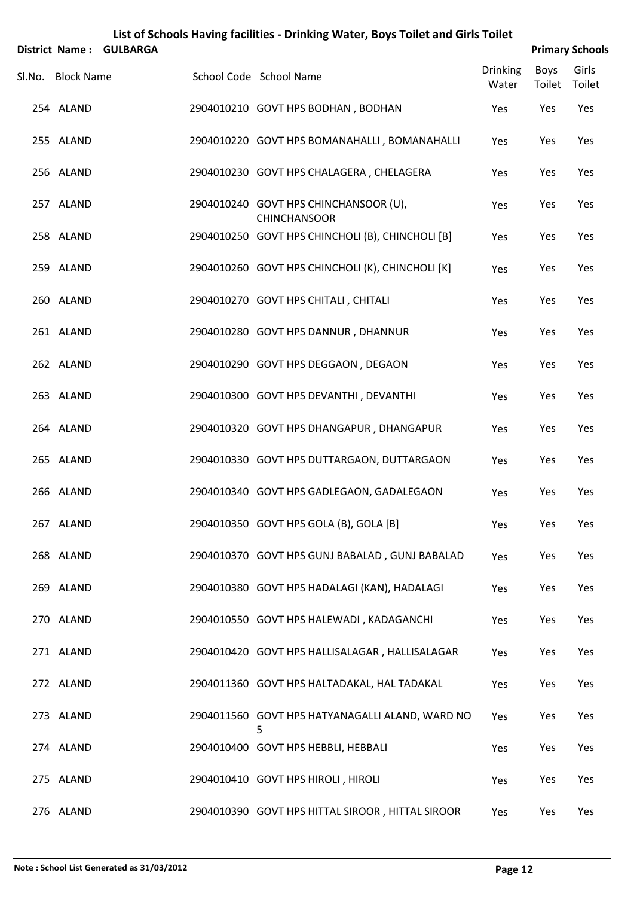|                   | District Name: GULBARGA |                                                              |                          |                | <b>Primary Schools</b> |
|-------------------|-------------------------|--------------------------------------------------------------|--------------------------|----------------|------------------------|
| Sl.No. Block Name |                         | School Code School Name                                      | <b>Drinking</b><br>Water | Boys<br>Toilet | Girls<br>Toilet        |
| 254 ALAND         |                         | 2904010210 GOVT HPS BODHAN, BODHAN                           | Yes                      | Yes            | Yes                    |
| 255 ALAND         |                         | 2904010220 GOVT HPS BOMANAHALLI, BOMANAHALLI                 | Yes                      | Yes            | Yes                    |
| 256 ALAND         |                         | 2904010230 GOVT HPS CHALAGERA, CHELAGERA                     | Yes                      | Yes            | Yes                    |
| 257 ALAND         |                         | 2904010240 GOVT HPS CHINCHANSOOR (U),<br><b>CHINCHANSOOR</b> | Yes                      | Yes            | Yes                    |
| 258 ALAND         |                         | 2904010250 GOVT HPS CHINCHOLI (B), CHINCHOLI [B]             | Yes                      | Yes            | Yes                    |
| 259 ALAND         |                         | 2904010260 GOVT HPS CHINCHOLI (K), CHINCHOLI [K]             | Yes                      | Yes            | Yes                    |
| 260 ALAND         |                         | 2904010270 GOVT HPS CHITALI, CHITALI                         | Yes                      | Yes            | Yes                    |
| 261 ALAND         |                         | 2904010280 GOVT HPS DANNUR, DHANNUR                          | Yes                      | Yes            | Yes                    |
| 262 ALAND         |                         | 2904010290 GOVT HPS DEGGAON, DEGAON                          | Yes                      | Yes            | Yes                    |
| 263 ALAND         |                         | 2904010300 GOVT HPS DEVANTHI, DEVANTHI                       | Yes                      | Yes            | Yes                    |
| 264 ALAND         |                         | 2904010320 GOVT HPS DHANGAPUR, DHANGAPUR                     | Yes                      | Yes            | Yes                    |
| 265 ALAND         |                         | 2904010330 GOVT HPS DUTTARGAON, DUTTARGAON                   | Yes                      | Yes            | Yes                    |
| 266 ALAND         |                         | 2904010340 GOVT HPS GADLEGAON, GADALEGAON                    | Yes                      | Yes            | Yes                    |
| 267 ALAND         |                         | 2904010350 GOVT HPS GOLA (B), GOLA [B]                       | Yes                      | Yes            | Yes                    |
| 268 ALAND         |                         | 2904010370 GOVT HPS GUNJ BABALAD, GUNJ BABALAD               | Yes                      | Yes            | Yes                    |
| 269 ALAND         |                         | 2904010380 GOVT HPS HADALAGI (KAN), HADALAGI                 | Yes                      | Yes            | Yes                    |
| 270 ALAND         |                         | 2904010550 GOVT HPS HALEWADI, KADAGANCHI                     | Yes                      | Yes            | Yes                    |
| 271 ALAND         |                         | 2904010420 GOVT HPS HALLISALAGAR, HALLISALAGAR               | Yes                      | Yes            | Yes                    |
| 272 ALAND         |                         | 2904011360 GOVT HPS HALTADAKAL, HAL TADAKAL                  | Yes                      | Yes            | Yes                    |
| 273 ALAND         |                         | 2904011560 GOVT HPS HATYANAGALLI ALAND, WARD NO<br>5         | Yes                      | Yes            | Yes                    |
| 274 ALAND         |                         | 2904010400 GOVT HPS HEBBLI, HEBBALI                          | Yes                      | Yes            | Yes                    |
| 275 ALAND         |                         | 2904010410 GOVT HPS HIROLI, HIROLI                           | Yes                      | Yes            | Yes                    |
| 276 ALAND         |                         | 2904010390 GOVT HPS HITTAL SIROOR, HITTAL SIROOR             | Yes                      | Yes            | Yes                    |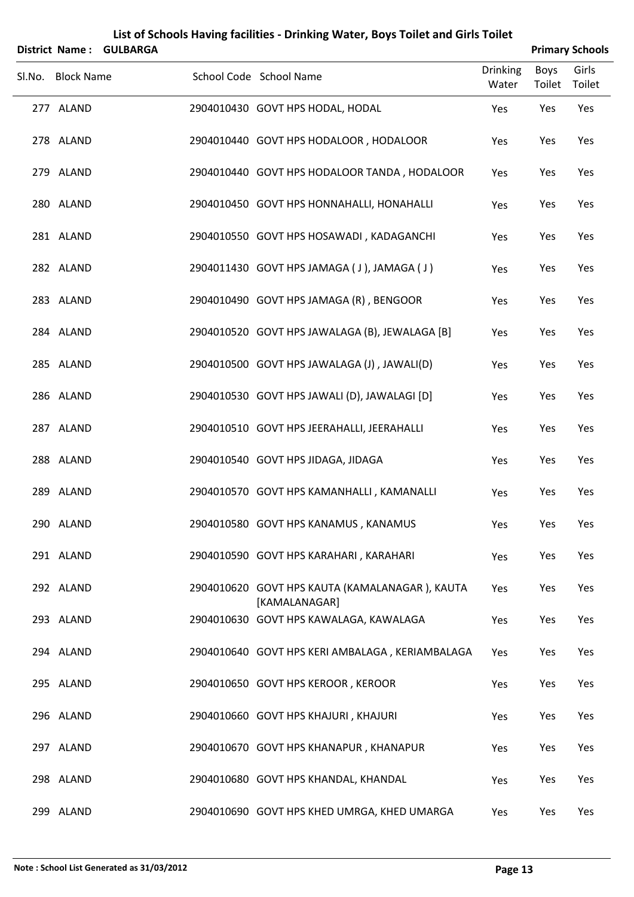|                   | District Name: GULBARGA |                                                                 |                          |                | <b>Primary Schools</b> |
|-------------------|-------------------------|-----------------------------------------------------------------|--------------------------|----------------|------------------------|
| Sl.No. Block Name |                         | School Code School Name                                         | <b>Drinking</b><br>Water | Boys<br>Toilet | Girls<br>Toilet        |
| 277 ALAND         |                         | 2904010430 GOVT HPS HODAL, HODAL                                | Yes                      | Yes            | Yes                    |
| 278 ALAND         |                         | 2904010440 GOVT HPS HODALOOR, HODALOOR                          | Yes                      | Yes            | Yes                    |
| 279 ALAND         |                         | 2904010440 GOVT HPS HODALOOR TANDA, HODALOOR                    | Yes                      | Yes            | Yes                    |
| 280 ALAND         |                         | 2904010450 GOVT HPS HONNAHALLI, HONAHALLI                       | Yes                      | Yes            | Yes                    |
| 281 ALAND         |                         | 2904010550 GOVT HPS HOSAWADI, KADAGANCHI                        | Yes                      | Yes            | Yes                    |
| 282 ALAND         |                         | 2904011430 GOVT HPS JAMAGA (J), JAMAGA (J)                      | Yes                      | Yes            | Yes                    |
| 283 ALAND         |                         | 2904010490 GOVT HPS JAMAGA (R), BENGOOR                         | Yes                      | Yes            | Yes                    |
| 284 ALAND         |                         | 2904010520 GOVT HPS JAWALAGA (B), JEWALAGA [B]                  | Yes                      | Yes            | Yes                    |
| 285 ALAND         |                         | 2904010500 GOVT HPS JAWALAGA (J), JAWALI(D)                     | Yes                      | Yes            | Yes                    |
| 286 ALAND         |                         | 2904010530 GOVT HPS JAWALI (D), JAWALAGI [D]                    | Yes                      | Yes            | Yes                    |
| 287 ALAND         |                         | 2904010510 GOVT HPS JEERAHALLI, JEERAHALLI                      | Yes                      | Yes            | Yes                    |
| 288 ALAND         |                         | 2904010540 GOVT HPS JIDAGA, JIDAGA                              | Yes                      | Yes            | Yes                    |
| 289 ALAND         |                         | 2904010570 GOVT HPS KAMANHALLI, KAMANALLI                       | Yes                      | Yes            | Yes                    |
| 290 ALAND         |                         | 2904010580 GOVT HPS KANAMUS, KANAMUS                            | Yes                      | Yes            | Yes                    |
| 291 ALAND         |                         | 2904010590 GOVT HPS KARAHARI, KARAHARI                          | Yes                      | Yes            | Yes                    |
| 292 ALAND         |                         | 2904010620 GOVT HPS KAUTA (KAMALANAGAR), KAUTA<br>[KAMALANAGAR] | Yes                      | Yes            | Yes                    |
| 293 ALAND         |                         | 2904010630 GOVT HPS KAWALAGA, KAWALAGA                          | Yes                      | Yes            | Yes                    |
| 294 ALAND         |                         | 2904010640 GOVT HPS KERI AMBALAGA, KERIAMBALAGA                 | Yes                      | Yes            | Yes                    |
| 295 ALAND         |                         | 2904010650 GOVT HPS KEROOR, KEROOR                              | Yes                      | Yes            | Yes                    |
| 296 ALAND         |                         | 2904010660 GOVT HPS KHAJURI, KHAJURI                            | Yes                      | Yes            | Yes                    |
| 297 ALAND         |                         | 2904010670 GOVT HPS KHANAPUR, KHANAPUR                          | Yes                      | Yes            | Yes                    |
| 298 ALAND         |                         | 2904010680 GOVT HPS KHANDAL, KHANDAL                            | Yes                      | Yes            | Yes                    |
| 299 ALAND         |                         | 2904010690 GOVT HPS KHED UMRGA, KHED UMARGA                     | Yes                      | Yes            | Yes                    |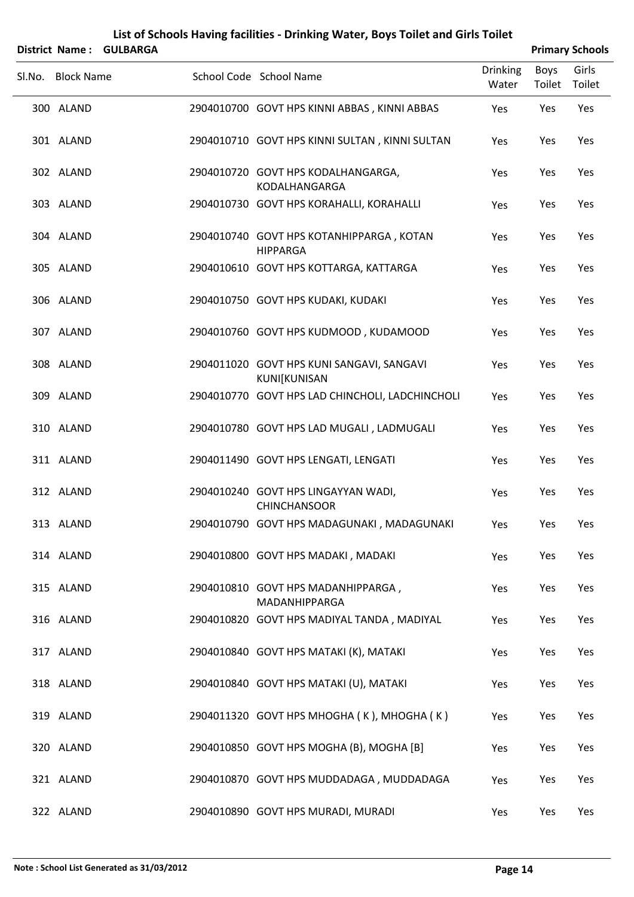|                   | District Name: GULBARGA |                                                             |                          |                | <b>Primary Schools</b> |
|-------------------|-------------------------|-------------------------------------------------------------|--------------------------|----------------|------------------------|
| Sl.No. Block Name |                         | School Code School Name                                     | <b>Drinking</b><br>Water | Boys<br>Toilet | Girls<br>Toilet        |
| 300 ALAND         |                         | 2904010700 GOVT HPS KINNI ABBAS, KINNI ABBAS                | Yes                      | Yes            | Yes                    |
| 301 ALAND         |                         | 2904010710 GOVT HPS KINNI SULTAN, KINNI SULTAN              | Yes                      | Yes            | Yes                    |
| 302 ALAND         |                         | 2904010720 GOVT HPS KODALHANGARGA,<br>KODALHANGARGA         | Yes                      | Yes            | Yes                    |
| 303 ALAND         |                         | 2904010730 GOVT HPS KORAHALLI, KORAHALLI                    | Yes                      | Yes            | Yes                    |
| 304 ALAND         |                         | 2904010740 GOVT HPS KOTANHIPPARGA, KOTAN<br><b>HIPPARGA</b> | Yes                      | Yes            | Yes                    |
| 305 ALAND         |                         | 2904010610 GOVT HPS KOTTARGA, KATTARGA                      | Yes                      | Yes            | Yes                    |
| 306 ALAND         |                         | 2904010750 GOVT HPS KUDAKI, KUDAKI                          | Yes                      | Yes            | Yes                    |
| 307 ALAND         |                         | 2904010760 GOVT HPS KUDMOOD, KUDAMOOD                       | Yes                      | Yes            | Yes                    |
| 308 ALAND         |                         | 2904011020 GOVT HPS KUNI SANGAVI, SANGAVI<br>KUNI[KUNISAN   | Yes                      | Yes            | Yes                    |
| 309 ALAND         |                         | 2904010770 GOVT HPS LAD CHINCHOLI, LADCHINCHOLI             | Yes                      | Yes            | Yes                    |
| 310 ALAND         |                         | 2904010780 GOVT HPS LAD MUGALI, LADMUGALI                   | Yes                      | Yes            | Yes                    |
| 311 ALAND         |                         | 2904011490 GOVT HPS LENGATI, LENGATI                        | Yes                      | Yes            | Yes                    |
| 312 ALAND         |                         | 2904010240 GOVT HPS LINGAYYAN WADI,<br><b>CHINCHANSOOR</b>  | Yes                      | Yes            | Yes                    |
| 313 ALAND         |                         | 2904010790 GOVT HPS MADAGUNAKI, MADAGUNAKI                  | Yes                      | Yes            | Yes                    |
| 314 ALAND         |                         | 2904010800 GOVT HPS MADAKI, MADAKI                          | Yes                      | Yes            | Yes                    |
| 315 ALAND         |                         | 2904010810 GOVT HPS MADANHIPPARGA,<br>MADANHIPPARGA         | Yes                      | Yes            | Yes                    |
| 316 ALAND         |                         | 2904010820 GOVT HPS MADIYAL TANDA, MADIYAL                  | Yes                      | Yes            | Yes                    |
| 317 ALAND         |                         | 2904010840 GOVT HPS MATAKI (K), MATAKI                      | Yes                      | Yes            | Yes                    |
| 318 ALAND         |                         | 2904010840 GOVT HPS MATAKI (U), MATAKI                      | Yes                      | Yes            | Yes                    |
| 319 ALAND         |                         | 2904011320 GOVT HPS MHOGHA (K), MHOGHA (K)                  | Yes                      | Yes            | Yes                    |
| 320 ALAND         |                         | 2904010850 GOVT HPS MOGHA (B), MOGHA [B]                    | Yes                      | Yes            | Yes                    |
| 321 ALAND         |                         | 2904010870 GOVT HPS MUDDADAGA, MUDDADAGA                    | Yes                      | Yes            | Yes                    |
| 322 ALAND         |                         | 2904010890 GOVT HPS MURADI, MURADI                          | Yes                      | Yes            | Yes                    |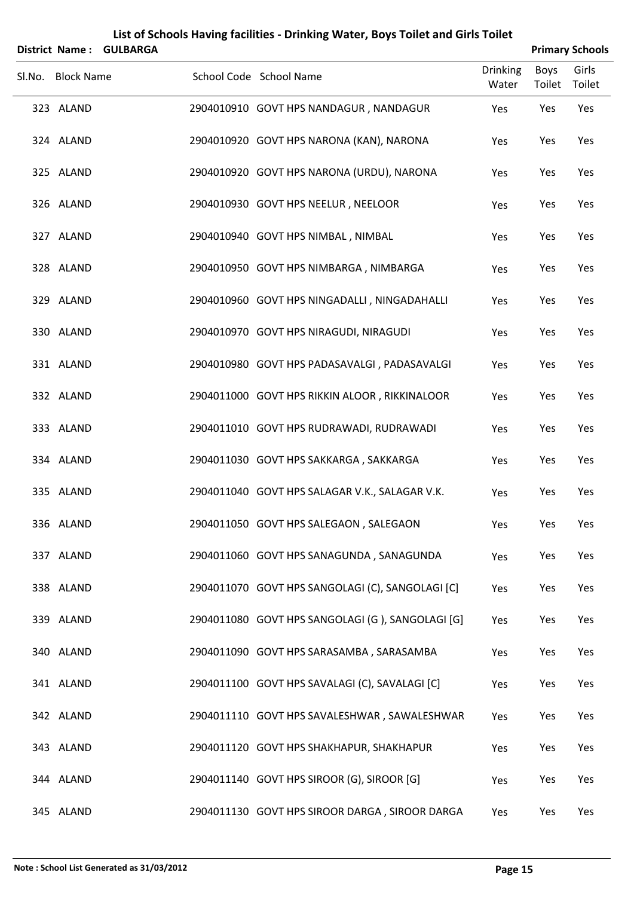|                   | District Name: GULBARGA |                                                  |                          |                | <b>Primary Schools</b> |
|-------------------|-------------------------|--------------------------------------------------|--------------------------|----------------|------------------------|
| Sl.No. Block Name |                         | School Code School Name                          | <b>Drinking</b><br>Water | Boys<br>Toilet | Girls<br>Toilet        |
| 323 ALAND         |                         | 2904010910 GOVT HPS NANDAGUR, NANDAGUR           | Yes                      | Yes            | Yes                    |
| 324 ALAND         |                         | 2904010920 GOVT HPS NARONA (KAN), NARONA         | Yes                      | Yes            | Yes                    |
| 325 ALAND         |                         | 2904010920 GOVT HPS NARONA (URDU), NARONA        | Yes                      | Yes            | Yes                    |
| 326 ALAND         |                         | 2904010930 GOVT HPS NEELUR, NEELOOR              | Yes                      | Yes            | Yes                    |
| 327 ALAND         |                         | 2904010940 GOVT HPS NIMBAL, NIMBAL               | Yes                      | Yes            | Yes                    |
| 328 ALAND         |                         | 2904010950 GOVT HPS NIMBARGA, NIMBARGA           | Yes                      | Yes            | Yes                    |
| 329 ALAND         |                         | 2904010960 GOVT HPS NINGADALLI, NINGADAHALLI     | Yes                      | Yes            | Yes                    |
| 330 ALAND         |                         | 2904010970 GOVT HPS NIRAGUDI, NIRAGUDI           | Yes                      | Yes            | Yes                    |
| 331 ALAND         |                         | 2904010980 GOVT HPS PADASAVALGI, PADASAVALGI     | Yes                      | Yes            | Yes                    |
| 332 ALAND         |                         | 2904011000 GOVT HPS RIKKIN ALOOR, RIKKINALOOR    | Yes                      | Yes            | Yes                    |
| 333 ALAND         |                         | 2904011010 GOVT HPS RUDRAWADI, RUDRAWADI         | Yes                      | Yes            | Yes                    |
| 334 ALAND         |                         | 2904011030 GOVT HPS SAKKARGA, SAKKARGA           | Yes                      | Yes            | Yes                    |
| 335 ALAND         |                         | 2904011040 GOVT HPS SALAGAR V.K., SALAGAR V.K.   | Yes                      | Yes            | Yes                    |
| 336 ALAND         |                         | 2904011050 GOVT HPS SALEGAON, SALEGAON           | Yes                      | Yes            | Yes                    |
| 337 ALAND         |                         | 2904011060 GOVT HPS SANAGUNDA, SANAGUNDA         | Yes                      | Yes            | Yes                    |
| 338 ALAND         |                         | 2904011070 GOVT HPS SANGOLAGI (C), SANGOLAGI [C] | Yes                      | Yes            | Yes                    |
| 339 ALAND         |                         | 2904011080 GOVT HPS SANGOLAGI (G), SANGOLAGI [G] | Yes                      | Yes            | Yes                    |
| 340 ALAND         |                         | 2904011090 GOVT HPS SARASAMBA, SARASAMBA         | Yes                      | Yes            | Yes                    |
| 341 ALAND         |                         | 2904011100 GOVT HPS SAVALAGI (C), SAVALAGI [C]   | Yes                      | Yes            | Yes                    |
| 342 ALAND         |                         | 2904011110 GOVT HPS SAVALESHWAR, SAWALESHWAR     | Yes                      | Yes            | Yes                    |
| 343 ALAND         |                         | 2904011120 GOVT HPS SHAKHAPUR, SHAKHAPUR         | Yes                      | Yes            | Yes                    |
| 344 ALAND         |                         | 2904011140 GOVT HPS SIROOR (G), SIROOR [G]       | Yes                      | Yes            | Yes                    |
| 345 ALAND         |                         | 2904011130 GOVT HPS SIROOR DARGA, SIROOR DARGA   | Yes                      | Yes            | Yes                    |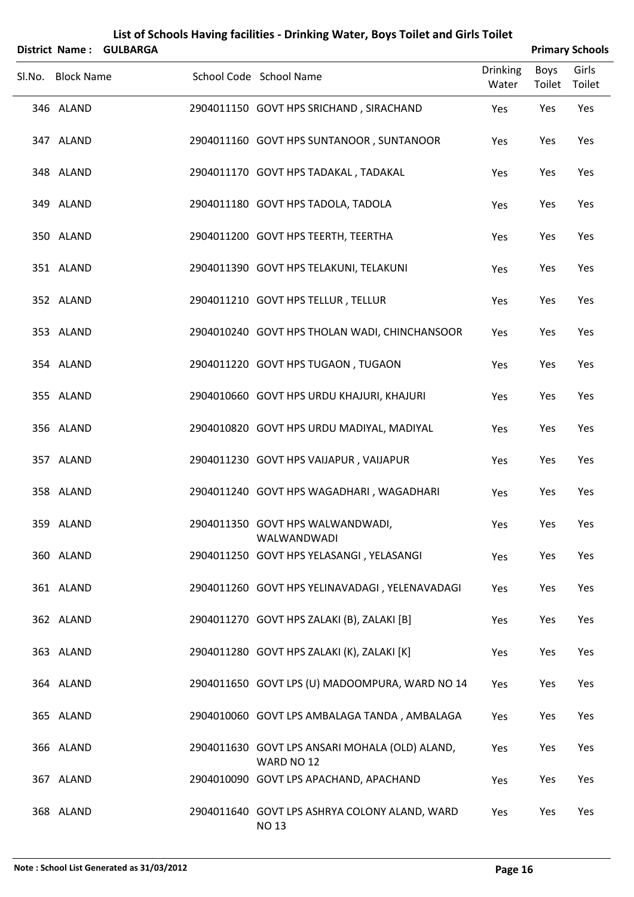| <b>District Name:</b> | <b>GULBARGA</b> |                                                               |                          |                | <b>Primary Schools</b> |
|-----------------------|-----------------|---------------------------------------------------------------|--------------------------|----------------|------------------------|
| Sl.No. Block Name     |                 | School Code School Name                                       | <b>Drinking</b><br>Water | Boys<br>Toilet | Girls<br>Toilet        |
| 346 ALAND             |                 | 2904011150 GOVT HPS SRICHAND, SIRACHAND                       | Yes                      | Yes            | Yes                    |
| 347 ALAND             |                 | 2904011160 GOVT HPS SUNTANOOR, SUNTANOOR                      | Yes                      | Yes            | Yes                    |
| 348 ALAND             |                 | 2904011170 GOVT HPS TADAKAL, TADAKAL                          | Yes                      | Yes            | Yes                    |
| 349 ALAND             |                 | 2904011180 GOVT HPS TADOLA, TADOLA                            | Yes                      | Yes            | Yes                    |
| 350 ALAND             |                 | 2904011200 GOVT HPS TEERTH, TEERTHA                           | Yes                      | Yes            | Yes                    |
| 351 ALAND             |                 | 2904011390 GOVT HPS TELAKUNI, TELAKUNI                        | Yes                      | Yes            | Yes                    |
| 352 ALAND             |                 | 2904011210 GOVT HPS TELLUR, TELLUR                            | Yes                      | Yes            | Yes                    |
| 353 ALAND             |                 | 2904010240 GOVT HPS THOLAN WADI, CHINCHANSOOR                 | Yes                      | Yes            | Yes                    |
| 354 ALAND             |                 | 2904011220 GOVT HPS TUGAON, TUGAON                            | Yes                      | Yes            | Yes                    |
| 355 ALAND             |                 | 2904010660 GOVT HPS URDU KHAJURI, KHAJURI                     | Yes                      | Yes            | Yes                    |
| 356 ALAND             |                 | 2904010820 GOVT HPS URDU MADIYAL, MADIYAL                     | Yes                      | Yes            | Yes                    |
| 357 ALAND             |                 | 2904011230 GOVT HPS VAIJAPUR, VAIJAPUR                        | Yes                      | Yes            | Yes                    |
| 358 ALAND             |                 | 2904011240 GOVT HPS WAGADHARI, WAGADHARI                      | Yes                      | Yes            | Yes                    |
| 359 ALAND             |                 | 2904011350 GOVT HPS WALWANDWADI,<br>WALWANDWADI               | Yes                      | Yes            | Yes                    |
| 360 ALAND             |                 | 2904011250 GOVT HPS YELASANGI, YELASANGI                      | Yes                      | Yes            | Yes                    |
| 361 ALAND             |                 | 2904011260 GOVT HPS YELINAVADAGI, YELENAVADAGI                | Yes                      | Yes            | Yes                    |
| 362 ALAND             |                 | 2904011270 GOVT HPS ZALAKI (B), ZALAKI [B]                    | Yes                      | Yes            | Yes                    |
| 363 ALAND             |                 | 2904011280 GOVT HPS ZALAKI (K), ZALAKI [K]                    | Yes                      | Yes            | Yes                    |
| 364 ALAND             |                 | 2904011650 GOVT LPS (U) MADOOMPURA, WARD NO 14                | Yes                      | Yes            | Yes                    |
| 365 ALAND             |                 | 2904010060 GOVT LPS AMBALAGA TANDA, AMBALAGA                  | Yes                      | Yes            | Yes                    |
| 366 ALAND             |                 | 2904011630 GOVT LPS ANSARI MOHALA (OLD) ALAND,<br>WARD NO 12  | Yes                      | Yes            | Yes                    |
| 367 ALAND             |                 | 2904010090 GOVT LPS APACHAND, APACHAND                        | Yes                      | Yes            | Yes                    |
| 368 ALAND             |                 | 2904011640 GOVT LPS ASHRYA COLONY ALAND, WARD<br><b>NO 13</b> | Yes                      | Yes            | Yes                    |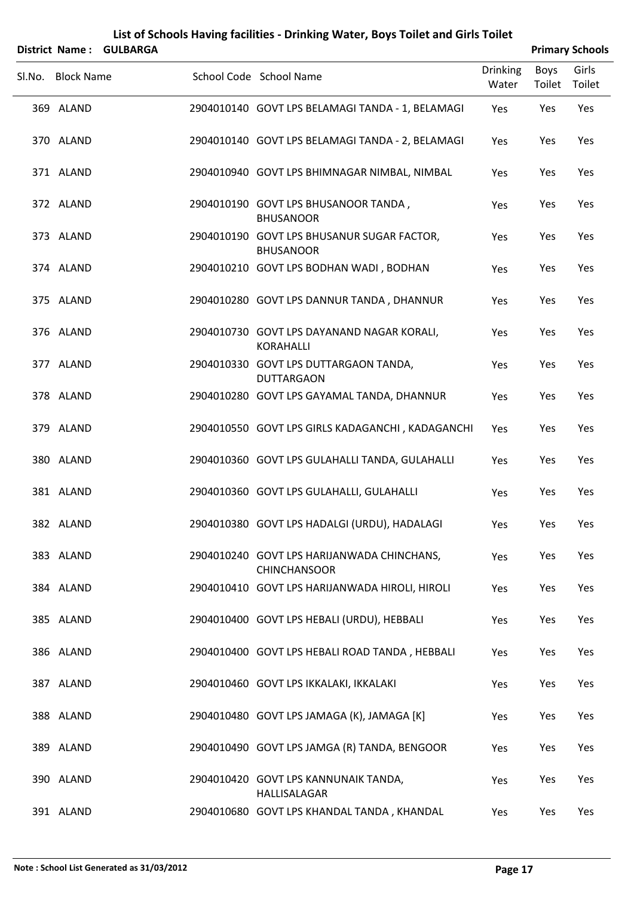| <b>District Name:</b> | <b>GULBARGA</b> | List of Schools Having facilities - Drinking Water, Boys Toilet and Girls Toilet |                          |                       | <b>Primary Schools</b> |
|-----------------------|-----------------|----------------------------------------------------------------------------------|--------------------------|-----------------------|------------------------|
| Sl.No. Block Name     |                 | School Code School Name                                                          | <b>Drinking</b><br>Water | <b>Boys</b><br>Toilet | Girls<br>Toilet        |
| 369 ALAND             |                 | 2904010140 GOVT LPS BELAMAGI TANDA - 1, BELAMAGI                                 | Yes                      | Yes                   | Yes                    |
| 370 ALAND             |                 | 2904010140 GOVT LPS BELAMAGI TANDA - 2, BELAMAGI                                 | Yes                      | Yes                   | Yes                    |
| 371 ALAND             |                 | 2904010940 GOVT LPS BHIMNAGAR NIMBAL, NIMBAL                                     | Yes                      | Yes                   | Yes                    |
| 372 ALAND             |                 | 2904010190 GOVT LPS BHUSANOOR TANDA,<br><b>BHUSANOOR</b>                         | Yes                      | Yes                   | Yes                    |
| 373 ALAND             |                 | 2904010190 GOVT LPS BHUSANUR SUGAR FACTOR,<br><b>BHUSANOOR</b>                   | Yes                      | Yes                   | Yes                    |
| 374 ALAND             |                 | 2904010210 GOVT LPS BODHAN WADI, BODHAN                                          | Yes                      | Yes                   | Yes                    |
| 375 ALAND             |                 | 2904010280 GOVT LPS DANNUR TANDA, DHANNUR                                        | Yes                      | Yes                   | Yes                    |
| 376 ALAND             |                 | 2904010730 GOVT LPS DAYANAND NAGAR KORALI,<br>KORAHALLI                          | Yes                      | Yes                   | Yes                    |
| 377 ALAND             |                 | 2904010330 GOVT LPS DUTTARGAON TANDA,<br><b>DUTTARGAON</b>                       | Yes                      | Yes                   | Yes                    |
| 378 ALAND             |                 | 2904010280 GOVT LPS GAYAMAL TANDA, DHANNUR                                       | Yes                      | Yes                   | Yes                    |
| 379 ALAND             |                 | 2904010550 GOVT LPS GIRLS KADAGANCHI, KADAGANCHI                                 | Yes                      | Yes                   | Yes                    |
| 380 ALAND             |                 | 2904010360 GOVT LPS GULAHALLI TANDA, GULAHALLI                                   | Yes                      | Yes                   | Yes                    |
| 381 ALAND             |                 | 2904010360 GOVT LPS GULAHALLI, GULAHALLI                                         | Yes                      | Yes                   | Yes                    |
| 382 ALAND             |                 | 2904010380 GOVT LPS HADALGI (URDU), HADALAGI                                     | Yes                      | Yes                   | Yes                    |
| 383 ALAND             |                 | 2904010240 GOVT LPS HARIJANWADA CHINCHANS,<br><b>CHINCHANSOOR</b>                | Yes                      | Yes                   | Yes                    |
| 384 ALAND             |                 | 2904010410 GOVT LPS HARIJANWADA HIROLI, HIROLI                                   | Yes                      | Yes                   | Yes                    |
| 385 ALAND             |                 | 2904010400 GOVT LPS HEBALI (URDU), HEBBALI                                       | Yes                      | Yes                   | Yes                    |
| 386 ALAND             |                 | 2904010400 GOVT LPS HEBALI ROAD TANDA, HEBBALI                                   | Yes                      | Yes                   | Yes                    |
| 387 ALAND             |                 | 2904010460 GOVT LPS IKKALAKI, IKKALAKI                                           | Yes                      | Yes                   | Yes                    |
| 388 ALAND             |                 | 2904010480 GOVT LPS JAMAGA (K), JAMAGA [K]                                       | Yes                      | Yes                   | Yes                    |
| 389 ALAND             |                 | 2904010490 GOVT LPS JAMGA (R) TANDA, BENGOOR                                     | Yes                      | Yes                   | Yes                    |
| 390 ALAND             |                 | 2904010420 GOVT LPS KANNUNAIK TANDA,<br>HALLISALAGAR                             | Yes                      | Yes                   | Yes                    |
| 391 ALAND             |                 | 2904010680 GOVT LPS KHANDAL TANDA, KHANDAL                                       | Yes                      | Yes                   | Yes                    |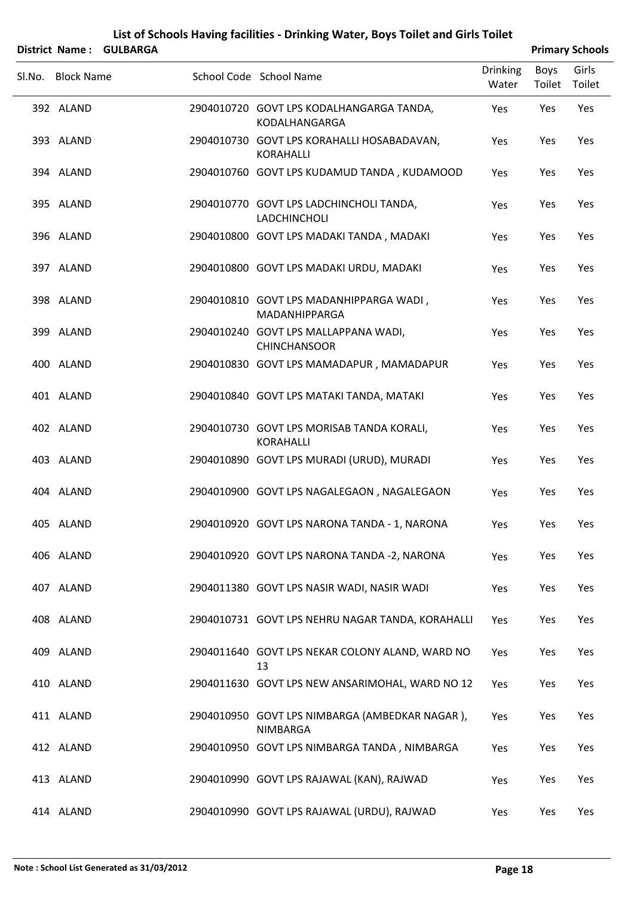|        | District Name:    | <b>GULBARGA</b> |                                                               |                          |                       | <b>Primary Schools</b> |
|--------|-------------------|-----------------|---------------------------------------------------------------|--------------------------|-----------------------|------------------------|
| Sl.No. | <b>Block Name</b> |                 | School Code School Name                                       | <b>Drinking</b><br>Water | <b>Boys</b><br>Toilet | Girls<br>Toilet        |
|        | 392 ALAND         |                 | 2904010720 GOVT LPS KODALHANGARGA TANDA,<br>KODALHANGARGA     | Yes                      | Yes                   | Yes                    |
|        | 393 ALAND         |                 | 2904010730 GOVT LPS KORAHALLI HOSABADAVAN,<br>KORAHALLI       | Yes                      | Yes                   | Yes                    |
|        | 394 ALAND         |                 | 2904010760 GOVT LPS KUDAMUD TANDA, KUDAMOOD                   | Yes                      | Yes                   | Yes                    |
|        | 395 ALAND         |                 | 2904010770 GOVT LPS LADCHINCHOLI TANDA,<br>LADCHINCHOLI       | Yes                      | Yes                   | Yes                    |
|        | 396 ALAND         |                 | 2904010800 GOVT LPS MADAKI TANDA, MADAKI                      | Yes                      | Yes                   | Yes                    |
|        | 397 ALAND         |                 | 2904010800 GOVT LPS MADAKI URDU, MADAKI                       | Yes                      | Yes                   | Yes                    |
|        | 398 ALAND         |                 | 2904010810 GOVT LPS MADANHIPPARGA WADI,<br>MADANHIPPARGA      | Yes                      | Yes                   | Yes                    |
|        | 399 ALAND         |                 | 2904010240 GOVT LPS MALLAPPANA WADI,<br><b>CHINCHANSOOR</b>   | Yes                      | Yes                   | Yes                    |
|        | 400 ALAND         |                 | 2904010830 GOVT LPS MAMADAPUR, MAMADAPUR                      | Yes                      | Yes                   | Yes                    |
|        | 401 ALAND         |                 | 2904010840 GOVT LPS MATAKI TANDA, MATAKI                      | Yes                      | Yes                   | Yes                    |
|        | 402 ALAND         |                 | 2904010730 GOVT LPS MORISAB TANDA KORALI,<br><b>KORAHALLI</b> | Yes                      | Yes                   | Yes                    |
|        | 403 ALAND         |                 | 2904010890 GOVT LPS MURADI (URUD), MURADI                     | Yes                      | Yes                   | Yes                    |
|        | 404 ALAND         |                 | 2904010900 GOVT LPS NAGALEGAON, NAGALEGAON                    | Yes                      | Yes                   | Yes                    |
|        | 405 ALAND         |                 | 2904010920 GOVT LPS NARONA TANDA - 1, NARONA                  | Yes                      | Yes                   | Yes                    |
|        | 406 ALAND         |                 | 2904010920 GOVT LPS NARONA TANDA -2, NARONA                   | Yes                      | Yes                   | Yes                    |
|        | 407 ALAND         |                 | 2904011380 GOVT LPS NASIR WADI, NASIR WADI                    | Yes                      | Yes                   | Yes                    |
|        | 408 ALAND         |                 | 2904010731 GOVT LPS NEHRU NAGAR TANDA, KORAHALLI              | Yes                      | Yes                   | Yes                    |
|        | 409 ALAND         |                 | 2904011640 GOVT LPS NEKAR COLONY ALAND, WARD NO<br>13         | Yes                      | Yes                   | Yes                    |
|        | 410 ALAND         |                 | 2904011630 GOVT LPS NEW ANSARIMOHAL, WARD NO 12               | Yes                      | Yes                   | Yes                    |
|        | 411 ALAND         |                 | 2904010950 GOVT LPS NIMBARGA (AMBEDKAR NAGAR),<br>NIMBARGA    | Yes                      | Yes                   | Yes                    |
|        | 412 ALAND         |                 | 2904010950 GOVT LPS NIMBARGA TANDA, NIMBARGA                  | Yes                      | Yes                   | Yes                    |
|        | 413 ALAND         |                 | 2904010990 GOVT LPS RAJAWAL (KAN), RAJWAD                     | Yes                      | Yes                   | Yes                    |
|        | 414 ALAND         |                 | 2904010990 GOVT LPS RAJAWAL (URDU), RAJWAD                    | Yes                      | Yes                   | Yes                    |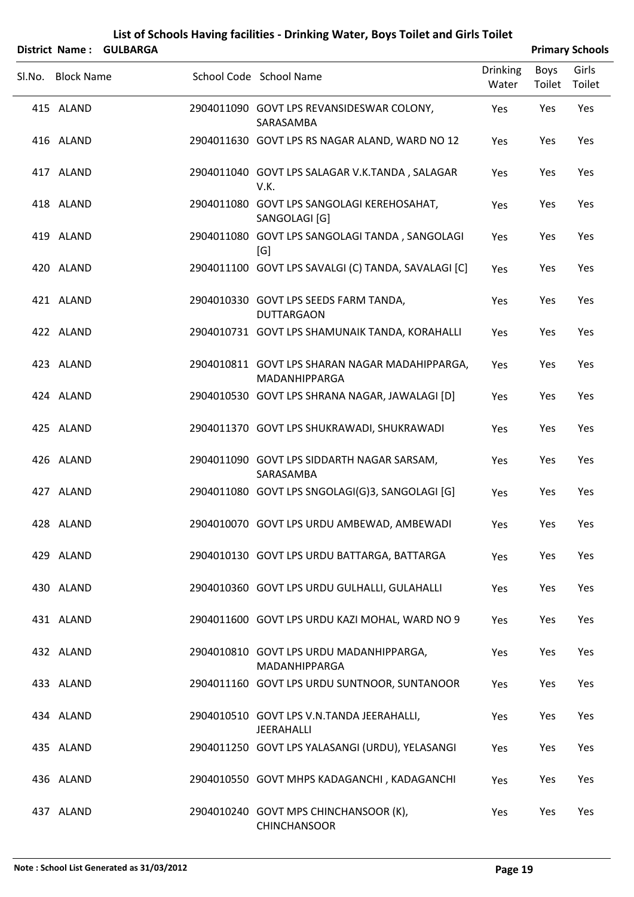|        |                   | District Name: GULBARGA |                                                                 |                          |                | <b>Primary Schools</b> |
|--------|-------------------|-------------------------|-----------------------------------------------------------------|--------------------------|----------------|------------------------|
| Sl.No. | <b>Block Name</b> |                         | School Code School Name                                         | <b>Drinking</b><br>Water | Boys<br>Toilet | Girls<br>Toilet        |
|        | 415 ALAND         |                         | 2904011090 GOVT LPS REVANSIDESWAR COLONY,<br>SARASAMBA          | Yes                      | Yes            | Yes                    |
|        | 416 ALAND         |                         | 2904011630 GOVT LPS RS NAGAR ALAND, WARD NO 12                  | Yes                      | Yes            | Yes                    |
|        | 417 ALAND         |                         | 2904011040 GOVT LPS SALAGAR V.K.TANDA, SALAGAR<br>V.K.          | Yes                      | Yes            | Yes                    |
|        | 418 ALAND         |                         | 2904011080 GOVT LPS SANGOLAGI KEREHOSAHAT,<br>SANGOLAGI [G]     | Yes                      | Yes            | Yes                    |
|        | 419 ALAND         |                         | 2904011080 GOVT LPS SANGOLAGI TANDA, SANGOLAGI<br>[G]           | Yes                      | Yes            | Yes                    |
|        | 420 ALAND         |                         | 2904011100 GOVT LPS SAVALGI (C) TANDA, SAVALAGI [C]             | Yes                      | Yes            | Yes                    |
|        | 421 ALAND         |                         | 2904010330 GOVT LPS SEEDS FARM TANDA,<br><b>DUTTARGAON</b>      | Yes                      | Yes            | Yes                    |
|        | 422 ALAND         |                         | 2904010731 GOVT LPS SHAMUNAIK TANDA, KORAHALLI                  | Yes                      | Yes            | Yes                    |
|        | 423 ALAND         |                         | 2904010811 GOVT LPS SHARAN NAGAR MADAHIPPARGA,<br>MADANHIPPARGA | Yes                      | Yes            | Yes                    |
|        | 424 ALAND         |                         | 2904010530 GOVT LPS SHRANA NAGAR, JAWALAGI [D]                  | Yes                      | Yes            | Yes                    |
|        | 425 ALAND         |                         | 2904011370 GOVT LPS SHUKRAWADI, SHUKRAWADI                      | Yes                      | Yes            | Yes                    |
|        | 426 ALAND         |                         | 2904011090 GOVT LPS SIDDARTH NAGAR SARSAM,<br>SARASAMBA         | Yes                      | Yes            | Yes                    |
|        | 427 ALAND         |                         | 2904011080 GOVT LPS SNGOLAGI(G)3, SANGOLAGI [G]                 | Yes                      | Yes            | Yes                    |
|        | 428 ALAND         |                         | 2904010070 GOVT LPS URDU AMBEWAD, AMBEWADI                      | Yes                      | Yes            | Yes                    |
|        | 429 ALAND         |                         | 2904010130 GOVT LPS URDU BATTARGA, BATTARGA                     | Yes                      | Yes            | Yes                    |
|        | 430 ALAND         |                         | 2904010360 GOVT LPS URDU GULHALLI, GULAHALLI                    | Yes                      | Yes            | Yes                    |
|        | 431 ALAND         |                         | 2904011600 GOVT LPS URDU KAZI MOHAL, WARD NO 9                  | Yes                      | Yes            | Yes                    |
|        | 432 ALAND         |                         | 2904010810 GOVT LPS URDU MADANHIPPARGA,<br>MADANHIPPARGA        | Yes                      | Yes            | Yes                    |
|        | 433 ALAND         |                         | 2904011160 GOVT LPS URDU SUNTNOOR, SUNTANOOR                    | Yes                      | Yes            | Yes                    |
|        | 434 ALAND         |                         | 2904010510 GOVT LPS V.N.TANDA JEERAHALLI,<br>JEERAHALLI         | Yes                      | Yes            | Yes                    |
|        | 435 ALAND         |                         | 2904011250 GOVT LPS YALASANGI (URDU), YELASANGI                 | Yes                      | Yes            | Yes                    |
|        | 436 ALAND         |                         | 2904010550 GOVT MHPS KADAGANCHI, KADAGANCHI                     | Yes                      | Yes            | Yes                    |
|        | 437 ALAND         |                         | 2904010240 GOVT MPS CHINCHANSOOR (K),                           | Yes                      | Yes            | Yes                    |

CHINCHANSOOR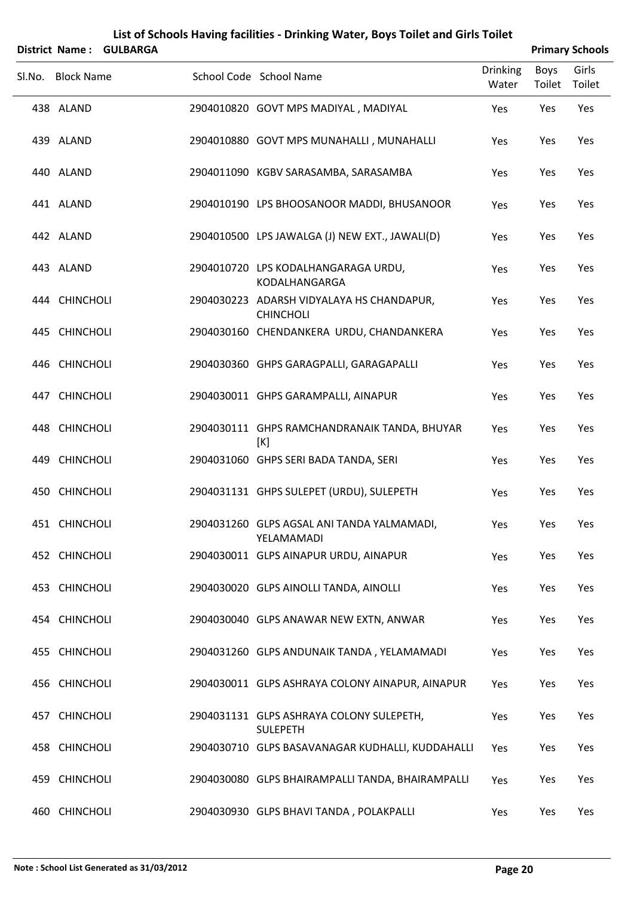|                   | District Name: GULBARGA |                                                               |                          |                | <b>Primary Schools</b> |
|-------------------|-------------------------|---------------------------------------------------------------|--------------------------|----------------|------------------------|
| Sl.No. Block Name |                         | School Code School Name                                       | <b>Drinking</b><br>Water | Boys<br>Toilet | Girls<br>Toilet        |
| 438 ALAND         |                         | 2904010820 GOVT MPS MADIYAL, MADIYAL                          | Yes                      | Yes            | Yes                    |
| 439 ALAND         |                         | 2904010880 GOVT MPS MUNAHALLI, MUNAHALLI                      | Yes                      | Yes            | Yes                    |
| 440 ALAND         |                         | 2904011090 KGBV SARASAMBA, SARASAMBA                          | Yes                      | Yes            | Yes                    |
| 441 ALAND         |                         | 2904010190 LPS BHOOSANOOR MADDI, BHUSANOOR                    | Yes                      | Yes            | Yes                    |
| 442 ALAND         |                         | 2904010500 LPS JAWALGA (J) NEW EXT., JAWALI(D)                | Yes                      | Yes            | Yes                    |
| 443 ALAND         |                         | 2904010720 LPS KODALHANGARAGA URDU,<br>KODALHANGARGA          | Yes                      | Yes            | Yes                    |
| 444 CHINCHOLI     |                         | 2904030223 ADARSH VIDYALAYA HS CHANDAPUR,<br><b>CHINCHOLI</b> | Yes                      | Yes            | Yes                    |
| 445 CHINCHOLI     |                         | 2904030160 CHENDANKERA URDU, CHANDANKERA                      | Yes                      | Yes            | Yes                    |
| 446 CHINCHOLI     |                         | 2904030360 GHPS GARAGPALLI, GARAGAPALLI                       | Yes                      | Yes            | Yes                    |
| 447 CHINCHOLI     |                         | 2904030011 GHPS GARAMPALLI, AINAPUR                           | Yes                      | Yes            | Yes                    |
| 448 CHINCHOLI     |                         | 2904030111 GHPS RAMCHANDRANAIK TANDA, BHUYAR<br>[K]           | Yes                      | Yes            | Yes                    |
| 449 CHINCHOLI     |                         | 2904031060 GHPS SERI BADA TANDA, SERI                         | Yes                      | Yes            | Yes                    |
| 450 CHINCHOLI     |                         | 2904031131 GHPS SULEPET (URDU), SULEPETH                      | Yes                      | Yes            | Yes                    |
| 451 CHINCHOLI     |                         | 2904031260 GLPS AGSAL ANI TANDA YALMAMADI,<br>YELAMAMADI      | Yes                      | Yes            | Yes                    |
| 452 CHINCHOLI     |                         | 2904030011 GLPS AINAPUR URDU, AINAPUR                         | Yes                      | Yes            | Yes                    |
| 453 CHINCHOLI     |                         | 2904030020 GLPS AINOLLI TANDA, AINOLLI                        | Yes                      | Yes            | Yes                    |
| 454 CHINCHOLI     |                         | 2904030040 GLPS ANAWAR NEW EXTN, ANWAR                        | Yes                      | Yes            | Yes                    |
| 455 CHINCHOLI     |                         | 2904031260 GLPS ANDUNAIK TANDA, YELAMAMADI                    | Yes                      | Yes            | Yes                    |
| 456 CHINCHOLI     |                         | 2904030011 GLPS ASHRAYA COLONY AINAPUR, AINAPUR               | Yes                      | Yes            | Yes                    |
| 457 CHINCHOLI     |                         | 2904031131 GLPS ASHRAYA COLONY SULEPETH,<br><b>SULEPETH</b>   | Yes                      | Yes            | Yes                    |
| 458 CHINCHOLI     |                         | 2904030710 GLPS BASAVANAGAR KUDHALLI, KUDDAHALLI              | Yes                      | Yes            | Yes                    |
| 459 CHINCHOLI     |                         | 2904030080 GLPS BHAIRAMPALLI TANDA, BHAIRAMPALLI              | Yes                      | Yes            | Yes                    |
| 460 CHINCHOLI     |                         | 2904030930 GLPS BHAVI TANDA, POLAKPALLI                       | Yes                      | Yes            | Yes                    |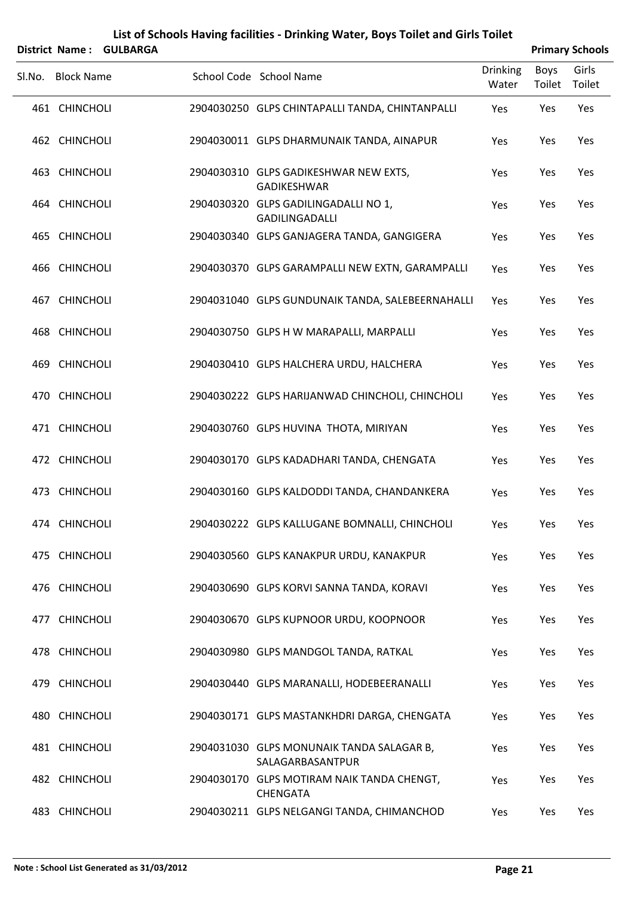|        | <b>District Name:</b> | <b>GULBARGA</b> |                                                               |                          |                | <b>Primary Schools</b> |
|--------|-----------------------|-----------------|---------------------------------------------------------------|--------------------------|----------------|------------------------|
| SI.No. | <b>Block Name</b>     |                 | School Code School Name                                       | <b>Drinking</b><br>Water | Boys<br>Toilet | Girls<br>Toilet        |
|        | 461 CHINCHOLI         |                 | 2904030250 GLPS CHINTAPALLI TANDA, CHINTANPALLI               | Yes                      | Yes            | Yes                    |
|        | 462 CHINCHOLI         |                 | 2904030011 GLPS DHARMUNAIK TANDA, AINAPUR                     | Yes                      | Yes            | Yes                    |
|        | 463 CHINCHOLI         |                 | 2904030310 GLPS GADIKESHWAR NEW EXTS,<br>GADIKESHWAR          | Yes                      | Yes            | Yes                    |
|        | 464 CHINCHOLI         |                 | 2904030320 GLPS GADILINGADALLI NO 1,<br>GADILINGADALLI        | Yes                      | Yes            | Yes                    |
|        | 465 CHINCHOLI         |                 | 2904030340 GLPS GANJAGERA TANDA, GANGIGERA                    | Yes                      | Yes            | Yes                    |
|        | 466 CHINCHOLI         |                 | 2904030370 GLPS GARAMPALLI NEW EXTN, GARAMPALLI               | Yes                      | Yes            | Yes                    |
| 467    | <b>CHINCHOLI</b>      |                 | 2904031040 GLPS GUNDUNAIK TANDA, SALEBEERNAHALLI              | Yes                      | Yes            | Yes                    |
|        | 468 CHINCHOLI         |                 | 2904030750 GLPS H W MARAPALLI, MARPALLI                       | Yes                      | Yes            | Yes                    |
| 469    | <b>CHINCHOLI</b>      |                 | 2904030410 GLPS HALCHERA URDU, HALCHERA                       | Yes                      | Yes            | Yes                    |
|        | 470 CHINCHOLI         |                 | 2904030222 GLPS HARIJANWAD CHINCHOLI, CHINCHOLI               | Yes                      | Yes            | Yes                    |
|        | 471 CHINCHOLI         |                 | 2904030760 GLPS HUVINA THOTA, MIRIYAN                         | Yes                      | Yes            | Yes                    |
|        | 472 CHINCHOLI         |                 | 2904030170 GLPS KADADHARI TANDA, CHENGATA                     | Yes                      | Yes            | Yes                    |
| 473    | <b>CHINCHOLI</b>      |                 | 2904030160 GLPS KALDODDI TANDA, CHANDANKERA                   | Yes                      | Yes            | Yes                    |
|        | 474 CHINCHOLI         |                 | 2904030222 GLPS KALLUGANE BOMNALLI, CHINCHOLI                 | Yes                      | Yes            | Yes                    |
|        | 475 CHINCHOLI         |                 | 2904030560 GLPS KANAKPUR URDU, KANAKPUR                       | Yes                      | Yes            | Yes                    |
|        | 476 CHINCHOLI         |                 | 2904030690 GLPS KORVI SANNA TANDA, KORAVI                     | Yes                      | Yes            | Yes                    |
|        | 477 CHINCHOLI         |                 | 2904030670 GLPS KUPNOOR URDU, KOOPNOOR                        | Yes                      | Yes            | Yes                    |
|        | 478 CHINCHOLI         |                 | 2904030980 GLPS MANDGOL TANDA, RATKAL                         | Yes                      | Yes            | Yes                    |
|        | 479 CHINCHOLI         |                 | 2904030440 GLPS MARANALLI, HODEBEERANALLI                     | Yes                      | Yes            | Yes                    |
|        | 480 CHINCHOLI         |                 | 2904030171 GLPS MASTANKHDRI DARGA, CHENGATA                   | Yes                      | Yes            | Yes                    |
|        | 481 CHINCHOLI         |                 | 2904031030 GLPS MONUNAIK TANDA SALAGAR B,<br>SALAGARBASANTPUR | Yes                      | Yes            | Yes                    |
|        | 482 CHINCHOLI         |                 | 2904030170 GLPS MOTIRAM NAIK TANDA CHENGT,<br><b>CHENGATA</b> | Yes                      | Yes            | Yes                    |
|        | 483 CHINCHOLI         |                 | 2904030211 GLPS NELGANGI TANDA, CHIMANCHOD                    | Yes                      | Yes            | Yes                    |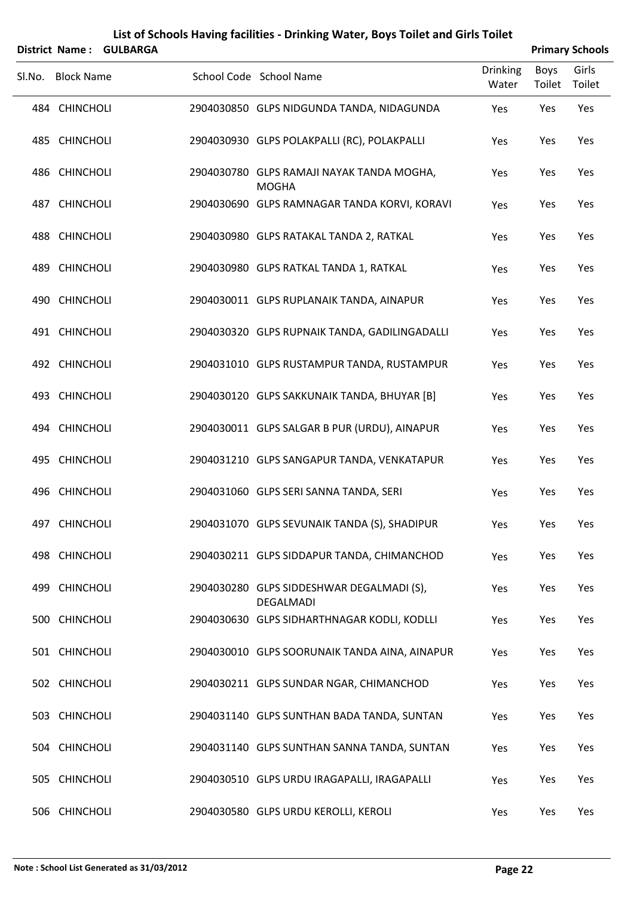|                       |                 | List of Schools Having facilities - Drinking Water, Boys Toilet and Girls Toilet |                          |                |                        |
|-----------------------|-----------------|----------------------------------------------------------------------------------|--------------------------|----------------|------------------------|
| <b>District Name:</b> | <b>GULBARGA</b> |                                                                                  |                          |                | <b>Primary Schools</b> |
| Sl.No. Block Name     |                 | School Code School Name                                                          | <b>Drinking</b><br>Water | Boys<br>Toilet | Girls<br>Toilet        |
| 484 CHINCHOLI         |                 | 2904030850 GLPS NIDGUNDA TANDA, NIDAGUNDA                                        | Yes                      | Yes            | Yes                    |
| 485 CHINCHOLI         |                 | 2904030930 GLPS POLAKPALLI (RC), POLAKPALLI                                      | Yes                      | Yes            | Yes                    |
| 486 CHINCHOLI         |                 | 2904030780 GLPS RAMAJI NAYAK TANDA MOGHA,<br><b>MOGHA</b>                        | Yes                      | Yes            | Yes                    |
| 487 CHINCHOLI         |                 | 2904030690 GLPS RAMNAGAR TANDA KORVI, KORAVI                                     | Yes                      | Yes            | Yes                    |
| 488 CHINCHOLI         |                 | 2904030980 GLPS RATAKAL TANDA 2, RATKAL                                          | Yes                      | Yes            | Yes                    |
| 489 CHINCHOLI         |                 | 2904030980 GLPS RATKAL TANDA 1, RATKAL                                           | Yes                      | Yes            | Yes                    |
| 490 CHINCHOLI         |                 | 2904030011 GLPS RUPLANAIK TANDA, AINAPUR                                         | Yes                      | Yes            | Yes                    |
| 491 CHINCHOLI         |                 | 2904030320 GLPS RUPNAIK TANDA, GADILINGADALLI                                    | Yes                      | Yes            | Yes                    |
| 492 CHINCHOLI         |                 | 2904031010 GLPS RUSTAMPUR TANDA, RUSTAMPUR                                       | Yes                      | Yes            | Yes                    |
| 493 CHINCHOLI         |                 | 2904030120 GLPS SAKKUNAIK TANDA, BHUYAR [B]                                      | Yes                      | Yes            | Yes                    |
| 494 CHINCHOLI         |                 | 2904030011 GLPS SALGAR B PUR (URDU), AINAPUR                                     | Yes                      | Yes            | Yes                    |
| 495 CHINCHOLI         |                 | 2904031210 GLPS SANGAPUR TANDA, VENKATAPUR                                       | Yes                      | Yes            | Yes                    |
| 496 CHINCHOLI         |                 | 2904031060 GLPS SERI SANNA TANDA, SERI                                           | Yes                      | Yes            | Yes                    |
| 497 CHINCHOLI         |                 | 2904031070 GLPS SEVUNAIK TANDA (S), SHADIPUR                                     | Yes                      | Yes            | Yes                    |
| 498 CHINCHOLI         |                 | 2904030211 GLPS SIDDAPUR TANDA, CHIMANCHOD                                       | Yes                      | Yes            | Yes                    |
| 499 CHINCHOLI         |                 | 2904030280 GLPS SIDDESHWAR DEGALMADI (S),<br>DEGALMADI                           | Yes                      | Yes            | Yes                    |
| 500 CHINCHOLI         |                 | 2904030630 GLPS SIDHARTHNAGAR KODLI, KODLLI                                      | Yes                      | Yes            | Yes                    |
| 501 CHINCHOLI         |                 | 2904030010 GLPS SOORUNAIK TANDA AINA, AINAPUR                                    | Yes                      | Yes            | Yes                    |
| 502 CHINCHOLI         |                 | 2904030211 GLPS SUNDAR NGAR, CHIMANCHOD                                          | Yes                      | Yes            | Yes                    |
| 503 CHINCHOLI         |                 | 2904031140 GLPS SUNTHAN BADA TANDA, SUNTAN                                       | Yes                      | Yes            | Yes                    |
| 504 CHINCHOLI         |                 | 2904031140 GLPS SUNTHAN SANNA TANDA, SUNTAN                                      | Yes                      | Yes            | Yes                    |
| 505 CHINCHOLI         |                 | 2904030510 GLPS URDU IRAGAPALLI, IRAGAPALLI                                      | Yes                      | Yes            | Yes                    |
| 506 CHINCHOLI         |                 | 2904030580 GLPS URDU KEROLLI, KEROLI                                             | Yes                      | Yes            | Yes                    |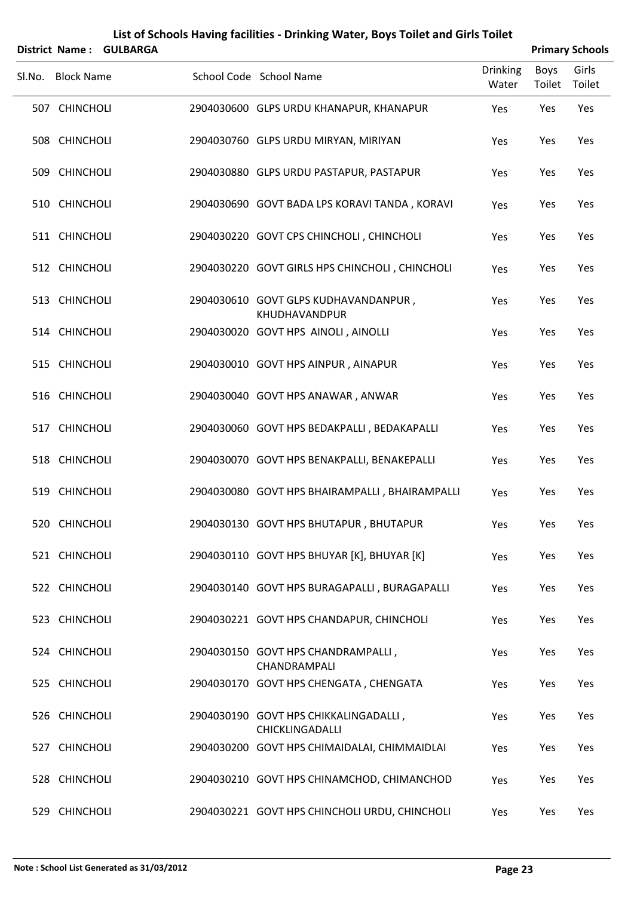|        | District Name:    | <b>GULBARGA</b> |                                                          |                          |                | <b>Primary Schools</b> |
|--------|-------------------|-----------------|----------------------------------------------------------|--------------------------|----------------|------------------------|
| Sl.No. | <b>Block Name</b> |                 | School Code School Name                                  | <b>Drinking</b><br>Water | Boys<br>Toilet | Girls<br>Toilet        |
|        | 507 CHINCHOLI     |                 | 2904030600 GLPS URDU KHANAPUR, KHANAPUR                  | Yes                      | Yes            | Yes                    |
|        | 508 CHINCHOLI     |                 | 2904030760 GLPS URDU MIRYAN, MIRIYAN                     | Yes                      | Yes            | Yes                    |
|        | 509 CHINCHOLI     |                 | 2904030880 GLPS URDU PASTAPUR, PASTAPUR                  | Yes                      | Yes            | Yes                    |
|        | 510 CHINCHOLI     |                 | 2904030690 GOVT BADA LPS KORAVI TANDA, KORAVI            | Yes                      | Yes            | Yes                    |
|        | 511 CHINCHOLI     |                 | 2904030220 GOVT CPS CHINCHOLI, CHINCHOLI                 | Yes                      | Yes            | Yes                    |
|        | 512 CHINCHOLI     |                 | 2904030220 GOVT GIRLS HPS CHINCHOLI, CHINCHOLI           | Yes                      | Yes            | Yes                    |
|        | 513 CHINCHOLI     |                 | 2904030610 GOVT GLPS KUDHAVANDANPUR,<br>KHUDHAVANDPUR    | Yes                      | Yes            | Yes                    |
|        | 514 CHINCHOLI     |                 | 2904030020 GOVT HPS AINOLI, AINOLLI                      | Yes                      | Yes            | Yes                    |
|        | 515 CHINCHOLI     |                 | 2904030010 GOVT HPS AINPUR, AINAPUR                      | Yes                      | Yes            | Yes                    |
|        | 516 CHINCHOLI     |                 | 2904030040 GOVT HPS ANAWAR, ANWAR                        | Yes                      | Yes            | Yes                    |
|        | 517 CHINCHOLI     |                 | 2904030060 GOVT HPS BEDAKPALLI, BEDAKAPALLI              | Yes                      | Yes            | Yes                    |
|        | 518 CHINCHOLI     |                 | 2904030070 GOVT HPS BENAKPALLI, BENAKEPALLI              | Yes                      | Yes            | Yes                    |
|        | 519 CHINCHOLI     |                 | 2904030080 GOVT HPS BHAIRAMPALLI, BHAIRAMPALLI           | Yes                      | Yes            | Yes                    |
|        | 520 CHINCHOLI     |                 | 2904030130 GOVT HPS BHUTAPUR, BHUTAPUR                   | Yes                      | Yes            | Yes                    |
|        | 521 CHINCHOLI     |                 | 2904030110 GOVT HPS BHUYAR [K], BHUYAR [K]               | Yes                      | Yes            | Yes                    |
|        | 522 CHINCHOLI     |                 | 2904030140 GOVT HPS BURAGAPALLI, BURAGAPALLI             | Yes                      | Yes            | Yes                    |
|        | 523 CHINCHOLI     |                 | 2904030221 GOVT HPS CHANDAPUR, CHINCHOLI                 | Yes                      | Yes            | Yes                    |
|        | 524 CHINCHOLI     |                 | 2904030150 GOVT HPS CHANDRAMPALLI,<br>CHANDRAMPALI       | Yes                      | Yes            | Yes                    |
|        | 525 CHINCHOLI     |                 | 2904030170 GOVT HPS CHENGATA, CHENGATA                   | Yes                      | Yes            | Yes                    |
|        | 526 CHINCHOLI     |                 | 2904030190 GOVT HPS CHIKKALINGADALLI,<br>CHICKLINGADALLI | Yes                      | Yes            | Yes                    |
|        | 527 CHINCHOLI     |                 | 2904030200 GOVT HPS CHIMAIDALAI, CHIMMAIDLAI             | Yes                      | Yes            | Yes                    |
|        | 528 CHINCHOLI     |                 | 2904030210 GOVT HPS CHINAMCHOD, CHIMANCHOD               | Yes                      | Yes            | Yes                    |
|        | 529 CHINCHOLI     |                 | 2904030221 GOVT HPS CHINCHOLI URDU, CHINCHOLI            | Yes                      | Yes            | Yes                    |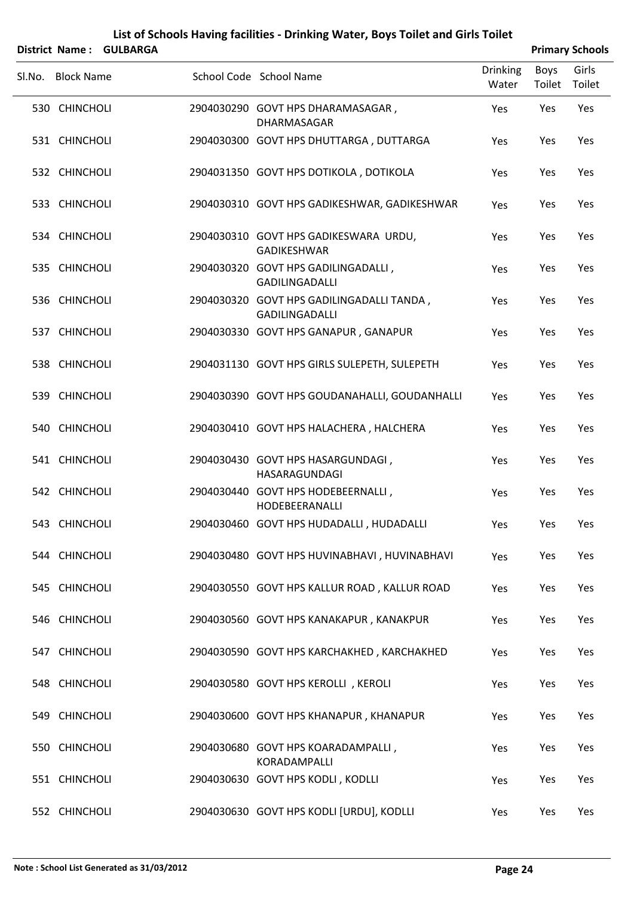|                   | District Name: GULBARGA |                                                                    |                          |                       | <b>Primary Schools</b> |
|-------------------|-------------------------|--------------------------------------------------------------------|--------------------------|-----------------------|------------------------|
| Sl.No. Block Name |                         | School Code School Name                                            | <b>Drinking</b><br>Water | <b>Boys</b><br>Toilet | Girls<br>Toilet        |
| 530 CHINCHOLI     |                         | 2904030290 GOVT HPS DHARAMASAGAR,<br>DHARMASAGAR                   | Yes                      | Yes                   | Yes                    |
| 531 CHINCHOLI     |                         | 2904030300 GOVT HPS DHUTTARGA, DUTTARGA                            | Yes                      | Yes                   | Yes                    |
| 532 CHINCHOLI     |                         | 2904031350 GOVT HPS DOTIKOLA, DOTIKOLA                             | Yes                      | Yes                   | Yes                    |
| 533 CHINCHOLI     |                         | 2904030310 GOVT HPS GADIKESHWAR, GADIKESHWAR                       | Yes                      | Yes                   | Yes                    |
| 534 CHINCHOLI     |                         | 2904030310 GOVT HPS GADIKESWARA URDU,<br><b>GADIKESHWAR</b>        | Yes                      | Yes                   | Yes                    |
| 535 CHINCHOLI     |                         | 2904030320 GOVT HPS GADILINGADALLI,<br><b>GADILINGADALLI</b>       | Yes                      | Yes                   | Yes                    |
| 536 CHINCHOLI     |                         | 2904030320 GOVT HPS GADILINGADALLI TANDA,<br><b>GADILINGADALLI</b> | Yes                      | Yes                   | Yes                    |
| 537 CHINCHOLI     |                         | 2904030330 GOVT HPS GANAPUR, GANAPUR                               | Yes                      | Yes                   | Yes                    |
| 538 CHINCHOLI     |                         | 2904031130 GOVT HPS GIRLS SULEPETH, SULEPETH                       | Yes                      | Yes                   | Yes                    |
| 539 CHINCHOLI     |                         | 2904030390 GOVT HPS GOUDANAHALLI, GOUDANHALLI                      | Yes                      | Yes                   | Yes                    |
| 540 CHINCHOLI     |                         | 2904030410 GOVT HPS HALACHERA, HALCHERA                            | Yes                      | Yes                   | Yes                    |
| 541 CHINCHOLI     |                         | 2904030430 GOVT HPS HASARGUNDAGI,<br>HASARAGUNDAGI                 | Yes                      | Yes                   | Yes                    |
| 542 CHINCHOLI     |                         | 2904030440 GOVT HPS HODEBEERNALLI,<br>HODEBEERANALLI               | Yes                      | Yes                   | Yes                    |
| 543 CHINCHOLI     |                         | 2904030460 GOVT HPS HUDADALLI, HUDADALLI                           | Yes                      | Yes                   | Yes                    |
| 544 CHINCHOLI     |                         | 2904030480 GOVT HPS HUVINABHAVI, HUVINABHAVI                       | Yes                      | Yes                   | Yes                    |
| 545 CHINCHOLI     |                         | 2904030550 GOVT HPS KALLUR ROAD, KALLUR ROAD                       | Yes                      | Yes                   | Yes                    |
| 546 CHINCHOLI     |                         | 2904030560 GOVT HPS KANAKAPUR, KANAKPUR                            | Yes                      | Yes                   | Yes                    |
| 547 CHINCHOLI     |                         | 2904030590 GOVT HPS KARCHAKHED, KARCHAKHED                         | Yes                      | Yes                   | Yes                    |
| 548 CHINCHOLI     |                         | 2904030580 GOVT HPS KEROLLI, KEROLI                                | Yes                      | Yes                   | Yes                    |
| 549 CHINCHOLI     |                         | 2904030600 GOVT HPS KHANAPUR, KHANAPUR                             | Yes                      | Yes                   | Yes                    |
| 550 CHINCHOLI     |                         | 2904030680 GOVT HPS KOARADAMPALLI,<br>KORADAMPALLI                 | Yes                      | Yes                   | Yes                    |
| 551 CHINCHOLI     |                         | 2904030630 GOVT HPS KODLI, KODLLI                                  | Yes                      | Yes                   | Yes                    |
| 552 CHINCHOLI     |                         | 2904030630 GOVT HPS KODLI [URDU], KODLLI                           | Yes                      | Yes                   | Yes                    |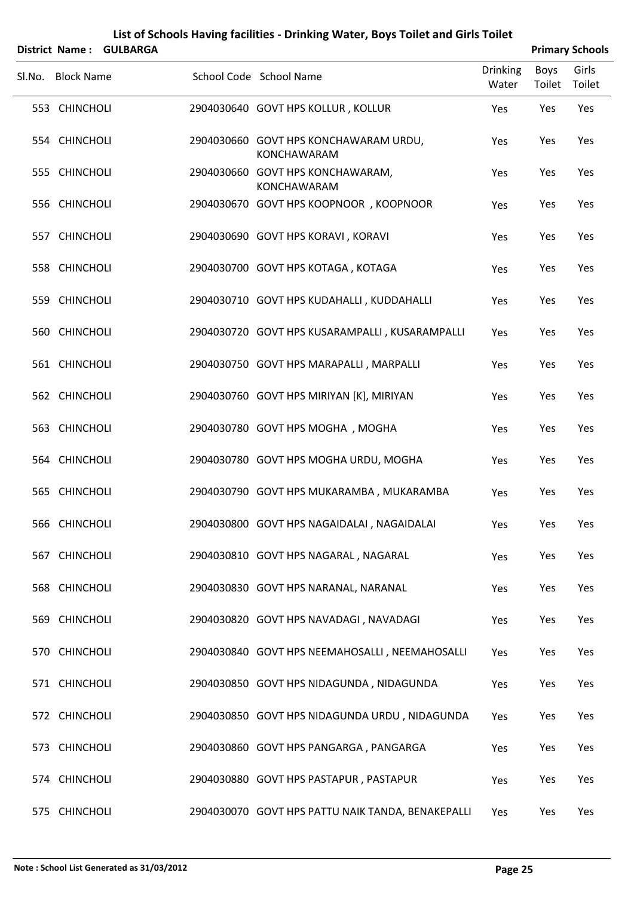| <b>District Name:</b> | <b>GULBARGA</b> |                                                             |                          |                | <b>Primary Schools</b> |
|-----------------------|-----------------|-------------------------------------------------------------|--------------------------|----------------|------------------------|
| Sl.No. Block Name     |                 | School Code School Name                                     | <b>Drinking</b><br>Water | Boys<br>Toilet | Girls<br>Toilet        |
| 553 CHINCHOLI         |                 | 2904030640 GOVT HPS KOLLUR, KOLLUR                          | Yes                      | Yes            | Yes                    |
| 554 CHINCHOLI         |                 | 2904030660 GOVT HPS KONCHAWARAM URDU,<br><b>KONCHAWARAM</b> | Yes                      | Yes            | Yes                    |
| 555 CHINCHOLI         |                 | 2904030660 GOVT HPS KONCHAWARAM,<br>KONCHAWARAM             | Yes                      | Yes            | Yes                    |
| 556 CHINCHOLI         |                 | 2904030670 GOVT HPS KOOPNOOR, KOOPNOOR                      | Yes                      | Yes            | Yes                    |
| 557 CHINCHOLI         |                 | 2904030690 GOVT HPS KORAVI, KORAVI                          | Yes                      | Yes            | Yes                    |
| 558 CHINCHOLI         |                 | 2904030700 GOVT HPS KOTAGA, KOTAGA                          | Yes                      | Yes            | Yes                    |
| 559 CHINCHOLI         |                 | 2904030710 GOVT HPS KUDAHALLI, KUDDAHALLI                   | Yes                      | Yes            | Yes                    |
| 560 CHINCHOLI         |                 | 2904030720 GOVT HPS KUSARAMPALLI, KUSARAMPALLI              | Yes                      | Yes            | Yes                    |
| 561 CHINCHOLI         |                 | 2904030750 GOVT HPS MARAPALLI, MARPALLI                     | Yes                      | Yes            | Yes                    |
| 562 CHINCHOLI         |                 | 2904030760 GOVT HPS MIRIYAN [K], MIRIYAN                    | Yes                      | Yes            | Yes                    |
| 563 CHINCHOLI         |                 | 2904030780 GOVT HPS MOGHA, MOGHA                            | Yes                      | Yes            | Yes                    |
| 564 CHINCHOLI         |                 | 2904030780 GOVT HPS MOGHA URDU, MOGHA                       | Yes                      | Yes            | Yes                    |
| 565 CHINCHOLI         |                 | 2904030790 GOVT HPS MUKARAMBA, MUKARAMBA                    | Yes                      | Yes            | Yes                    |
| 566 CHINCHOLI         |                 | 2904030800 GOVT HPS NAGAIDALAI, NAGAIDALAI                  | Yes                      | Yes            | Yes                    |
| 567 CHINCHOLI         |                 | 2904030810 GOVT HPS NAGARAL, NAGARAL                        | Yes                      | Yes            | Yes                    |
| 568 CHINCHOLI         |                 | 2904030830 GOVT HPS NARANAL, NARANAL                        | Yes                      | Yes            | Yes                    |
| 569 CHINCHOLI         |                 | 2904030820 GOVT HPS NAVADAGI, NAVADAGI                      | Yes                      | Yes            | Yes                    |
| 570 CHINCHOLI         |                 | 2904030840 GOVT HPS NEEMAHOSALLI, NEEMAHOSALLI              | Yes                      | Yes            | Yes                    |
| 571 CHINCHOLI         |                 | 2904030850 GOVT HPS NIDAGUNDA, NIDAGUNDA                    | Yes                      | Yes            | Yes                    |
| 572 CHINCHOLI         |                 | 2904030850 GOVT HPS NIDAGUNDA URDU, NIDAGUNDA               | Yes                      | Yes            | Yes                    |
| 573 CHINCHOLI         |                 | 2904030860 GOVT HPS PANGARGA, PANGARGA                      | Yes                      | Yes            | Yes                    |
| 574 CHINCHOLI         |                 | 2904030880 GOVT HPS PASTAPUR, PASTAPUR                      | Yes                      | Yes            | Yes                    |
| 575 CHINCHOLI         |                 | 2904030070 GOVT HPS PATTU NAIK TANDA, BENAKEPALLI           | Yes                      | Yes            | Yes                    |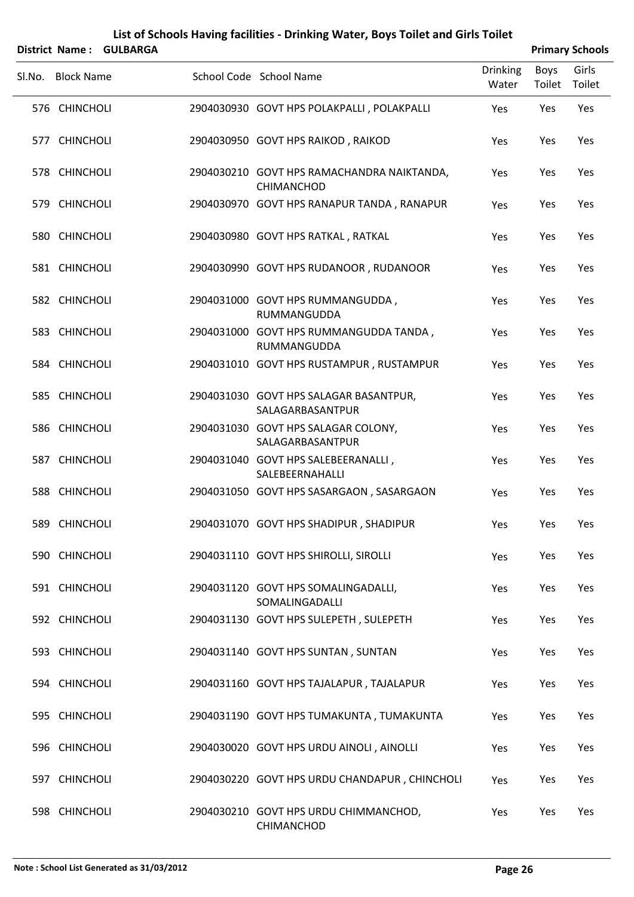|        | District Name:    | <b>GULBARGA</b> |                                                              |                          |                | <b>Primary Schools</b> |
|--------|-------------------|-----------------|--------------------------------------------------------------|--------------------------|----------------|------------------------|
| Sl.No. | <b>Block Name</b> |                 | School Code School Name                                      | <b>Drinking</b><br>Water | Boys<br>Toilet | Girls<br>Toilet        |
|        | 576 CHINCHOLI     |                 | 2904030930 GOVT HPS POLAKPALLI, POLAKPALLI                   | Yes                      | Yes            | Yes                    |
|        | 577 CHINCHOLI     |                 | 2904030950 GOVT HPS RAIKOD, RAIKOD                           | Yes                      | Yes            | Yes                    |
|        | 578 CHINCHOLI     |                 | 2904030210 GOVT HPS RAMACHANDRA NAIKTANDA,<br>CHIMANCHOD     | Yes                      | Yes            | Yes                    |
|        | 579 CHINCHOLI     |                 | 2904030970 GOVT HPS RANAPUR TANDA, RANAPUR                   | Yes                      | Yes            | Yes                    |
|        | 580 CHINCHOLI     |                 | 2904030980 GOVT HPS RATKAL, RATKAL                           | Yes                      | Yes            | Yes                    |
|        | 581 CHINCHOLI     |                 | 2904030990 GOVT HPS RUDANOOR, RUDANOOR                       | Yes                      | Yes            | Yes                    |
|        | 582 CHINCHOLI     |                 | 2904031000 GOVT HPS RUMMANGUDDA,<br>RUMMANGUDDA              | Yes                      | Yes            | Yes                    |
|        | 583 CHINCHOLI     |                 | 2904031000 GOVT HPS RUMMANGUDDA TANDA,<br><b>RUMMANGUDDA</b> | Yes                      | Yes            | Yes                    |
|        | 584 CHINCHOLI     |                 | 2904031010 GOVT HPS RUSTAMPUR, RUSTAMPUR                     | Yes                      | Yes            | Yes                    |
|        | 585 CHINCHOLI     |                 | 2904031030 GOVT HPS SALAGAR BASANTPUR,<br>SALAGARBASANTPUR   | Yes                      | Yes            | Yes                    |
|        | 586 CHINCHOLI     |                 | 2904031030 GOVT HPS SALAGAR COLONY,<br>SALAGARBASANTPUR      | Yes                      | Yes            | Yes                    |
|        | 587 CHINCHOLI     |                 | 2904031040 GOVT HPS SALEBEERANALLI,<br>SALEBEERNAHALLI       | Yes                      | Yes            | Yes                    |
|        | 588 CHINCHOLI     |                 | 2904031050 GOVT HPS SASARGAON, SASARGAON                     | Yes                      | Yes            | Yes                    |
|        | 589 CHINCHOLI     |                 | 2904031070 GOVT HPS SHADIPUR, SHADIPUR                       | Yes                      | Yes            | Yes                    |
|        | 590 CHINCHOLI     |                 | 2904031110 GOVT HPS SHIROLLI, SIROLLI                        | Yes                      | Yes            | Yes                    |
|        | 591 CHINCHOLI     |                 | 2904031120 GOVT HPS SOMALINGADALLI,<br>SOMALINGADALLI        | Yes                      | Yes            | Yes                    |
|        | 592 CHINCHOLI     |                 | 2904031130 GOVT HPS SULEPETH, SULEPETH                       | Yes                      | Yes            | Yes                    |
|        | 593 CHINCHOLI     |                 | 2904031140 GOVT HPS SUNTAN, SUNTAN                           | Yes                      | Yes            | Yes                    |
|        | 594 CHINCHOLI     |                 | 2904031160 GOVT HPS TAJALAPUR, TAJALAPUR                     | Yes                      | Yes            | Yes                    |
|        | 595 CHINCHOLI     |                 | 2904031190 GOVT HPS TUMAKUNTA, TUMAKUNTA                     | Yes                      | Yes            | Yes                    |
|        | 596 CHINCHOLI     |                 | 2904030020 GOVT HPS URDU AINOLI, AINOLLI                     | Yes                      | Yes            | Yes                    |
|        | 597 CHINCHOLI     |                 | 2904030220 GOVT HPS URDU CHANDAPUR, CHINCHOLI                | Yes                      | Yes            | Yes                    |
|        | 598 CHINCHOLI     |                 | 2904030210 GOVT HPS URDU CHIMMANCHOD,<br>CHIMANCHOD          | Yes                      | Yes            | Yes                    |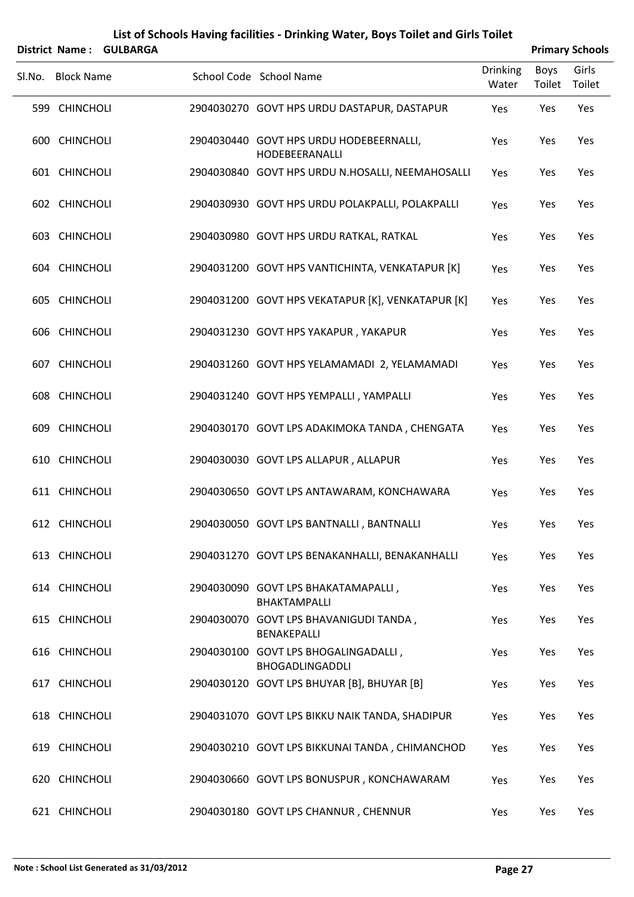|        | <b>District Name:</b> | <b>GULBARGA</b> | List of Schools Having facilities - Drinking Water, Boys Toilet and Girls Toilet |                 |             | <b>Primary Schools</b> |  |
|--------|-----------------------|-----------------|----------------------------------------------------------------------------------|-----------------|-------------|------------------------|--|
| SI.No. | <b>Block Name</b>     |                 | School Code School Name                                                          | <b>Drinking</b> | <b>Boys</b> | Girls                  |  |
|        |                       |                 |                                                                                  | Water           | Toilet      | Toilet                 |  |
|        | 599 CHINCHOLI         |                 | 2904030270 GOVT HPS URDU DASTAPUR, DASTAPUR                                      | Yes             | Yes         | Yes                    |  |
|        | 600 CHINCHOLI         |                 | 2904030440 GOVT HPS URDU HODEBEERNALLI,<br>HODEBEERANALLI                        | Yes             | Yes         | Yes                    |  |
|        | 601 CHINCHOLI         |                 | 2904030840 GOVT HPS URDU N.HOSALLI, NEEMAHOSALLI                                 | Yes             | Yes         | Yes                    |  |
|        | 602 CHINCHOLI         |                 | 2904030930 GOVT HPS URDU POLAKPALLI, POLAKPALLI                                  | Yes             | Yes         | Yes                    |  |
|        | 603 CHINCHOLI         |                 | 2904030980 GOVT HPS URDU RATKAL, RATKAL                                          | Yes             | Yes         | Yes                    |  |
|        | 604 CHINCHOLI         |                 | 2904031200 GOVT HPS VANTICHINTA, VENKATAPUR [K]                                  | Yes             | Yes         | Yes                    |  |
|        | 605 CHINCHOLI         |                 | 2904031200 GOVT HPS VEKATAPUR [K], VENKATAPUR [K]                                | Yes             | Yes         | Yes                    |  |
|        | 606 CHINCHOLI         |                 | 2904031230 GOVT HPS YAKAPUR, YAKAPUR                                             | Yes             | Yes         | Yes                    |  |
|        | 607 CHINCHOLI         |                 | 2904031260 GOVT HPS YELAMAMADI 2, YELAMAMADI                                     | Yes             | Yes         | Yes                    |  |
|        | 608 CHINCHOLI         |                 | 2904031240 GOVT HPS YEMPALLI, YAMPALLI                                           | Yes             | Yes         | Yes                    |  |
|        | 609 CHINCHOLI         |                 | 2904030170 GOVT LPS ADAKIMOKA TANDA, CHENGATA                                    | Yes             | Yes         | Yes                    |  |
|        | 610 CHINCHOLI         |                 | 2904030030 GOVT LPS ALLAPUR, ALLAPUR                                             | Yes             | Yes         | Yes                    |  |
|        | 611 CHINCHOLI         |                 | 2904030650 GOVT LPS ANTAWARAM, KONCHAWARA                                        | Yes             | Yes         | Yes                    |  |
|        | 612 CHINCHOLI         |                 | 2904030050 GOVT LPS BANTNALLI, BANTNALLI                                         | Yes             | Yes         | Yes                    |  |
|        | 613 CHINCHOLI         |                 | 2904031270 GOVT LPS BENAKANHALLI, BENAKANHALLI                                   | Yes             | Yes         | Yes                    |  |
|        | 614 CHINCHOLI         |                 | 2904030090 GOVT LPS BHAKATAMAPALLI,<br>BHAKTAMPALLI                              | Yes             | Yes         | Yes                    |  |
|        | 615 CHINCHOLI         |                 | 2904030070 GOVT LPS BHAVANIGUDI TANDA,<br>BENAKEPALLI                            | Yes             | Yes         | Yes                    |  |
|        | 616 CHINCHOLI         |                 | 2904030100 GOVT LPS BHOGALINGADALLI,<br><b>BHOGADLINGADDLI</b>                   | Yes             | Yes         | Yes                    |  |
|        | 617 CHINCHOLI         |                 | 2904030120 GOVT LPS BHUYAR [B], BHUYAR [B]                                       | Yes             | Yes         | Yes                    |  |
|        | 618 CHINCHOLI         |                 | 2904031070 GOVT LPS BIKKU NAIK TANDA, SHADIPUR                                   | Yes             | Yes         | Yes                    |  |
|        | 619 CHINCHOLI         |                 | 2904030210 GOVT LPS BIKKUNAI TANDA, CHIMANCHOD                                   | Yes             | Yes         | Yes                    |  |
|        | 620 CHINCHOLI         |                 | 2904030660 GOVT LPS BONUSPUR, KONCHAWARAM                                        | Yes             | Yes         | Yes                    |  |
|        | 621 CHINCHOLI         |                 | 2904030180 GOVT LPS CHANNUR, CHENNUR                                             | Yes             | Yes         | Yes                    |  |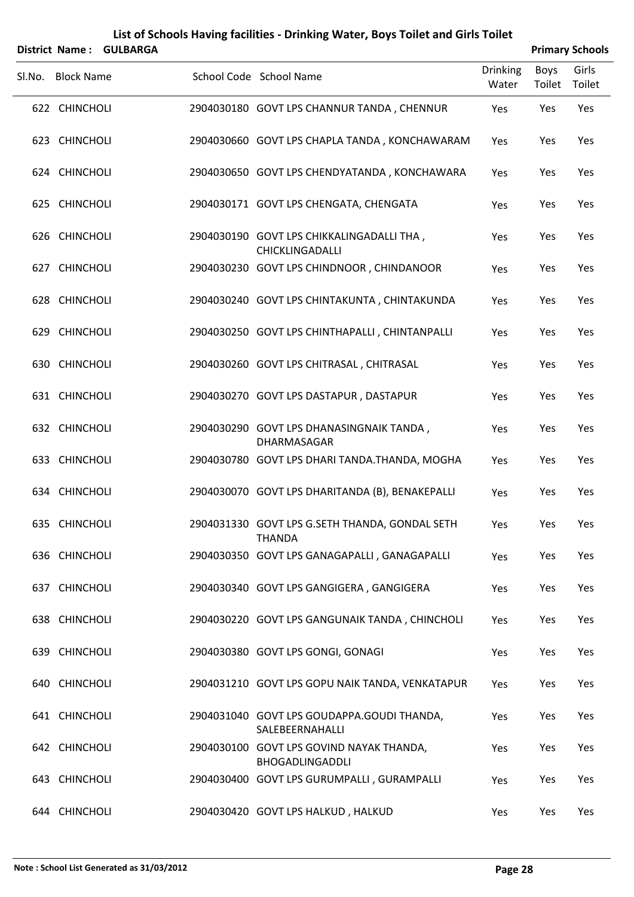|        | District Name:    | <b>GULBARGA</b> | List of Schools Having facilities - Drinking Water, Boys Toilet and Girls Toilet |                 |        | <b>Primary Schools</b> |
|--------|-------------------|-----------------|----------------------------------------------------------------------------------|-----------------|--------|------------------------|
|        |                   |                 |                                                                                  | <b>Drinking</b> | Boys   | Girls                  |
| Sl.No. | <b>Block Name</b> |                 | School Code School Name                                                          | Water           | Toilet | Toilet                 |
|        | 622 CHINCHOLI     |                 | 2904030180 GOVT LPS CHANNUR TANDA, CHENNUR                                       | Yes             | Yes    | Yes                    |
|        | 623 CHINCHOLI     |                 | 2904030660 GOVT LPS CHAPLA TANDA, KONCHAWARAM                                    | Yes             | Yes    | Yes                    |
|        | 624 CHINCHOLI     |                 | 2904030650 GOVT LPS CHENDYATANDA, KONCHAWARA                                     | Yes             | Yes    | Yes                    |
|        | 625 CHINCHOLI     |                 | 2904030171 GOVT LPS CHENGATA, CHENGATA                                           | Yes             | Yes    | Yes                    |
|        | 626 CHINCHOLI     |                 | 2904030190 GOVT LPS CHIKKALINGADALLI THA,<br>CHICKLINGADALLI                     | Yes             | Yes    | Yes                    |
|        | 627 CHINCHOLI     |                 | 2904030230 GOVT LPS CHINDNOOR, CHINDANOOR                                        | Yes             | Yes    | Yes                    |
|        | 628 CHINCHOLI     |                 | 2904030240 GOVT LPS CHINTAKUNTA, CHINTAKUNDA                                     | Yes             | Yes    | Yes                    |
|        | 629 CHINCHOLI     |                 | 2904030250 GOVT LPS CHINTHAPALLI, CHINTANPALLI                                   | Yes             | Yes    | Yes                    |
|        | 630 CHINCHOLI     |                 | 2904030260 GOVT LPS CHITRASAL, CHITRASAL                                         | Yes             | Yes    | Yes                    |
|        | 631 CHINCHOLI     |                 | 2904030270 GOVT LPS DASTAPUR, DASTAPUR                                           | Yes             | Yes    | Yes                    |
|        | 632 CHINCHOLI     |                 | 2904030290 GOVT LPS DHANASINGNAIK TANDA,<br>DHARMASAGAR                          | Yes             | Yes    | Yes                    |
|        | 633 CHINCHOLI     |                 | 2904030780 GOVT LPS DHARI TANDA.THANDA, MOGHA                                    | Yes             | Yes    | Yes                    |
|        | 634 CHINCHOLI     |                 | 2904030070 GOVT LPS DHARITANDA (B), BENAKEPALLI                                  | Yes             | Yes    | Yes                    |
|        | 635 CHINCHOLI     |                 | 2904031330 GOVT LPS G.SETH THANDA, GONDAL SETH<br><b>THANDA</b>                  | Yes             | Yes    | Yes                    |
|        | 636 CHINCHOLI     |                 | 2904030350 GOVT LPS GANAGAPALLI, GANAGAPALLI                                     | Yes             | Yes    | Yes                    |
|        | 637 CHINCHOLI     |                 | 2904030340 GOVT LPS GANGIGERA, GANGIGERA                                         | Yes             | Yes    | Yes                    |
|        | 638 CHINCHOLI     |                 | 2904030220 GOVT LPS GANGUNAIK TANDA, CHINCHOLI                                   | Yes             | Yes    | Yes                    |
|        | 639 CHINCHOLI     |                 | 2904030380 GOVT LPS GONGI, GONAGI                                                | Yes             | Yes    | Yes                    |
|        | 640 CHINCHOLI     |                 | 2904031210 GOVT LPS GOPU NAIK TANDA, VENKATAPUR                                  | Yes             | Yes    | Yes                    |
|        | 641 CHINCHOLI     |                 | 2904031040 GOVT LPS GOUDAPPA.GOUDI THANDA,<br>SALEBEERNAHALLI                    | Yes             | Yes    | Yes                    |
|        | 642 CHINCHOLI     |                 | 2904030100 GOVT LPS GOVIND NAYAK THANDA,<br><b>BHOGADLINGADDLI</b>               | Yes             | Yes    | Yes                    |
|        | 643 CHINCHOLI     |                 | 2904030400 GOVT LPS GURUMPALLI, GURAMPALLI                                       | Yes             | Yes    | Yes                    |
|        | 644 CHINCHOLI     |                 | 2904030420 GOVT LPS HALKUD, HALKUD                                               | Yes             | Yes    | Yes                    |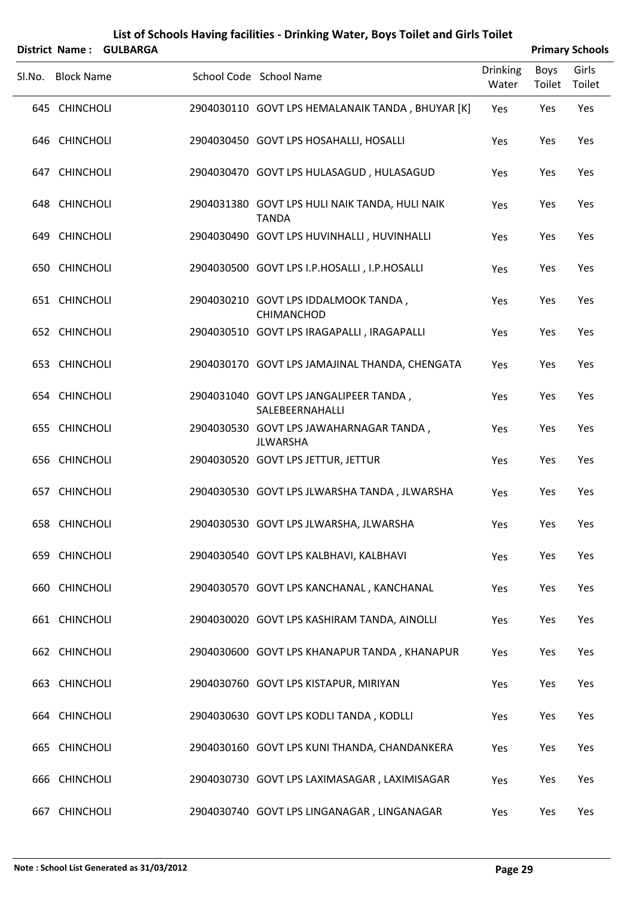|        | <b>District Name:</b> | <b>GULBARGA</b> | List of Schools Having facilities - Drinking Water, Boys Toilet and Girls Toilet |                 |        | <b>Primary Schools</b> |
|--------|-----------------------|-----------------|----------------------------------------------------------------------------------|-----------------|--------|------------------------|
|        |                       |                 | School Code School Name                                                          | <b>Drinking</b> | Boys   | Girls                  |
| SI.No. | <b>Block Name</b>     |                 |                                                                                  | Water           | Toilet | Toilet                 |
|        | 645 CHINCHOLI         |                 | 2904030110 GOVT LPS HEMALANAIK TANDA, BHUYAR [K]                                 | Yes             | Yes    | Yes                    |
|        | 646 CHINCHOLI         |                 | 2904030450 GOVT LPS HOSAHALLI, HOSALLI                                           | Yes             | Yes    | Yes                    |
|        | 647 CHINCHOLI         |                 | 2904030470 GOVT LPS HULASAGUD, HULASAGUD                                         | Yes             | Yes    | Yes                    |
|        | 648 CHINCHOLI         |                 | 2904031380 GOVT LPS HULI NAIK TANDA, HULI NAIK<br><b>TANDA</b>                   | Yes             | Yes    | Yes                    |
|        | 649 CHINCHOLI         |                 | 2904030490 GOVT LPS HUVINHALLI, HUVINHALLI                                       | Yes             | Yes    | Yes                    |
|        | 650 CHINCHOLI         |                 | 2904030500 GOVT LPS I.P.HOSALLI, I.P.HOSALLI                                     | Yes             | Yes    | Yes                    |
|        | 651 CHINCHOLI         |                 | 2904030210 GOVT LPS IDDALMOOK TANDA,<br>CHIMANCHOD                               | Yes             | Yes    | Yes                    |
|        | 652 CHINCHOLI         |                 | 2904030510 GOVT LPS IRAGAPALLI, IRAGAPALLI                                       | Yes             | Yes    | Yes                    |
|        | 653 CHINCHOLI         |                 | 2904030170 GOVT LPS JAMAJINAL THANDA, CHENGATA                                   | Yes             | Yes    | Yes                    |
|        | 654 CHINCHOLI         |                 | 2904031040 GOVT LPS JANGALIPEER TANDA,<br>SALEBEERNAHALLI                        | Yes             | Yes    | Yes                    |
|        | 655 CHINCHOLI         |                 | 2904030530 GOVT LPS JAWAHARNAGAR TANDA,<br><b>JLWARSHA</b>                       | Yes             | Yes    | Yes                    |
|        | 656 CHINCHOLI         |                 | 2904030520 GOVT LPS JETTUR, JETTUR                                               | Yes             | Yes    | Yes                    |
|        | 657 CHINCHOLI         |                 | 2904030530 GOVT LPS JLWARSHA TANDA, JLWARSHA                                     | Yes             | Yes    | Yes                    |
|        | 658 CHINCHOLI         |                 | 2904030530 GOVT LPS JLWARSHA, JLWARSHA                                           | Yes             | Yes    | Yes                    |
|        | 659 CHINCHOLI         |                 | 2904030540 GOVT LPS KALBHAVI, KALBHAVI                                           | Yes             | Yes    | Yes                    |
|        | 660 CHINCHOLI         |                 | 2904030570 GOVT LPS KANCHANAL, KANCHANAL                                         | Yes             | Yes    | Yes                    |
|        | 661 CHINCHOLI         |                 | 2904030020 GOVT LPS KASHIRAM TANDA, AINOLLI                                      | Yes             | Yes    | Yes                    |
|        | 662 CHINCHOLI         |                 | 2904030600 GOVT LPS KHANAPUR TANDA, KHANAPUR                                     | Yes             | Yes    | Yes                    |
|        | 663 CHINCHOLI         |                 | 2904030760 GOVT LPS KISTAPUR, MIRIYAN                                            | Yes             | Yes    | Yes                    |
|        | 664 CHINCHOLI         |                 | 2904030630 GOVT LPS KODLI TANDA, KODLLI                                          | Yes             | Yes    | Yes                    |
|        | 665 CHINCHOLI         |                 | 2904030160 GOVT LPS KUNI THANDA, CHANDANKERA                                     | Yes             | Yes    | Yes                    |
|        | 666 CHINCHOLI         |                 | 2904030730 GOVT LPS LAXIMASAGAR, LAXIMISAGAR                                     | Yes             | Yes    | Yes                    |
| 667    | <b>CHINCHOLI</b>      |                 | 2904030740 GOVT LPS LINGANAGAR, LINGANAGAR                                       | Yes             | Yes    | Yes                    |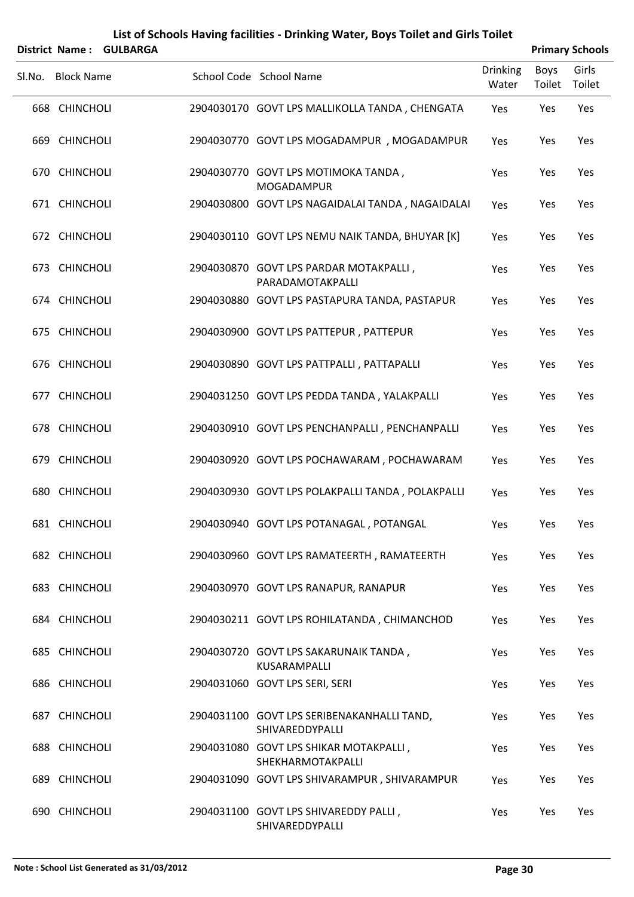|        |                   | District Name: GULBARGA |                                                               |                          |                | <b>Primary Schools</b> |
|--------|-------------------|-------------------------|---------------------------------------------------------------|--------------------------|----------------|------------------------|
| Sl.No. | <b>Block Name</b> |                         | School Code School Name                                       | <b>Drinking</b><br>Water | Boys<br>Toilet | Girls<br>Toilet        |
|        | 668 CHINCHOLI     |                         | 2904030170 GOVT LPS MALLIKOLLA TANDA, CHENGATA                | Yes                      | Yes            | Yes                    |
|        | 669 CHINCHOLI     |                         | 2904030770 GOVT LPS MOGADAMPUR, MOGADAMPUR                    | Yes                      | Yes            | Yes                    |
|        | 670 CHINCHOLI     |                         | 2904030770 GOVT LPS MOTIMOKA TANDA,<br>MOGADAMPUR             | Yes                      | Yes            | Yes                    |
|        | 671 CHINCHOLI     |                         | 2904030800 GOVT LPS NAGAIDALAI TANDA, NAGAIDALAI              | Yes                      | Yes            | Yes                    |
|        | 672 CHINCHOLI     |                         | 2904030110 GOVT LPS NEMU NAIK TANDA, BHUYAR [K]               | Yes                      | Yes            | Yes                    |
|        | 673 CHINCHOLI     |                         | 2904030870 GOVT LPS PARDAR MOTAKPALLI,<br>PARADAMOTAKPALLI    | Yes                      | Yes            | Yes                    |
|        | 674 CHINCHOLI     |                         | 2904030880 GOVT LPS PASTAPURA TANDA, PASTAPUR                 | Yes                      | Yes            | Yes                    |
|        | 675 CHINCHOLI     |                         | 2904030900 GOVT LPS PATTEPUR, PATTEPUR                        | Yes                      | Yes            | Yes                    |
|        | 676 CHINCHOLI     |                         | 2904030890 GOVT LPS PATTPALLI, PATTAPALLI                     | Yes                      | Yes            | Yes                    |
|        | 677 CHINCHOLI     |                         | 2904031250 GOVT LPS PEDDA TANDA, YALAKPALLI                   | Yes                      | Yes            | Yes                    |
|        | 678 CHINCHOLI     |                         | 2904030910 GOVT LPS PENCHANPALLI, PENCHANPALLI                | Yes                      | Yes            | Yes                    |
|        | 679 CHINCHOLI     |                         | 2904030920 GOVT LPS POCHAWARAM, POCHAWARAM                    | Yes                      | Yes            | Yes                    |
|        | 680 CHINCHOLI     |                         | 2904030930 GOVT LPS POLAKPALLI TANDA, POLAKPALLI              | Yes                      | Yes            | Yes                    |
|        | 681 CHINCHOLI     |                         | 2904030940 GOVT LPS POTANAGAL, POTANGAL                       | Yes                      | Yes            | Yes                    |
|        | 682 CHINCHOLI     |                         | 2904030960 GOVT LPS RAMATEERTH, RAMATEERTH                    | Yes                      | Yes            | Yes                    |
|        | 683 CHINCHOLI     |                         | 2904030970 GOVT LPS RANAPUR, RANAPUR                          | Yes                      | Yes            | Yes                    |
|        | 684 CHINCHOLI     |                         | 2904030211 GOVT LPS ROHILATANDA, CHIMANCHOD                   | Yes                      | Yes            | Yes                    |
|        | 685 CHINCHOLI     |                         | 2904030720 GOVT LPS SAKARUNAIK TANDA,<br>KUSARAMPALLI         | Yes                      | Yes            | Yes                    |
|        | 686 CHINCHOLI     |                         | 2904031060 GOVT LPS SERI, SERI                                | Yes                      | Yes            | Yes                    |
|        | 687 CHINCHOLI     |                         | 2904031100 GOVT LPS SERIBENAKANHALLI TAND,<br>SHIVAREDDYPALLI | Yes                      | Yes            | Yes                    |
|        | 688 CHINCHOLI     |                         | 2904031080 GOVT LPS SHIKAR MOTAKPALLI,<br>SHEKHARMOTAKPALLI   | Yes                      | Yes            | Yes                    |
|        | 689 CHINCHOLI     |                         | 2904031090 GOVT LPS SHIVARAMPUR, SHIVARAMPUR                  | Yes                      | Yes            | Yes                    |
|        | 690 CHINCHOLI     |                         | 2904031100 GOVT LPS SHIVAREDDY PALLI,<br>SHIVAREDDYPALLI      | Yes                      | Yes            | Yes                    |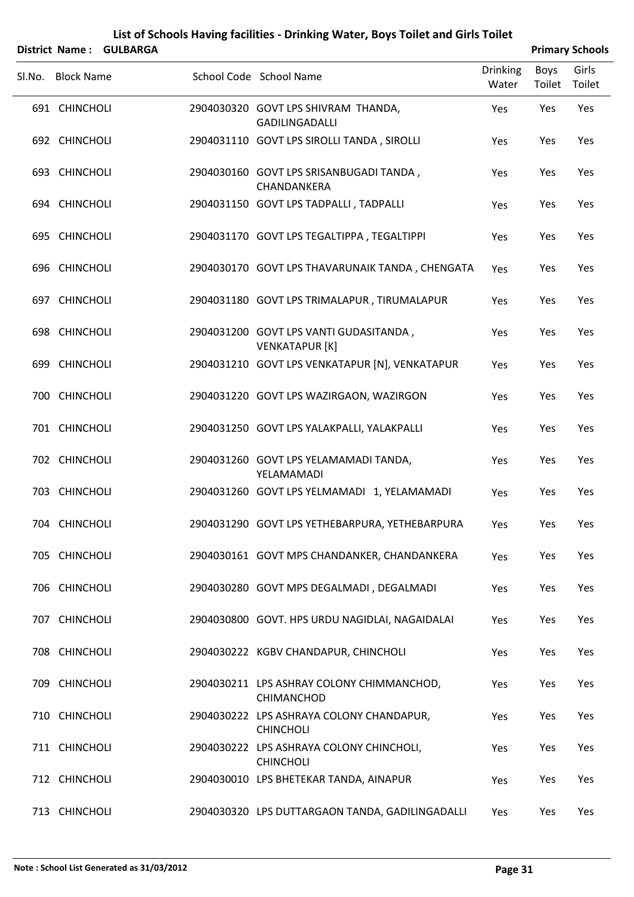|        | <b>District Name:</b> | <b>GULBARGA</b> |                                                                 |                          |                | <b>Primary Schools</b> |
|--------|-----------------------|-----------------|-----------------------------------------------------------------|--------------------------|----------------|------------------------|
| Sl.No. | <b>Block Name</b>     |                 | School Code School Name                                         | <b>Drinking</b><br>Water | Boys<br>Toilet | Girls<br>Toilet        |
|        | 691 CHINCHOLI         |                 | 2904030320 GOVT LPS SHIVRAM THANDA,<br>GADILINGADALLI           | Yes                      | Yes            | Yes                    |
|        | 692 CHINCHOLI         |                 | 2904031110 GOVT LPS SIROLLI TANDA, SIROLLI                      | Yes                      | Yes            | Yes                    |
|        | 693 CHINCHOLI         |                 | 2904030160 GOVT LPS SRISANBUGADI TANDA,<br>CHANDANKERA          | Yes                      | Yes            | Yes                    |
|        | 694 CHINCHOLI         |                 | 2904031150 GOVT LPS TADPALLI, TADPALLI                          | Yes                      | Yes            | Yes                    |
|        | 695 CHINCHOLI         |                 | 2904031170 GOVT LPS TEGALTIPPA, TEGALTIPPI                      | Yes                      | Yes            | Yes                    |
|        | 696 CHINCHOLI         |                 | 2904030170 GOVT LPS THAVARUNAIK TANDA, CHENGATA                 | Yes                      | Yes            | Yes                    |
|        | 697 CHINCHOLI         |                 | 2904031180 GOVT LPS TRIMALAPUR, TIRUMALAPUR                     | Yes                      | Yes            | Yes                    |
|        | 698 CHINCHOLI         |                 | 2904031200 GOVT LPS VANTI GUDASITANDA,<br><b>VENKATAPUR [K]</b> | Yes                      | Yes            | Yes                    |
|        | 699 CHINCHOLI         |                 | 2904031210 GOVT LPS VENKATAPUR [N], VENKATAPUR                  | Yes                      | Yes            | Yes                    |
|        | 700 CHINCHOLI         |                 | 2904031220 GOVT LPS WAZIRGAON, WAZIRGON                         | Yes                      | Yes            | Yes                    |
|        | 701 CHINCHOLI         |                 | 2904031250 GOVT LPS YALAKPALLI, YALAKPALLI                      | Yes                      | Yes            | Yes                    |
|        | 702 CHINCHOLI         |                 | 2904031260 GOVT LPS YELAMAMADI TANDA,<br>YELAMAMADI             | Yes                      | Yes            | Yes                    |
| 703    | <b>CHINCHOLI</b>      |                 | 2904031260 GOVT LPS YELMAMADI 1, YELAMAMADI                     | Yes                      | Yes            | Yes                    |
|        | 704 CHINCHOLI         |                 | 2904031290 GOVT LPS YETHEBARPURA, YETHEBARPURA                  | Yes                      | Yes            | Yes                    |
|        | 705 CHINCHOLI         |                 | 2904030161 GOVT MPS CHANDANKER, CHANDANKERA                     | Yes                      | Yes            | Yes                    |
|        | 706 CHINCHOLI         |                 | 2904030280 GOVT MPS DEGALMADI, DEGALMADI                        | Yes                      | Yes            | Yes                    |
|        | 707 CHINCHOLI         |                 | 2904030800 GOVT. HPS URDU NAGIDLAI, NAGAIDALAI                  | Yes                      | Yes            | Yes                    |
|        | 708 CHINCHOLI         |                 | 2904030222 KGBV CHANDAPUR, CHINCHOLI                            | Yes                      | Yes            | Yes                    |
|        | 709 CHINCHOLI         |                 | 2904030211 LPS ASHRAY COLONY CHIMMANCHOD,<br>CHIMANCHOD         | Yes                      | Yes            | Yes                    |
|        | 710 CHINCHOLI         |                 | 2904030222 LPS ASHRAYA COLONY CHANDAPUR,<br><b>CHINCHOLI</b>    | Yes                      | Yes            | Yes                    |
|        | 711 CHINCHOLI         |                 | 2904030222 LPS ASHRAYA COLONY CHINCHOLI,<br><b>CHINCHOLI</b>    | Yes                      | Yes            | Yes                    |
|        | 712 CHINCHOLI         |                 | 2904030010 LPS BHETEKAR TANDA, AINAPUR                          | Yes                      | Yes            | Yes                    |
|        | 713 CHINCHOLI         |                 | 2904030320 LPS DUTTARGAON TANDA, GADILINGADALLI                 | Yes                      | Yes            | Yes                    |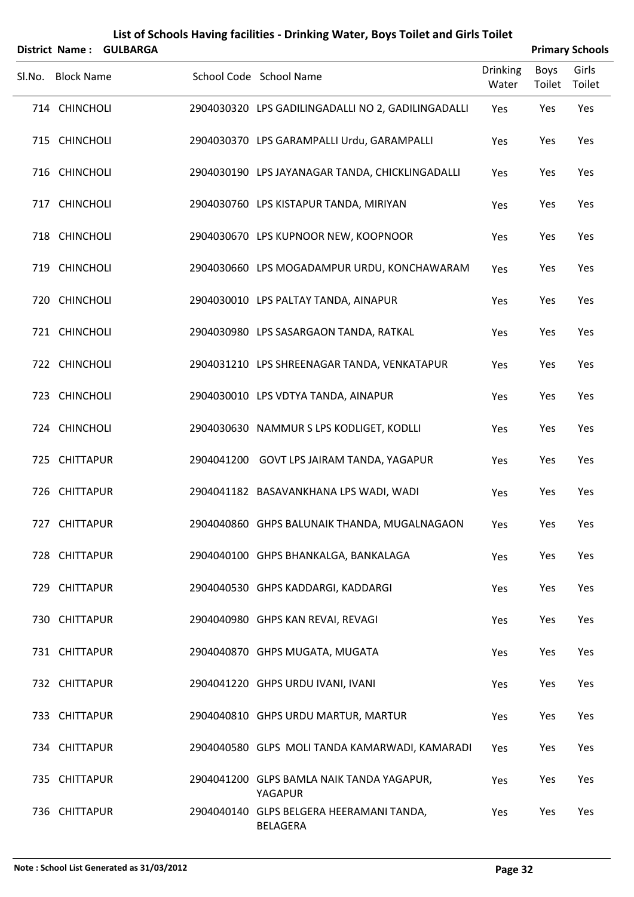|        |                       |                 |            | List of Schools Having facilities - Drinking Water, Boys Toilet and Girls Toilet |                          |                |                        |
|--------|-----------------------|-----------------|------------|----------------------------------------------------------------------------------|--------------------------|----------------|------------------------|
|        | <b>District Name:</b> | <b>GULBARGA</b> |            |                                                                                  |                          |                | <b>Primary Schools</b> |
| SI.No. | <b>Block Name</b>     |                 |            | School Code School Name                                                          | <b>Drinking</b><br>Water | Boys<br>Toilet | Girls<br>Toilet        |
|        | 714 CHINCHOLI         |                 |            | 2904030320 LPS GADILINGADALLI NO 2, GADILINGADALLI                               | Yes                      | Yes            | Yes                    |
|        | 715 CHINCHOLI         |                 |            | 2904030370 LPS GARAMPALLI Urdu, GARAMPALLI                                       | Yes                      | Yes            | Yes                    |
|        | 716 CHINCHOLI         |                 |            | 2904030190 LPS JAYANAGAR TANDA, CHICKLINGADALLI                                  | Yes                      | Yes            | Yes                    |
|        | 717 CHINCHOLI         |                 |            | 2904030760 LPS KISTAPUR TANDA, MIRIYAN                                           | Yes                      | Yes            | Yes                    |
|        | 718 CHINCHOLI         |                 |            | 2904030670 LPS KUPNOOR NEW, KOOPNOOR                                             | Yes                      | Yes            | Yes                    |
|        | 719 CHINCHOLI         |                 |            | 2904030660 LPS MOGADAMPUR URDU, KONCHAWARAM                                      | Yes                      | Yes            | Yes                    |
|        | 720 CHINCHOLI         |                 |            | 2904030010 LPS PALTAY TANDA, AINAPUR                                             | Yes                      | Yes            | Yes                    |
|        | 721 CHINCHOLI         |                 |            | 2904030980 LPS SASARGAON TANDA, RATKAL                                           | Yes                      | Yes            | Yes                    |
|        | 722 CHINCHOLI         |                 |            | 2904031210 LPS SHREENAGAR TANDA, VENKATAPUR                                      | Yes                      | Yes            | Yes                    |
|        | 723 CHINCHOLI         |                 |            | 2904030010 LPS VDTYA TANDA, AINAPUR                                              | Yes                      | Yes            | Yes                    |
|        | 724 CHINCHOLI         |                 |            | 2904030630 NAMMUR S LPS KODLIGET, KODLLI                                         | Yes                      | Yes            | Yes                    |
|        | 725 CHITTAPUR         |                 | 2904041200 | GOVT LPS JAIRAM TANDA, YAGAPUR                                                   | Yes                      | Yes            | Yes                    |
|        | 726 CHITTAPUR         |                 |            | 2904041182 BASAVANKHANA LPS WADI, WADI                                           | Yes                      | Yes            | Yes                    |
|        | 727 CHITTAPUR         |                 |            | 2904040860 GHPS BALUNAIK THANDA, MUGALNAGAON                                     | Yes                      | Yes            | Yes                    |
|        | 728 CHITTAPUR         |                 |            | 2904040100 GHPS BHANKALGA, BANKALAGA                                             | Yes                      | Yes            | Yes                    |
|        | 729 CHITTAPUR         |                 |            | 2904040530 GHPS KADDARGI, KADDARGI                                               | Yes                      | Yes            | Yes                    |
|        | 730 CHITTAPUR         |                 |            | 2904040980 GHPS KAN REVAI, REVAGI                                                | Yes                      | Yes            | Yes                    |
|        | 731 CHITTAPUR         |                 |            | 2904040870 GHPS MUGATA, MUGATA                                                   | Yes                      | Yes            | Yes                    |
|        | 732 CHITTAPUR         |                 |            | 2904041220 GHPS URDU IVANI, IVANI                                                | Yes                      | Yes            | Yes                    |
|        | 733 CHITTAPUR         |                 |            | 2904040810 GHPS URDU MARTUR, MARTUR                                              | Yes                      | Yes            | Yes                    |
|        | 734 CHITTAPUR         |                 |            | 2904040580 GLPS MOLI TANDA KAMARWADI, KAMARADI                                   | Yes                      | Yes            | Yes                    |
|        | 735 CHITTAPUR         |                 |            | 2904041200 GLPS BAMLA NAIK TANDA YAGAPUR,<br>YAGAPUR                             | Yes                      | Yes            | Yes                    |
|        | 736 CHITTAPUR         |                 |            | 2904040140 GLPS BELGERA HEERAMANI TANDA,<br><b>BELAGERA</b>                      | Yes                      | Yes            | Yes                    |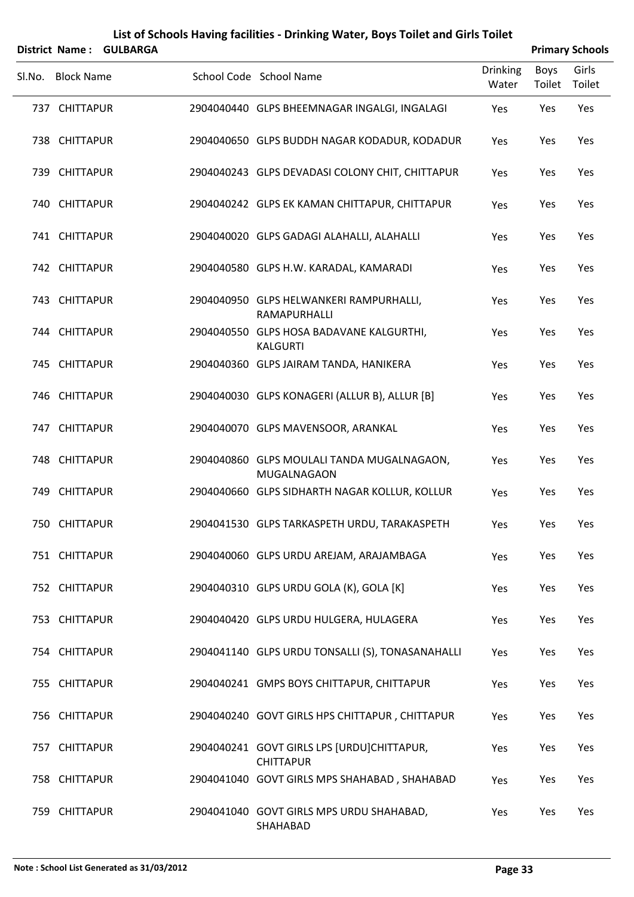|        |                       |                 | List of Schools Having facilities - Drinking Water, Boys Toilet and Girls Toilet |                          |                       |                        |
|--------|-----------------------|-----------------|----------------------------------------------------------------------------------|--------------------------|-----------------------|------------------------|
|        | <b>District Name:</b> | <b>GULBARGA</b> |                                                                                  |                          |                       | <b>Primary Schools</b> |
| SI.No. | <b>Block Name</b>     |                 | School Code School Name                                                          | <b>Drinking</b><br>Water | <b>Boys</b><br>Toilet | Girls<br>Toilet        |
|        | 737 CHITTAPUR         |                 | 2904040440 GLPS BHEEMNAGAR INGALGI, INGALAGI                                     | Yes                      | Yes                   | Yes                    |
|        | 738 CHITTAPUR         |                 | 2904040650 GLPS BUDDH NAGAR KODADUR, KODADUR                                     | Yes                      | Yes                   | Yes                    |
|        | 739 CHITTAPUR         |                 | 2904040243 GLPS DEVADASI COLONY CHIT, CHITTAPUR                                  | Yes                      | Yes                   | Yes                    |
|        | 740 CHITTAPUR         |                 | 2904040242 GLPS EK KAMAN CHITTAPUR, CHITTAPUR                                    | Yes                      | Yes                   | Yes                    |
|        | 741 CHITTAPUR         |                 | 2904040020 GLPS GADAGI ALAHALLI, ALAHALLI                                        | Yes                      | Yes                   | Yes                    |
|        | 742 CHITTAPUR         |                 | 2904040580 GLPS H.W. KARADAL, KAMARADI                                           | Yes                      | Yes                   | Yes                    |
|        | 743 CHITTAPUR         |                 | 2904040950 GLPS HELWANKERI RAMPURHALLI,<br>RAMAPURHALLI                          | Yes                      | Yes                   | Yes                    |
|        | 744 CHITTAPUR         |                 | 2904040550 GLPS HOSA BADAVANE KALGURTHI,<br><b>KALGURTI</b>                      | Yes                      | Yes                   | Yes                    |
|        | 745 CHITTAPUR         |                 | 2904040360 GLPS JAIRAM TANDA, HANIKERA                                           | Yes                      | Yes                   | Yes                    |
|        | 746 CHITTAPUR         |                 | 2904040030 GLPS KONAGERI (ALLUR B), ALLUR [B]                                    | Yes                      | Yes                   | Yes                    |
|        | 747 CHITTAPUR         |                 | 2904040070 GLPS MAVENSOOR, ARANKAL                                               | Yes                      | Yes                   | Yes                    |
|        | 748 CHITTAPUR         |                 | 2904040860 GLPS MOULALI TANDA MUGALNAGAON,<br>MUGALNAGAON                        | Yes                      | Yes                   | Yes                    |
|        | 749 CHITTAPUR         |                 | 2904040660 GLPS SIDHARTH NAGAR KOLLUR, KOLLUR                                    | Yes                      | Yes                   | Yes                    |
|        | 750 CHITTAPUR         |                 | 2904041530 GLPS TARKASPETH URDU, TARAKASPETH                                     | Yes                      | Yes                   | Yes                    |
|        | 751 CHITTAPUR         |                 | 2904040060 GLPS URDU AREJAM, ARAJAMBAGA                                          | Yes                      | Yes                   | Yes                    |
|        | 752 CHITTAPUR         |                 | 2904040310 GLPS URDU GOLA (K), GOLA [K]                                          | Yes                      | Yes                   | Yes                    |
|        | 753 CHITTAPUR         |                 | 2904040420 GLPS URDU HULGERA, HULAGERA                                           | Yes                      | Yes                   | Yes                    |
|        | 754 CHITTAPUR         |                 | 2904041140 GLPS URDU TONSALLI (S), TONASANAHALLI                                 | Yes                      | Yes                   | Yes                    |
|        | 755 CHITTAPUR         |                 | 2904040241 GMPS BOYS CHITTAPUR, CHITTAPUR                                        | Yes                      | Yes                   | Yes                    |
|        | 756 CHITTAPUR         |                 | 2904040240 GOVT GIRLS HPS CHITTAPUR, CHITTAPUR                                   | Yes                      | Yes                   | Yes                    |
|        | 757 CHITTAPUR         |                 | 2904040241 GOVT GIRLS LPS [URDU]CHITTAPUR,<br><b>CHITTAPUR</b>                   | Yes                      | Yes                   | Yes                    |
|        | 758 CHITTAPUR         |                 | 2904041040 GOVT GIRLS MPS SHAHABAD, SHAHABAD                                     | Yes                      | Yes                   | Yes                    |
|        | 759 CHITTAPUR         |                 | 2904041040 GOVT GIRLS MPS URDU SHAHABAD,<br>SHAHABAD                             | Yes                      | Yes                   | Yes                    |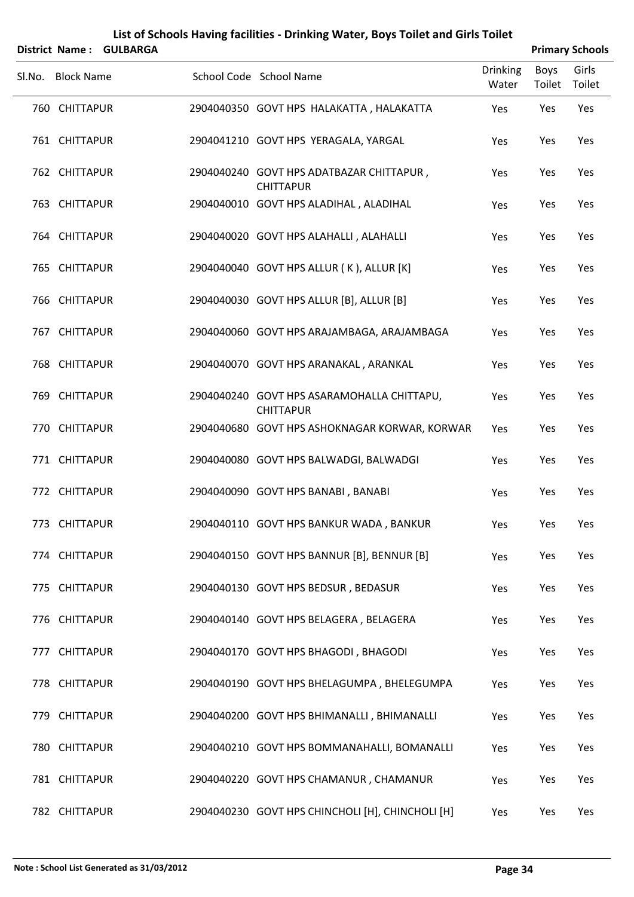|        |                   | District Name: GULBARGA |                                                                |                          |                | <b>Primary Schools</b> |
|--------|-------------------|-------------------------|----------------------------------------------------------------|--------------------------|----------------|------------------------|
| SI.No. | <b>Block Name</b> |                         | School Code School Name                                        | <b>Drinking</b><br>Water | Boys<br>Toilet | Girls<br>Toilet        |
|        | 760 CHITTAPUR     |                         | 2904040350 GOVT HPS HALAKATTA, HALAKATTA                       | Yes                      | Yes            | Yes                    |
|        | 761 CHITTAPUR     |                         | 2904041210 GOVT HPS YERAGALA, YARGAL                           | Yes                      | Yes            | Yes                    |
|        | 762 CHITTAPUR     |                         | 2904040240 GOVT HPS ADATBAZAR CHITTAPUR,<br><b>CHITTAPUR</b>   | Yes                      | Yes            | Yes                    |
|        | 763 CHITTAPUR     |                         | 2904040010 GOVT HPS ALADIHAL, ALADIHAL                         | Yes                      | Yes            | Yes                    |
|        | 764 CHITTAPUR     |                         | 2904040020 GOVT HPS ALAHALLI, ALAHALLI                         | Yes                      | Yes            | Yes                    |
|        | 765 CHITTAPUR     |                         | 2904040040 GOVT HPS ALLUR (K), ALLUR [K]                       | Yes                      | Yes            | Yes                    |
|        | 766 CHITTAPUR     |                         | 2904040030 GOVT HPS ALLUR [B], ALLUR [B]                       | Yes                      | Yes            | Yes                    |
|        | 767 CHITTAPUR     |                         | 2904040060 GOVT HPS ARAJAMBAGA, ARAJAMBAGA                     | Yes                      | Yes            | Yes                    |
|        | 768 CHITTAPUR     |                         | 2904040070 GOVT HPS ARANAKAL, ARANKAL                          | Yes                      | Yes            | Yes                    |
|        | 769 CHITTAPUR     |                         | 2904040240 GOVT HPS ASARAMOHALLA CHITTAPU,<br><b>CHITTAPUR</b> | Yes                      | Yes            | Yes                    |
|        | 770 CHITTAPUR     |                         | 2904040680 GOVT HPS ASHOKNAGAR KORWAR, KORWAR                  | Yes                      | Yes            | Yes                    |
|        | 771 CHITTAPUR     |                         | 2904040080 GOVT HPS BALWADGI, BALWADGI                         | Yes                      | Yes            | Yes                    |
|        | 772 CHITTAPUR     |                         | 2904040090 GOVT HPS BANABI, BANABI                             | Yes                      | Yes            | Yes                    |
|        | 773 CHITTAPUR     |                         | 2904040110 GOVT HPS BANKUR WADA, BANKUR                        | Yes                      | Yes            | Yes                    |
|        | 774 CHITTAPUR     |                         | 2904040150 GOVT HPS BANNUR [B], BENNUR [B]                     | Yes                      | Yes            | Yes                    |
|        | 775 CHITTAPUR     |                         | 2904040130 GOVT HPS BEDSUR, BEDASUR                            | Yes                      | Yes            | Yes                    |
|        | 776 CHITTAPUR     |                         | 2904040140 GOVT HPS BELAGERA, BELAGERA                         | Yes                      | Yes            | Yes                    |
|        | 777 CHITTAPUR     |                         | 2904040170 GOVT HPS BHAGODI, BHAGODI                           | Yes                      | Yes            | Yes                    |
|        | 778 CHITTAPUR     |                         | 2904040190 GOVT HPS BHELAGUMPA, BHELEGUMPA                     | Yes                      | Yes            | Yes                    |
|        | 779 CHITTAPUR     |                         | 2904040200 GOVT HPS BHIMANALLI, BHIMANALLI                     | Yes                      | Yes            | Yes                    |
|        | 780 CHITTAPUR     |                         | 2904040210 GOVT HPS BOMMANAHALLI, BOMANALLI                    | Yes                      | Yes            | Yes                    |
|        | 781 CHITTAPUR     |                         | 2904040220 GOVT HPS CHAMANUR, CHAMANUR                         | Yes                      | Yes            | Yes                    |
|        | 782 CHITTAPUR     |                         | 2904040230 GOVT HPS CHINCHOLI [H], CHINCHOLI [H]               | Yes                      | Yes            | Yes                    |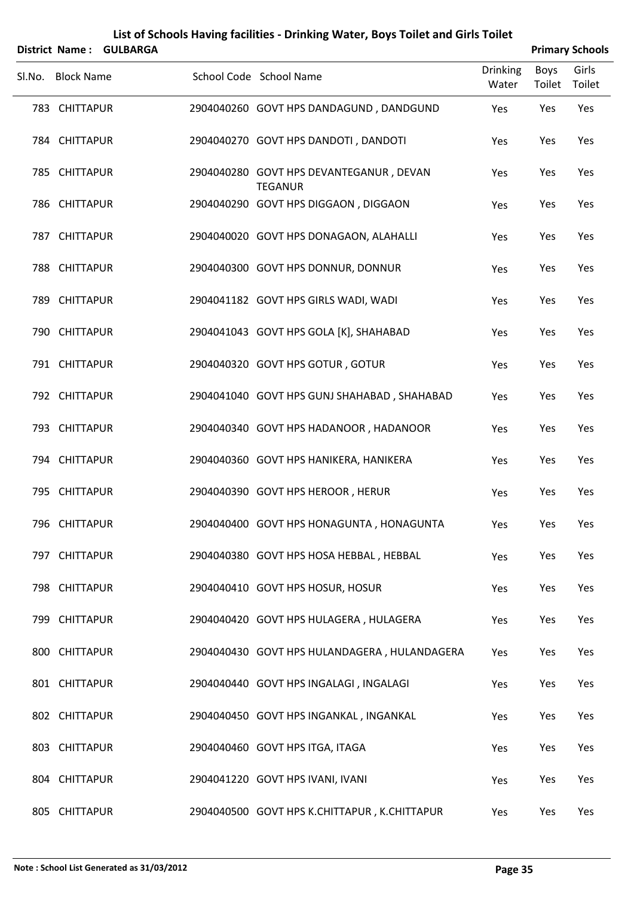| List of Schools Having facilities - Drinking Water, Boys Toilet and Girls Toilet<br><b>District Name:</b> |                   |                 |  |                                                           |                 |        |                                 |  |
|-----------------------------------------------------------------------------------------------------------|-------------------|-----------------|--|-----------------------------------------------------------|-----------------|--------|---------------------------------|--|
|                                                                                                           |                   | <b>GULBARGA</b> |  |                                                           | <b>Drinking</b> | Boys   | <b>Primary Schools</b><br>Girls |  |
|                                                                                                           | Sl.No. Block Name |                 |  | School Code School Name                                   | Water           | Toilet | Toilet                          |  |
|                                                                                                           | 783 CHITTAPUR     |                 |  | 2904040260 GOVT HPS DANDAGUND, DANDGUND                   | Yes             | Yes    | Yes                             |  |
|                                                                                                           | 784 CHITTAPUR     |                 |  | 2904040270 GOVT HPS DANDOTI, DANDOTI                      | Yes             | Yes    | Yes                             |  |
|                                                                                                           | 785 CHITTAPUR     |                 |  | 2904040280 GOVT HPS DEVANTEGANUR, DEVAN<br><b>TEGANUR</b> | Yes             | Yes    | Yes                             |  |
|                                                                                                           | 786 CHITTAPUR     |                 |  | 2904040290 GOVT HPS DIGGAON, DIGGAON                      | Yes             | Yes    | Yes                             |  |
|                                                                                                           | 787 CHITTAPUR     |                 |  | 2904040020 GOVT HPS DONAGAON, ALAHALLI                    | Yes             | Yes    | Yes                             |  |
|                                                                                                           | 788 CHITTAPUR     |                 |  | 2904040300 GOVT HPS DONNUR, DONNUR                        | Yes             | Yes    | Yes                             |  |
|                                                                                                           | 789 CHITTAPUR     |                 |  | 2904041182 GOVT HPS GIRLS WADI, WADI                      | Yes             | Yes    | Yes                             |  |
|                                                                                                           | 790 CHITTAPUR     |                 |  | 2904041043 GOVT HPS GOLA [K], SHAHABAD                    | Yes             | Yes    | Yes                             |  |
|                                                                                                           | 791 CHITTAPUR     |                 |  | 2904040320 GOVT HPS GOTUR, GOTUR                          | Yes             | Yes    | Yes                             |  |
|                                                                                                           | 792 CHITTAPUR     |                 |  | 2904041040 GOVT HPS GUNJ SHAHABAD, SHAHABAD               | Yes             | Yes    | Yes                             |  |
|                                                                                                           | 793 CHITTAPUR     |                 |  | 2904040340 GOVT HPS HADANOOR, HADANOOR                    | Yes             | Yes    | Yes                             |  |
|                                                                                                           | 794 CHITTAPUR     |                 |  | 2904040360 GOVT HPS HANIKERA, HANIKERA                    | Yes             | Yes    | Yes                             |  |
|                                                                                                           | 795 CHITTAPUR     |                 |  | 2904040390 GOVT HPS HEROOR, HERUR                         | Yes             | Yes    | Yes                             |  |
|                                                                                                           | 796 CHITTAPUR     |                 |  | 2904040400 GOVT HPS HONAGUNTA, HONAGUNTA                  | Yes             | Yes    | Yes                             |  |
|                                                                                                           | 797 CHITTAPUR     |                 |  | 2904040380 GOVT HPS HOSA HEBBAL, HEBBAL                   | Yes             | Yes    | Yes                             |  |
|                                                                                                           | 798 CHITTAPUR     |                 |  | 2904040410 GOVT HPS HOSUR, HOSUR                          | Yes             | Yes    | Yes                             |  |
|                                                                                                           | 799 CHITTAPUR     |                 |  | 2904040420 GOVT HPS HULAGERA, HULAGERA                    | Yes             | Yes    | Yes                             |  |
|                                                                                                           | 800 CHITTAPUR     |                 |  | 2904040430 GOVT HPS HULANDAGERA, HULANDAGERA              | Yes             | Yes    | Yes                             |  |
|                                                                                                           | 801 CHITTAPUR     |                 |  | 2904040440 GOVT HPS INGALAGI, INGALAGI                    | Yes             | Yes    | Yes                             |  |
|                                                                                                           | 802 CHITTAPUR     |                 |  | 2904040450 GOVT HPS INGANKAL, INGANKAL                    | Yes             | Yes    | Yes                             |  |
|                                                                                                           | 803 CHITTAPUR     |                 |  | 2904040460 GOVT HPS ITGA, ITAGA                           | Yes             | Yes    | Yes                             |  |
|                                                                                                           | 804 CHITTAPUR     |                 |  | 2904041220 GOVT HPS IVANI, IVANI                          | Yes             | Yes    | Yes                             |  |
|                                                                                                           | 805 CHITTAPUR     |                 |  | 2904040500 GOVT HPS K.CHITTAPUR, K.CHITTAPUR              | Yes             | Yes    | Yes                             |  |

#### **Note : School List Generated as 31/03/2012 Page 35**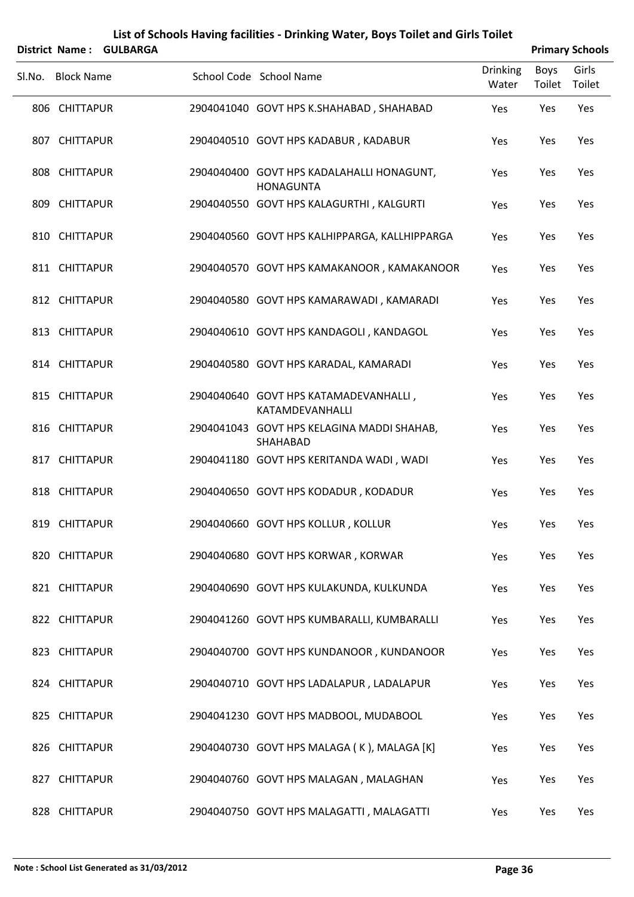| <b>District Name:</b> | <b>GULBARGA</b> |                                                                 |                          |                | <b>Primary Schools</b> |
|-----------------------|-----------------|-----------------------------------------------------------------|--------------------------|----------------|------------------------|
| Sl.No. Block Name     |                 | School Code School Name                                         | <b>Drinking</b><br>Water | Boys<br>Toilet | Girls<br>Toilet        |
| 806 CHITTAPUR         |                 | 2904041040 GOVT HPS K.SHAHABAD, SHAHABAD                        | Yes                      | Yes            | Yes                    |
| 807 CHITTAPUR         |                 | 2904040510 GOVT HPS KADABUR, KADABUR                            | Yes                      | Yes            | Yes                    |
| 808 CHITTAPUR         |                 | 2904040400 GOVT HPS KADALAHALLI HONAGUNT,<br><b>HONAGUNTA</b>   | Yes                      | Yes            | Yes                    |
| 809 CHITTAPUR         |                 | 2904040550 GOVT HPS KALAGURTHI, KALGURTI                        | Yes                      | Yes            | Yes                    |
| 810 CHITTAPUR         |                 | 2904040560 GOVT HPS KALHIPPARGA, KALLHIPPARGA                   | Yes                      | Yes            | Yes                    |
| 811 CHITTAPUR         |                 | 2904040570 GOVT HPS KAMAKANOOR, KAMAKANOOR                      | Yes                      | Yes            | Yes                    |
| 812 CHITTAPUR         |                 | 2904040580 GOVT HPS KAMARAWADI, KAMARADI                        | Yes                      | Yes            | Yes                    |
| 813 CHITTAPUR         |                 | 2904040610 GOVT HPS KANDAGOLI, KANDAGOL                         | Yes                      | Yes            | Yes                    |
| 814 CHITTAPUR         |                 | 2904040580 GOVT HPS KARADAL, KAMARADI                           | Yes                      | Yes            | Yes                    |
| 815 CHITTAPUR         |                 | 2904040640 GOVT HPS KATAMADEVANHALLI,<br><b>KATAMDEVANHALLI</b> | Yes                      | Yes            | Yes                    |
| 816 CHITTAPUR         |                 | 2904041043 GOVT HPS KELAGINA MADDI SHAHAB,<br>SHAHABAD          | Yes                      | Yes            | Yes                    |
| 817 CHITTAPUR         |                 | 2904041180 GOVT HPS KERITANDA WADI, WADI                        | Yes                      | Yes            | Yes                    |
| 818 CHITTAPUR         |                 | 2904040650 GOVT HPS KODADUR, KODADUR                            | Yes                      | Yes            | Yes                    |
| 819 CHITTAPUR         |                 | 2904040660 GOVT HPS KOLLUR, KOLLUR                              | Yes                      | Yes            | Yes                    |
| 820 CHITTAPUR         |                 | 2904040680 GOVT HPS KORWAR, KORWAR                              | Yes                      | Yes            | Yes                    |
| 821 CHITTAPUR         |                 | 2904040690 GOVT HPS KULAKUNDA, KULKUNDA                         | Yes                      | Yes            | Yes                    |
| 822 CHITTAPUR         |                 | 2904041260 GOVT HPS KUMBARALLI, KUMBARALLI                      | Yes                      | Yes            | Yes                    |
| 823 CHITTAPUR         |                 | 2904040700 GOVT HPS KUNDANOOR, KUNDANOOR                        | Yes                      | Yes            | Yes                    |
| 824 CHITTAPUR         |                 | 2904040710 GOVT HPS LADALAPUR, LADALAPUR                        | Yes                      | Yes            | Yes                    |
| 825 CHITTAPUR         |                 | 2904041230 GOVT HPS MADBOOL, MUDABOOL                           | Yes                      | Yes            | Yes                    |
| 826 CHITTAPUR         |                 | 2904040730 GOVT HPS MALAGA (K), MALAGA [K]                      | Yes                      | Yes            | Yes                    |
| 827 CHITTAPUR         |                 | 2904040760 GOVT HPS MALAGAN, MALAGHAN                           | Yes                      | Yes            | Yes                    |
| 828 CHITTAPUR         |                 | 2904040750 GOVT HPS MALAGATTI, MALAGATTI                        | Yes                      | Yes            | Yes                    |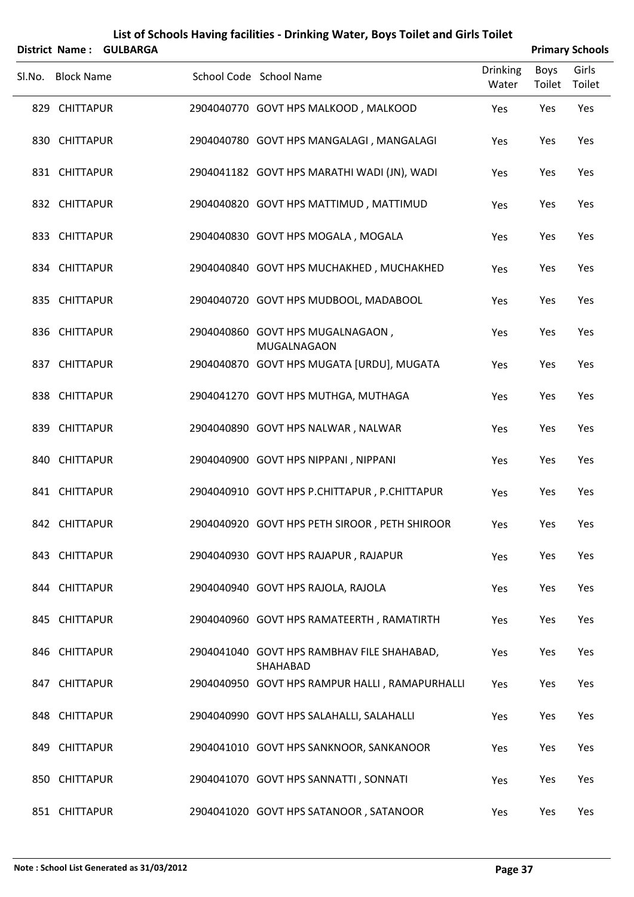|        | District Name:    | <b>GULBARGA</b> |                                                        |                          |                       | <b>Primary Schools</b> |
|--------|-------------------|-----------------|--------------------------------------------------------|--------------------------|-----------------------|------------------------|
| Sl.No. | <b>Block Name</b> |                 | School Code School Name                                | <b>Drinking</b><br>Water | <b>Boys</b><br>Toilet | Girls<br>Toilet        |
|        | 829 CHITTAPUR     |                 | 2904040770 GOVT HPS MALKOOD, MALKOOD                   | Yes                      | Yes                   | Yes                    |
|        | 830 CHITTAPUR     |                 | 2904040780 GOVT HPS MANGALAGI, MANGALAGI               | Yes                      | Yes                   | Yes                    |
|        | 831 CHITTAPUR     |                 | 2904041182 GOVT HPS MARATHI WADI (JN), WADI            | Yes                      | Yes                   | Yes                    |
|        | 832 CHITTAPUR     |                 | 2904040820 GOVT HPS MATTIMUD, MATTIMUD                 | Yes                      | Yes                   | Yes                    |
|        | 833 CHITTAPUR     |                 | 2904040830 GOVT HPS MOGALA, MOGALA                     | Yes                      | Yes                   | Yes                    |
|        | 834 CHITTAPUR     |                 | 2904040840 GOVT HPS MUCHAKHED, MUCHAKHED               | Yes                      | Yes                   | Yes                    |
|        | 835 CHITTAPUR     |                 | 2904040720 GOVT HPS MUDBOOL, MADABOOL                  | Yes                      | Yes                   | Yes                    |
|        | 836 CHITTAPUR     |                 | 2904040860 GOVT HPS MUGALNAGAON,<br>MUGALNAGAON        | Yes                      | Yes                   | Yes                    |
|        | 837 CHITTAPUR     |                 | 2904040870 GOVT HPS MUGATA [URDU], MUGATA              | Yes                      | Yes                   | Yes                    |
|        | 838 CHITTAPUR     |                 | 2904041270 GOVT HPS MUTHGA, MUTHAGA                    | Yes                      | Yes                   | Yes                    |
|        | 839 CHITTAPUR     |                 | 2904040890 GOVT HPS NALWAR, NALWAR                     | Yes                      | Yes                   | Yes                    |
|        | 840 CHITTAPUR     |                 | 2904040900 GOVT HPS NIPPANI, NIPPANI                   | Yes                      | Yes                   | Yes                    |
|        | 841 CHITTAPUR     |                 | 2904040910 GOVT HPS P.CHITTAPUR, P.CHITTAPUR           | Yes                      | Yes                   | Yes                    |
|        | 842 CHITTAPUR     |                 | 2904040920 GOVT HPS PETH SIROOR, PETH SHIROOR          | Yes                      | Yes                   | Yes                    |
|        | 843 CHITTAPUR     |                 | 2904040930 GOVT HPS RAJAPUR, RAJAPUR                   | Yes                      | Yes                   | Yes                    |
|        | 844 CHITTAPUR     |                 | 2904040940 GOVT HPS RAJOLA, RAJOLA                     | Yes                      | Yes                   | Yes                    |
|        | 845 CHITTAPUR     |                 | 2904040960 GOVT HPS RAMATEERTH, RAMATIRTH              | Yes                      | Yes                   | Yes                    |
|        | 846 CHITTAPUR     |                 | 2904041040 GOVT HPS RAMBHAV FILE SHAHABAD,<br>SHAHABAD | Yes                      | Yes                   | Yes                    |
|        | 847 CHITTAPUR     |                 | 2904040950 GOVT HPS RAMPUR HALLI, RAMAPURHALLI         | Yes                      | Yes                   | Yes                    |
|        | 848 CHITTAPUR     |                 | 2904040990 GOVT HPS SALAHALLI, SALAHALLI               | Yes                      | Yes                   | Yes                    |
|        | 849 CHITTAPUR     |                 | 2904041010 GOVT HPS SANKNOOR, SANKANOOR                | Yes                      | Yes                   | Yes                    |
|        | 850 CHITTAPUR     |                 | 2904041070 GOVT HPS SANNATTI, SONNATI                  | Yes                      | Yes                   | Yes                    |
|        | 851 CHITTAPUR     |                 | 2904041020 GOVT HPS SATANOOR, SATANOOR                 | Yes                      | Yes                   | Yes                    |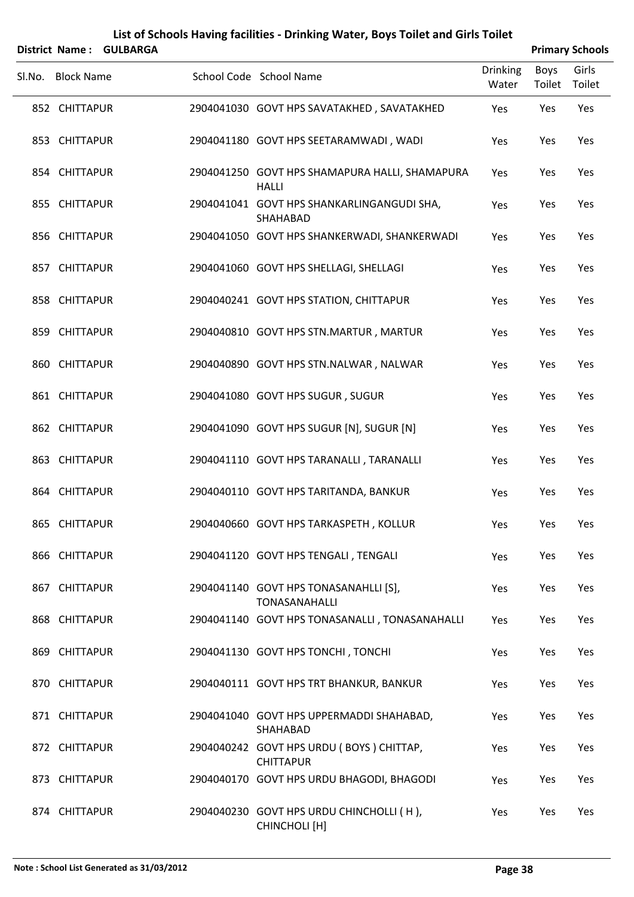| District Name:    | <b>GULBARGA</b> | List of Schools Having facilities - Drinking Water, Boys Toilet and Girls Toilet |                          |                | <b>Primary Schools</b> |
|-------------------|-----------------|----------------------------------------------------------------------------------|--------------------------|----------------|------------------------|
| Sl.No. Block Name |                 | School Code School Name                                                          | <b>Drinking</b><br>Water | Boys<br>Toilet | Girls<br>Toilet        |
| 852 CHITTAPUR     |                 | 2904041030 GOVT HPS SAVATAKHED, SAVATAKHED                                       | Yes                      | Yes            | Yes                    |
| 853 CHITTAPUR     |                 | 2904041180 GOVT HPS SEETARAMWADI, WADI                                           | Yes                      | Yes            | Yes                    |
| 854 CHITTAPUR     |                 | 2904041250 GOVT HPS SHAMAPURA HALLI, SHAMAPURA<br><b>HALLI</b>                   | Yes                      | Yes            | Yes                    |
| 855 CHITTAPUR     |                 | 2904041041 GOVT HPS SHANKARLINGANGUDI SHA,<br>SHAHABAD                           | Yes                      | Yes            | Yes                    |
| 856 CHITTAPUR     |                 | 2904041050 GOVT HPS SHANKERWADI, SHANKERWADI                                     | Yes                      | Yes            | Yes                    |
| 857 CHITTAPUR     |                 | 2904041060 GOVT HPS SHELLAGI, SHELLAGI                                           | Yes                      | Yes            | Yes                    |
| 858 CHITTAPUR     |                 | 2904040241 GOVT HPS STATION, CHITTAPUR                                           | Yes                      | Yes            | Yes                    |
| 859 CHITTAPUR     |                 | 2904040810 GOVT HPS STN.MARTUR, MARTUR                                           | Yes                      | Yes            | Yes                    |
| 860 CHITTAPUR     |                 | 2904040890 GOVT HPS STN.NALWAR, NALWAR                                           | Yes                      | Yes            | Yes                    |
| 861 CHITTAPUR     |                 | 2904041080 GOVT HPS SUGUR, SUGUR                                                 | Yes                      | Yes            | Yes                    |
| 862 CHITTAPUR     |                 | 2904041090 GOVT HPS SUGUR [N], SUGUR [N]                                         | Yes                      | Yes            | Yes                    |
| 863 CHITTAPUR     |                 | 2904041110 GOVT HPS TARANALLI, TARANALLI                                         | Yes                      | Yes            | Yes                    |
| 864 CHITTAPUR     |                 | 2904040110 GOVT HPS TARITANDA, BANKUR                                            | Yes                      | Yes            | Yes                    |
| 865 CHITTAPUR     |                 | 2904040660 GOVT HPS TARKASPETH, KOLLUR                                           | Yes                      | Yes            | Yes                    |
| 866 CHITTAPUR     |                 | 2904041120 GOVT HPS TENGALI, TENGALI                                             | Yes                      | Yes            | Yes                    |
| 867 CHITTAPUR     |                 | 2904041140 GOVT HPS TONASANAHLLI [S],<br><b>TONASANAHALLI</b>                    | Yes                      | Yes            | Yes                    |
| 868 CHITTAPUR     |                 | 2904041140 GOVT HPS TONASANALLI, TONASANAHALLI                                   | Yes                      | Yes            | Yes                    |
| 869 CHITTAPUR     |                 | 2904041130 GOVT HPS TONCHI, TONCHI                                               | Yes                      | Yes            | Yes                    |
| 870 CHITTAPUR     |                 | 2904040111 GOVT HPS TRT BHANKUR, BANKUR                                          | Yes                      | Yes            | Yes                    |
| 871 CHITTAPUR     |                 | 2904041040 GOVT HPS UPPERMADDI SHAHABAD,<br>SHAHABAD                             | Yes                      | Yes            | Yes                    |
| 872 CHITTAPUR     |                 | 2904040242 GOVT HPS URDU (BOYS) CHITTAP,<br><b>CHITTAPUR</b>                     | Yes                      | Yes            | Yes                    |
| 873 CHITTAPUR     |                 | 2904040170 GOVT HPS URDU BHAGODI, BHAGODI                                        | Yes                      | Yes            | Yes                    |
| 874 CHITTAPUR     |                 | 2904040230 GOVT HPS URDU CHINCHOLLI (H),<br>CHINCHOLI [H]                        | Yes                      | Yes            | Yes                    |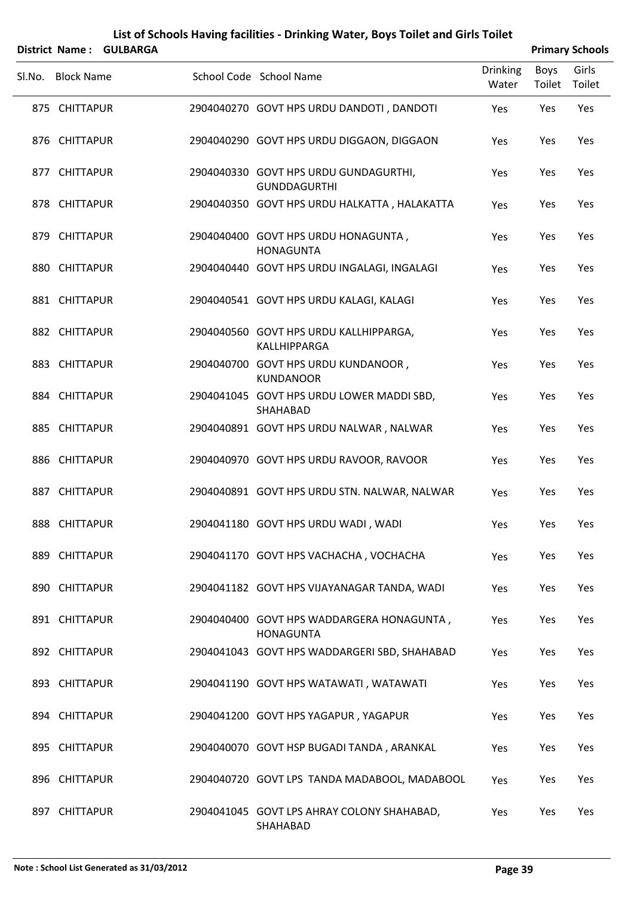|        | <b>District Name:</b> | <b>GULBARGA</b> | List of Schools Having facilities - Drinking Water, Boys Toilet and Girls Toilet |                          |                | <b>Primary Schools</b> |
|--------|-----------------------|-----------------|----------------------------------------------------------------------------------|--------------------------|----------------|------------------------|
| Sl.No. | <b>Block Name</b>     |                 | School Code School Name                                                          | <b>Drinking</b><br>Water | Boys<br>Toilet | Girls<br>Toilet        |
|        | 875 CHITTAPUR         |                 | 2904040270 GOVT HPS URDU DANDOTI, DANDOTI                                        | Yes                      | Yes            | Yes                    |
|        | 876 CHITTAPUR         |                 | 2904040290 GOVT HPS URDU DIGGAON, DIGGAON                                        | Yes                      | Yes            | Yes                    |
|        | 877 CHITTAPUR         |                 | 2904040330 GOVT HPS URDU GUNDAGURTHI,<br><b>GUNDDAGURTHI</b>                     | Yes                      | Yes            | Yes                    |
|        | 878 CHITTAPUR         |                 | 2904040350 GOVT HPS URDU HALKATTA, HALAKATTA                                     | Yes                      | Yes            | Yes                    |
|        | 879 CHITTAPUR         |                 | 2904040400 GOVT HPS URDU HONAGUNTA,<br><b>HONAGUNTA</b>                          | Yes                      | Yes            | Yes                    |
|        | 880 CHITTAPUR         |                 | 2904040440 GOVT HPS URDU INGALAGI, INGALAGI                                      | Yes                      | Yes            | Yes                    |
|        | 881 CHITTAPUR         |                 | 2904040541 GOVT HPS URDU KALAGI, KALAGI                                          | Yes                      | Yes            | Yes                    |
|        | 882 CHITTAPUR         |                 | 2904040560 GOVT HPS URDU KALLHIPPARGA,<br>KALLHIPPARGA                           | Yes                      | Yes            | Yes                    |
|        | 883 CHITTAPUR         |                 | 2904040700 GOVT HPS URDU KUNDANOOR,<br><b>KUNDANOOR</b>                          | Yes                      | Yes            | Yes                    |
|        | 884 CHITTAPUR         |                 | 2904041045 GOVT HPS URDU LOWER MADDI SBD,<br>SHAHABAD                            | Yes                      | Yes            | Yes                    |
|        | 885 CHITTAPUR         |                 | 2904040891 GOVT HPS URDU NALWAR, NALWAR                                          | Yes                      | Yes            | Yes                    |
|        | 886 CHITTAPUR         |                 | 2904040970 GOVT HPS URDU RAVOOR, RAVOOR                                          | Yes                      | Yes            | Yes                    |
|        | 887 CHITTAPUR         |                 | 2904040891 GOVT HPS URDU STN. NALWAR, NALWAR                                     | Yes                      | Yes            | Yes                    |
|        | 888 CHITTAPUR         |                 | 2904041180 GOVT HPS URDU WADI, WADI                                              | Yes                      | Yes            | Yes                    |
|        | 889 CHITTAPUR         |                 | 2904041170 GOVT HPS VACHACHA, VOCHACHA                                           | Yes                      | Yes            | Yes                    |
|        | 890 CHITTAPUR         |                 | 2904041182 GOVT HPS VIJAYANAGAR TANDA, WADI                                      | Yes                      | Yes            | Yes                    |
|        | 891 CHITTAPUR         |                 | 2904040400 GOVT HPS WADDARGERA HONAGUNTA,<br><b>HONAGUNTA</b>                    | Yes                      | Yes            | Yes                    |
|        | 892 CHITTAPUR         |                 | 2904041043 GOVT HPS WADDARGERI SBD, SHAHABAD                                     | Yes                      | Yes            | Yes                    |
|        | 893 CHITTAPUR         |                 | 2904041190 GOVT HPS WATAWATI, WATAWATI                                           | Yes                      | Yes            | Yes                    |
|        | 894 CHITTAPUR         |                 | 2904041200 GOVT HPS YAGAPUR, YAGAPUR                                             | Yes                      | Yes            | Yes                    |
|        | 895 CHITTAPUR         |                 | 2904040070 GOVT HSP BUGADI TANDA, ARANKAL                                        | Yes                      | Yes            | Yes                    |
|        | 896 CHITTAPUR         |                 | 2904040720 GOVT LPS TANDA MADABOOL, MADABOOL                                     | Yes                      | Yes            | Yes                    |
|        | 897 CHITTAPUR         |                 | 2904041045 GOVT LPS AHRAY COLONY SHAHABAD,<br>SHAHABAD                           | Yes                      | Yes            | Yes                    |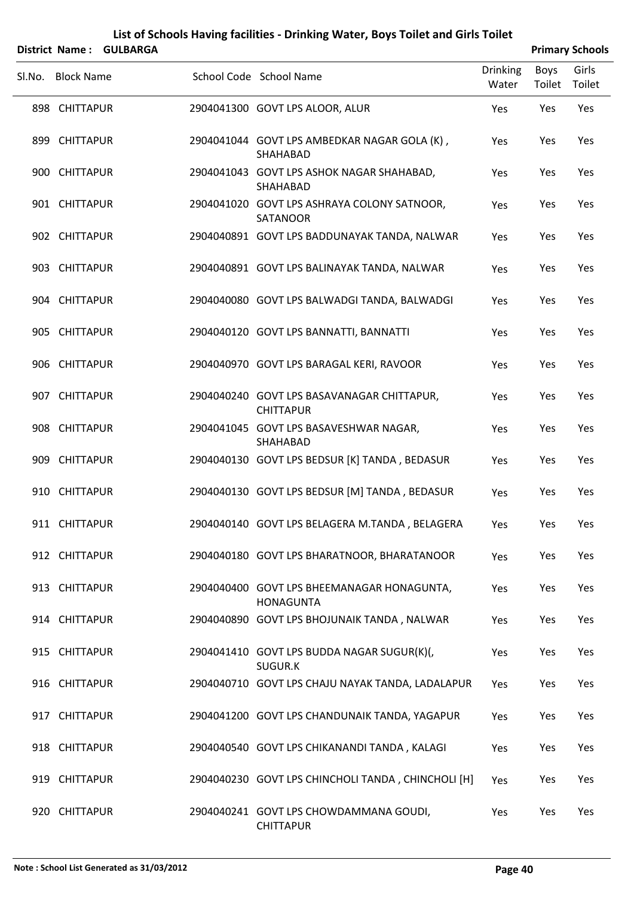| <b>District Name:</b> | <b>GULBARGA</b> | List of Schools Having facilities - Drinking Water, Boys Toilet and Girls Toilet |                          |                       | <b>Primary Schools</b> |
|-----------------------|-----------------|----------------------------------------------------------------------------------|--------------------------|-----------------------|------------------------|
| Sl.No. Block Name     |                 | School Code School Name                                                          | <b>Drinking</b><br>Water | <b>Boys</b><br>Toilet | Girls<br>Toilet        |
| 898 CHITTAPUR         |                 | 2904041300 GOVT LPS ALOOR, ALUR                                                  | Yes                      | Yes                   | Yes                    |
| 899 CHITTAPUR         |                 | 2904041044 GOVT LPS AMBEDKAR NAGAR GOLA (K),<br>SHAHABAD                         | Yes                      | Yes                   | Yes                    |
| 900 CHITTAPUR         |                 | 2904041043 GOVT LPS ASHOK NAGAR SHAHABAD,<br>SHAHABAD                            | Yes                      | Yes                   | Yes                    |
| 901 CHITTAPUR         |                 | 2904041020 GOVT LPS ASHRAYA COLONY SATNOOR,<br>SATANOOR                          | Yes                      | Yes                   | Yes                    |
| 902 CHITTAPUR         |                 | 2904040891 GOVT LPS BADDUNAYAK TANDA, NALWAR                                     | Yes                      | Yes                   | Yes                    |
| 903 CHITTAPUR         |                 | 2904040891 GOVT LPS BALINAYAK TANDA, NALWAR                                      | Yes                      | Yes                   | Yes                    |
| 904 CHITTAPUR         |                 | 2904040080 GOVT LPS BALWADGI TANDA, BALWADGI                                     | Yes                      | Yes                   | Yes                    |
| 905 CHITTAPUR         |                 | 2904040120 GOVT LPS BANNATTI, BANNATTI                                           | Yes                      | Yes                   | Yes                    |
| 906 CHITTAPUR         |                 | 2904040970 GOVT LPS BARAGAL KERI, RAVOOR                                         | Yes                      | Yes                   | Yes                    |
| 907 CHITTAPUR         |                 | 2904040240 GOVT LPS BASAVANAGAR CHITTAPUR,<br><b>CHITTAPUR</b>                   | Yes                      | Yes                   | Yes                    |
| 908 CHITTAPUR         |                 | 2904041045 GOVT LPS BASAVESHWAR NAGAR,<br>SHAHABAD                               | Yes                      | Yes                   | Yes                    |
| 909 CHITTAPUR         |                 | 2904040130 GOVT LPS BEDSUR [K] TANDA, BEDASUR                                    | Yes                      | Yes                   | Yes                    |
| 910 CHITTAPUR         |                 | 2904040130 GOVT LPS BEDSUR [M] TANDA, BEDASUR                                    | Yes                      | Yes                   | Yes                    |
| 911 CHITTAPUR         |                 | 2904040140 GOVT LPS BELAGERA M.TANDA, BELAGERA                                   | Yes                      | Yes                   | Yes                    |
| 912 CHITTAPUR         |                 | 2904040180 GOVT LPS BHARATNOOR, BHARATANOOR                                      | Yes                      | Yes                   | Yes                    |
| 913 CHITTAPUR         |                 | 2904040400 GOVT LPS BHEEMANAGAR HONAGUNTA,<br><b>HONAGUNTA</b>                   | Yes                      | Yes                   | Yes                    |
| 914 CHITTAPUR         |                 | 2904040890 GOVT LPS BHOJUNAIK TANDA, NALWAR                                      | Yes                      | Yes                   | Yes                    |
| 915 CHITTAPUR         |                 | 2904041410 GOVT LPS BUDDA NAGAR SUGUR(K)(,<br>SUGUR.K                            | Yes                      | Yes                   | Yes                    |
| 916 CHITTAPUR         |                 | 2904040710 GOVT LPS CHAJU NAYAK TANDA, LADALAPUR                                 | Yes                      | Yes                   | Yes                    |
| 917 CHITTAPUR         |                 | 2904041200 GOVT LPS CHANDUNAIK TANDA, YAGAPUR                                    | Yes                      | Yes                   | Yes                    |
| 918 CHITTAPUR         |                 | 2904040540 GOVT LPS CHIKANANDI TANDA, KALAGI                                     | Yes                      | Yes                   | Yes                    |
| 919 CHITTAPUR         |                 | 2904040230 GOVT LPS CHINCHOLI TANDA, CHINCHOLI [H]                               | Yes                      | Yes                   | Yes                    |
| 920 CHITTAPUR         |                 | 2904040241 GOVT LPS CHOWDAMMANA GOUDI,<br><b>CHITTAPUR</b>                       | Yes                      | Yes                   | Yes                    |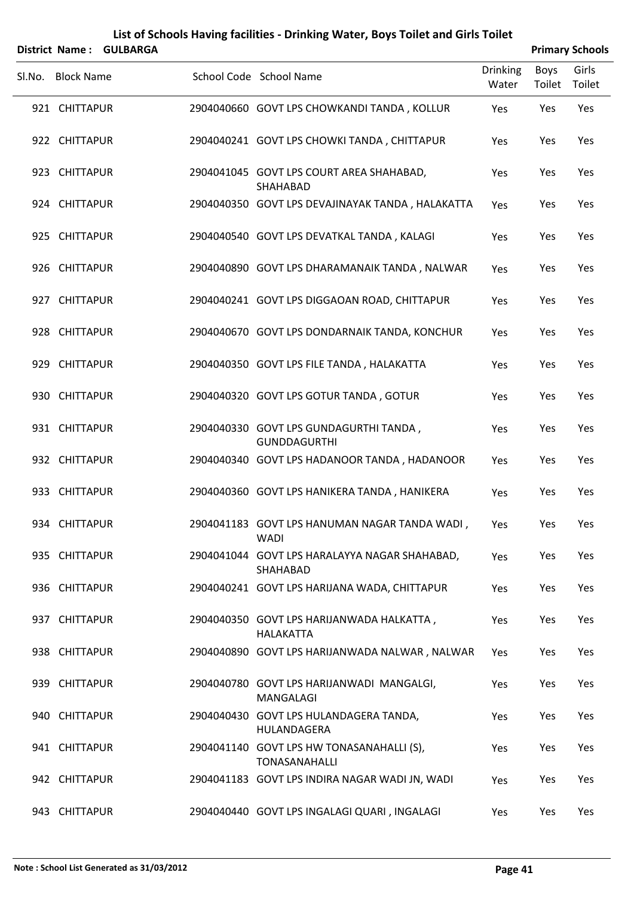|        | <b>District Name:</b> | <b>GULBARGA</b> |                                                               |                          |                | <b>Primary Schools</b> |
|--------|-----------------------|-----------------|---------------------------------------------------------------|--------------------------|----------------|------------------------|
| Sl.No. | <b>Block Name</b>     |                 | School Code School Name                                       | <b>Drinking</b><br>Water | Boys<br>Toilet | Girls<br>Toilet        |
|        | 921 CHITTAPUR         |                 | 2904040660 GOVT LPS CHOWKANDI TANDA, KOLLUR                   | Yes                      | Yes            | Yes                    |
|        | 922 CHITTAPUR         |                 | 2904040241 GOVT LPS CHOWKI TANDA, CHITTAPUR                   | Yes                      | Yes            | Yes                    |
|        | 923 CHITTAPUR         |                 | 2904041045 GOVT LPS COURT AREA SHAHABAD,<br>SHAHABAD          | Yes                      | Yes            | Yes                    |
|        | 924 CHITTAPUR         |                 | 2904040350 GOVT LPS DEVAJINAYAK TANDA, HALAKATTA              | Yes                      | Yes            | Yes                    |
|        | 925 CHITTAPUR         |                 | 2904040540 GOVT LPS DEVATKAL TANDA, KALAGI                    | Yes                      | Yes            | Yes                    |
|        | 926 CHITTAPUR         |                 | 2904040890 GOVT LPS DHARAMANAIK TANDA, NALWAR                 | Yes                      | Yes            | Yes                    |
|        | 927 CHITTAPUR         |                 | 2904040241 GOVT LPS DIGGAOAN ROAD, CHITTAPUR                  | Yes                      | Yes            | Yes                    |
|        | 928 CHITTAPUR         |                 | 2904040670 GOVT LPS DONDARNAIK TANDA, KONCHUR                 | Yes                      | Yes            | Yes                    |
|        | 929 CHITTAPUR         |                 | 2904040350 GOVT LPS FILE TANDA, HALAKATTA                     | Yes                      | Yes            | Yes                    |
|        | 930 CHITTAPUR         |                 | 2904040320 GOVT LPS GOTUR TANDA, GOTUR                        | Yes                      | Yes            | Yes                    |
|        | 931 CHITTAPUR         |                 | 2904040330 GOVT LPS GUNDAGURTHI TANDA,<br><b>GUNDDAGURTHI</b> | Yes                      | Yes            | Yes                    |
|        | 932 CHITTAPUR         |                 | 2904040340 GOVT LPS HADANOOR TANDA, HADANOOR                  | Yes                      | Yes            | Yes                    |
|        | 933 CHITTAPUR         |                 | 2904040360 GOVT LPS HANIKERA TANDA, HANIKERA                  | Yes                      | Yes            | Yes                    |
|        | 934 CHITTAPUR         |                 | 2904041183 GOVT LPS HANUMAN NAGAR TANDA WADI,<br><b>WADI</b>  | Yes                      | Yes            | Yes                    |
|        | 935 CHITTAPUR         |                 | 2904041044 GOVT LPS HARALAYYA NAGAR SHAHABAD,<br>SHAHABAD     | Yes                      | Yes            | Yes                    |
|        | 936 CHITTAPUR         |                 | 2904040241 GOVT LPS HARIJANA WADA, CHITTAPUR                  | Yes                      | Yes            | Yes                    |
|        | 937 CHITTAPUR         |                 | 2904040350 GOVT LPS HARIJANWADA HALKATTA,<br><b>HALAKATTA</b> | Yes                      | Yes            | Yes                    |
|        | 938 CHITTAPUR         |                 | 2904040890 GOVT LPS HARIJANWADA NALWAR, NALWAR                | Yes                      | Yes            | Yes                    |
|        | 939 CHITTAPUR         |                 | 2904040780 GOVT LPS HARIJANWADI MANGALGI,<br>MANGALAGI        | Yes                      | Yes            | Yes                    |
|        | 940 CHITTAPUR         |                 | 2904040430 GOVT LPS HULANDAGERA TANDA,<br>HULANDAGERA         | Yes                      | Yes            | Yes                    |
|        | 941 CHITTAPUR         |                 | 2904041140 GOVT LPS HW TONASANAHALLI (S),<br>TONASANAHALLI    | Yes                      | Yes            | Yes                    |
|        | 942 CHITTAPUR         |                 | 2904041183 GOVT LPS INDIRA NAGAR WADI JN, WADI                | Yes                      | Yes            | Yes                    |
|        | 943 CHITTAPUR         |                 | 2904040440 GOVT LPS INGALAGI QUARI, INGALAGI                  | Yes                      | Yes            | Yes                    |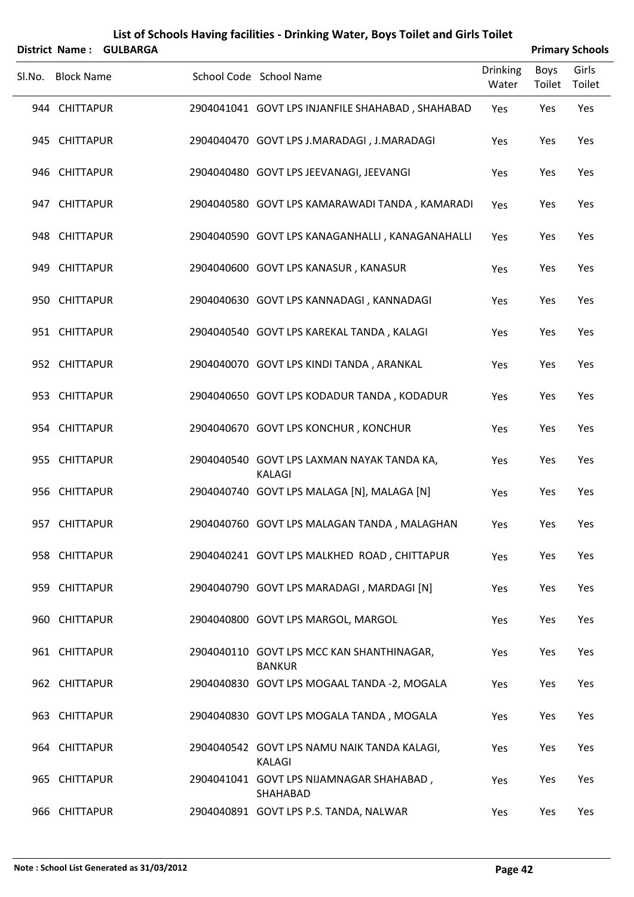|        |                   | District Name: GULBARGA |                                                            |                          |                       | <b>Primary Schools</b> |
|--------|-------------------|-------------------------|------------------------------------------------------------|--------------------------|-----------------------|------------------------|
| Sl.No. | <b>Block Name</b> |                         | School Code School Name                                    | <b>Drinking</b><br>Water | <b>Boys</b><br>Toilet | Girls<br>Toilet        |
|        | 944 CHITTAPUR     |                         | 2904041041 GOVT LPS INJANFILE SHAHABAD, SHAHABAD           | Yes                      | Yes                   | Yes                    |
|        | 945 CHITTAPUR     |                         | 2904040470 GOVT LPS J.MARADAGI, J.MARADAGI                 | Yes                      | Yes                   | Yes                    |
|        | 946 CHITTAPUR     |                         | 2904040480 GOVT LPS JEEVANAGI, JEEVANGI                    | Yes                      | Yes                   | Yes                    |
|        | 947 CHITTAPUR     |                         | 2904040580 GOVT LPS KAMARAWADI TANDA, KAMARADI             | Yes                      | Yes                   | Yes                    |
|        | 948 CHITTAPUR     |                         | 2904040590 GOVT LPS KANAGANHALLI, KANAGANAHALLI            | Yes                      | Yes                   | Yes                    |
|        | 949 CHITTAPUR     |                         | 2904040600 GOVT LPS KANASUR, KANASUR                       | Yes                      | Yes                   | Yes                    |
|        | 950 CHITTAPUR     |                         | 2904040630 GOVT LPS KANNADAGI, KANNADAGI                   | Yes                      | Yes                   | Yes                    |
|        | 951 CHITTAPUR     |                         | 2904040540 GOVT LPS KAREKAL TANDA, KALAGI                  | Yes                      | Yes                   | Yes                    |
|        | 952 CHITTAPUR     |                         | 2904040070 GOVT LPS KINDI TANDA, ARANKAL                   | Yes                      | Yes                   | Yes                    |
|        | 953 CHITTAPUR     |                         | 2904040650 GOVT LPS KODADUR TANDA, KODADUR                 | Yes                      | Yes                   | Yes                    |
|        | 954 CHITTAPUR     |                         | 2904040670 GOVT LPS KONCHUR, KONCHUR                       | Yes                      | Yes                   | Yes                    |
|        | 955 CHITTAPUR     |                         | 2904040540 GOVT LPS LAXMAN NAYAK TANDA KA,<br>KALAGI       | Yes                      | Yes                   | Yes                    |
|        | 956 CHITTAPUR     |                         | 2904040740 GOVT LPS MALAGA [N], MALAGA [N]                 | Yes                      | Yes                   | Yes                    |
|        | 957 CHITTAPUR     |                         | 2904040760 GOVT LPS MALAGAN TANDA, MALAGHAN                | Yes                      | Yes                   | Yes                    |
|        | 958 CHITTAPUR     |                         | 2904040241 GOVT LPS MALKHED ROAD, CHITTAPUR                | Yes                      | Yes                   | Yes                    |
|        | 959 CHITTAPUR     |                         | 2904040790 GOVT LPS MARADAGI, MARDAGI [N]                  | Yes                      | Yes                   | Yes                    |
|        | 960 CHITTAPUR     |                         | 2904040800 GOVT LPS MARGOL, MARGOL                         | Yes                      | Yes                   | Yes                    |
|        | 961 CHITTAPUR     |                         | 2904040110 GOVT LPS MCC KAN SHANTHINAGAR,<br><b>BANKUR</b> | Yes                      | Yes                   | Yes                    |
|        | 962 CHITTAPUR     |                         | 2904040830 GOVT LPS MOGAAL TANDA -2, MOGALA                | Yes                      | Yes                   | Yes                    |
|        | 963 CHITTAPUR     |                         | 2904040830 GOVT LPS MOGALA TANDA, MOGALA                   | Yes                      | Yes                   | Yes                    |
|        | 964 CHITTAPUR     |                         | 2904040542 GOVT LPS NAMU NAIK TANDA KALAGI,<br>KALAGI      | Yes                      | Yes                   | Yes                    |
|        | 965 CHITTAPUR     |                         | 2904041041 GOVT LPS NIJAMNAGAR SHAHABAD,<br>SHAHABAD       | Yes                      | Yes                   | Yes                    |
|        | 966 CHITTAPUR     |                         | 2904040891 GOVT LPS P.S. TANDA, NALWAR                     | Yes                      | Yes                   | Yes                    |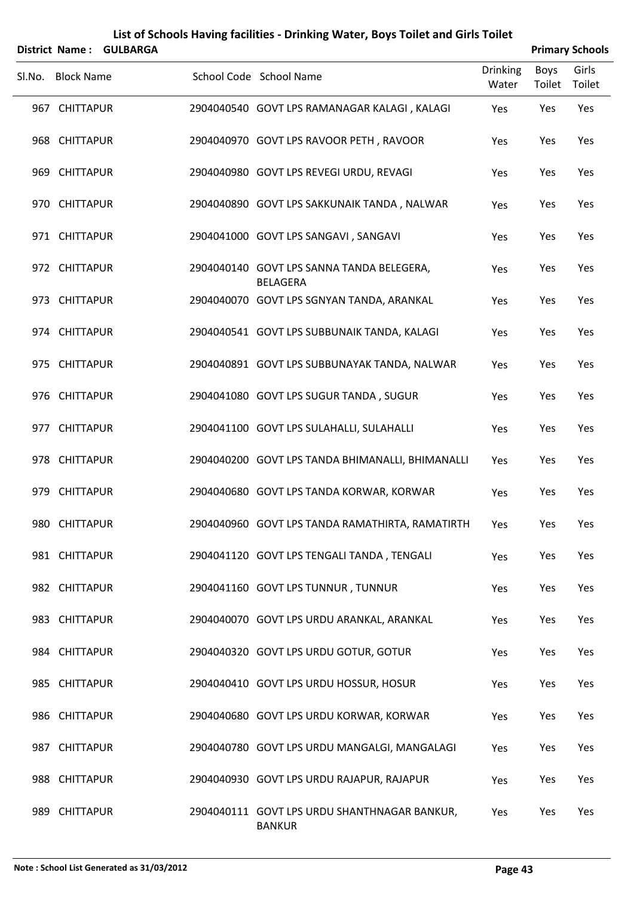|        | <b>District Name:</b> | <b>GULBARGA</b> | List of Schools Having facilities - Drinking Water, Boys Toilet and Girls Toilet |                          |                       | <b>Primary Schools</b> |
|--------|-----------------------|-----------------|----------------------------------------------------------------------------------|--------------------------|-----------------------|------------------------|
| Sl.No. | <b>Block Name</b>     |                 | School Code School Name                                                          | <b>Drinking</b><br>Water | <b>Boys</b><br>Toilet | Girls<br>Toilet        |
|        | 967 CHITTAPUR         |                 | 2904040540 GOVT LPS RAMANAGAR KALAGI, KALAGI                                     | Yes                      | Yes                   | Yes                    |
|        | 968 CHITTAPUR         |                 | 2904040970 GOVT LPS RAVOOR PETH, RAVOOR                                          | Yes                      | Yes                   | Yes                    |
|        | 969 CHITTAPUR         |                 | 2904040980 GOVT LPS REVEGI URDU, REVAGI                                          | Yes                      | Yes                   | Yes                    |
|        | 970 CHITTAPUR         |                 | 2904040890 GOVT LPS SAKKUNAIK TANDA, NALWAR                                      | Yes                      | Yes                   | Yes                    |
|        | 971 CHITTAPUR         |                 | 2904041000 GOVT LPS SANGAVI, SANGAVI                                             | Yes                      | Yes                   | Yes                    |
|        | 972 CHITTAPUR         |                 | 2904040140 GOVT LPS SANNA TANDA BELEGERA,<br><b>BELAGERA</b>                     | Yes                      | Yes                   | Yes                    |
|        | 973 CHITTAPUR         |                 | 2904040070 GOVT LPS SGNYAN TANDA, ARANKAL                                        | Yes                      | Yes                   | Yes                    |
|        | 974 CHITTAPUR         |                 | 2904040541 GOVT LPS SUBBUNAIK TANDA, KALAGI                                      | Yes                      | Yes                   | Yes                    |
|        | 975 CHITTAPUR         |                 | 2904040891 GOVT LPS SUBBUNAYAK TANDA, NALWAR                                     | Yes                      | Yes                   | Yes                    |
|        | 976 CHITTAPUR         |                 | 2904041080 GOVT LPS SUGUR TANDA, SUGUR                                           | Yes                      | Yes                   | Yes                    |
|        | 977 CHITTAPUR         |                 | 2904041100 GOVT LPS SULAHALLI, SULAHALLI                                         | Yes                      | Yes                   | Yes                    |
|        | 978 CHITTAPUR         |                 | 2904040200 GOVT LPS TANDA BHIMANALLI, BHIMANALLI                                 | Yes                      | Yes                   | Yes                    |
|        | 979 CHITTAPUR         |                 | 2904040680 GOVT LPS TANDA KORWAR, KORWAR                                         | Yes                      | Yes                   | Yes                    |
|        | 980 CHITTAPUR         |                 | 2904040960 GOVT LPS TANDA RAMATHIRTA, RAMATIRTH                                  | Yes                      | Yes                   | Yes                    |
|        | 981 CHITTAPUR         |                 | 2904041120 GOVT LPS TENGALI TANDA, TENGALI                                       | Yes                      | Yes                   | Yes                    |
|        | 982 CHITTAPUR         |                 | 2904041160 GOVT LPS TUNNUR, TUNNUR                                               | Yes                      | Yes                   | Yes                    |
|        | 983 CHITTAPUR         |                 | 2904040070 GOVT LPS URDU ARANKAL, ARANKAL                                        | Yes                      | Yes                   | Yes                    |
|        | 984 CHITTAPUR         |                 | 2904040320 GOVT LPS URDU GOTUR, GOTUR                                            | Yes                      | Yes                   | Yes                    |
|        | 985 CHITTAPUR         |                 | 2904040410 GOVT LPS URDU HOSSUR, HOSUR                                           | Yes                      | Yes                   | Yes                    |
|        | 986 CHITTAPUR         |                 | 2904040680 GOVT LPS URDU KORWAR, KORWAR                                          | Yes                      | Yes                   | Yes                    |
|        | 987 CHITTAPUR         |                 | 2904040780 GOVT LPS URDU MANGALGI, MANGALAGI                                     | Yes                      | Yes                   | Yes                    |
|        | 988 CHITTAPUR         |                 | 2904040930 GOVT LPS URDU RAJAPUR, RAJAPUR                                        | Yes                      | Yes                   | Yes                    |
|        | 989 CHITTAPUR         |                 | 2904040111 GOVT LPS URDU SHANTHNAGAR BANKUR,<br><b>BANKUR</b>                    | Yes                      | Yes                   | Yes                    |

#### **Note : School List Generated as 31/03/2012 Page 43**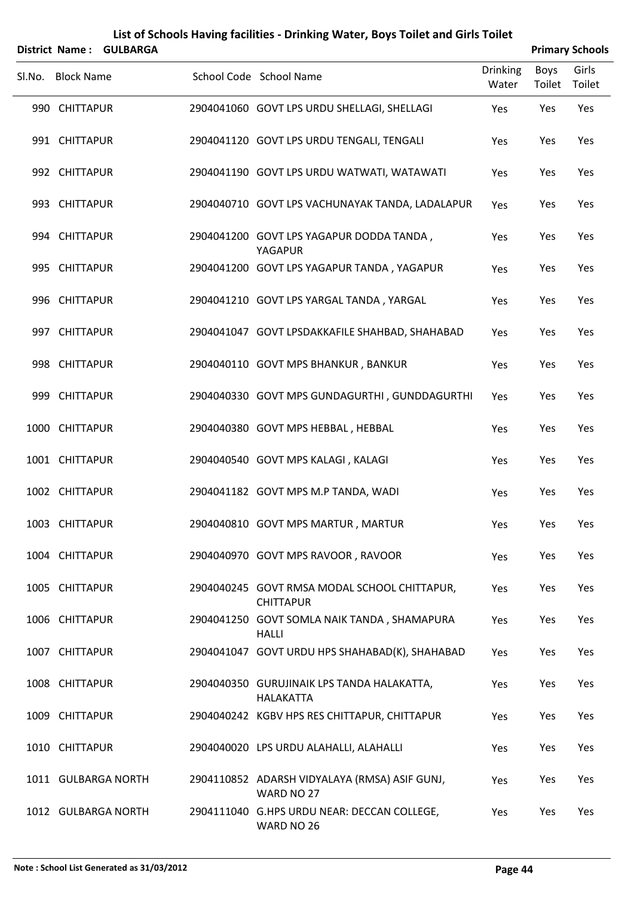|        | List of Schools Having facilities - Drinking Water, Boys Toilet and Girls Toilet |                 |  |                                                                  |                          |                       |                        |  |  |  |  |
|--------|----------------------------------------------------------------------------------|-----------------|--|------------------------------------------------------------------|--------------------------|-----------------------|------------------------|--|--|--|--|
|        | <b>District Name:</b>                                                            | <b>GULBARGA</b> |  |                                                                  |                          |                       | <b>Primary Schools</b> |  |  |  |  |
| Sl.No. | <b>Block Name</b>                                                                |                 |  | School Code School Name                                          | <b>Drinking</b><br>Water | <b>Boys</b><br>Toilet | Girls<br>Toilet        |  |  |  |  |
|        | 990 CHITTAPUR                                                                    |                 |  | 2904041060 GOVT LPS URDU SHELLAGI, SHELLAGI                      | Yes                      | Yes                   | Yes                    |  |  |  |  |
|        | 991 CHITTAPUR                                                                    |                 |  | 2904041120 GOVT LPS URDU TENGALI, TENGALI                        | Yes                      | Yes                   | Yes                    |  |  |  |  |
|        | 992 CHITTAPUR                                                                    |                 |  | 2904041190 GOVT LPS URDU WATWATI, WATAWATI                       | Yes                      | Yes                   | Yes                    |  |  |  |  |
|        | 993 CHITTAPUR                                                                    |                 |  | 2904040710 GOVT LPS VACHUNAYAK TANDA, LADALAPUR                  | Yes                      | Yes                   | Yes                    |  |  |  |  |
|        | 994 CHITTAPUR                                                                    |                 |  | 2904041200 GOVT LPS YAGAPUR DODDA TANDA,<br>YAGAPUR              | Yes                      | Yes                   | Yes                    |  |  |  |  |
|        | 995 CHITTAPUR                                                                    |                 |  | 2904041200 GOVT LPS YAGAPUR TANDA, YAGAPUR                       | Yes                      | Yes                   | Yes                    |  |  |  |  |
|        | 996 CHITTAPUR                                                                    |                 |  | 2904041210 GOVT LPS YARGAL TANDA, YARGAL                         | Yes                      | Yes                   | Yes                    |  |  |  |  |
|        | 997 CHITTAPUR                                                                    |                 |  | 2904041047 GOVT LPSDAKKAFILE SHAHBAD, SHAHABAD                   | Yes                      | Yes                   | Yes                    |  |  |  |  |
|        | 998 CHITTAPUR                                                                    |                 |  | 2904040110 GOVT MPS BHANKUR, BANKUR                              | Yes                      | Yes                   | Yes                    |  |  |  |  |
|        | 999 CHITTAPUR                                                                    |                 |  | 2904040330 GOVT MPS GUNDAGURTHI, GUNDDAGURTHI                    | Yes                      | Yes                   | Yes                    |  |  |  |  |
|        | 1000 CHITTAPUR                                                                   |                 |  | 2904040380 GOVT MPS HEBBAL, HEBBAL                               | Yes                      | Yes                   | Yes                    |  |  |  |  |
|        | 1001 CHITTAPUR                                                                   |                 |  | 2904040540 GOVT MPS KALAGI, KALAGI                               | Yes                      | Yes                   | Yes                    |  |  |  |  |
|        | 1002 CHITTAPUR                                                                   |                 |  | 2904041182 GOVT MPS M.P TANDA, WADI                              | Yes                      | Yes                   | Yes                    |  |  |  |  |
|        | 1003 CHITTAPUR                                                                   |                 |  | 2904040810 GOVT MPS MARTUR, MARTUR                               | Yes                      | Yes                   | <b>Yes</b>             |  |  |  |  |
|        | 1004 CHITTAPUR                                                                   |                 |  | 2904040970 GOVT MPS RAVOOR, RAVOOR                               | Yes                      | Yes                   | Yes                    |  |  |  |  |
|        | 1005 CHITTAPUR                                                                   |                 |  | 2904040245 GOVT RMSA MODAL SCHOOL CHITTAPUR,<br><b>CHITTAPUR</b> | Yes                      | Yes                   | Yes                    |  |  |  |  |
|        | 1006 CHITTAPUR                                                                   |                 |  | 2904041250 GOVT SOMLA NAIK TANDA, SHAMAPURA<br><b>HALLI</b>      | Yes                      | Yes                   | Yes                    |  |  |  |  |
|        | 1007 CHITTAPUR                                                                   |                 |  | 2904041047 GOVT URDU HPS SHAHABAD(K), SHAHABAD                   | Yes                      | Yes                   | Yes                    |  |  |  |  |
|        | 1008 CHITTAPUR                                                                   |                 |  | 2904040350 GURUJINAIK LPS TANDA HALAKATTA,<br><b>HALAKATTA</b>   | Yes                      | Yes                   | Yes                    |  |  |  |  |
|        | 1009 CHITTAPUR                                                                   |                 |  | 2904040242 KGBV HPS RES CHITTAPUR, CHITTAPUR                     | Yes                      | Yes                   | Yes                    |  |  |  |  |
|        | 1010 CHITTAPUR                                                                   |                 |  | 2904040020 LPS URDU ALAHALLI, ALAHALLI                           | Yes                      | Yes                   | Yes                    |  |  |  |  |
|        | 1011 GULBARGA NORTH                                                              |                 |  | 2904110852 ADARSH VIDYALAYA (RMSA) ASIF GUNJ,<br>WARD NO 27      | Yes                      | Yes                   | Yes                    |  |  |  |  |
|        | 1012 GULBARGA NORTH                                                              |                 |  | 2904111040 G.HPS URDU NEAR: DECCAN COLLEGE,<br>WARD NO 26        | Yes                      | Yes                   | Yes                    |  |  |  |  |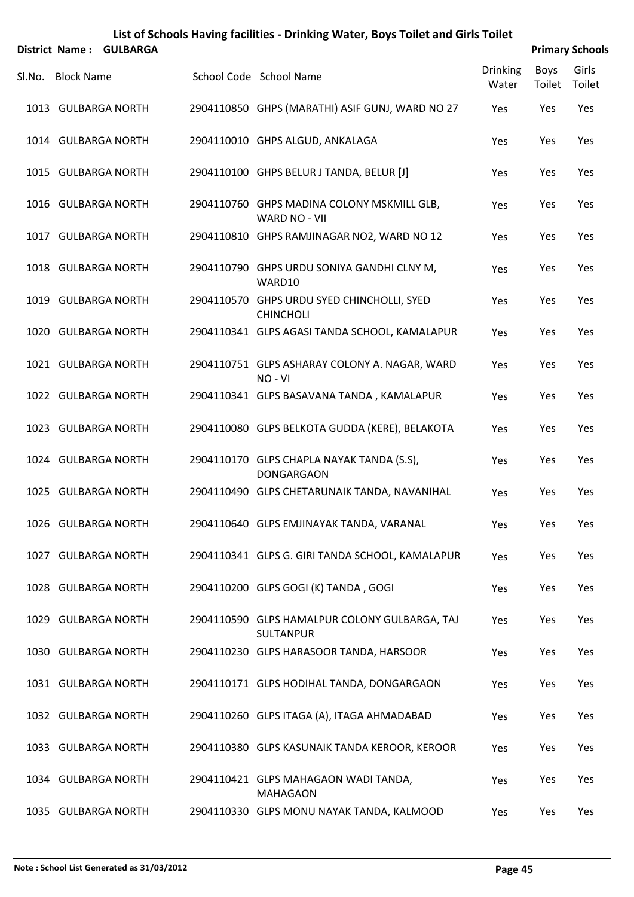|        | District Name: GULBARGA |                                                                    |                          |                | <b>Primary Schools</b> |
|--------|-------------------------|--------------------------------------------------------------------|--------------------------|----------------|------------------------|
| Sl.No. | <b>Block Name</b>       | School Code School Name                                            | <b>Drinking</b><br>Water | Boys<br>Toilet | Girls<br>Toilet        |
|        | 1013 GULBARGA NORTH     | 2904110850 GHPS (MARATHI) ASIF GUNJ, WARD NO 27                    | Yes                      | Yes            | Yes                    |
|        | 1014 GULBARGA NORTH     | 2904110010 GHPS ALGUD, ANKALAGA                                    | Yes                      | Yes            | Yes                    |
|        | 1015 GULBARGA NORTH     | 2904110100 GHPS BELUR J TANDA, BELUR [J]                           | Yes                      | Yes            | Yes                    |
|        | 1016 GULBARGA NORTH     | 2904110760 GHPS MADINA COLONY MSKMILL GLB,<br><b>WARD NO - VII</b> | Yes                      | Yes            | Yes                    |
|        | 1017 GULBARGA NORTH     | 2904110810 GHPS RAMJINAGAR NO2, WARD NO 12                         | Yes                      | Yes            | Yes                    |
|        | 1018 GULBARGA NORTH     | 2904110790 GHPS URDU SONIYA GANDHI CLNY M,<br>WARD10               | Yes                      | Yes            | Yes                    |
|        | 1019 GULBARGA NORTH     | 2904110570 GHPS URDU SYED CHINCHOLLI, SYED<br><b>CHINCHOLI</b>     | Yes                      | Yes            | Yes                    |
|        | 1020 GULBARGA NORTH     | 2904110341 GLPS AGASI TANDA SCHOOL, KAMALAPUR                      | Yes                      | Yes            | Yes                    |
|        | 1021 GULBARGA NORTH     | 2904110751 GLPS ASHARAY COLONY A. NAGAR, WARD<br>NO-VI             | Yes                      | Yes            | Yes                    |
|        | 1022 GULBARGA NORTH     | 2904110341 GLPS BASAVANA TANDA, KAMALAPUR                          | Yes                      | Yes            | Yes                    |
|        | 1023 GULBARGA NORTH     | 2904110080 GLPS BELKOTA GUDDA (KERE), BELAKOTA                     | Yes                      | Yes            | Yes                    |
|        | 1024 GULBARGA NORTH     | 2904110170 GLPS CHAPLA NAYAK TANDA (S.S),<br><b>DONGARGAON</b>     | Yes                      | Yes            | Yes                    |
|        | 1025 GULBARGA NORTH     | 2904110490 GLPS CHETARUNAIK TANDA, NAVANIHAL                       | Yes                      | Yes            | Yes                    |
|        | 1026 GULBARGA NORTH     | 2904110640 GLPS EMJINAYAK TANDA, VARANAL                           | Yes                      | Yes            | Yes                    |
|        | 1027 GULBARGA NORTH     | 2904110341 GLPS G. GIRI TANDA SCHOOL, KAMALAPUR                    | Yes                      | Yes            | Yes                    |
|        | 1028 GULBARGA NORTH     | 2904110200 GLPS GOGI (K) TANDA, GOGI                               | Yes                      | Yes            | Yes                    |
|        | 1029 GULBARGA NORTH     | 2904110590 GLPS HAMALPUR COLONY GULBARGA, TAJ<br><b>SULTANPUR</b>  | Yes                      | Yes            | Yes                    |
|        | 1030 GULBARGA NORTH     | 2904110230 GLPS HARASOOR TANDA, HARSOOR                            | Yes                      | Yes            | Yes                    |
|        | 1031 GULBARGA NORTH     | 2904110171 GLPS HODIHAL TANDA, DONGARGAON                          | Yes                      | Yes            | Yes                    |
|        | 1032 GULBARGA NORTH     | 2904110260 GLPS ITAGA (A), ITAGA AHMADABAD                         | Yes                      | Yes            | Yes                    |
|        | 1033 GULBARGA NORTH     | 2904110380 GLPS KASUNAIK TANDA KEROOR, KEROOR                      | Yes                      | Yes            | Yes                    |
|        | 1034 GULBARGA NORTH     | 2904110421 GLPS MAHAGAON WADI TANDA,<br><b>MAHAGAON</b>            | Yes                      | Yes            | Yes                    |
|        | 1035 GULBARGA NORTH     | 2904110330 GLPS MONU NAYAK TANDA, KALMOOD                          | Yes                      | Yes            | Yes                    |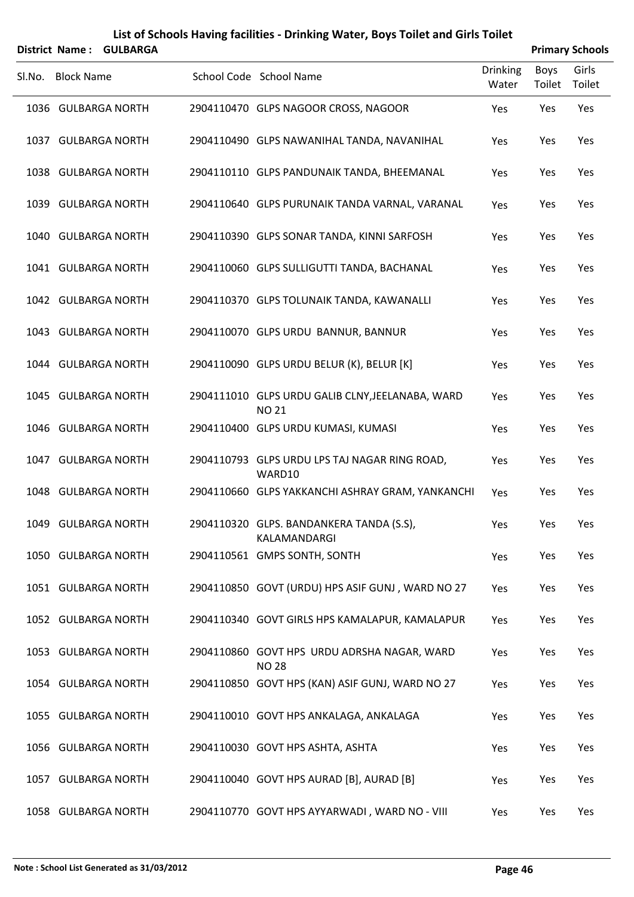|        | District Name: GULBARGA |                                                                  |                          |                | <b>Primary Schools</b> |
|--------|-------------------------|------------------------------------------------------------------|--------------------------|----------------|------------------------|
| SI.No. | <b>Block Name</b>       | School Code School Name                                          | <b>Drinking</b><br>Water | Boys<br>Toilet | Girls<br>Toilet        |
|        | 1036 GULBARGA NORTH     | 2904110470 GLPS NAGOOR CROSS, NAGOOR                             | Yes                      | Yes            | Yes                    |
|        | 1037 GULBARGA NORTH     | 2904110490 GLPS NAWANIHAL TANDA, NAVANIHAL                       | Yes                      | Yes            | Yes                    |
|        | 1038 GULBARGA NORTH     | 2904110110 GLPS PANDUNAIK TANDA, BHEEMANAL                       | Yes                      | Yes            | Yes                    |
|        | 1039 GULBARGA NORTH     | 2904110640 GLPS PURUNAIK TANDA VARNAL, VARANAL                   | Yes                      | Yes            | Yes                    |
|        | 1040 GULBARGA NORTH     | 2904110390 GLPS SONAR TANDA, KINNI SARFOSH                       | Yes                      | Yes            | Yes                    |
|        | 1041 GULBARGA NORTH     | 2904110060 GLPS SULLIGUTTI TANDA, BACHANAL                       | Yes                      | Yes            | Yes                    |
|        | 1042 GULBARGA NORTH     | 2904110370 GLPS TOLUNAIK TANDA, KAWANALLI                        | Yes                      | Yes            | Yes                    |
|        | 1043 GULBARGA NORTH     | 2904110070 GLPS URDU BANNUR, BANNUR                              | Yes                      | Yes            | Yes                    |
|        | 1044 GULBARGA NORTH     | 2904110090 GLPS URDU BELUR (K), BELUR [K]                        | Yes                      | Yes            | Yes                    |
|        | 1045 GULBARGA NORTH     | 2904111010 GLPS URDU GALIB CLNY, JEELANABA, WARD<br><b>NO 21</b> | Yes                      | Yes            | Yes                    |
|        | 1046 GULBARGA NORTH     | 2904110400 GLPS URDU KUMASI, KUMASI                              | Yes                      | Yes            | Yes                    |
|        | 1047 GULBARGA NORTH     | 2904110793 GLPS URDU LPS TAJ NAGAR RING ROAD,<br>WARD10          | Yes                      | Yes            | Yes                    |
|        | 1048 GULBARGA NORTH     | 2904110660 GLPS YAKKANCHI ASHRAY GRAM, YANKANCHI                 | Yes                      | Yes            | Yes                    |
|        | 1049 GULBARGA NORTH     | 2904110320 GLPS. BANDANKERA TANDA (S.S),<br>KALAMANDARGI         | Yes                      | Yes            | Yes                    |
|        | 1050 GULBARGA NORTH     | 2904110561 GMPS SONTH, SONTH                                     | Yes                      | Yes            | Yes                    |
|        | 1051 GULBARGA NORTH     | 2904110850 GOVT (URDU) HPS ASIF GUNJ, WARD NO 27                 | Yes                      | Yes            | Yes                    |
|        | 1052 GULBARGA NORTH     | 2904110340 GOVT GIRLS HPS KAMALAPUR, KAMALAPUR                   | Yes                      | Yes            | Yes                    |
|        | 1053 GULBARGA NORTH     | 2904110860 GOVT HPS URDU ADRSHA NAGAR, WARD<br><b>NO 28</b>      | Yes                      | Yes            | Yes                    |
|        | 1054 GULBARGA NORTH     | 2904110850 GOVT HPS (KAN) ASIF GUNJ, WARD NO 27                  | Yes                      | Yes            | Yes                    |
|        | 1055 GULBARGA NORTH     | 2904110010 GOVT HPS ANKALAGA, ANKALAGA                           | Yes                      | Yes            | Yes                    |
|        | 1056 GULBARGA NORTH     | 2904110030 GOVT HPS ASHTA, ASHTA                                 | Yes                      | Yes            | Yes                    |
|        | 1057 GULBARGA NORTH     | 2904110040 GOVT HPS AURAD [B], AURAD [B]                         | Yes                      | Yes            | Yes                    |
|        | 1058 GULBARGA NORTH     | 2904110770 GOVT HPS AYYARWADI, WARD NO - VIII                    | Yes                      | Yes            | Yes                    |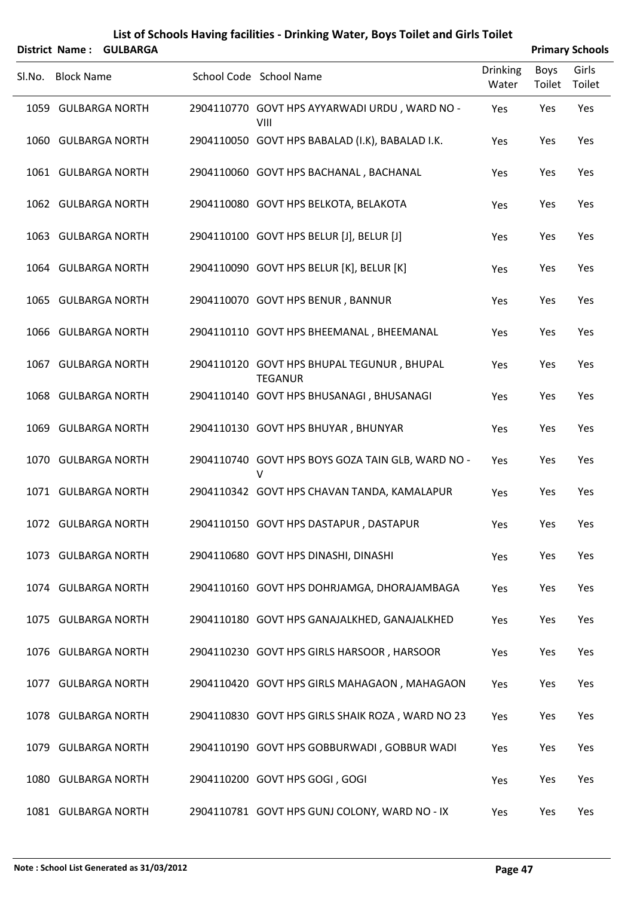| District Name: GULBARGA |                                                              |                          |                | <b>Primary Schools</b> |
|-------------------------|--------------------------------------------------------------|--------------------------|----------------|------------------------|
| Sl.No. Block Name       | School Code School Name                                      | <b>Drinking</b><br>Water | Boys<br>Toilet | Girls<br>Toilet        |
| 1059 GULBARGA NORTH     | 2904110770 GOVT HPS AYYARWADI URDU, WARD NO -<br>VIII        | Yes                      | Yes            | Yes                    |
| 1060 GULBARGA NORTH     | 2904110050 GOVT HPS BABALAD (I.K), BABALAD I.K.              | Yes                      | Yes            | Yes                    |
| 1061 GULBARGA NORTH     | 2904110060 GOVT HPS BACHANAL, BACHANAL                       | Yes                      | Yes            | Yes                    |
| 1062 GULBARGA NORTH     | 2904110080 GOVT HPS BELKOTA, BELAKOTA                        | Yes                      | Yes            | Yes                    |
| 1063 GULBARGA NORTH     | 2904110100 GOVT HPS BELUR [J], BELUR [J]                     | Yes                      | Yes            | Yes                    |
| 1064 GULBARGA NORTH     | 2904110090 GOVT HPS BELUR [K], BELUR [K]                     | Yes                      | Yes            | Yes                    |
| 1065 GULBARGA NORTH     | 2904110070 GOVT HPS BENUR, BANNUR                            | Yes                      | Yes            | Yes                    |
| 1066 GULBARGA NORTH     | 2904110110 GOVT HPS BHEEMANAL, BHEEMANAL                     | Yes                      | Yes            | Yes                    |
| 1067 GULBARGA NORTH     | 2904110120 GOVT HPS BHUPAL TEGUNUR, BHUPAL<br><b>TEGANUR</b> | Yes                      | Yes            | Yes                    |
| 1068 GULBARGA NORTH     | 2904110140 GOVT HPS BHUSANAGI, BHUSANAGI                     | Yes                      | Yes            | Yes                    |
| 1069 GULBARGA NORTH     | 2904110130 GOVT HPS BHUYAR, BHUNYAR                          | Yes                      | Yes            | Yes                    |
| 1070 GULBARGA NORTH     | 2904110740 GOVT HPS BOYS GOZA TAIN GLB, WARD NO -<br>V       | Yes                      | Yes            | Yes                    |
| 1071 GULBARGA NORTH     | 2904110342 GOVT HPS CHAVAN TANDA, KAMALAPUR                  | Yes                      | Yes            | Yes                    |
| 1072 GULBARGA NORTH     | 2904110150 GOVT HPS DASTAPUR, DASTAPUR                       | Yes                      | Yes            | Yes                    |
| 1073 GULBARGA NORTH     | 2904110680 GOVT HPS DINASHI, DINASHI                         | Yes                      | Yes            | Yes                    |
| 1074 GULBARGA NORTH     | 2904110160 GOVT HPS DOHRJAMGA, DHORAJAMBAGA                  | Yes                      | Yes            | Yes                    |
| 1075 GULBARGA NORTH     | 2904110180 GOVT HPS GANAJALKHED, GANAJALKHED                 | Yes                      | Yes            | Yes                    |
| 1076 GULBARGA NORTH     | 2904110230 GOVT HPS GIRLS HARSOOR, HARSOOR                   | Yes                      | Yes            | Yes                    |
| 1077 GULBARGA NORTH     | 2904110420 GOVT HPS GIRLS MAHAGAON, MAHAGAON                 | Yes                      | Yes            | Yes                    |
| 1078 GULBARGA NORTH     | 2904110830 GOVT HPS GIRLS SHAIK ROZA, WARD NO 23             | Yes                      | Yes            | Yes                    |
| 1079 GULBARGA NORTH     | 2904110190 GOVT HPS GOBBURWADI, GOBBUR WADI                  | Yes                      | Yes            | Yes                    |
| 1080 GULBARGA NORTH     | 2904110200 GOVT HPS GOGI, GOGI                               | Yes                      | Yes            | Yes                    |
| 1081 GULBARGA NORTH     | 2904110781 GOVT HPS GUNJ COLONY, WARD NO - IX                | Yes                      | Yes            | Yes                    |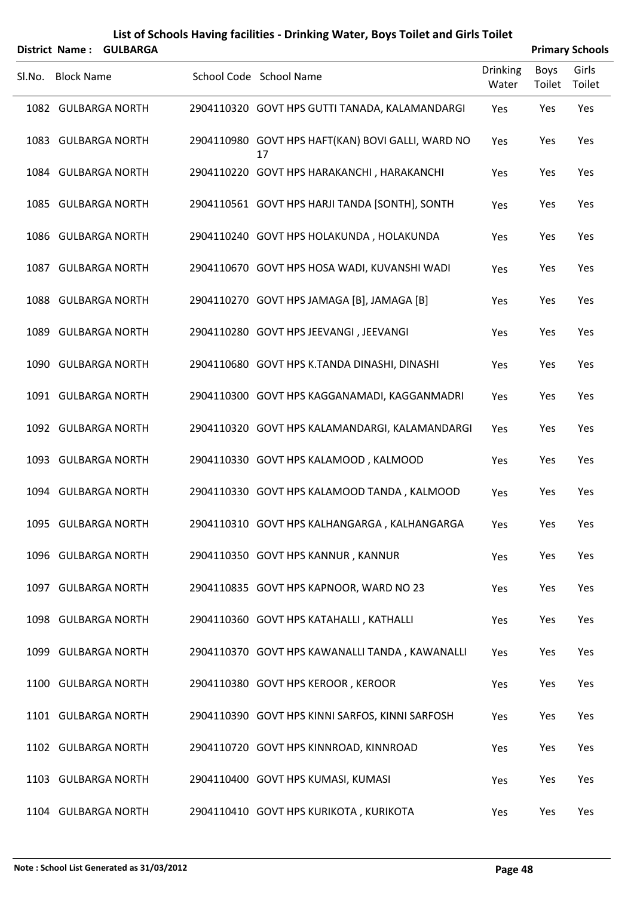|        | District Name: GULBARGA |                                                         |                          |                       | <b>Primary Schools</b> |
|--------|-------------------------|---------------------------------------------------------|--------------------------|-----------------------|------------------------|
| SI.No. | <b>Block Name</b>       | School Code School Name                                 | <b>Drinking</b><br>Water | <b>Boys</b><br>Toilet | Girls<br>Toilet        |
|        | 1082 GULBARGA NORTH     | 2904110320 GOVT HPS GUTTI TANADA, KALAMANDARGI          | Yes                      | Yes                   | Yes                    |
|        | 1083 GULBARGA NORTH     | 2904110980 GOVT HPS HAFT(KAN) BOVI GALLI, WARD NO<br>17 | Yes                      | Yes                   | Yes                    |
|        | 1084 GULBARGA NORTH     | 2904110220 GOVT HPS HARAKANCHI, HARAKANCHI              | Yes                      | Yes                   | Yes                    |
|        | 1085 GULBARGA NORTH     | 2904110561 GOVT HPS HARJI TANDA [SONTH], SONTH          | Yes                      | Yes                   | Yes                    |
|        | 1086 GULBARGA NORTH     | 2904110240 GOVT HPS HOLAKUNDA, HOLAKUNDA                | Yes                      | Yes                   | Yes                    |
|        | 1087 GULBARGA NORTH     | 2904110670 GOVT HPS HOSA WADI, KUVANSHI WADI            | Yes                      | Yes                   | Yes                    |
|        | 1088 GULBARGA NORTH     | 2904110270 GOVT HPS JAMAGA [B], JAMAGA [B]              | Yes                      | Yes                   | Yes                    |
|        | 1089 GULBARGA NORTH     | 2904110280 GOVT HPS JEEVANGI, JEEVANGI                  | Yes                      | Yes                   | Yes                    |
|        | 1090 GULBARGA NORTH     | 2904110680 GOVT HPS K.TANDA DINASHI, DINASHI            | Yes                      | Yes                   | Yes                    |
|        | 1091 GULBARGA NORTH     | 2904110300 GOVT HPS KAGGANAMADI, KAGGANMADRI            | Yes                      | Yes                   | Yes                    |
|        | 1092 GULBARGA NORTH     | 2904110320 GOVT HPS KALAMANDARGI, KALAMANDARGI          | Yes                      | Yes                   | Yes                    |
|        | 1093 GULBARGA NORTH     | 2904110330 GOVT HPS KALAMOOD, KALMOOD                   | Yes                      | Yes                   | Yes                    |
|        | 1094 GULBARGA NORTH     | 2904110330 GOVT HPS KALAMOOD TANDA, KALMOOD             | Yes                      | Yes                   | Yes                    |
|        | 1095 GULBARGA NORTH     | 2904110310 GOVT HPS KALHANGARGA, KALHANGARGA            | Yes                      | Yes                   | Yes                    |
|        | 1096 GULBARGA NORTH     | 2904110350 GOVT HPS KANNUR, KANNUR                      | Yes                      | Yes                   | Yes                    |
|        | 1097 GULBARGA NORTH     | 2904110835 GOVT HPS KAPNOOR, WARD NO 23                 | Yes                      | Yes                   | Yes                    |
|        | 1098 GULBARGA NORTH     | 2904110360 GOVT HPS KATAHALLI, KATHALLI                 | Yes                      | Yes                   | Yes                    |
|        | 1099 GULBARGA NORTH     | 2904110370 GOVT HPS KAWANALLI TANDA, KAWANALLI          | Yes                      | Yes                   | Yes                    |
|        | 1100 GULBARGA NORTH     | 2904110380 GOVT HPS KEROOR, KEROOR                      | Yes                      | Yes                   | Yes                    |
|        | 1101 GULBARGA NORTH     | 2904110390 GOVT HPS KINNI SARFOS, KINNI SARFOSH         | Yes                      | Yes                   | Yes                    |
|        | 1102 GULBARGA NORTH     | 2904110720 GOVT HPS KINNROAD, KINNROAD                  | Yes                      | Yes                   | Yes                    |
|        | 1103 GULBARGA NORTH     | 2904110400 GOVT HPS KUMASI, KUMASI                      | Yes                      | Yes                   | Yes                    |
|        | 1104 GULBARGA NORTH     | 2904110410 GOVT HPS KURIKOTA, KURIKOTA                  | Yes                      | Yes                   | Yes                    |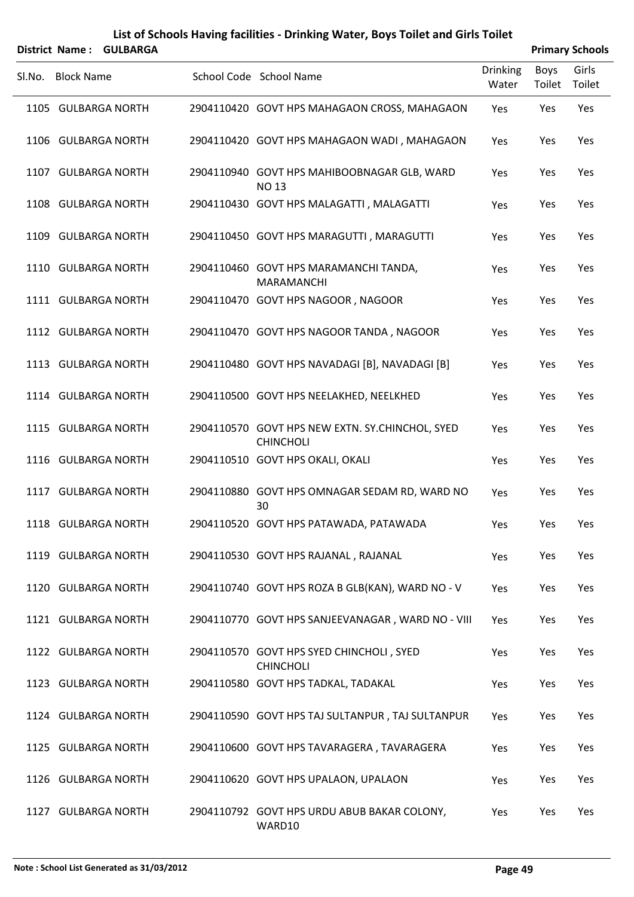|        | District Name: GULBARGA |                                                                     |                          |                | <b>Primary Schools</b> |
|--------|-------------------------|---------------------------------------------------------------------|--------------------------|----------------|------------------------|
| Sl.No. | <b>Block Name</b>       | School Code School Name                                             | <b>Drinking</b><br>Water | Boys<br>Toilet | Girls<br>Toilet        |
|        | 1105 GULBARGA NORTH     | 2904110420 GOVT HPS MAHAGAON CROSS, MAHAGAON                        | Yes                      | Yes            | Yes                    |
|        | 1106 GULBARGA NORTH     | 2904110420 GOVT HPS MAHAGAON WADI, MAHAGAON                         | Yes                      | Yes            | Yes                    |
|        | 1107 GULBARGA NORTH     | 2904110940 GOVT HPS MAHIBOOBNAGAR GLB, WARD<br><b>NO13</b>          | Yes                      | Yes            | Yes                    |
|        | 1108 GULBARGA NORTH     | 2904110430 GOVT HPS MALAGATTI, MALAGATTI                            | Yes                      | Yes            | Yes                    |
|        | 1109 GULBARGA NORTH     | 2904110450 GOVT HPS MARAGUTTI, MARAGUTTI                            | Yes                      | Yes            | Yes                    |
|        | 1110 GULBARGA NORTH     | 2904110460 GOVT HPS MARAMANCHI TANDA,<br>MARAMANCHI                 | Yes                      | Yes            | Yes                    |
|        | 1111 GULBARGA NORTH     | 2904110470 GOVT HPS NAGOOR, NAGOOR                                  | Yes                      | Yes            | Yes                    |
|        | 1112 GULBARGA NORTH     | 2904110470 GOVT HPS NAGOOR TANDA, NAGOOR                            | Yes                      | Yes            | Yes                    |
|        | 1113 GULBARGA NORTH     | 2904110480 GOVT HPS NAVADAGI [B], NAVADAGI [B]                      | Yes                      | Yes            | Yes                    |
|        | 1114 GULBARGA NORTH     | 2904110500 GOVT HPS NEELAKHED, NEELKHED                             | Yes                      | Yes            | Yes                    |
|        | 1115 GULBARGA NORTH     | 2904110570 GOVT HPS NEW EXTN. SY.CHINCHOL, SYED<br><b>CHINCHOLI</b> | Yes                      | Yes            | Yes                    |
|        | 1116 GULBARGA NORTH     | 2904110510 GOVT HPS OKALI, OKALI                                    | Yes                      | Yes            | Yes                    |
|        | 1117 GULBARGA NORTH     | 2904110880 GOVT HPS OMNAGAR SEDAM RD, WARD NO<br>30                 | Yes                      | Yes            | Yes                    |
|        | 1118 GULBARGA NORTH     | 2904110520 GOVT HPS PATAWADA, PATAWADA                              | Yes                      | Yes            | Yes                    |
|        | 1119 GULBARGA NORTH     | 2904110530 GOVT HPS RAJANAL, RAJANAL                                | Yes                      | Yes            | Yes                    |
|        | 1120 GULBARGA NORTH     | 2904110740 GOVT HPS ROZA B GLB(KAN), WARD NO - V                    | Yes                      | Yes            | Yes                    |
|        | 1121 GULBARGA NORTH     | 2904110770 GOVT HPS SANJEEVANAGAR, WARD NO - VIII                   | Yes                      | Yes            | Yes                    |
|        | 1122 GULBARGA NORTH     | 2904110570 GOVT HPS SYED CHINCHOLI, SYED<br><b>CHINCHOLI</b>        | Yes                      | Yes            | Yes                    |
|        | 1123 GULBARGA NORTH     | 2904110580 GOVT HPS TADKAL, TADAKAL                                 | Yes                      | Yes            | Yes                    |
|        | 1124 GULBARGA NORTH     | 2904110590 GOVT HPS TAJ SULTANPUR, TAJ SULTANPUR                    | Yes                      | Yes            | Yes                    |
|        | 1125 GULBARGA NORTH     | 2904110600 GOVT HPS TAVARAGERA, TAVARAGERA                          | Yes                      | Yes            | Yes                    |
|        | 1126 GULBARGA NORTH     | 2904110620 GOVT HPS UPALAON, UPALAON                                | Yes                      | Yes            | Yes                    |
|        | 1127 GULBARGA NORTH     | 2904110792 GOVT HPS URDU ABUB BAKAR COLONY,<br>WARD10               | Yes                      | Yes            | Yes                    |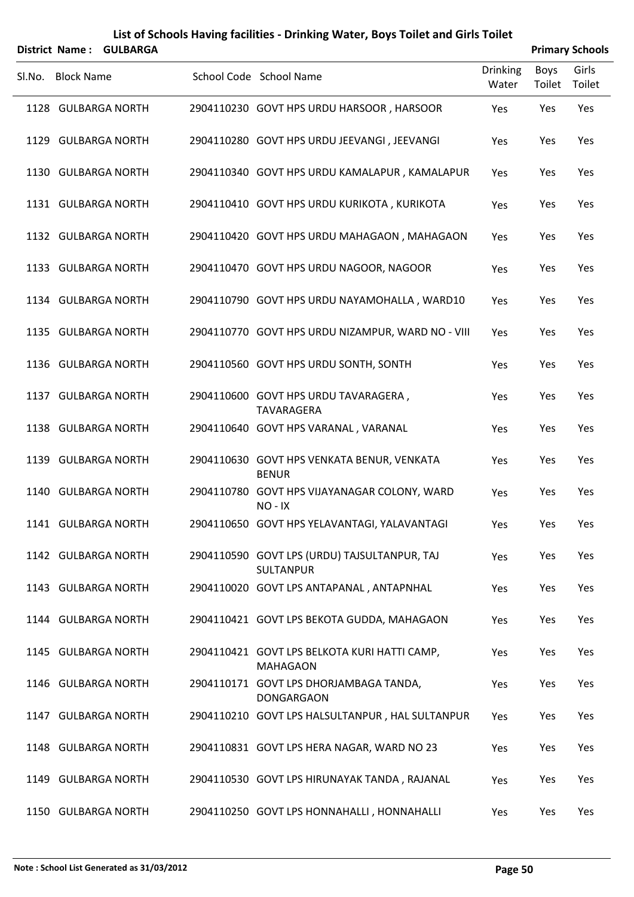|        | District Name: GULBARGA |                                                                  |                          |                | <b>Primary Schools</b> |
|--------|-------------------------|------------------------------------------------------------------|--------------------------|----------------|------------------------|
| SI.No. | <b>Block Name</b>       | School Code School Name                                          | <b>Drinking</b><br>Water | Boys<br>Toilet | Girls<br>Toilet        |
|        | 1128 GULBARGA NORTH     | 2904110230 GOVT HPS URDU HARSOOR, HARSOOR                        | Yes                      | Yes            | Yes                    |
|        | 1129 GULBARGA NORTH     | 2904110280 GOVT HPS URDU JEEVANGI, JEEVANGI                      | Yes                      | Yes            | Yes                    |
|        | 1130 GULBARGA NORTH     | 2904110340 GOVT HPS URDU KAMALAPUR, KAMALAPUR                    | Yes                      | Yes            | Yes                    |
|        | 1131 GULBARGA NORTH     | 2904110410 GOVT HPS URDU KURIKOTA, KURIKOTA                      | Yes                      | Yes            | Yes                    |
|        | 1132 GULBARGA NORTH     | 2904110420 GOVT HPS URDU MAHAGAON, MAHAGAON                      | Yes                      | Yes            | Yes                    |
|        | 1133 GULBARGA NORTH     | 2904110470 GOVT HPS URDU NAGOOR, NAGOOR                          | Yes                      | Yes            | Yes                    |
|        | 1134 GULBARGA NORTH     | 2904110790 GOVT HPS URDU NAYAMOHALLA, WARD10                     | Yes                      | Yes            | Yes                    |
|        | 1135 GULBARGA NORTH     | 2904110770 GOVT HPS URDU NIZAMPUR, WARD NO - VIII                | Yes                      | Yes            | Yes                    |
|        | 1136 GULBARGA NORTH     | 2904110560 GOVT HPS URDU SONTH, SONTH                            | Yes                      | Yes            | Yes                    |
|        | 1137 GULBARGA NORTH     | 2904110600 GOVT HPS URDU TAVARAGERA,<br>TAVARAGERA               | Yes                      | Yes            | Yes                    |
|        | 1138 GULBARGA NORTH     | 2904110640 GOVT HPS VARANAL, VARANAL                             | Yes                      | Yes            | Yes                    |
|        | 1139 GULBARGA NORTH     | 2904110630 GOVT HPS VENKATA BENUR, VENKATA<br><b>BENUR</b>       | Yes                      | Yes            | Yes                    |
|        | 1140 GULBARGA NORTH     | 2904110780 GOVT HPS VIJAYANAGAR COLONY, WARD<br>NO-IX            | Yes                      | Yes            | Yes                    |
|        | 1141 GULBARGA NORTH     | 2904110650 GOVT HPS YELAVANTAGI, YALAVANTAGI                     | Yes                      | Yes            | Yes                    |
|        | 1142 GULBARGA NORTH     | 2904110590 GOVT LPS (URDU) TAJSULTANPUR, TAJ<br><b>SULTANPUR</b> | Yes                      | Yes            | Yes                    |
|        | 1143 GULBARGA NORTH     | 2904110020 GOVT LPS ANTAPANAL, ANTAPNHAL                         | Yes                      | Yes            | Yes                    |
|        | 1144 GULBARGA NORTH     | 2904110421 GOVT LPS BEKOTA GUDDA, MAHAGAON                       | Yes                      | Yes            | Yes                    |
|        | 1145 GULBARGA NORTH     | 2904110421 GOVT LPS BELKOTA KURI HATTI CAMP,<br><b>MAHAGAON</b>  | Yes                      | Yes            | Yes                    |
|        | 1146 GULBARGA NORTH     | 2904110171 GOVT LPS DHORJAMBAGA TANDA,<br><b>DONGARGAON</b>      | Yes                      | Yes            | Yes                    |
|        | 1147 GULBARGA NORTH     | 2904110210 GOVT LPS HALSULTANPUR, HAL SULTANPUR                  | Yes                      | Yes            | Yes                    |
|        | 1148 GULBARGA NORTH     | 2904110831 GOVT LPS HERA NAGAR, WARD NO 23                       | Yes                      | Yes            | Yes                    |
|        | 1149 GULBARGA NORTH     | 2904110530 GOVT LPS HIRUNAYAK TANDA, RAJANAL                     | Yes                      | Yes            | Yes                    |
|        | 1150 GULBARGA NORTH     | 2904110250 GOVT LPS HONNAHALLI, HONNAHALLI                       | Yes                      | Yes            | Yes                    |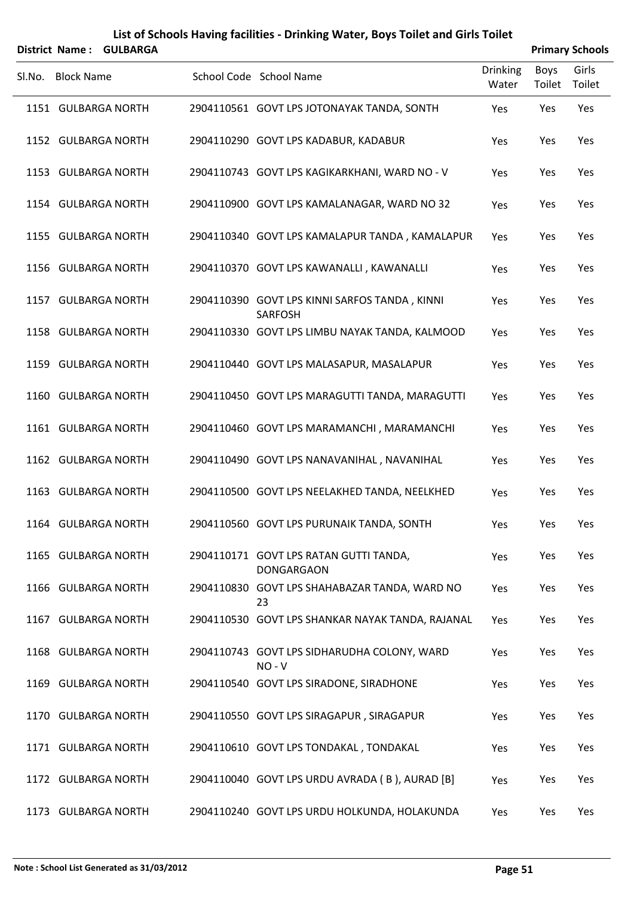|        | District Name: GULBARGA |  |                                                                 |                          | <b>Primary Schools</b> |                 |  |  |
|--------|-------------------------|--|-----------------------------------------------------------------|--------------------------|------------------------|-----------------|--|--|
| SI.No. | <b>Block Name</b>       |  | School Code School Name                                         | <b>Drinking</b><br>Water | Boys<br>Toilet         | Girls<br>Toilet |  |  |
|        | 1151 GULBARGA NORTH     |  | 2904110561 GOVT LPS JOTONAYAK TANDA, SONTH                      | Yes                      | Yes                    | Yes             |  |  |
|        | 1152 GULBARGA NORTH     |  | 2904110290 GOVT LPS KADABUR, KADABUR                            | Yes                      | Yes                    | Yes             |  |  |
|        | 1153 GULBARGA NORTH     |  | 2904110743 GOVT LPS KAGIKARKHANI, WARD NO - V                   | Yes                      | Yes                    | Yes             |  |  |
|        | 1154 GULBARGA NORTH     |  | 2904110900 GOVT LPS KAMALANAGAR, WARD NO 32                     | Yes                      | Yes                    | Yes             |  |  |
|        | 1155 GULBARGA NORTH     |  | 2904110340 GOVT LPS KAMALAPUR TANDA, KAMALAPUR                  | Yes                      | Yes                    | Yes             |  |  |
|        | 1156 GULBARGA NORTH     |  | 2904110370 GOVT LPS KAWANALLI, KAWANALLI                        | Yes                      | Yes                    | Yes             |  |  |
|        | 1157 GULBARGA NORTH     |  | 2904110390 GOVT LPS KINNI SARFOS TANDA, KINNI<br><b>SARFOSH</b> | Yes                      | Yes                    | Yes             |  |  |
|        | 1158 GULBARGA NORTH     |  | 2904110330 GOVT LPS LIMBU NAYAK TANDA, KALMOOD                  | Yes                      | Yes                    | Yes             |  |  |
|        | 1159 GULBARGA NORTH     |  | 2904110440 GOVT LPS MALASAPUR, MASALAPUR                        | Yes                      | Yes                    | Yes             |  |  |
|        | 1160 GULBARGA NORTH     |  | 2904110450 GOVT LPS MARAGUTTI TANDA, MARAGUTTI                  | Yes                      | Yes                    | Yes             |  |  |
|        | 1161 GULBARGA NORTH     |  | 2904110460 GOVT LPS MARAMANCHI, MARAMANCHI                      | Yes                      | Yes                    | Yes             |  |  |
|        | 1162 GULBARGA NORTH     |  | 2904110490 GOVT LPS NANAVANIHAL, NAVANIHAL                      | Yes                      | Yes                    | Yes             |  |  |
|        | 1163 GULBARGA NORTH     |  | 2904110500 GOVT LPS NEELAKHED TANDA, NEELKHED                   | Yes                      | Yes                    | Yes             |  |  |
|        | 1164 GULBARGA NORTH     |  | 2904110560 GOVT LPS PURUNAIK TANDA, SONTH                       | Yes                      | Yes                    | Yes             |  |  |
|        | 1165 GULBARGA NORTH     |  | 2904110171 GOVT LPS RATAN GUTTI TANDA,<br><b>DONGARGAON</b>     | Yes                      | Yes                    | Yes             |  |  |
|        | 1166 GULBARGA NORTH     |  | 2904110830 GOVT LPS SHAHABAZAR TANDA, WARD NO<br>23             | Yes                      | Yes                    | Yes             |  |  |
|        | 1167 GULBARGA NORTH     |  | 2904110530 GOVT LPS SHANKAR NAYAK TANDA, RAJANAL                | Yes                      | Yes                    | Yes             |  |  |
|        | 1168 GULBARGA NORTH     |  | 2904110743 GOVT LPS SIDHARUDHA COLONY, WARD<br>$NO - V$         | Yes                      | Yes                    | Yes             |  |  |
|        | 1169 GULBARGA NORTH     |  | 2904110540 GOVT LPS SIRADONE, SIRADHONE                         | Yes                      | Yes                    | Yes             |  |  |
|        | 1170 GULBARGA NORTH     |  | 2904110550 GOVT LPS SIRAGAPUR, SIRAGAPUR                        | Yes                      | Yes                    | Yes             |  |  |
|        | 1171 GULBARGA NORTH     |  | 2904110610 GOVT LPS TONDAKAL, TONDAKAL                          | Yes                      | Yes                    | Yes             |  |  |
|        | 1172 GULBARGA NORTH     |  | 2904110040 GOVT LPS URDU AVRADA (B), AURAD [B]                  | Yes                      | Yes                    | Yes             |  |  |
|        | 1173 GULBARGA NORTH     |  | 2904110240 GOVT LPS URDU HOLKUNDA, HOLAKUNDA                    | Yes                      | Yes                    | Yes             |  |  |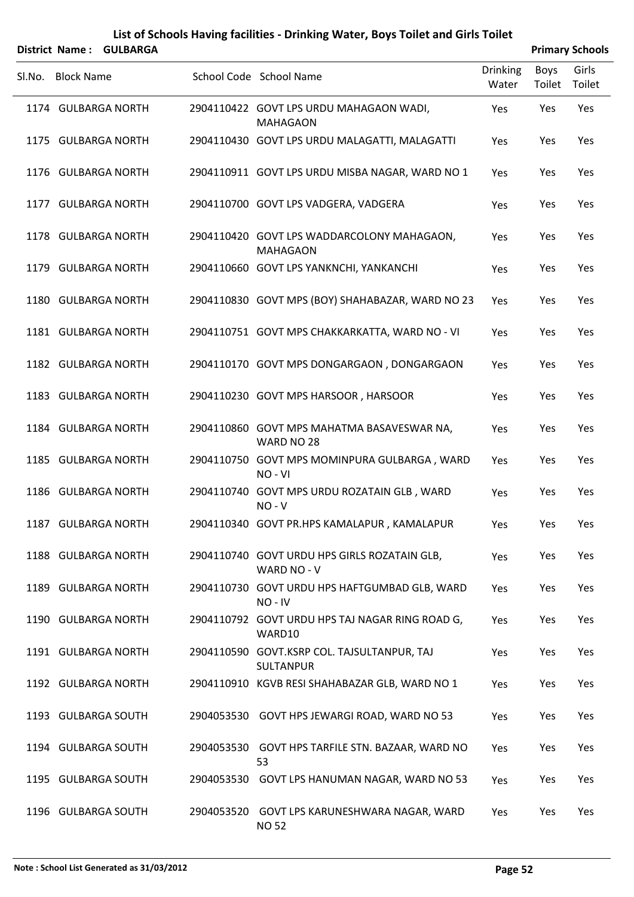|        |                   | District Name: GULBARGA |                                                                 |                          |                | <b>Primary Schools</b> |
|--------|-------------------|-------------------------|-----------------------------------------------------------------|--------------------------|----------------|------------------------|
| Sl.No. | <b>Block Name</b> |                         | School Code School Name                                         | <b>Drinking</b><br>Water | Boys<br>Toilet | Girls<br>Toilet        |
|        |                   | 1174 GULBARGA NORTH     | 2904110422 GOVT LPS URDU MAHAGAON WADI,<br><b>MAHAGAON</b>      | Yes                      | Yes            | Yes                    |
|        |                   | 1175 GULBARGA NORTH     | 2904110430 GOVT LPS URDU MALAGATTI, MALAGATTI                   | Yes                      | Yes            | Yes                    |
|        |                   | 1176 GULBARGA NORTH     | 2904110911 GOVT LPS URDU MISBA NAGAR, WARD NO 1                 | Yes                      | Yes            | Yes                    |
|        |                   | 1177 GULBARGA NORTH     | 2904110700 GOVT LPS VADGERA, VADGERA                            | Yes                      | Yes            | Yes                    |
|        |                   | 1178 GULBARGA NORTH     | 2904110420 GOVT LPS WADDARCOLONY MAHAGAON,<br><b>MAHAGAON</b>   | Yes                      | Yes            | Yes                    |
|        |                   | 1179 GULBARGA NORTH     | 2904110660 GOVT LPS YANKNCHI, YANKANCHI                         | Yes                      | Yes            | Yes                    |
|        |                   | 1180 GULBARGA NORTH     | 2904110830 GOVT MPS (BOY) SHAHABAZAR, WARD NO 23                | Yes                      | Yes            | Yes                    |
|        |                   | 1181 GULBARGA NORTH     | 2904110751 GOVT MPS CHAKKARKATTA, WARD NO - VI                  | Yes                      | Yes            | Yes                    |
|        |                   | 1182 GULBARGA NORTH     | 2904110170 GOVT MPS DONGARGAON, DONGARGAON                      | Yes                      | Yes            | Yes                    |
|        |                   | 1183 GULBARGA NORTH     | 2904110230 GOVT MPS HARSOOR, HARSOOR                            | Yes                      | Yes            | Yes                    |
|        |                   | 1184 GULBARGA NORTH     | 2904110860 GOVT MPS MAHATMA BASAVESWAR NA,<br>WARD NO 28        | Yes                      | Yes            | Yes                    |
|        |                   | 1185 GULBARGA NORTH     | 2904110750 GOVT MPS MOMINPURA GULBARGA, WARD<br>NO-VI           | Yes                      | Yes            | Yes                    |
|        |                   | 1186 GULBARGA NORTH     | 2904110740 GOVT MPS URDU ROZATAIN GLB, WARD<br>$NO - V$         | Yes                      | Yes            | Yes                    |
|        |                   | 1187 GULBARGA NORTH     | 2904110340 GOVT PR.HPS KAMALAPUR, KAMALAPUR                     | Yes                      | Yes            | Yes                    |
|        |                   | 1188 GULBARGA NORTH     | 2904110740 GOVT URDU HPS GIRLS ROZATAIN GLB,<br>WARD NO - V     | Yes                      | Yes            | Yes                    |
|        |                   | 1189 GULBARGA NORTH     | 2904110730 GOVT URDU HPS HAFTGUMBAD GLB, WARD<br>NO - IV        | Yes                      | Yes            | Yes                    |
|        |                   | 1190 GULBARGA NORTH     | 2904110792 GOVT URDU HPS TAJ NAGAR RING ROAD G,<br>WARD10       | Yes                      | Yes            | Yes                    |
|        |                   | 1191 GULBARGA NORTH     | 2904110590 GOVT.KSRP COL. TAJSULTANPUR, TAJ<br><b>SULTANPUR</b> | Yes                      | Yes            | Yes                    |
|        |                   | 1192 GULBARGA NORTH     | 2904110910 KGVB RESI SHAHABAZAR GLB, WARD NO 1                  | Yes                      | Yes            | Yes                    |
|        |                   | 1193 GULBARGA SOUTH     | 2904053530 GOVT HPS JEWARGI ROAD, WARD NO 53                    | Yes                      | Yes            | Yes                    |
|        |                   | 1194 GULBARGA SOUTH     | 2904053530 GOVT HPS TARFILE STN. BAZAAR, WARD NO<br>53          | Yes                      | Yes            | Yes                    |
|        |                   | 1195 GULBARGA SOUTH     | 2904053530 GOVT LPS HANUMAN NAGAR, WARD NO 53                   | Yes                      | Yes            | Yes                    |
|        |                   | 1196 GULBARGA SOUTH     | 2904053520 GOVT LPS KARUNESHWARA NAGAR, WARD<br><b>NO 52</b>    | Yes                      | Yes            | Yes                    |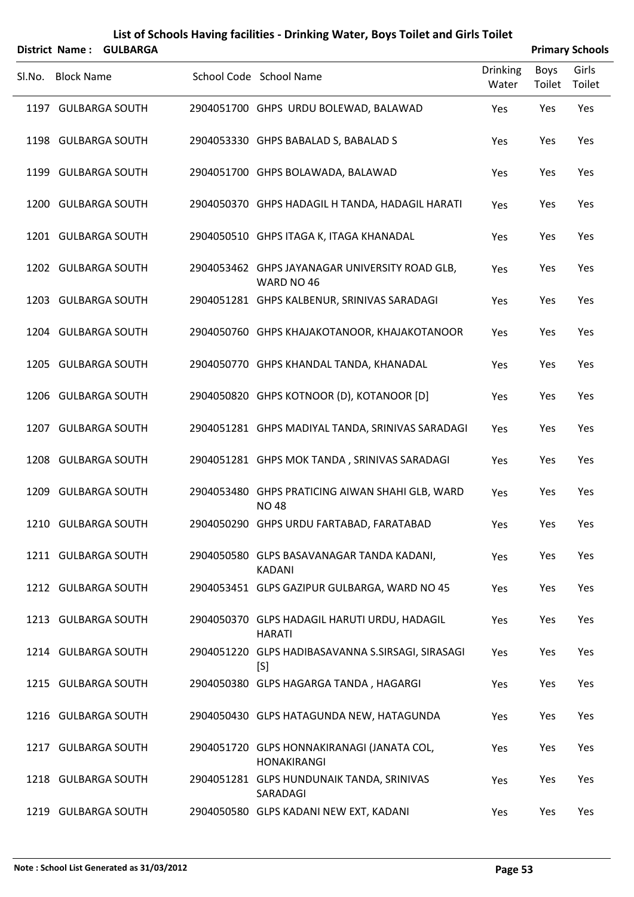|        | District Name: GULBARGA |  |                                                                  |                          | <b>Primary Schools</b> |                 |  |  |
|--------|-------------------------|--|------------------------------------------------------------------|--------------------------|------------------------|-----------------|--|--|
| SI.No. | <b>Block Name</b>       |  | School Code School Name                                          | <b>Drinking</b><br>Water | Boys<br>Toilet         | Girls<br>Toilet |  |  |
|        | 1197 GULBARGA SOUTH     |  | 2904051700 GHPS URDU BOLEWAD, BALAWAD                            | Yes                      | Yes                    | Yes             |  |  |
|        | 1198 GULBARGA SOUTH     |  | 2904053330 GHPS BABALAD S, BABALAD S                             | Yes                      | Yes                    | Yes             |  |  |
|        | 1199 GULBARGA SOUTH     |  | 2904051700 GHPS BOLAWADA, BALAWAD                                | Yes                      | Yes                    | Yes             |  |  |
|        | 1200 GULBARGA SOUTH     |  | 2904050370 GHPS HADAGIL H TANDA, HADAGIL HARATI                  | Yes                      | Yes                    | Yes             |  |  |
|        | 1201 GULBARGA SOUTH     |  | 2904050510 GHPS ITAGA K, ITAGA KHANADAL                          | Yes                      | Yes                    | Yes             |  |  |
|        | 1202 GULBARGA SOUTH     |  | 2904053462 GHPS JAYANAGAR UNIVERSITY ROAD GLB,<br>WARD NO 46     | Yes                      | Yes                    | Yes             |  |  |
|        | 1203 GULBARGA SOUTH     |  | 2904051281 GHPS KALBENUR, SRINIVAS SARADAGI                      | Yes                      | Yes                    | Yes             |  |  |
|        | 1204 GULBARGA SOUTH     |  | 2904050760 GHPS KHAJAKOTANOOR, KHAJAKOTANOOR                     | Yes                      | Yes                    | Yes             |  |  |
|        | 1205 GULBARGA SOUTH     |  | 2904050770 GHPS KHANDAL TANDA, KHANADAL                          | Yes                      | Yes                    | Yes             |  |  |
|        | 1206 GULBARGA SOUTH     |  | 2904050820 GHPS KOTNOOR (D), KOTANOOR [D]                        | Yes                      | Yes                    | Yes             |  |  |
|        | 1207 GULBARGA SOUTH     |  | 2904051281 GHPS MADIYAL TANDA, SRINIVAS SARADAGI                 | Yes                      | Yes                    | Yes             |  |  |
|        | 1208 GULBARGA SOUTH     |  | 2904051281 GHPS MOK TANDA, SRINIVAS SARADAGI                     | Yes                      | Yes                    | Yes             |  |  |
|        | 1209 GULBARGA SOUTH     |  | 2904053480 GHPS PRATICING AIWAN SHAHI GLB, WARD<br><b>NO 48</b>  | Yes                      | Yes                    | Yes             |  |  |
|        | 1210 GULBARGA SOUTH     |  | 2904050290 GHPS URDU FARTABAD, FARATABAD                         | Yes                      | Yes                    | Yes             |  |  |
|        | 1211 GULBARGA SOUTH     |  | 2904050580 GLPS BASAVANAGAR TANDA KADANI,<br><b>KADANI</b>       | Yes                      | Yes                    | Yes             |  |  |
|        | 1212 GULBARGA SOUTH     |  | 2904053451 GLPS GAZIPUR GULBARGA, WARD NO 45                     | Yes                      | Yes                    | Yes             |  |  |
|        | 1213 GULBARGA SOUTH     |  | 2904050370 GLPS HADAGIL HARUTI URDU, HADAGIL<br><b>HARATI</b>    | Yes                      | Yes                    | Yes             |  |  |
|        | 1214 GULBARGA SOUTH     |  | 2904051220 GLPS HADIBASAVANNA S.SIRSAGI, SIRASAGI<br>[S]         | Yes                      | Yes                    | Yes             |  |  |
|        | 1215 GULBARGA SOUTH     |  | 2904050380 GLPS HAGARGA TANDA, HAGARGI                           | Yes                      | Yes                    | Yes             |  |  |
|        | 1216 GULBARGA SOUTH     |  | 2904050430 GLPS HATAGUNDA NEW, HATAGUNDA                         | Yes                      | Yes                    | Yes             |  |  |
|        | 1217 GULBARGA SOUTH     |  | 2904051720 GLPS HONNAKIRANAGI (JANATA COL,<br><b>HONAKIRANGI</b> | Yes                      | Yes                    | Yes             |  |  |
|        | 1218 GULBARGA SOUTH     |  | 2904051281 GLPS HUNDUNAIK TANDA, SRINIVAS<br>SARADAGI            | Yes                      | Yes                    | Yes             |  |  |
|        | 1219 GULBARGA SOUTH     |  | 2904050580 GLPS KADANI NEW EXT, KADANI                           | Yes                      | Yes                    | Yes             |  |  |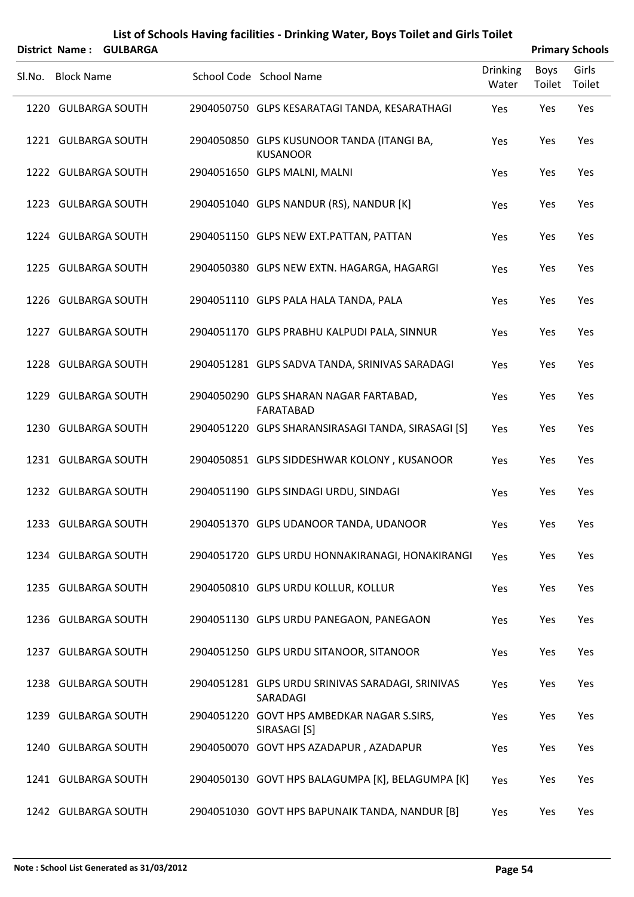|        | District Name: GULBARGA |  |                                                               |                          | <b>Primary Schools</b> |                 |  |  |
|--------|-------------------------|--|---------------------------------------------------------------|--------------------------|------------------------|-----------------|--|--|
| SI.No. | <b>Block Name</b>       |  | School Code School Name                                       | <b>Drinking</b><br>Water | Boys<br>Toilet         | Girls<br>Toilet |  |  |
|        | 1220 GULBARGA SOUTH     |  | 2904050750 GLPS KESARATAGI TANDA, KESARATHAGI                 | Yes                      | Yes                    | Yes             |  |  |
|        | 1221 GULBARGA SOUTH     |  | 2904050850 GLPS KUSUNOOR TANDA (ITANGI BA,<br><b>KUSANOOR</b> | Yes                      | Yes                    | Yes             |  |  |
|        | 1222 GULBARGA SOUTH     |  | 2904051650 GLPS MALNI, MALNI                                  | Yes                      | Yes                    | Yes             |  |  |
|        | 1223 GULBARGA SOUTH     |  | 2904051040 GLPS NANDUR (RS), NANDUR [K]                       | Yes                      | Yes                    | Yes             |  |  |
|        | 1224 GULBARGA SOUTH     |  | 2904051150 GLPS NEW EXT.PATTAN, PATTAN                        | Yes                      | Yes                    | Yes             |  |  |
|        | 1225 GULBARGA SOUTH     |  | 2904050380 GLPS NEW EXTN. HAGARGA, HAGARGI                    | Yes                      | Yes                    | Yes             |  |  |
|        | 1226 GULBARGA SOUTH     |  | 2904051110 GLPS PALA HALA TANDA, PALA                         | Yes                      | Yes                    | Yes             |  |  |
|        | 1227 GULBARGA SOUTH     |  | 2904051170 GLPS PRABHU KALPUDI PALA, SINNUR                   | Yes                      | Yes                    | Yes             |  |  |
|        | 1228 GULBARGA SOUTH     |  | 2904051281 GLPS SADVA TANDA, SRINIVAS SARADAGI                | Yes                      | Yes                    | Yes             |  |  |
|        | 1229 GULBARGA SOUTH     |  | 2904050290 GLPS SHARAN NAGAR FARTABAD,<br>FARATABAD           | Yes                      | Yes                    | Yes             |  |  |
|        | 1230 GULBARGA SOUTH     |  | 2904051220 GLPS SHARANSIRASAGI TANDA, SIRASAGI [S]            | Yes                      | Yes                    | Yes             |  |  |
|        | 1231 GULBARGA SOUTH     |  | 2904050851 GLPS SIDDESHWAR KOLONY, KUSANOOR                   | Yes                      | Yes                    | Yes             |  |  |
|        | 1232 GULBARGA SOUTH     |  | 2904051190 GLPS SINDAGI URDU, SINDAGI                         | Yes                      | Yes                    | Yes             |  |  |
|        | 1233 GULBARGA SOUTH     |  | 2904051370 GLPS UDANOOR TANDA, UDANOOR                        | Yes                      | Yes                    | Yes             |  |  |
|        | 1234 GULBARGA SOUTH     |  | 2904051720 GLPS URDU HONNAKIRANAGI, HONAKIRANGI               | Yes                      | Yes                    | Yes             |  |  |
|        | 1235 GULBARGA SOUTH     |  | 2904050810 GLPS URDU KOLLUR, KOLLUR                           | Yes                      | Yes                    | Yes             |  |  |
|        | 1236 GULBARGA SOUTH     |  | 2904051130 GLPS URDU PANEGAON, PANEGAON                       | Yes                      | Yes                    | Yes             |  |  |
|        | 1237 GULBARGA SOUTH     |  | 2904051250 GLPS URDU SITANOOR, SITANOOR                       | Yes                      | Yes                    | Yes             |  |  |
|        | 1238 GULBARGA SOUTH     |  | 2904051281 GLPS URDU SRINIVAS SARADAGI, SRINIVAS<br>SARADAGI  | Yes                      | Yes                    | Yes             |  |  |
|        | 1239 GULBARGA SOUTH     |  | 2904051220 GOVT HPS AMBEDKAR NAGAR S.SIRS,<br>SIRASAGI [S]    | Yes                      | Yes                    | Yes             |  |  |
|        | 1240 GULBARGA SOUTH     |  | 2904050070 GOVT HPS AZADAPUR, AZADAPUR                        | Yes                      | Yes                    | Yes             |  |  |
|        | 1241 GULBARGA SOUTH     |  | 2904050130 GOVT HPS BALAGUMPA [K], BELAGUMPA [K]              | Yes                      | Yes                    | Yes             |  |  |
|        | 1242 GULBARGA SOUTH     |  | 2904051030 GOVT HPS BAPUNAIK TANDA, NANDUR [B]                | Yes                      | Yes                    | Yes             |  |  |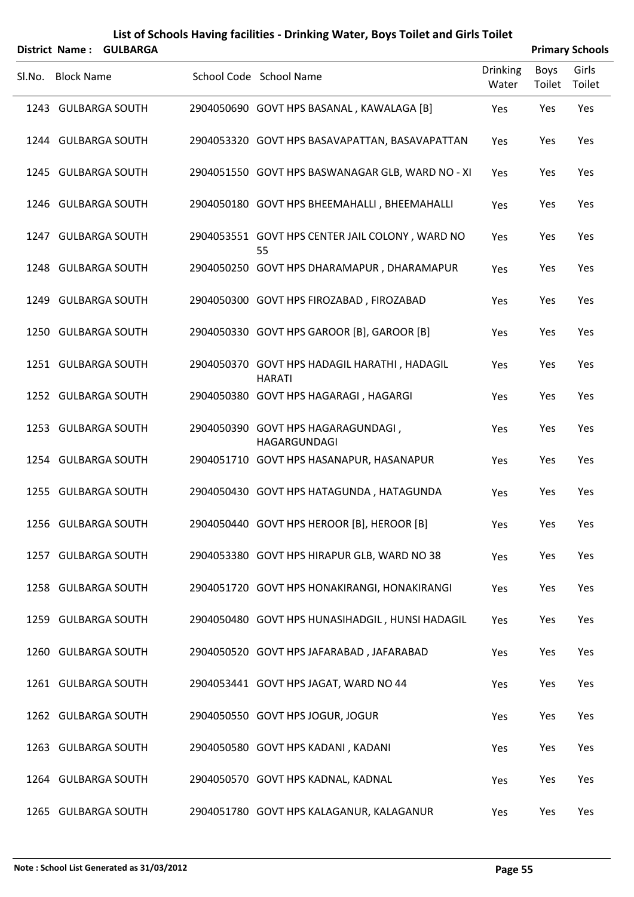|        | District Name: GULBARGA |  |                                                               |                          | <b>Primary Schools</b> |                 |  |  |
|--------|-------------------------|--|---------------------------------------------------------------|--------------------------|------------------------|-----------------|--|--|
| SI.No. | <b>Block Name</b>       |  | School Code School Name                                       | <b>Drinking</b><br>Water | Boys<br>Toilet         | Girls<br>Toilet |  |  |
|        | 1243 GULBARGA SOUTH     |  | 2904050690 GOVT HPS BASANAL, KAWALAGA [B]                     | Yes                      | Yes                    | Yes             |  |  |
|        | 1244 GULBARGA SOUTH     |  | 2904053320 GOVT HPS BASAVAPATTAN, BASAVAPATTAN                | Yes                      | Yes                    | Yes             |  |  |
|        | 1245 GULBARGA SOUTH     |  | 2904051550 GOVT HPS BASWANAGAR GLB, WARD NO - XI              | Yes                      | Yes                    | Yes             |  |  |
|        | 1246 GULBARGA SOUTH     |  | 2904050180 GOVT HPS BHEEMAHALLI, BHEEMAHALLI                  | Yes                      | Yes                    | Yes             |  |  |
|        | 1247 GULBARGA SOUTH     |  | 2904053551 GOVT HPS CENTER JAIL COLONY, WARD NO<br>55         | Yes                      | Yes                    | Yes             |  |  |
|        | 1248 GULBARGA SOUTH     |  | 2904050250 GOVT HPS DHARAMAPUR, DHARAMAPUR                    | Yes                      | Yes                    | Yes             |  |  |
|        | 1249 GULBARGA SOUTH     |  | 2904050300 GOVT HPS FIROZABAD, FIROZABAD                      | Yes                      | Yes                    | Yes             |  |  |
|        | 1250 GULBARGA SOUTH     |  | 2904050330 GOVT HPS GAROOR [B], GAROOR [B]                    | Yes                      | Yes                    | Yes             |  |  |
|        | 1251 GULBARGA SOUTH     |  | 2904050370 GOVT HPS HADAGIL HARATHI, HADAGIL<br><b>HARATI</b> | Yes                      | Yes                    | Yes             |  |  |
|        | 1252 GULBARGA SOUTH     |  | 2904050380 GOVT HPS HAGARAGI, HAGARGI                         | Yes                      | Yes                    | Yes             |  |  |
|        | 1253 GULBARGA SOUTH     |  | 2904050390 GOVT HPS HAGARAGUNDAGI,<br>HAGARGUNDAGI            | Yes                      | Yes                    | Yes             |  |  |
|        | 1254 GULBARGA SOUTH     |  | 2904051710 GOVT HPS HASANAPUR, HASANAPUR                      | Yes                      | Yes                    | Yes             |  |  |
|        | 1255 GULBARGA SOUTH     |  | 2904050430 GOVT HPS HATAGUNDA, HATAGUNDA                      | Yes                      | Yes                    | Yes             |  |  |
|        | 1256 GULBARGA SOUTH     |  | 2904050440 GOVT HPS HEROOR [B], HEROOR [B]                    | Yes                      | Yes                    | Yes             |  |  |
|        | 1257 GULBARGA SOUTH     |  | 2904053380 GOVT HPS HIRAPUR GLB, WARD NO 38                   | Yes                      | Yes                    | Yes             |  |  |
|        | 1258 GULBARGA SOUTH     |  | 2904051720 GOVT HPS HONAKIRANGI, HONAKIRANGI                  | Yes                      | Yes                    | Yes             |  |  |
|        | 1259 GULBARGA SOUTH     |  | 2904050480 GOVT HPS HUNASIHADGIL, HUNSI HADAGIL               | Yes                      | Yes                    | Yes             |  |  |
|        | 1260 GULBARGA SOUTH     |  | 2904050520 GOVT HPS JAFARABAD, JAFARABAD                      | Yes                      | Yes                    | Yes             |  |  |
|        | 1261 GULBARGA SOUTH     |  | 2904053441 GOVT HPS JAGAT, WARD NO 44                         | Yes                      | Yes                    | Yes             |  |  |
|        | 1262 GULBARGA SOUTH     |  | 2904050550 GOVT HPS JOGUR, JOGUR                              | Yes                      | Yes                    | Yes             |  |  |
|        | 1263 GULBARGA SOUTH     |  | 2904050580 GOVT HPS KADANI, KADANI                            | Yes                      | Yes                    | Yes             |  |  |
|        | 1264 GULBARGA SOUTH     |  | 2904050570 GOVT HPS KADNAL, KADNAL                            | Yes                      | Yes                    | Yes             |  |  |
|        | 1265 GULBARGA SOUTH     |  | 2904051780 GOVT HPS KALAGANUR, KALAGANUR                      | Yes                      | Yes                    | Yes             |  |  |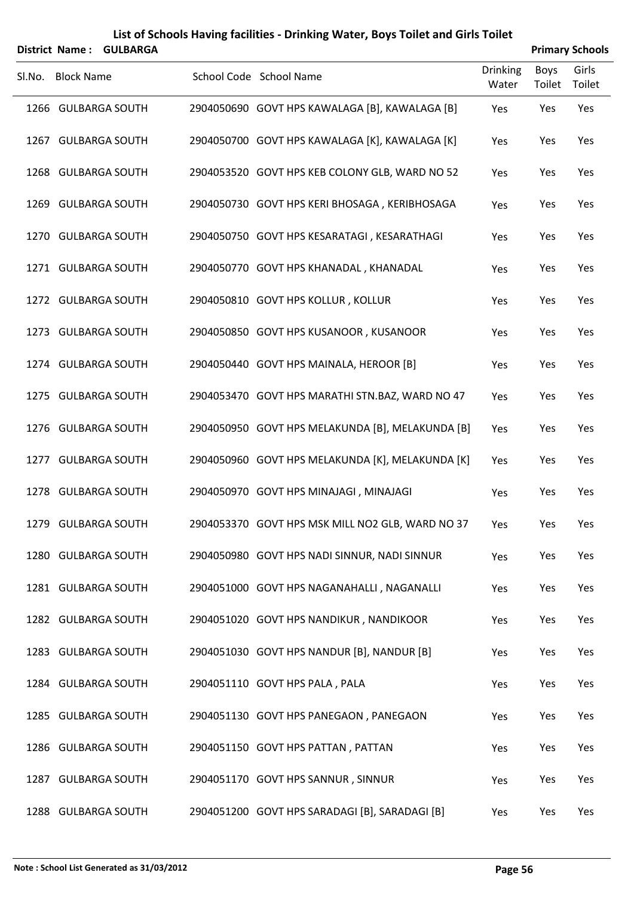|        | District Name: GULBARGA |                                                  |                          |                       | <b>Primary Schools</b> |  |  |  |
|--------|-------------------------|--------------------------------------------------|--------------------------|-----------------------|------------------------|--|--|--|
| SI.No. | <b>Block Name</b>       | School Code School Name                          | <b>Drinking</b><br>Water | <b>Boys</b><br>Toilet | Girls<br>Toilet        |  |  |  |
|        | 1266 GULBARGA SOUTH     | 2904050690 GOVT HPS KAWALAGA [B], KAWALAGA [B]   | Yes                      | Yes                   | Yes                    |  |  |  |
|        | 1267 GULBARGA SOUTH     | 2904050700 GOVT HPS KAWALAGA [K], KAWALAGA [K]   | Yes                      | Yes                   | Yes                    |  |  |  |
|        | 1268 GULBARGA SOUTH     | 2904053520 GOVT HPS KEB COLONY GLB, WARD NO 52   | Yes                      | Yes                   | Yes                    |  |  |  |
|        | 1269 GULBARGA SOUTH     | 2904050730 GOVT HPS KERI BHOSAGA, KERIBHOSAGA    | Yes                      | Yes                   | Yes                    |  |  |  |
|        | 1270 GULBARGA SOUTH     | 2904050750 GOVT HPS KESARATAGI, KESARATHAGI      | Yes                      | Yes                   | Yes                    |  |  |  |
|        | 1271 GULBARGA SOUTH     | 2904050770 GOVT HPS KHANADAL, KHANADAL           | Yes                      | Yes                   | Yes                    |  |  |  |
|        | 1272 GULBARGA SOUTH     | 2904050810 GOVT HPS KOLLUR, KOLLUR               | Yes                      | Yes                   | Yes                    |  |  |  |
|        | 1273 GULBARGA SOUTH     | 2904050850 GOVT HPS KUSANOOR, KUSANOOR           | Yes                      | Yes                   | Yes                    |  |  |  |
|        | 1274 GULBARGA SOUTH     | 2904050440 GOVT HPS MAINALA, HEROOR [B]          | Yes                      | Yes                   | Yes                    |  |  |  |
|        | 1275 GULBARGA SOUTH     | 2904053470 GOVT HPS MARATHI STN.BAZ, WARD NO 47  | Yes                      | Yes                   | Yes                    |  |  |  |
|        | 1276 GULBARGA SOUTH     | 2904050950 GOVT HPS MELAKUNDA [B], MELAKUNDA [B] | Yes                      | Yes                   | Yes                    |  |  |  |
|        | 1277 GULBARGA SOUTH     | 2904050960 GOVT HPS MELAKUNDA [K], MELAKUNDA [K] | Yes                      | Yes                   | Yes                    |  |  |  |
|        | 1278 GULBARGA SOUTH     | 2904050970 GOVT HPS MINAJAGI, MINAJAGI           | Yes                      | Yes                   | Yes                    |  |  |  |
|        | 1279 GULBARGA SOUTH     | 2904053370 GOVT HPS MSK MILL NO2 GLB, WARD NO 37 | Yes                      | Yes                   | Yes                    |  |  |  |
|        | 1280 GULBARGA SOUTH     | 2904050980 GOVT HPS NADI SINNUR, NADI SINNUR     | Yes                      | Yes                   | Yes                    |  |  |  |
|        | 1281 GULBARGA SOUTH     | 2904051000 GOVT HPS NAGANAHALLI, NAGANALLI       | Yes                      | Yes                   | Yes                    |  |  |  |
|        | 1282 GULBARGA SOUTH     | 2904051020 GOVT HPS NANDIKUR, NANDIKOOR          | Yes                      | Yes                   | Yes                    |  |  |  |
|        | 1283 GULBARGA SOUTH     | 2904051030 GOVT HPS NANDUR [B], NANDUR [B]       | Yes                      | Yes                   | Yes                    |  |  |  |
|        | 1284 GULBARGA SOUTH     | 2904051110 GOVT HPS PALA, PALA                   | Yes                      | Yes                   | Yes                    |  |  |  |
|        | 1285 GULBARGA SOUTH     | 2904051130 GOVT HPS PANEGAON, PANEGAON           | Yes                      | Yes                   | Yes                    |  |  |  |
|        | 1286 GULBARGA SOUTH     | 2904051150 GOVT HPS PATTAN, PATTAN               | Yes                      | Yes                   | Yes                    |  |  |  |
|        | 1287 GULBARGA SOUTH     | 2904051170 GOVT HPS SANNUR, SINNUR               | Yes                      | Yes                   | Yes                    |  |  |  |
|        | 1288 GULBARGA SOUTH     | 2904051200 GOVT HPS SARADAGI [B], SARADAGI [B]   | Yes                      | Yes                   | Yes                    |  |  |  |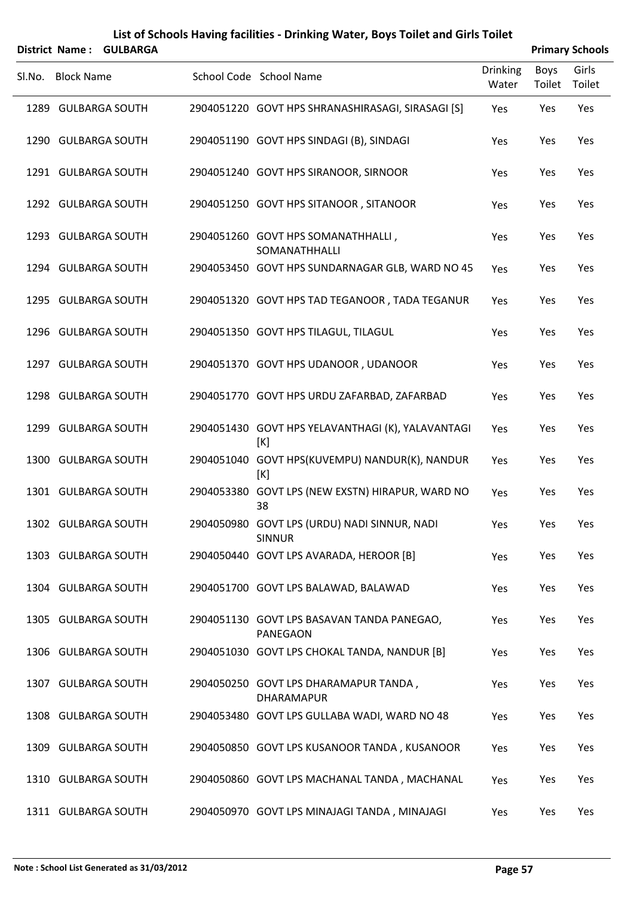|        | District Name: GULBARGA |  |                                                               |                          | <b>Primary Schools</b> |                 |  |  |
|--------|-------------------------|--|---------------------------------------------------------------|--------------------------|------------------------|-----------------|--|--|
| SI.No. | <b>Block Name</b>       |  | School Code School Name                                       | <b>Drinking</b><br>Water | Boys<br>Toilet         | Girls<br>Toilet |  |  |
|        | 1289 GULBARGA SOUTH     |  | 2904051220 GOVT HPS SHRANASHIRASAGI, SIRASAGI [S]             | Yes                      | Yes                    | Yes             |  |  |
|        | 1290 GULBARGA SOUTH     |  | 2904051190 GOVT HPS SINDAGI (B), SINDAGI                      | Yes                      | Yes                    | Yes             |  |  |
|        | 1291 GULBARGA SOUTH     |  | 2904051240 GOVT HPS SIRANOOR, SIRNOOR                         | Yes                      | Yes                    | Yes             |  |  |
|        | 1292 GULBARGA SOUTH     |  | 2904051250 GOVT HPS SITANOOR, SITANOOR                        | Yes                      | Yes                    | Yes             |  |  |
|        | 1293 GULBARGA SOUTH     |  | 2904051260 GOVT HPS SOMANATHHALLI,<br>SOMANATHHALLI           | Yes                      | Yes                    | Yes             |  |  |
|        | 1294 GULBARGA SOUTH     |  | 2904053450 GOVT HPS SUNDARNAGAR GLB, WARD NO 45               | Yes                      | Yes                    | Yes             |  |  |
|        | 1295 GULBARGA SOUTH     |  | 2904051320 GOVT HPS TAD TEGANOOR, TADA TEGANUR                | Yes                      | Yes                    | Yes             |  |  |
|        | 1296 GULBARGA SOUTH     |  | 2904051350 GOVT HPS TILAGUL, TILAGUL                          | Yes                      | Yes                    | Yes             |  |  |
|        | 1297 GULBARGA SOUTH     |  | 2904051370 GOVT HPS UDANOOR, UDANOOR                          | Yes                      | Yes                    | Yes             |  |  |
|        | 1298 GULBARGA SOUTH     |  | 2904051770 GOVT HPS URDU ZAFARBAD, ZAFARBAD                   | Yes                      | Yes                    | Yes             |  |  |
|        | 1299 GULBARGA SOUTH     |  | 2904051430 GOVT HPS YELAVANTHAGI (K), YALAVANTAGI<br>[K]      | Yes                      | Yes                    | Yes             |  |  |
|        | 1300 GULBARGA SOUTH     |  | 2904051040 GOVT HPS(KUVEMPU) NANDUR(K), NANDUR<br>[K]         | Yes                      | Yes                    | Yes             |  |  |
|        | 1301 GULBARGA SOUTH     |  | 2904053380 GOVT LPS (NEW EXSTN) HIRAPUR, WARD NO<br>38        | Yes                      | Yes                    | Yes             |  |  |
|        | 1302 GULBARGA SOUTH     |  | 2904050980 GOVT LPS (URDU) NADI SINNUR, NADI<br><b>SINNUR</b> | Yes                      | Yes                    | Yes             |  |  |
|        | 1303 GULBARGA SOUTH     |  | 2904050440 GOVT LPS AVARADA, HEROOR [B]                       | Yes                      | Yes                    | Yes             |  |  |
|        | 1304 GULBARGA SOUTH     |  | 2904051700 GOVT LPS BALAWAD, BALAWAD                          | Yes                      | Yes                    | Yes             |  |  |
|        | 1305 GULBARGA SOUTH     |  | 2904051130 GOVT LPS BASAVAN TANDA PANEGAO,<br>PANEGAON        | Yes                      | Yes                    | Yes             |  |  |
|        | 1306 GULBARGA SOUTH     |  | 2904051030 GOVT LPS CHOKAL TANDA, NANDUR [B]                  | Yes                      | Yes                    | Yes             |  |  |
|        | 1307 GULBARGA SOUTH     |  | 2904050250 GOVT LPS DHARAMAPUR TANDA,<br>DHARAMAPUR           | Yes                      | Yes                    | Yes             |  |  |
|        | 1308 GULBARGA SOUTH     |  | 2904053480 GOVT LPS GULLABA WADI, WARD NO 48                  | Yes                      | Yes                    | Yes             |  |  |
|        | 1309 GULBARGA SOUTH     |  | 2904050850 GOVT LPS KUSANOOR TANDA, KUSANOOR                  | Yes                      | Yes                    | Yes             |  |  |
|        | 1310 GULBARGA SOUTH     |  | 2904050860 GOVT LPS MACHANAL TANDA, MACHANAL                  | Yes                      | Yes                    | Yes             |  |  |
|        | 1311 GULBARGA SOUTH     |  | 2904050970 GOVT LPS MINAJAGI TANDA, MINAJAGI                  | Yes                      | Yes                    | Yes             |  |  |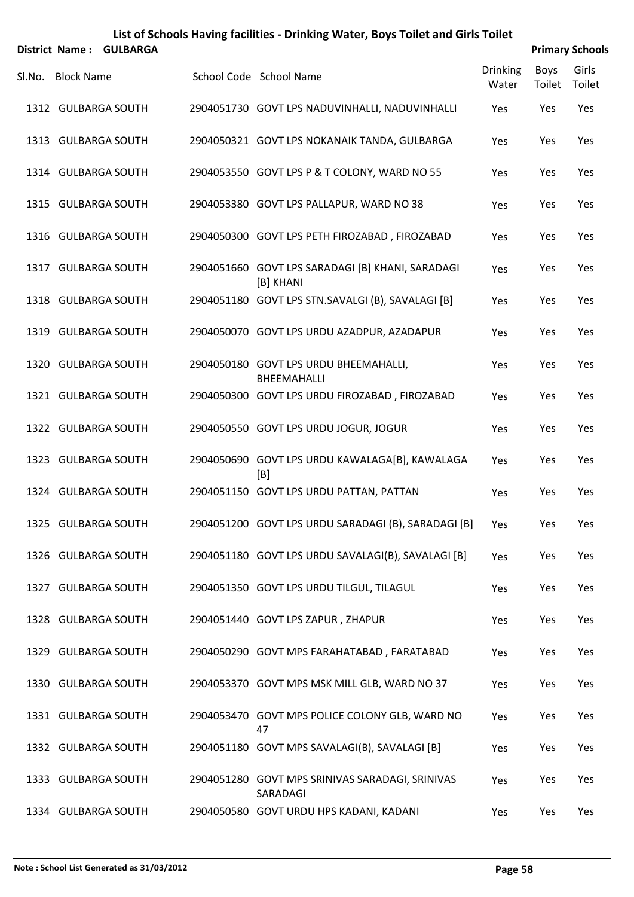| District Name: GULBARGA |                                                               |                          |                | <b>Primary Schools</b> |
|-------------------------|---------------------------------------------------------------|--------------------------|----------------|------------------------|
| SI.No. Block Name       | School Code School Name                                       | <b>Drinking</b><br>Water | Boys<br>Toilet | Girls<br>Toilet        |
| 1312 GULBARGA SOUTH     | 2904051730 GOVT LPS NADUVINHALLI, NADUVINHALLI                | Yes                      | Yes            | Yes                    |
| 1313 GULBARGA SOUTH     | 2904050321 GOVT LPS NOKANAIK TANDA, GULBARGA                  | Yes                      | Yes            | Yes                    |
| 1314 GULBARGA SOUTH     | 2904053550 GOVT LPS P & T COLONY, WARD NO 55                  | Yes                      | Yes            | Yes                    |
| 1315 GULBARGA SOUTH     | 2904053380 GOVT LPS PALLAPUR, WARD NO 38                      | Yes                      | Yes            | Yes                    |
| 1316 GULBARGA SOUTH     | 2904050300 GOVT LPS PETH FIROZABAD, FIROZABAD                 | Yes                      | Yes            | Yes                    |
| 1317 GULBARGA SOUTH     | 2904051660 GOVT LPS SARADAGI [B] KHANI, SARADAGI<br>[B] KHANI | Yes                      | Yes            | Yes                    |
| 1318 GULBARGA SOUTH     | 2904051180 GOVT LPS STN.SAVALGI (B), SAVALAGI [B]             | Yes                      | Yes            | Yes                    |
| 1319 GULBARGA SOUTH     | 2904050070 GOVT LPS URDU AZADPUR, AZADAPUR                    | Yes                      | Yes            | Yes                    |
| 1320 GULBARGA SOUTH     | 2904050180 GOVT LPS URDU BHEEMAHALLI,<br>BHEEMAHALLI          | Yes                      | Yes            | Yes                    |
| 1321 GULBARGA SOUTH     | 2904050300 GOVT LPS URDU FIROZABAD, FIROZABAD                 | Yes                      | Yes            | Yes                    |
| 1322 GULBARGA SOUTH     | 2904050550 GOVT LPS URDU JOGUR, JOGUR                         | Yes                      | Yes            | Yes                    |
| 1323 GULBARGA SOUTH     | 2904050690 GOVT LPS URDU KAWALAGA[B], KAWALAGA<br>[B]         | Yes                      | Yes            | Yes                    |
| 1324 GULBARGA SOUTH     | 2904051150 GOVT LPS URDU PATTAN, PATTAN                       | Yes                      | Yes            | Yes                    |
| 1325 GULBARGA SOUTH     | 2904051200 GOVT LPS URDU SARADAGI (B), SARADAGI [B]           | Yes                      | Yes            | Yes                    |
| 1326 GULBARGA SOUTH     | 2904051180 GOVT LPS URDU SAVALAGI(B), SAVALAGI [B]            | Yes                      | Yes            | Yes                    |
| 1327 GULBARGA SOUTH     | 2904051350 GOVT LPS URDU TILGUL, TILAGUL                      | Yes                      | Yes            | Yes                    |
| 1328 GULBARGA SOUTH     | 2904051440 GOVT LPS ZAPUR, ZHAPUR                             | Yes                      | Yes            | Yes                    |
| 1329 GULBARGA SOUTH     | 2904050290 GOVT MPS FARAHATABAD, FARATABAD                    | Yes                      | Yes            | Yes                    |
| 1330 GULBARGA SOUTH     | 2904053370 GOVT MPS MSK MILL GLB, WARD NO 37                  | Yes                      | Yes            | Yes                    |
| 1331 GULBARGA SOUTH     | 2904053470 GOVT MPS POLICE COLONY GLB, WARD NO<br>47          | Yes                      | Yes            | Yes                    |
| 1332 GULBARGA SOUTH     | 2904051180 GOVT MPS SAVALAGI(B), SAVALAGI [B]                 | Yes                      | Yes            | Yes                    |
| 1333 GULBARGA SOUTH     | 2904051280 GOVT MPS SRINIVAS SARADAGI, SRINIVAS<br>SARADAGI   | Yes                      | Yes            | Yes                    |
| 1334 GULBARGA SOUTH     | 2904050580 GOVT URDU HPS KADANI, KADANI                       | Yes                      | Yes            | Yes                    |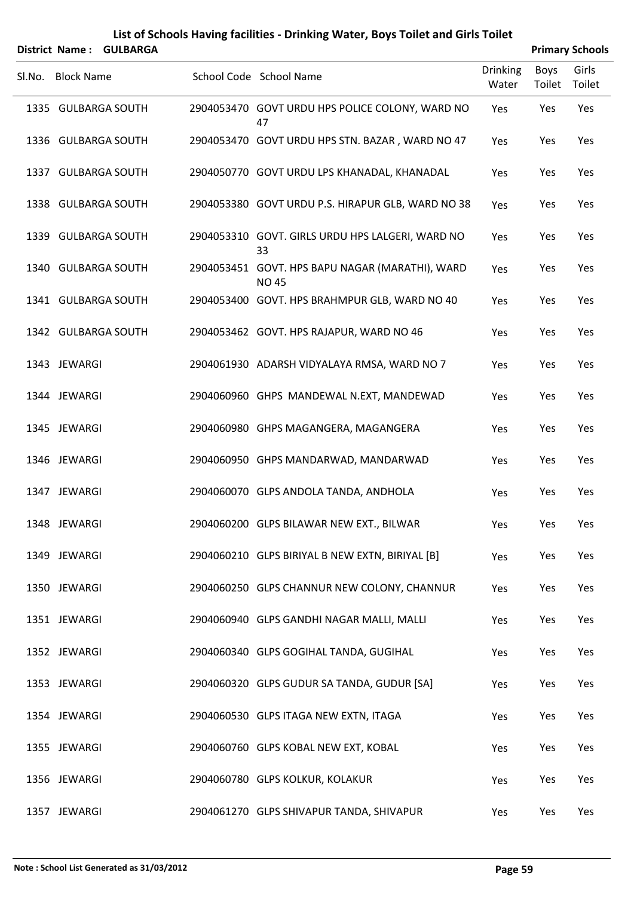|        | District Name: GULBARGA |                                                                 |                          |                | <b>Primary Schools</b> |
|--------|-------------------------|-----------------------------------------------------------------|--------------------------|----------------|------------------------|
| SI.No. | <b>Block Name</b>       | School Code School Name                                         | <b>Drinking</b><br>Water | Boys<br>Toilet | Girls<br>Toilet        |
|        | 1335 GULBARGA SOUTH     | 2904053470 GOVT URDU HPS POLICE COLONY, WARD NO<br>47           | Yes                      | Yes            | Yes                    |
|        | 1336 GULBARGA SOUTH     | 2904053470 GOVT URDU HPS STN. BAZAR, WARD NO 47                 | Yes                      | Yes            | Yes                    |
|        | 1337 GULBARGA SOUTH     | 2904050770 GOVT URDU LPS KHANADAL, KHANADAL                     | Yes                      | Yes            | Yes                    |
|        | 1338 GULBARGA SOUTH     | 2904053380 GOVT URDU P.S. HIRAPUR GLB, WARD NO 38               | Yes                      | Yes            | Yes                    |
|        | 1339 GULBARGA SOUTH     | 2904053310 GOVT. GIRLS URDU HPS LALGERI, WARD NO<br>33          | Yes                      | Yes            | Yes                    |
|        | 1340 GULBARGA SOUTH     | 2904053451 GOVT. HPS BAPU NAGAR (MARATHI), WARD<br><b>NO 45</b> | Yes                      | Yes            | Yes                    |
|        | 1341 GULBARGA SOUTH     | 2904053400 GOVT. HPS BRAHMPUR GLB, WARD NO 40                   | Yes                      | Yes            | Yes                    |
|        | 1342 GULBARGA SOUTH     | 2904053462 GOVT. HPS RAJAPUR, WARD NO 46                        | Yes                      | Yes            | Yes                    |
|        | 1343 JEWARGI            | 2904061930 ADARSH VIDYALAYA RMSA, WARD NO 7                     | Yes                      | Yes            | Yes                    |
|        | 1344 JEWARGI            | 2904060960 GHPS MANDEWAL N.EXT, MANDEWAD                        | Yes                      | Yes            | Yes                    |
|        | 1345 JEWARGI            | 2904060980 GHPS MAGANGERA, MAGANGERA                            | Yes                      | Yes            | Yes                    |
|        | 1346 JEWARGI            | 2904060950 GHPS MANDARWAD, MANDARWAD                            | Yes                      | Yes            | Yes                    |
|        | 1347 JEWARGI            | 2904060070 GLPS ANDOLA TANDA, ANDHOLA                           | Yes                      | Yes            | Yes                    |
|        | 1348 JEWARGI            | 2904060200 GLPS BILAWAR NEW EXT., BILWAR                        | Yes                      | Yes            | Yes                    |
|        | 1349 JEWARGI            | 2904060210 GLPS BIRIYAL B NEW EXTN, BIRIYAL [B]                 | Yes                      | Yes            | Yes                    |
|        | 1350 JEWARGI            | 2904060250 GLPS CHANNUR NEW COLONY, CHANNUR                     | Yes                      | Yes            | Yes                    |
|        | 1351 JEWARGI            | 2904060940 GLPS GANDHI NAGAR MALLI, MALLI                       | Yes                      | Yes            | Yes                    |
|        | 1352 JEWARGI            | 2904060340 GLPS GOGIHAL TANDA, GUGIHAL                          | Yes                      | Yes            | Yes                    |
|        | 1353 JEWARGI            | 2904060320 GLPS GUDUR SA TANDA, GUDUR [SA]                      | Yes                      | Yes            | Yes                    |
|        | 1354 JEWARGI            | 2904060530 GLPS ITAGA NEW EXTN, ITAGA                           | Yes                      | Yes            | Yes                    |
|        | 1355 JEWARGI            | 2904060760 GLPS KOBAL NEW EXT, KOBAL                            | Yes                      | Yes            | Yes                    |
|        | 1356 JEWARGI            | 2904060780 GLPS KOLKUR, KOLAKUR                                 | Yes                      | Yes            | Yes                    |
|        | 1357 JEWARGI            | 2904061270 GLPS SHIVAPUR TANDA, SHIVAPUR                        | Yes                      | Yes            | Yes                    |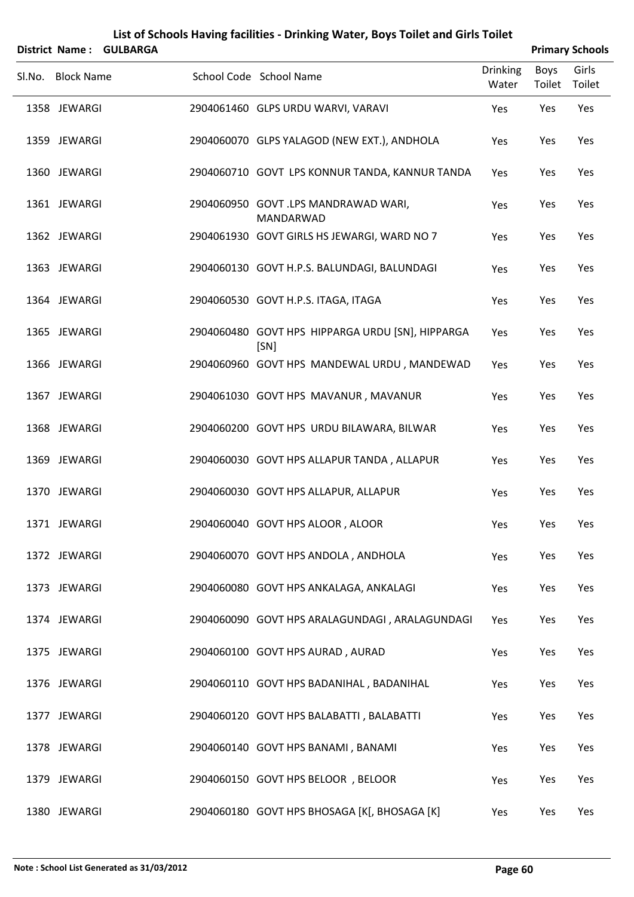|        | <b>District Name:</b> | <b>GULBARGA</b> |                                                          |                          |                | <b>Primary Schools</b> |
|--------|-----------------------|-----------------|----------------------------------------------------------|--------------------------|----------------|------------------------|
| Sl.No. | <b>Block Name</b>     |                 | School Code School Name                                  | <b>Drinking</b><br>Water | Boys<br>Toilet | Girls<br>Toilet        |
|        | 1358 JEWARGI          |                 | 2904061460 GLPS URDU WARVI, VARAVI                       | Yes                      | Yes            | Yes                    |
|        | 1359 JEWARGI          |                 | 2904060070 GLPS YALAGOD (NEW EXT.), ANDHOLA              | Yes                      | Yes            | Yes                    |
|        | 1360 JEWARGI          |                 | 2904060710 GOVT LPS KONNUR TANDA, KANNUR TANDA           | Yes                      | Yes            | Yes                    |
|        | 1361 JEWARGI          |                 | 2904060950 GOVT .LPS MANDRAWAD WARI,<br>MANDARWAD        | Yes                      | Yes            | Yes                    |
|        | 1362 JEWARGI          |                 | 2904061930 GOVT GIRLS HS JEWARGI, WARD NO 7              | Yes                      | Yes            | Yes                    |
|        | 1363 JEWARGI          |                 | 2904060130 GOVT H.P.S. BALUNDAGI, BALUNDAGI              | Yes                      | Yes            | Yes                    |
|        | 1364 JEWARGI          |                 | 2904060530 GOVT H.P.S. ITAGA, ITAGA                      | Yes                      | Yes            | Yes                    |
|        | 1365 JEWARGI          |                 | 2904060480 GOVT HPS HIPPARGA URDU [SN], HIPPARGA<br>[SN] | Yes                      | Yes            | Yes                    |
|        | 1366 JEWARGI          |                 | 2904060960 GOVT HPS MANDEWAL URDU, MANDEWAD              | Yes                      | Yes            | Yes                    |
|        | 1367 JEWARGI          |                 | 2904061030 GOVT HPS MAVANUR, MAVANUR                     | Yes                      | Yes            | Yes                    |
|        | 1368 JEWARGI          |                 | 2904060200 GOVT HPS URDU BILAWARA, BILWAR                | Yes                      | Yes            | Yes                    |
|        | 1369 JEWARGI          |                 | 2904060030 GOVT HPS ALLAPUR TANDA, ALLAPUR               | Yes                      | Yes            | Yes                    |
|        | 1370 JEWARGI          |                 | 2904060030 GOVT HPS ALLAPUR, ALLAPUR                     | Yes                      | Yes            | Yes                    |
|        | 1371 JEWARGI          |                 | 2904060040 GOVT HPS ALOOR, ALOOR                         | Yes                      | Yes            | Yes                    |
|        | 1372 JEWARGI          |                 | 2904060070 GOVT HPS ANDOLA, ANDHOLA                      | Yes                      | Yes            | Yes                    |
|        | 1373 JEWARGI          |                 | 2904060080 GOVT HPS ANKALAGA, ANKALAGI                   | Yes                      | Yes            | Yes                    |
|        | 1374 JEWARGI          |                 | 2904060090 GOVT HPS ARALAGUNDAGI, ARALAGUNDAGI           | Yes                      | Yes            | Yes                    |
|        | 1375 JEWARGI          |                 | 2904060100 GOVT HPS AURAD, AURAD                         | Yes                      | Yes            | Yes                    |
|        | 1376 JEWARGI          |                 | 2904060110 GOVT HPS BADANIHAL, BADANIHAL                 | Yes                      | Yes            | Yes                    |
|        | 1377 JEWARGI          |                 | 2904060120 GOVT HPS BALABATTI, BALABATTI                 | Yes                      | Yes            | Yes                    |
|        | 1378 JEWARGI          |                 | 2904060140 GOVT HPS BANAMI, BANAMI                       | Yes                      | Yes            | Yes                    |
|        | 1379 JEWARGI          |                 | 2904060150 GOVT HPS BELOOR, BELOOR                       | Yes                      | Yes            | Yes                    |
|        | 1380 JEWARGI          |                 | 2904060180 GOVT HPS BHOSAGA [K[, BHOSAGA [K]             | Yes                      | Yes            | Yes                    |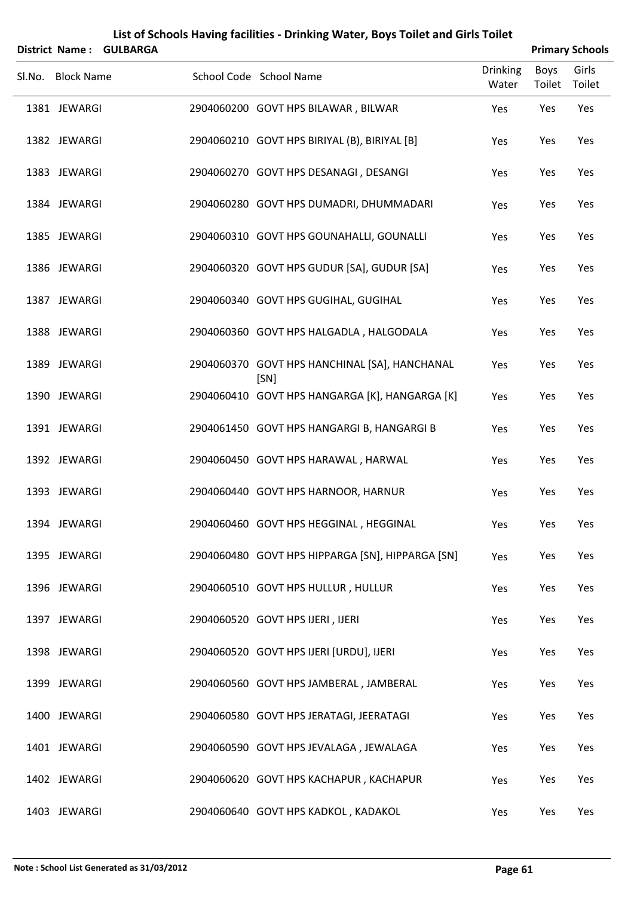|                   | District Name: GULBARGA |                                                       |                          |                | <b>Primary Schools</b> |
|-------------------|-------------------------|-------------------------------------------------------|--------------------------|----------------|------------------------|
| Sl.No. Block Name |                         | School Code School Name                               | <b>Drinking</b><br>Water | Boys<br>Toilet | Girls<br>Toilet        |
| 1381 JEWARGI      |                         | 2904060200 GOVT HPS BILAWAR, BILWAR                   | Yes                      | Yes            | Yes                    |
| 1382 JEWARGI      |                         | 2904060210 GOVT HPS BIRIYAL (B), BIRIYAL [B]          | Yes                      | Yes            | Yes                    |
| 1383 JEWARGI      |                         | 2904060270 GOVT HPS DESANAGI, DESANGI                 | Yes                      | Yes            | Yes                    |
| 1384 JEWARGI      |                         | 2904060280 GOVT HPS DUMADRI, DHUMMADARI               | Yes                      | Yes            | Yes                    |
| 1385 JEWARGI      |                         | 2904060310 GOVT HPS GOUNAHALLI, GOUNALLI              | Yes                      | Yes            | Yes                    |
| 1386 JEWARGI      |                         | 2904060320 GOVT HPS GUDUR [SA], GUDUR [SA]            | Yes                      | Yes            | Yes                    |
| 1387 JEWARGI      |                         | 2904060340 GOVT HPS GUGIHAL, GUGIHAL                  | Yes                      | Yes            | Yes                    |
| 1388 JEWARGI      |                         | 2904060360 GOVT HPS HALGADLA, HALGODALA               | Yes                      | Yes            | Yes                    |
| 1389 JEWARGI      |                         | 2904060370 GOVT HPS HANCHINAL [SA], HANCHANAL<br>[SN] | Yes                      | Yes            | Yes                    |
| 1390 JEWARGI      |                         | 2904060410 GOVT HPS HANGARGA [K], HANGARGA [K]        | Yes                      | Yes            | Yes                    |
| 1391 JEWARGI      |                         | 2904061450 GOVT HPS HANGARGI B, HANGARGI B            | Yes                      | Yes            | Yes                    |
| 1392 JEWARGI      |                         | 2904060450 GOVT HPS HARAWAL, HARWAL                   | Yes                      | Yes            | Yes                    |
| 1393 JEWARGI      |                         | 2904060440 GOVT HPS HARNOOR, HARNUR                   | Yes                      | Yes            | Yes                    |
| 1394 JEWARGI      |                         | 2904060460 GOVT HPS HEGGINAL, HEGGINAL                | Yes                      | Yes            | Yes                    |
| 1395 JEWARGI      |                         | 2904060480 GOVT HPS HIPPARGA [SN], HIPPARGA [SN]      | Yes                      | Yes            | Yes                    |
| 1396 JEWARGI      |                         | 2904060510 GOVT HPS HULLUR, HULLUR                    | Yes                      | Yes            | Yes                    |
| 1397 JEWARGI      |                         | 2904060520 GOVT HPS IJERI, IJERI                      | Yes                      | Yes            | Yes                    |
| 1398 JEWARGI      |                         | 2904060520 GOVT HPS IJERI [URDU], IJERI               | Yes                      | Yes            | Yes                    |
| 1399 JEWARGI      |                         | 2904060560 GOVT HPS JAMBERAL, JAMBERAL                | Yes                      | Yes            | Yes                    |
| 1400 JEWARGI      |                         | 2904060580 GOVT HPS JERATAGI, JEERATAGI               | Yes                      | Yes            | Yes                    |
| 1401 JEWARGI      |                         | 2904060590 GOVT HPS JEVALAGA, JEWALAGA                | Yes                      | Yes            | Yes                    |
| 1402 JEWARGI      |                         | 2904060620 GOVT HPS KACHAPUR, KACHAPUR                | Yes                      | Yes            | Yes                    |
| 1403 JEWARGI      |                         | 2904060640 GOVT HPS KADKOL, KADAKOL                   | Yes                      | Yes            | Yes                    |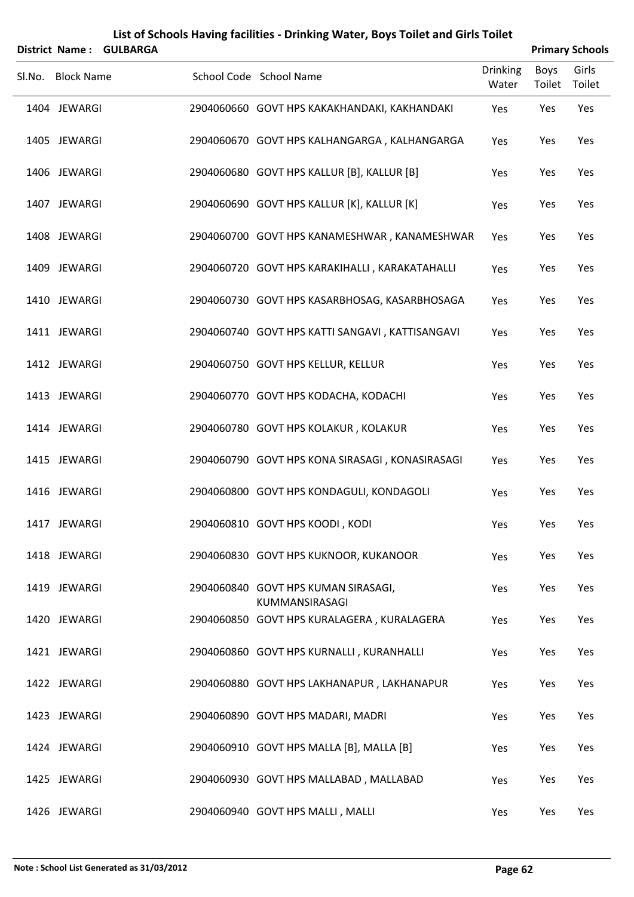|        | District Name:    | <b>GULBARGA</b> |                                                       |                          |                       | <b>Primary Schools</b> |
|--------|-------------------|-----------------|-------------------------------------------------------|--------------------------|-----------------------|------------------------|
| Sl.No. | <b>Block Name</b> |                 | School Code School Name                               | <b>Drinking</b><br>Water | <b>Boys</b><br>Toilet | Girls<br>Toilet        |
|        | 1404 JEWARGI      |                 | 2904060660 GOVT HPS KAKAKHANDAKI, KAKHANDAKI          | Yes                      | Yes                   | Yes                    |
|        | 1405 JEWARGI      |                 | 2904060670 GOVT HPS KALHANGARGA, KALHANGARGA          | Yes                      | Yes                   | Yes                    |
|        | 1406 JEWARGI      |                 | 2904060680 GOVT HPS KALLUR [B], KALLUR [B]            | Yes                      | Yes                   | Yes                    |
|        | 1407 JEWARGI      |                 | 2904060690 GOVT HPS KALLUR [K], KALLUR [K]            | Yes                      | Yes                   | Yes                    |
|        | 1408 JEWARGI      |                 | 2904060700 GOVT HPS KANAMESHWAR, KANAMESHWAR          | Yes                      | Yes                   | Yes                    |
|        | 1409 JEWARGI      |                 | 2904060720 GOVT HPS KARAKIHALLI, KARAKATAHALLI        | Yes                      | Yes                   | Yes                    |
|        | 1410 JEWARGI      |                 | 2904060730 GOVT HPS KASARBHOSAG, KASARBHOSAGA         | Yes                      | Yes                   | Yes                    |
|        | 1411 JEWARGI      |                 | 2904060740 GOVT HPS KATTI SANGAVI, KATTISANGAVI       | Yes                      | Yes                   | Yes                    |
|        | 1412 JEWARGI      |                 | 2904060750 GOVT HPS KELLUR, KELLUR                    | Yes                      | Yes                   | Yes                    |
|        | 1413 JEWARGI      |                 | 2904060770 GOVT HPS KODACHA, KODACHI                  | Yes                      | Yes                   | Yes                    |
|        | 1414 JEWARGI      |                 | 2904060780 GOVT HPS KOLAKUR, KOLAKUR                  | Yes                      | Yes                   | Yes                    |
|        | 1415 JEWARGI      |                 | 2904060790 GOVT HPS KONA SIRASAGI, KONASIRASAGI       | Yes                      | Yes                   | Yes                    |
|        | 1416 JEWARGI      |                 | 2904060800 GOVT HPS KONDAGULI, KONDAGOLI              | Yes                      | Yes                   | Yes                    |
|        | 1417 JEWARGI      |                 | 2904060810 GOVT HPS KOODI, KODI                       | Yes                      | Yes                   | Yes                    |
|        | 1418 JEWARGI      |                 | 2904060830 GOVT HPS KUKNOOR, KUKANOOR                 | Yes                      | Yes                   | Yes                    |
|        | 1419 JEWARGI      |                 | 2904060840 GOVT HPS KUMAN SIRASAGI,<br>KUMMANSIRASAGI | Yes                      | Yes                   | Yes                    |
|        | 1420 JEWARGI      |                 | 2904060850 GOVT HPS KURALAGERA, KURALAGERA            | Yes                      | Yes                   | Yes                    |
|        | 1421 JEWARGI      |                 | 2904060860 GOVT HPS KURNALLI, KURANHALLI              | Yes                      | Yes                   | Yes                    |
|        | 1422 JEWARGI      |                 | 2904060880 GOVT HPS LAKHANAPUR, LAKHANAPUR            | Yes                      | Yes                   | Yes                    |
|        | 1423 JEWARGI      |                 | 2904060890 GOVT HPS MADARI, MADRI                     | Yes                      | Yes                   | Yes                    |
|        | 1424 JEWARGI      |                 | 2904060910 GOVT HPS MALLA [B], MALLA [B]              | Yes                      | Yes                   | Yes                    |
|        | 1425 JEWARGI      |                 | 2904060930 GOVT HPS MALLABAD, MALLABAD                | Yes                      | Yes                   | Yes                    |
|        | 1426 JEWARGI      |                 | 2904060940 GOVT HPS MALLI, MALLI                      | Yes                      | Yes                   | Yes                    |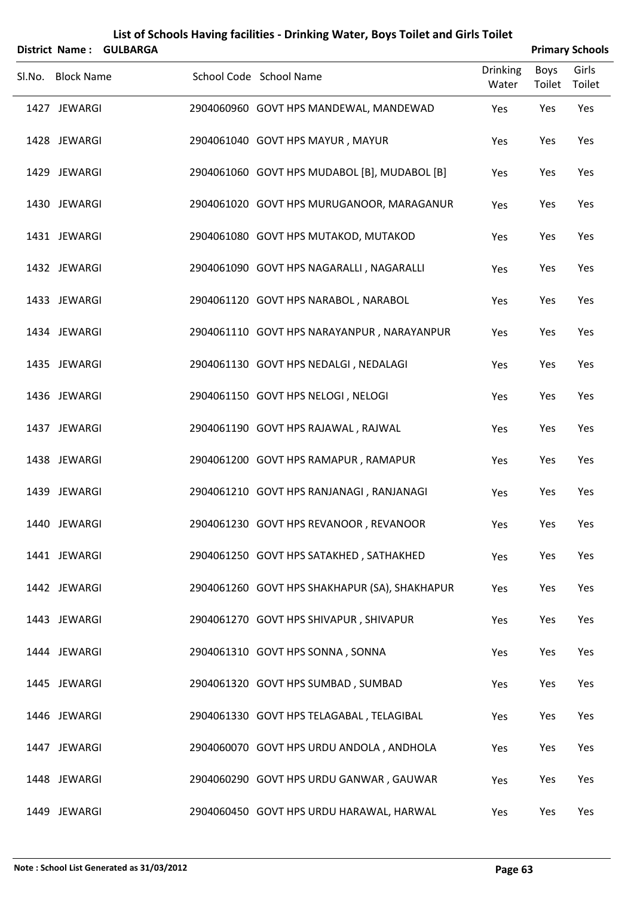|        | <b>District Name:</b> | <b>GULBARGA</b> |                                               |                          |                | <b>Primary Schools</b> |
|--------|-----------------------|-----------------|-----------------------------------------------|--------------------------|----------------|------------------------|
| Sl.No. | <b>Block Name</b>     |                 | School Code School Name                       | <b>Drinking</b><br>Water | Boys<br>Toilet | Girls<br>Toilet        |
|        | 1427 JEWARGI          |                 | 2904060960 GOVT HPS MANDEWAL, MANDEWAD        | Yes                      | Yes            | Yes                    |
|        | 1428 JEWARGI          |                 | 2904061040 GOVT HPS MAYUR, MAYUR              | Yes                      | Yes            | Yes                    |
|        | 1429 JEWARGI          |                 | 2904061060 GOVT HPS MUDABOL [B], MUDABOL [B]  | Yes                      | Yes            | Yes                    |
|        | 1430 JEWARGI          |                 | 2904061020 GOVT HPS MURUGANOOR, MARAGANUR     | Yes                      | Yes            | Yes                    |
|        | 1431 JEWARGI          |                 | 2904061080 GOVT HPS MUTAKOD, MUTAKOD          | Yes                      | Yes            | Yes                    |
|        | 1432 JEWARGI          |                 | 2904061090 GOVT HPS NAGARALLI, NAGARALLI      | Yes                      | Yes            | Yes                    |
|        | 1433 JEWARGI          |                 | 2904061120 GOVT HPS NARABOL, NARABOL          | Yes                      | Yes            | Yes                    |
|        | 1434 JEWARGI          |                 | 2904061110 GOVT HPS NARAYANPUR, NARAYANPUR    | Yes                      | Yes            | Yes                    |
|        | 1435 JEWARGI          |                 | 2904061130 GOVT HPS NEDALGI, NEDALAGI         | Yes                      | Yes            | Yes                    |
|        | 1436 JEWARGI          |                 | 2904061150 GOVT HPS NELOGI, NELOGI            | Yes                      | Yes            | Yes                    |
|        | 1437 JEWARGI          |                 | 2904061190 GOVT HPS RAJAWAL, RAJWAL           | Yes                      | Yes            | Yes                    |
|        | 1438 JEWARGI          |                 | 2904061200 GOVT HPS RAMAPUR, RAMAPUR          | Yes                      | Yes            | Yes                    |
|        | 1439 JEWARGI          |                 | 2904061210 GOVT HPS RANJANAGI, RANJANAGI      | Yes                      | Yes            | Yes                    |
|        | 1440 JEWARGI          |                 | 2904061230 GOVT HPS REVANOOR, REVANOOR        | Yes                      | Yes            | Yes                    |
|        | 1441 JEWARGI          |                 | 2904061250 GOVT HPS SATAKHED, SATHAKHED       | Yes                      | Yes            | Yes                    |
|        | 1442 JEWARGI          |                 | 2904061260 GOVT HPS SHAKHAPUR (SA), SHAKHAPUR | Yes                      | Yes            | Yes                    |
|        | 1443 JEWARGI          |                 | 2904061270 GOVT HPS SHIVAPUR, SHIVAPUR        | Yes                      | Yes            | Yes                    |
|        | 1444 JEWARGI          |                 | 2904061310 GOVT HPS SONNA, SONNA              | Yes                      | Yes            | Yes                    |
|        | 1445 JEWARGI          |                 | 2904061320 GOVT HPS SUMBAD, SUMBAD            | Yes                      | Yes            | Yes                    |
|        | 1446 JEWARGI          |                 | 2904061330 GOVT HPS TELAGABAL, TELAGIBAL      | Yes                      | Yes            | Yes                    |
|        | 1447 JEWARGI          |                 | 2904060070 GOVT HPS URDU ANDOLA, ANDHOLA      | Yes                      | Yes            | Yes                    |
|        | 1448 JEWARGI          |                 | 2904060290 GOVT HPS URDU GANWAR, GAUWAR       | Yes                      | Yes            | Yes                    |
|        | 1449 JEWARGI          |                 | 2904060450 GOVT HPS URDU HARAWAL, HARWAL      | Yes                      | Yes            | Yes                    |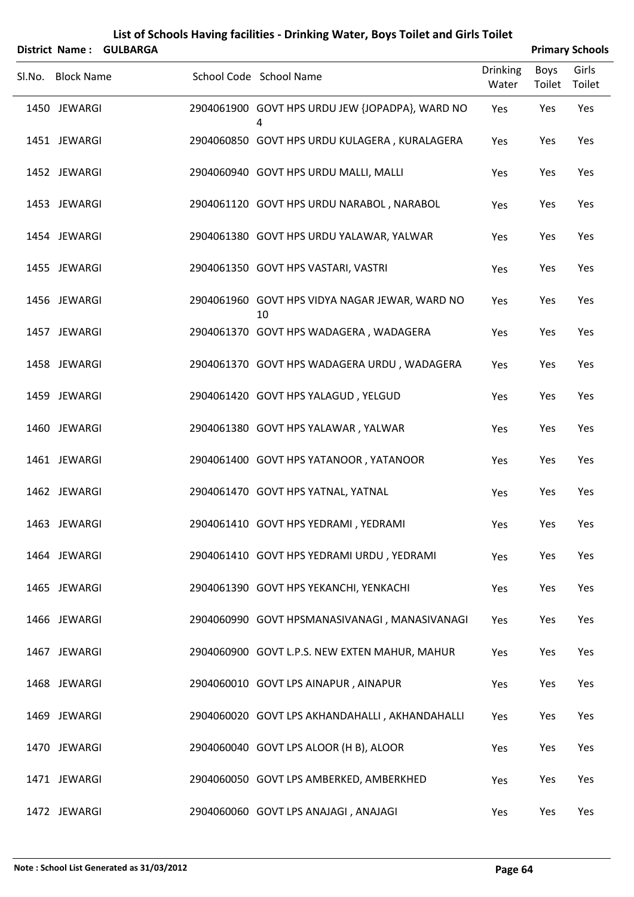| List of Schools Having facilities - Drinking Water, Boys Toilet and Girls Toilet |
|----------------------------------------------------------------------------------|
|----------------------------------------------------------------------------------|

|        |                   | District Name: GULBARGA |                                                      |                          |                | <b>Primary Schools</b> |
|--------|-------------------|-------------------------|------------------------------------------------------|--------------------------|----------------|------------------------|
| SI.No. | <b>Block Name</b> |                         | School Code School Name                              | <b>Drinking</b><br>Water | Boys<br>Toilet | Girls<br>Toilet        |
|        | 1450 JEWARGI      |                         | 2904061900 GOVT HPS URDU JEW {JOPADPA}, WARD NO<br>4 | Yes                      | Yes            | Yes                    |
|        | 1451 JEWARGI      |                         | 2904060850 GOVT HPS URDU KULAGERA, KURALAGERA        | Yes                      | Yes            | Yes                    |
|        | 1452 JEWARGI      |                         | 2904060940 GOVT HPS URDU MALLI, MALLI                | Yes                      | Yes            | Yes                    |
|        | 1453 JEWARGI      |                         | 2904061120 GOVT HPS URDU NARABOL, NARABOL            | Yes                      | Yes            | Yes                    |
|        | 1454 JEWARGI      |                         | 2904061380 GOVT HPS URDU YALAWAR, YALWAR             | Yes                      | Yes            | Yes                    |
|        | 1455 JEWARGI      |                         | 2904061350 GOVT HPS VASTARI, VASTRI                  | Yes                      | Yes            | Yes                    |
|        | 1456 JEWARGI      |                         | 2904061960 GOVT HPS VIDYA NAGAR JEWAR, WARD NO<br>10 | Yes                      | Yes            | Yes                    |
|        | 1457 JEWARGI      |                         | 2904061370 GOVT HPS WADAGERA, WADAGERA               | Yes                      | Yes            | Yes                    |
|        | 1458 JEWARGI      |                         | 2904061370 GOVT HPS WADAGERA URDU, WADAGERA          | Yes                      | Yes            | Yes                    |
|        | 1459 JEWARGI      |                         | 2904061420 GOVT HPS YALAGUD, YELGUD                  | Yes                      | Yes            | Yes                    |
|        | 1460 JEWARGI      |                         | 2904061380 GOVT HPS YALAWAR, YALWAR                  | Yes                      | Yes            | Yes                    |
|        | 1461 JEWARGI      |                         | 2904061400 GOVT HPS YATANOOR, YATANOOR               | Yes                      | Yes            | Yes                    |
|        | 1462 JEWARGI      |                         | 2904061470 GOVT HPS YATNAL, YATNAL                   | Yes                      | Yes            | Yes                    |
|        | 1463 JEWARGI      |                         | 2904061410 GOVT HPS YEDRAMI, YEDRAMI                 | Yes                      | Yes            | Yes                    |
|        | 1464 JEWARGI      |                         | 2904061410 GOVT HPS YEDRAMI URDU, YEDRAMI            | Yes                      | Yes            | Yes                    |
|        | 1465 JEWARGI      |                         | 2904061390 GOVT HPS YEKANCHI, YENKACHI               | Yes                      | Yes            | Yes                    |
|        | 1466 JEWARGI      |                         | 2904060990 GOVT HPSMANASIVANAGI, MANASIVANAGI        | Yes                      | Yes            | Yes                    |
|        | 1467 JEWARGI      |                         | 2904060900 GOVT L.P.S. NEW EXTEN MAHUR, MAHUR        | Yes                      | Yes            | Yes                    |
|        | 1468 JEWARGI      |                         | 2904060010 GOVT LPS AINAPUR, AINAPUR                 | Yes                      | Yes            | Yes                    |
|        | 1469 JEWARGI      |                         | 2904060020 GOVT LPS AKHANDAHALLI, AKHANDAHALLI       | Yes                      | Yes            | Yes                    |
|        | 1470 JEWARGI      |                         | 2904060040 GOVT LPS ALOOR (H B), ALOOR               | Yes                      | Yes            | Yes                    |
|        | 1471 JEWARGI      |                         | 2904060050 GOVT LPS AMBERKED, AMBERKHED              | Yes                      | Yes            | Yes                    |
|        | 1472 JEWARGI      |                         | 2904060060 GOVT LPS ANAJAGI, ANAJAGI                 | Yes                      | Yes            | Yes                    |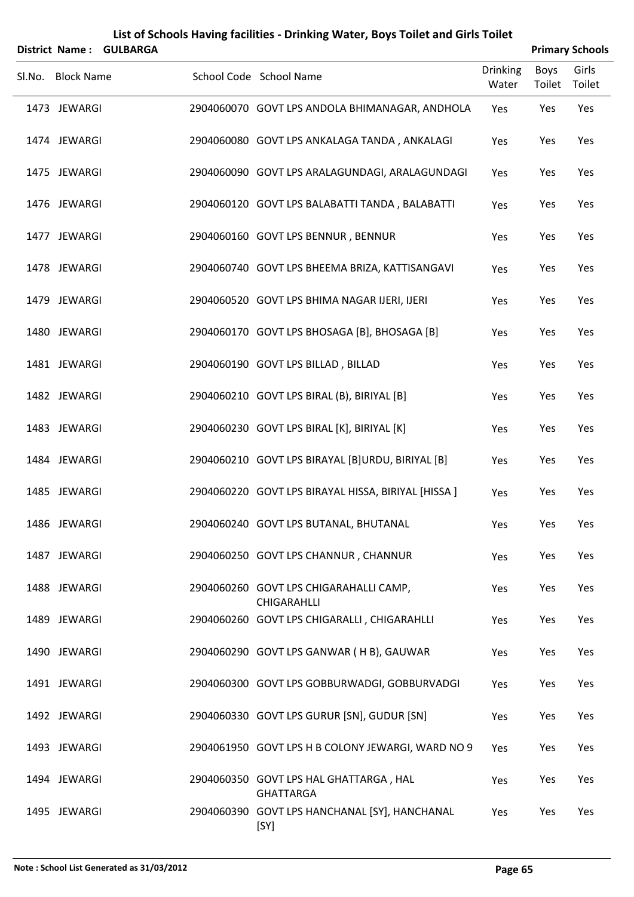|        | <b>District Name:</b> | <b>GULBARGA</b> |                                                            |                          |                       | <b>Primary Schools</b> |
|--------|-----------------------|-----------------|------------------------------------------------------------|--------------------------|-----------------------|------------------------|
| Sl.No. | <b>Block Name</b>     |                 | School Code School Name                                    | <b>Drinking</b><br>Water | <b>Boys</b><br>Toilet | Girls<br>Toilet        |
|        | 1473 JEWARGI          |                 | 2904060070 GOVT LPS ANDOLA BHIMANAGAR, ANDHOLA             | Yes                      | Yes                   | Yes                    |
|        | 1474 JEWARGI          |                 | 2904060080 GOVT LPS ANKALAGA TANDA, ANKALAGI               | Yes                      | Yes                   | Yes                    |
|        | 1475 JEWARGI          |                 | 2904060090 GOVT LPS ARALAGUNDAGI, ARALAGUNDAGI             | Yes                      | Yes                   | Yes                    |
|        | 1476 JEWARGI          |                 | 2904060120 GOVT LPS BALABATTI TANDA, BALABATTI             | Yes                      | Yes                   | Yes                    |
|        | 1477 JEWARGI          |                 | 2904060160 GOVT LPS BENNUR, BENNUR                         | Yes                      | Yes                   | Yes                    |
|        | 1478 JEWARGI          |                 | 2904060740 GOVT LPS BHEEMA BRIZA, KATTISANGAVI             | Yes                      | Yes                   | Yes                    |
|        | 1479 JEWARGI          |                 | 2904060520 GOVT LPS BHIMA NAGAR IJERI, IJERI               | Yes                      | Yes                   | Yes                    |
|        | 1480 JEWARGI          |                 | 2904060170 GOVT LPS BHOSAGA [B], BHOSAGA [B]               | Yes                      | Yes                   | Yes                    |
|        | 1481 JEWARGI          |                 | 2904060190 GOVT LPS BILLAD, BILLAD                         | Yes                      | Yes                   | Yes                    |
|        | 1482 JEWARGI          |                 | 2904060210 GOVT LPS BIRAL (B), BIRIYAL [B]                 | Yes                      | Yes                   | Yes                    |
|        | 1483 JEWARGI          |                 | 2904060230 GOVT LPS BIRAL [K], BIRIYAL [K]                 | Yes                      | Yes                   | Yes                    |
|        | 1484 JEWARGI          |                 | 2904060210 GOVT LPS BIRAYAL [B]URDU, BIRIYAL [B]           | Yes                      | Yes                   | Yes                    |
|        | 1485 JEWARGI          |                 | 2904060220 GOVT LPS BIRAYAL HISSA, BIRIYAL [HISSA ]        | Yes                      | Yes                   | Yes                    |
|        | 1486 JEWARGI          |                 | 2904060240 GOVT LPS BUTANAL, BHUTANAL                      | Yes                      | Yes                   | Yes                    |
|        | 1487 JEWARGI          |                 | 2904060250 GOVT LPS CHANNUR, CHANNUR                       | Yes                      | Yes                   | Yes                    |
|        | 1488 JEWARGI          |                 | 2904060260 GOVT LPS CHIGARAHALLI CAMP,<br>CHIGARAHLLI      | Yes                      | Yes                   | Yes                    |
|        | 1489 JEWARGI          |                 | 2904060260 GOVT LPS CHIGARALLI, CHIGARAHLLI                | Yes                      | Yes                   | Yes                    |
|        | 1490 JEWARGI          |                 | 2904060290 GOVT LPS GANWAR (HB), GAUWAR                    | Yes                      | Yes                   | Yes                    |
|        | 1491 JEWARGI          |                 | 2904060300 GOVT LPS GOBBURWADGI, GOBBURVADGI               | Yes                      | Yes                   | Yes                    |
|        | 1492 JEWARGI          |                 | 2904060330 GOVT LPS GURUR [SN], GUDUR [SN]                 | Yes                      | Yes                   | Yes                    |
|        | 1493 JEWARGI          |                 | 2904061950 GOVT LPS H B COLONY JEWARGI, WARD NO 9          | Yes                      | Yes                   | Yes                    |
|        | 1494 JEWARGI          |                 | 2904060350 GOVT LPS HAL GHATTARGA, HAL<br><b>GHATTARGA</b> | Yes                      | Yes                   | Yes                    |
|        | 1495 JEWARGI          |                 | 2904060390 GOVT LPS HANCHANAL [SY], HANCHANAL<br>[SY]      | Yes                      | Yes                   | Yes                    |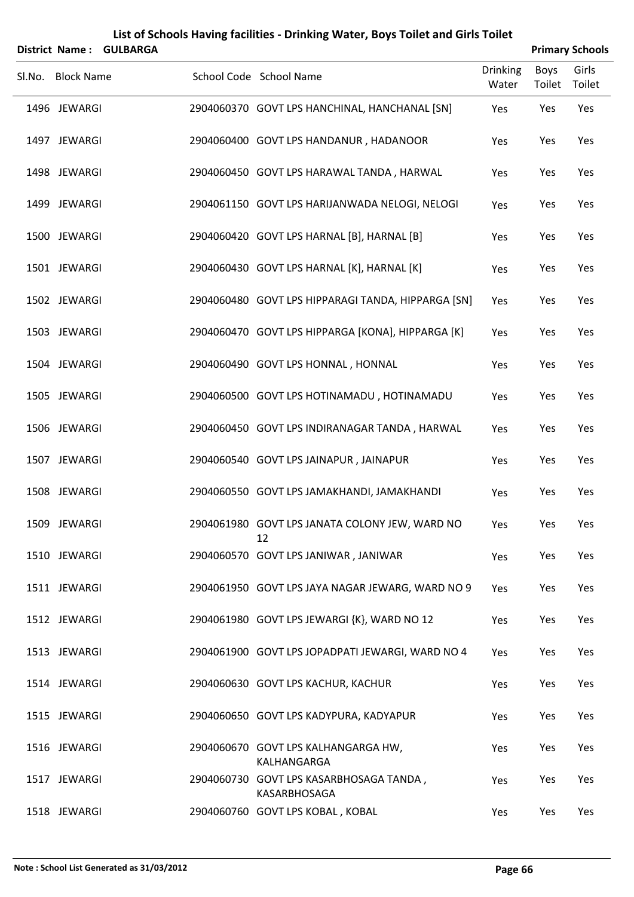|        | <b>District Name:</b> | <b>GULBARGA</b> |                                                         |                   |                | <b>Primary Schools</b> |
|--------|-----------------------|-----------------|---------------------------------------------------------|-------------------|----------------|------------------------|
| Sl.No. | <b>Block Name</b>     |                 | School Code School Name                                 | Drinking<br>Water | Boys<br>Toilet | Girls<br>Toilet        |
|        | 1496 JEWARGI          |                 | 2904060370 GOVT LPS HANCHINAL, HANCHANAL [SN]           | Yes               | Yes            | Yes                    |
|        | 1497 JEWARGI          |                 | 2904060400 GOVT LPS HANDANUR, HADANOOR                  | Yes               | Yes            | Yes                    |
|        | 1498 JEWARGI          |                 | 2904060450 GOVT LPS HARAWAL TANDA, HARWAL               | Yes               | Yes            | Yes                    |
|        | 1499 JEWARGI          |                 | 2904061150 GOVT LPS HARIJANWADA NELOGI, NELOGI          | Yes               | Yes            | Yes                    |
|        | 1500 JEWARGI          |                 | 2904060420 GOVT LPS HARNAL [B], HARNAL [B]              | Yes               | Yes            | Yes                    |
|        | 1501 JEWARGI          |                 | 2904060430 GOVT LPS HARNAL [K], HARNAL [K]              | Yes               | Yes            | Yes                    |
|        | 1502 JEWARGI          |                 | 2904060480 GOVT LPS HIPPARAGI TANDA, HIPPARGA [SN]      | Yes               | Yes            | Yes                    |
|        | 1503 JEWARGI          |                 | 2904060470 GOVT LPS HIPPARGA [KONA], HIPPARGA [K]       | Yes               | Yes            | Yes                    |
|        | 1504 JEWARGI          |                 | 2904060490 GOVT LPS HONNAL, HONNAL                      | Yes               | Yes            | Yes                    |
|        | 1505 JEWARGI          |                 | 2904060500 GOVT LPS HOTINAMADU, HOTINAMADU              | Yes               | Yes            | Yes                    |
|        | 1506 JEWARGI          |                 | 2904060450 GOVT LPS INDIRANAGAR TANDA, HARWAL           | Yes               | Yes            | Yes                    |
|        | 1507 JEWARGI          |                 | 2904060540 GOVT LPS JAINAPUR, JAINAPUR                  | Yes               | Yes            | Yes                    |
|        | 1508 JEWARGI          |                 | 2904060550 GOVT LPS JAMAKHANDI, JAMAKHANDI              | Yes               | Yes            | Yes                    |
|        | 1509 JEWARGI          |                 | 2904061980 GOVT LPS JANATA COLONY JEW, WARD NO<br>12    | Yes               | Yes            | Yes                    |
|        | 1510 JEWARGI          |                 | 2904060570 GOVT LPS JANIWAR, JANIWAR                    | Yes               | Yes            | Yes                    |
|        | 1511 JEWARGI          |                 | 2904061950 GOVT LPS JAYA NAGAR JEWARG, WARD NO 9        | Yes               | Yes            | Yes                    |
|        | 1512 JEWARGI          |                 | 2904061980 GOVT LPS JEWARGI {K}, WARD NO 12             | Yes               | Yes            | Yes                    |
|        | 1513 JEWARGI          |                 | 2904061900 GOVT LPS JOPADPATI JEWARGI, WARD NO 4        | Yes               | Yes            | Yes                    |
|        | 1514 JEWARGI          |                 | 2904060630 GOVT LPS KACHUR, KACHUR                      | Yes               | Yes            | Yes                    |
|        | 1515 JEWARGI          |                 | 2904060650 GOVT LPS KADYPURA, KADYAPUR                  | Yes               | Yes            | Yes                    |
|        | 1516 JEWARGI          |                 | 2904060670 GOVT LPS KALHANGARGA HW,<br>KALHANGARGA      | Yes               | Yes            | Yes                    |
|        | 1517 JEWARGI          |                 | 2904060730 GOVT LPS KASARBHOSAGA TANDA,<br>KASARBHOSAGA | Yes               | Yes            | Yes                    |
|        | 1518 JEWARGI          |                 | 2904060760 GOVT LPS KOBAL, KOBAL                        | Yes               | Yes            | Yes                    |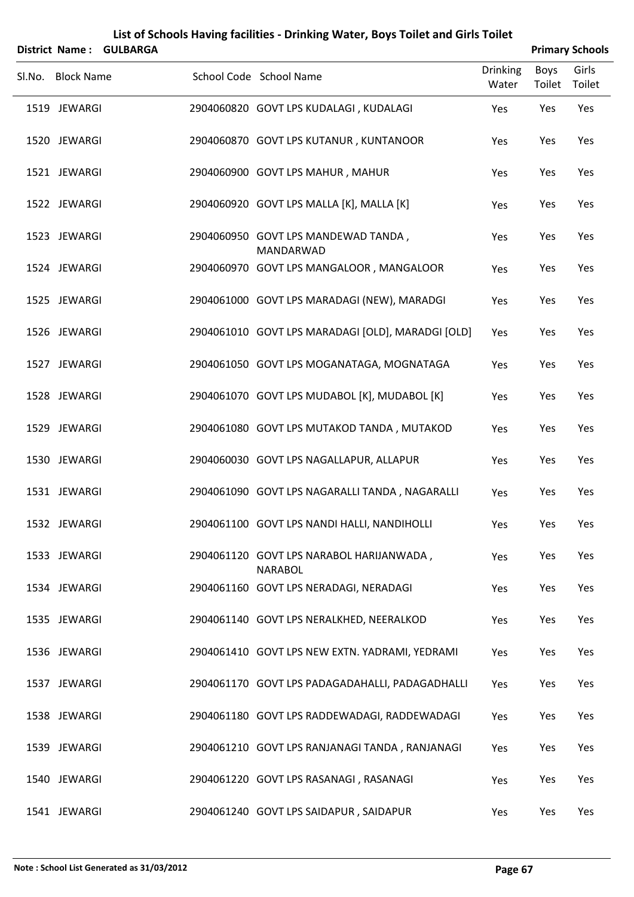|                   | District Name: GULBARGA |                                                            |                          |                       | <b>Primary Schools</b> |
|-------------------|-------------------------|------------------------------------------------------------|--------------------------|-----------------------|------------------------|
| Sl.No. Block Name |                         | School Code School Name                                    | <b>Drinking</b><br>Water | <b>Boys</b><br>Toilet | Girls<br>Toilet        |
| 1519 JEWARGI      |                         | 2904060820 GOVT LPS KUDALAGI, KUDALAGI                     | Yes                      | Yes                   | Yes                    |
| 1520 JEWARGI      |                         | 2904060870 GOVT LPS KUTANUR, KUNTANOOR                     | Yes                      | Yes                   | Yes                    |
| 1521 JEWARGI      |                         | 2904060900 GOVT LPS MAHUR, MAHUR                           | Yes                      | Yes                   | Yes                    |
| 1522 JEWARGI      |                         | 2904060920 GOVT LPS MALLA [K], MALLA [K]                   | Yes                      | Yes                   | Yes                    |
| 1523 JEWARGI      |                         | 2904060950 GOVT LPS MANDEWAD TANDA,<br>MANDARWAD           | Yes                      | Yes                   | Yes                    |
| 1524 JEWARGI      |                         | 2904060970 GOVT LPS MANGALOOR, MANGALOOR                   | Yes                      | Yes                   | Yes                    |
| 1525 JEWARGI      |                         | 2904061000 GOVT LPS MARADAGI (NEW), MARADGI                | Yes                      | Yes                   | Yes                    |
| 1526 JEWARGI      |                         | 2904061010 GOVT LPS MARADAGI [OLD], MARADGI [OLD]          | Yes                      | Yes                   | Yes                    |
| 1527 JEWARGI      |                         | 2904061050 GOVT LPS MOGANATAGA, MOGNATAGA                  | Yes                      | Yes                   | Yes                    |
| 1528 JEWARGI      |                         | 2904061070 GOVT LPS MUDABOL [K], MUDABOL [K]               | Yes                      | Yes                   | Yes                    |
| 1529 JEWARGI      |                         | 2904061080 GOVT LPS MUTAKOD TANDA, MUTAKOD                 | Yes                      | Yes                   | Yes                    |
| 1530 JEWARGI      |                         | 2904060030 GOVT LPS NAGALLAPUR, ALLAPUR                    | Yes                      | Yes                   | Yes                    |
| 1531 JEWARGI      |                         | 2904061090 GOVT LPS NAGARALLI TANDA, NAGARALLI             | Yes                      | Yes                   | Yes                    |
| 1532 JEWARGI      |                         | 2904061100 GOVT LPS NANDI HALLI, NANDIHOLLI                | Yes                      | Yes                   | Yes                    |
| 1533 JEWARGI      |                         | 2904061120 GOVT LPS NARABOL HARIJANWADA,<br><b>NARABOL</b> | Yes                      | Yes                   | Yes                    |
| 1534 JEWARGI      |                         | 2904061160 GOVT LPS NERADAGI, NERADAGI                     | Yes                      | Yes                   | Yes                    |
| 1535 JEWARGI      |                         | 2904061140 GOVT LPS NERALKHED, NEERALKOD                   | Yes                      | Yes                   | Yes                    |
| 1536 JEWARGI      |                         | 2904061410 GOVT LPS NEW EXTN. YADRAMI, YEDRAMI             | Yes                      | Yes                   | Yes                    |
| 1537 JEWARGI      |                         | 2904061170 GOVT LPS PADAGADAHALLI, PADAGADHALLI            | Yes                      | Yes                   | Yes                    |
| 1538 JEWARGI      |                         | 2904061180 GOVT LPS RADDEWADAGI, RADDEWADAGI               | Yes                      | Yes                   | Yes                    |
| 1539 JEWARGI      |                         | 2904061210 GOVT LPS RANJANAGI TANDA, RANJANAGI             | Yes                      | Yes                   | Yes                    |
| 1540 JEWARGI      |                         | 2904061220 GOVT LPS RASANAGI, RASANAGI                     | Yes                      | Yes                   | Yes                    |
| 1541 JEWARGI      |                         | 2904061240 GOVT LPS SAIDAPUR, SAIDAPUR                     | Yes                      | Yes                   | Yes                    |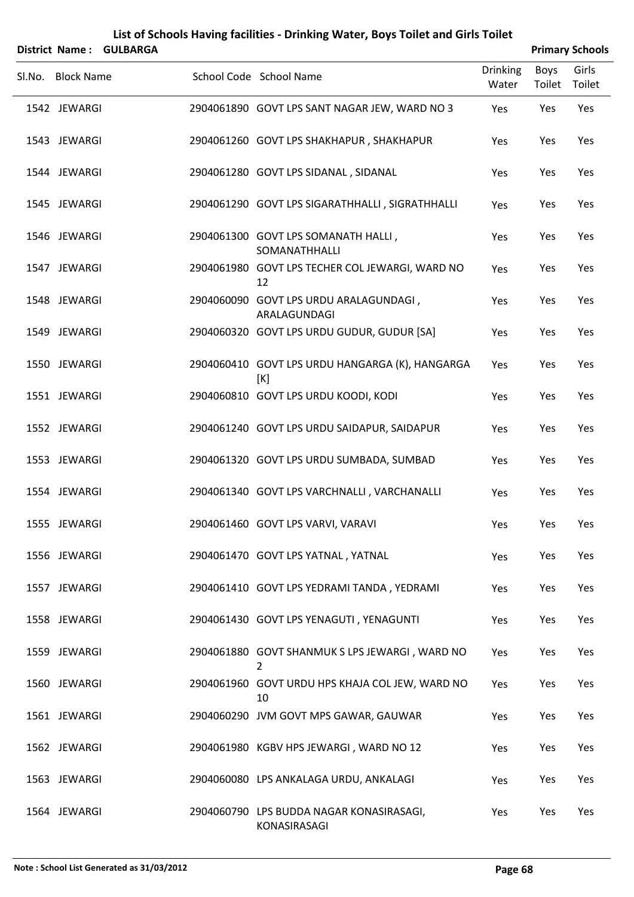| List of Schools Having facilities - Drinking Water, Boys Toilet and Girls Toilet |                |
|----------------------------------------------------------------------------------|----------------|
| $\text{trict}$ Name: $\text{CIII}$ RADCA                                         | <b>Drimany</b> |

| District Name: GULBARGA |                                                          |                          |                       | <b>Primary Schools</b> |
|-------------------------|----------------------------------------------------------|--------------------------|-----------------------|------------------------|
| Sl.No. Block Name       | School Code School Name                                  | <b>Drinking</b><br>Water | Boys<br>Toilet Toilet | Girls                  |
| 1542 JEWARGI            | 2904061890 GOVT LPS SANT NAGAR JEW, WARD NO 3            | Yes                      | Yes                   | Yes                    |
| 1543 JEWARGI            | 2904061260 GOVT LPS SHAKHAPUR, SHAKHAPUR                 | Yes                      | Yes                   | Yes                    |
| 1544 JEWARGI            | 2904061280 GOVT LPS SIDANAL, SIDANAL                     | Yes                      | Yes                   | Yes                    |
| 1545 JEWARGI            | 2904061290 GOVT LPS SIGARATHHALLI, SIGRATHHALLI          | Yes                      | Yes                   | Yes                    |
| 1546 JEWARGI            | 2904061300 GOVT LPS SOMANATH HALLI,<br>SOMANATHHALLI     | Yes                      | Yes                   | Yes                    |
| 1547 JEWARGI            | 2904061980 GOVT LPS TECHER COL JEWARGI, WARD NO<br>12    | Yes                      | Yes                   | Yes                    |
| 1548 JEWARGI            | 2904060090 GOVT LPS URDU ARALAGUNDAGI,<br>ARALAGUNDAGI   | Yes                      | Yes                   | Yes                    |
| 1549 JEWARGI            | 2904060320 GOVT LPS URDU GUDUR, GUDUR [SA]               | Yes                      | Yes                   | Yes                    |
| 1550 JEWARGI            | 2904060410 GOVT LPS URDU HANGARGA (K), HANGARGA<br>[K]   | Yes                      | Yes                   | Yes                    |
| 1551 JEWARGI            | 2904060810 GOVT LPS URDU KOODI, KODI                     | Yes                      | Yes                   | Yes                    |
| 1552 JEWARGI            | 2904061240 GOVT LPS URDU SAIDAPUR, SAIDAPUR              | Yes                      | Yes                   | Yes                    |
| 1553 JEWARGI            | 2904061320 GOVT LPS URDU SUMBADA, SUMBAD                 | Yes                      | Yes                   | Yes                    |
| 1554 JEWARGI            | 2904061340 GOVT LPS VARCHNALLI, VARCHANALLI              | Yes                      | Yes                   | Yes                    |
| 1555 JEWARGI            | 2904061460 GOVT LPS VARVI, VARAVI                        | Yes                      | Yes                   | Yes                    |
| 1556 JEWARGI            | 2904061470 GOVT LPS YATNAL, YATNAL                       | Yes                      | Yes                   | Yes                    |
| 1557 JEWARGI            | 2904061410 GOVT LPS YEDRAMI TANDA, YEDRAMI               | Yes                      | Yes                   | Yes                    |
| 1558 JEWARGI            | 2904061430 GOVT LPS YENAGUTI, YENAGUNTI                  | Yes                      | Yes                   | Yes                    |
| 1559 JEWARGI            | 2904061880 GOVT SHANMUK S LPS JEWARGI, WARD NO<br>2      | Yes                      | Yes                   | Yes                    |
| 1560 JEWARGI            | 2904061960 GOVT URDU HPS KHAJA COL JEW, WARD NO<br>10    | Yes                      | Yes                   | Yes                    |
| 1561 JEWARGI            | 2904060290 JVM GOVT MPS GAWAR, GAUWAR                    | Yes                      | Yes                   | Yes                    |
| 1562 JEWARGI            | 2904061980 KGBV HPS JEWARGI, WARD NO 12                  | Yes                      | Yes                   | Yes                    |
| 1563 JEWARGI            | 2904060080 LPS ANKALAGA URDU, ANKALAGI                   | Yes                      | Yes                   | Yes                    |
| 1564 JEWARGI            | 2904060790 LPS BUDDA NAGAR KONASIRASAGI,<br>KONASIRASAGI | Yes                      | Yes                   | Yes                    |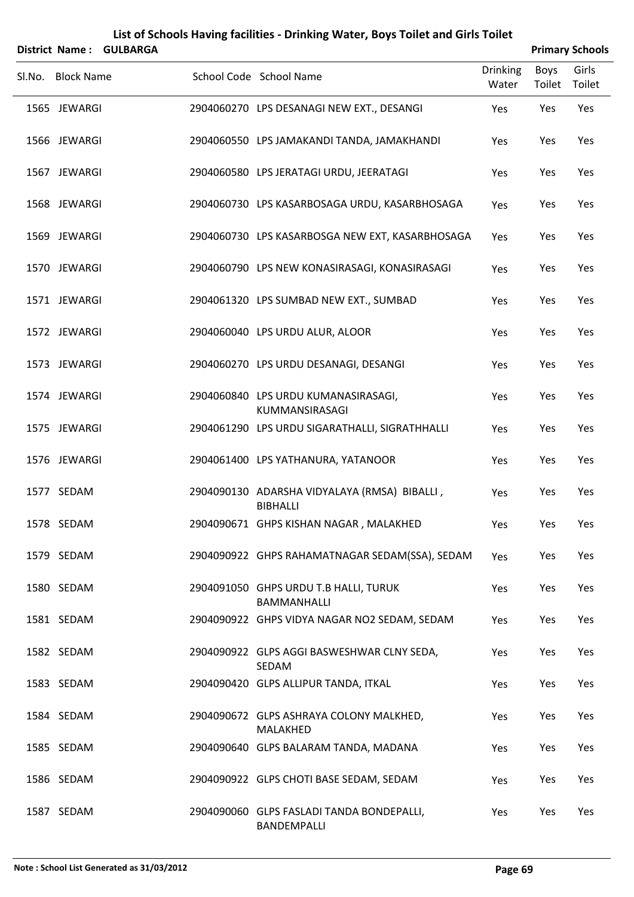| District Name:    | <b>GULBARGA</b> | List of Schools Having facilities - Drinking Water, Boys Toilet and Girls Toilet |                          |                | <b>Primary Schools</b> |
|-------------------|-----------------|----------------------------------------------------------------------------------|--------------------------|----------------|------------------------|
| Sl.No. Block Name |                 | School Code School Name                                                          | <b>Drinking</b><br>Water | Boys<br>Toilet | Girls<br>Toilet        |
| 1565 JEWARGI      |                 | 2904060270 LPS DESANAGI NEW EXT., DESANGI                                        | Yes                      | Yes            | Yes                    |
| 1566 JEWARGI      |                 | 2904060550 LPS JAMAKANDI TANDA, JAMAKHANDI                                       | Yes                      | Yes            | Yes                    |
| 1567 JEWARGI      |                 | 2904060580 LPS JERATAGI URDU, JEERATAGI                                          | Yes                      | Yes            | Yes                    |
| 1568 JEWARGI      |                 | 2904060730 LPS KASARBOSAGA URDU, KASARBHOSAGA                                    | Yes                      | Yes            | Yes                    |
| 1569 JEWARGI      |                 | 2904060730 LPS KASARBOSGA NEW EXT, KASARBHOSAGA                                  | Yes                      | Yes            | Yes                    |
| 1570 JEWARGI      |                 | 2904060790 LPS NEW KONASIRASAGI, KONASIRASAGI                                    | Yes                      | Yes            | Yes                    |
| 1571 JEWARGI      |                 | 2904061320 LPS SUMBAD NEW EXT., SUMBAD                                           | Yes                      | Yes            | Yes                    |
| 1572 JEWARGI      |                 | 2904060040 LPS URDU ALUR, ALOOR                                                  | Yes                      | Yes            | Yes                    |
| 1573 JEWARGI      |                 | 2904060270 LPS URDU DESANAGI, DESANGI                                            | Yes                      | Yes            | Yes                    |
| 1574 JEWARGI      |                 | 2904060840 LPS URDU KUMANASIRASAGI,<br>KUMMANSIRASAGI                            | Yes                      | Yes            | Yes                    |
| 1575 JEWARGI      |                 | 2904061290 LPS URDU SIGARATHALLI, SIGRATHHALLI                                   | Yes                      | Yes            | Yes                    |
| 1576 JEWARGI      |                 | 2904061400 LPS YATHANURA, YATANOOR                                               | Yes                      | Yes            | Yes                    |
| 1577 SEDAM        |                 | 2904090130 ADARSHA VIDYALAYA (RMSA) BIBALLI,<br>BIBHALLI                         | Yes                      | Yes            | Yes                    |
| 1578 SEDAM        |                 | 2904090671 GHPS KISHAN NAGAR, MALAKHED                                           | Yes                      | Yes            | Yes                    |
| 1579 SEDAM        |                 | 2904090922 GHPS RAHAMATNAGAR SEDAM(SSA), SEDAM                                   | Yes                      | Yes            | Yes                    |
| 1580 SEDAM        |                 | 2904091050 GHPS URDU T.B HALLI, TURUK<br><b>BAMMANHALLI</b>                      | Yes                      | Yes            | Yes                    |
| 1581 SEDAM        |                 | 2904090922 GHPS VIDYA NAGAR NO2 SEDAM, SEDAM                                     | Yes                      | Yes            | Yes                    |
| 1582 SEDAM        |                 | 2904090922 GLPS AGGI BASWESHWAR CLNY SEDA,<br>SEDAM                              | Yes                      | Yes            | Yes                    |
| 1583 SEDAM        |                 | 2904090420 GLPS ALLIPUR TANDA, ITKAL                                             | Yes                      | Yes            | Yes                    |
| 1584 SEDAM        |                 | 2904090672 GLPS ASHRAYA COLONY MALKHED,<br>MALAKHED                              | Yes                      | Yes            | Yes                    |
| 1585 SEDAM        |                 | 2904090640 GLPS BALARAM TANDA, MADANA                                            | Yes                      | Yes            | Yes                    |
| 1586 SEDAM        |                 | 2904090922 GLPS CHOTI BASE SEDAM, SEDAM                                          | Yes                      | Yes            | Yes                    |
| 1587 SEDAM        |                 | 2904090060 GLPS FASLADI TANDA BONDEPALLI,<br>BANDEMPALLI                         | Yes                      | Yes            | Yes                    |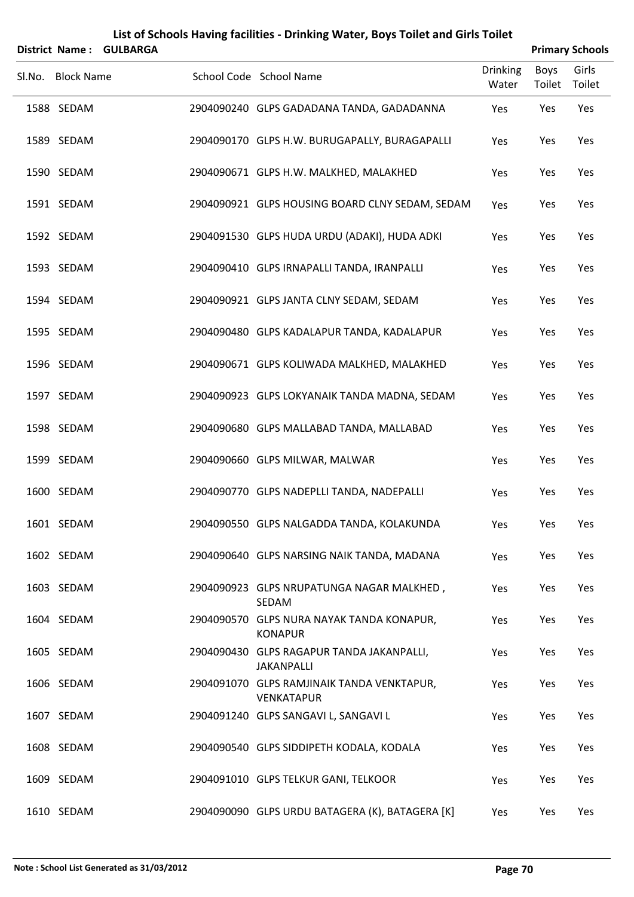|        | District Name:    | <b>GULBARGA</b> |                                                                 |                          |                | <b>Primary Schools</b> |
|--------|-------------------|-----------------|-----------------------------------------------------------------|--------------------------|----------------|------------------------|
| SI.No. | <b>Block Name</b> |                 | School Code School Name                                         | <b>Drinking</b><br>Water | Boys<br>Toilet | Girls<br>Toilet        |
|        | 1588 SEDAM        |                 | 2904090240 GLPS GADADANA TANDA, GADADANNA                       | Yes                      | Yes            | Yes                    |
|        | 1589 SEDAM        |                 | 2904090170 GLPS H.W. BURUGAPALLY, BURAGAPALLI                   | Yes                      | Yes            | Yes                    |
|        | 1590 SEDAM        |                 | 2904090671 GLPS H.W. MALKHED, MALAKHED                          | Yes                      | Yes            | Yes                    |
|        | 1591 SEDAM        |                 | 2904090921 GLPS HOUSING BOARD CLNY SEDAM, SEDAM                 | Yes                      | Yes            | Yes                    |
|        | 1592 SEDAM        |                 | 2904091530 GLPS HUDA URDU (ADAKI), HUDA ADKI                    | Yes                      | Yes            | Yes                    |
|        | 1593 SEDAM        |                 | 2904090410 GLPS IRNAPALLI TANDA, IRANPALLI                      | Yes                      | Yes            | Yes                    |
|        | 1594 SEDAM        |                 | 2904090921 GLPS JANTA CLNY SEDAM, SEDAM                         | Yes                      | Yes            | Yes                    |
|        | 1595 SEDAM        |                 | 2904090480 GLPS KADALAPUR TANDA, KADALAPUR                      | Yes                      | Yes            | Yes                    |
|        | 1596 SEDAM        |                 | 2904090671 GLPS KOLIWADA MALKHED, MALAKHED                      | Yes                      | Yes            | Yes                    |
|        | 1597 SEDAM        |                 | 2904090923 GLPS LOKYANAIK TANDA MADNA, SEDAM                    | Yes                      | Yes            | Yes                    |
|        | 1598 SEDAM        |                 | 2904090680 GLPS MALLABAD TANDA, MALLABAD                        | Yes                      | Yes            | Yes                    |
|        | 1599 SEDAM        |                 | 2904090660 GLPS MILWAR, MALWAR                                  | Yes                      | Yes            | Yes                    |
|        | 1600 SEDAM        |                 | 2904090770 GLPS NADEPLLI TANDA, NADEPALLI                       | Yes                      | Yes            | Yes                    |
|        | 1601 SEDAM        |                 | 2904090550 GLPS NALGADDA TANDA, KOLAKUNDA                       | Yes                      | Yes            | Yes                    |
|        | 1602 SEDAM        |                 | 2904090640 GLPS NARSING NAIK TANDA, MADANA                      | Yes                      | Yes            | Yes                    |
|        | 1603 SEDAM        |                 | 2904090923 GLPS NRUPATUNGA NAGAR MALKHED,<br>SEDAM              | Yes                      | Yes            | Yes                    |
|        | 1604 SEDAM        |                 | 2904090570 GLPS NURA NAYAK TANDA KONAPUR,<br><b>KONAPUR</b>     | Yes                      | Yes            | Yes                    |
|        | 1605 SEDAM        |                 | 2904090430 GLPS RAGAPUR TANDA JAKANPALLI,<br><b>JAKANPALLI</b>  | Yes                      | Yes            | Yes                    |
|        | 1606 SEDAM        |                 | 2904091070 GLPS RAMJINAIK TANDA VENKTAPUR,<br><b>VENKATAPUR</b> | Yes                      | Yes            | Yes                    |
|        | 1607 SEDAM        |                 | 2904091240 GLPS SANGAVI L, SANGAVI L                            | Yes                      | Yes            | Yes                    |
|        | 1608 SEDAM        |                 | 2904090540 GLPS SIDDIPETH KODALA, KODALA                        | Yes                      | Yes            | Yes                    |
|        | 1609 SEDAM        |                 | 2904091010 GLPS TELKUR GANI, TELKOOR                            | Yes                      | Yes            | Yes                    |
|        | 1610 SEDAM        |                 | 2904090090 GLPS URDU BATAGERA (K), BATAGERA [K]                 | Yes                      | Yes            | Yes                    |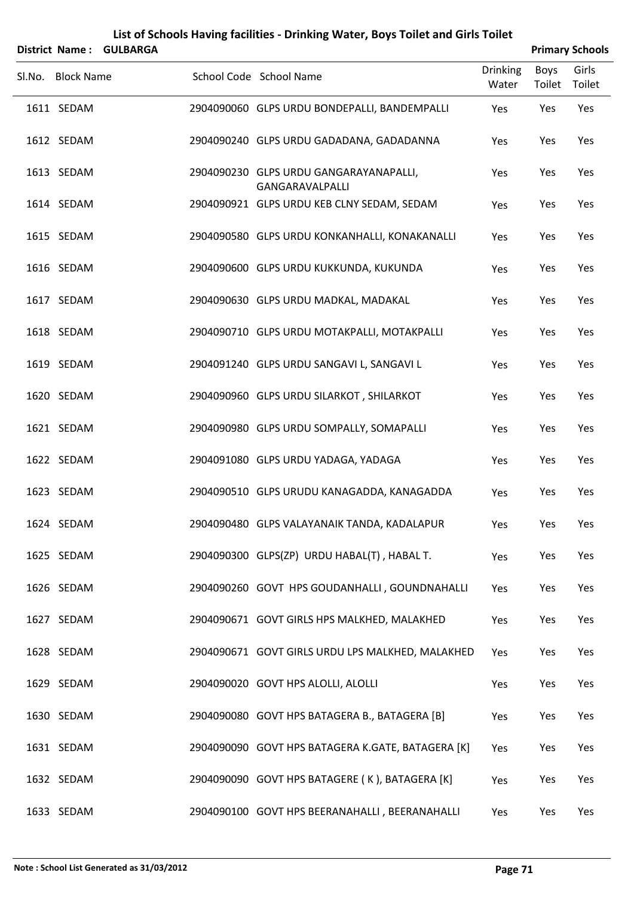| <b>District Name:</b> | <b>GULBARGA</b> |                                                           |                          |                | <b>Primary Schools</b> |
|-----------------------|-----------------|-----------------------------------------------------------|--------------------------|----------------|------------------------|
| Sl.No. Block Name     |                 | School Code School Name                                   | <b>Drinking</b><br>Water | Boys<br>Toilet | Girls<br>Toilet        |
| 1611 SEDAM            |                 | 2904090060 GLPS URDU BONDEPALLI, BANDEMPALLI              | Yes                      | Yes            | Yes                    |
| 1612 SEDAM            |                 | 2904090240 GLPS URDU GADADANA, GADADANNA                  | Yes                      | Yes            | Yes                    |
| 1613 SEDAM            |                 | 2904090230 GLPS URDU GANGARAYANAPALLI,<br>GANGARAVALPALLI | Yes                      | Yes            | Yes                    |
| 1614 SEDAM            |                 | 2904090921 GLPS URDU KEB CLNY SEDAM, SEDAM                | Yes                      | Yes            | Yes                    |
| 1615 SEDAM            |                 | 2904090580 GLPS URDU KONKANHALLI, KONAKANALLI             | Yes                      | Yes            | Yes                    |
| 1616 SEDAM            |                 | 2904090600 GLPS URDU KUKKUNDA, KUKUNDA                    | Yes                      | Yes            | Yes                    |
| 1617 SEDAM            |                 | 2904090630 GLPS URDU MADKAL, MADAKAL                      | Yes                      | Yes            | Yes                    |
| 1618 SEDAM            |                 | 2904090710 GLPS URDU MOTAKPALLI, MOTAKPALLI               | Yes                      | Yes            | Yes                    |
| 1619 SEDAM            |                 | 2904091240 GLPS URDU SANGAVI L, SANGAVI L                 | Yes                      | Yes            | Yes                    |
| 1620 SEDAM            |                 | 2904090960 GLPS URDU SILARKOT, SHILARKOT                  | Yes                      | Yes            | Yes                    |
| 1621 SEDAM            |                 | 2904090980 GLPS URDU SOMPALLY, SOMAPALLI                  | Yes                      | Yes            | Yes                    |
| 1622 SEDAM            |                 | 2904091080 GLPS URDU YADAGA, YADAGA                       | Yes                      | Yes            | Yes                    |
| 1623 SEDAM            |                 | 2904090510 GLPS URUDU KANAGADDA, KANAGADDA                | Yes                      | Yes            | Yes                    |
| 1624 SEDAM            |                 | 2904090480 GLPS VALAYANAIK TANDA, KADALAPUR               | Yes                      | Yes            | Yes                    |
| 1625 SEDAM            |                 | 2904090300 GLPS(ZP) URDU HABAL(T), HABAL T.               | Yes                      | Yes            | Yes                    |
| 1626 SEDAM            |                 | 2904090260 GOVT HPS GOUDANHALLI, GOUNDNAHALLI             | Yes                      | Yes            | Yes                    |
| 1627 SEDAM            |                 | 2904090671 GOVT GIRLS HPS MALKHED, MALAKHED               | Yes                      | Yes            | Yes                    |
| 1628 SEDAM            |                 | 2904090671 GOVT GIRLS URDU LPS MALKHED, MALAKHED          | Yes                      | Yes            | Yes                    |
| 1629 SEDAM            |                 | 2904090020 GOVT HPS ALOLLI, ALOLLI                        | Yes                      | Yes            | Yes                    |
| 1630 SEDAM            |                 | 2904090080 GOVT HPS BATAGERA B., BATAGERA [B]             | Yes                      | Yes            | Yes                    |
| 1631 SEDAM            |                 | 2904090090 GOVT HPS BATAGERA K.GATE, BATAGERA [K]         | Yes                      | Yes            | Yes                    |
| 1632 SEDAM            |                 | 2904090090 GOVT HPS BATAGERE (K), BATAGERA [K]            | Yes                      | Yes            | Yes                    |
| 1633 SEDAM            |                 | 2904090100 GOVT HPS BEERANAHALLI, BEERANAHALLI            | Yes                      | Yes            | Yes                    |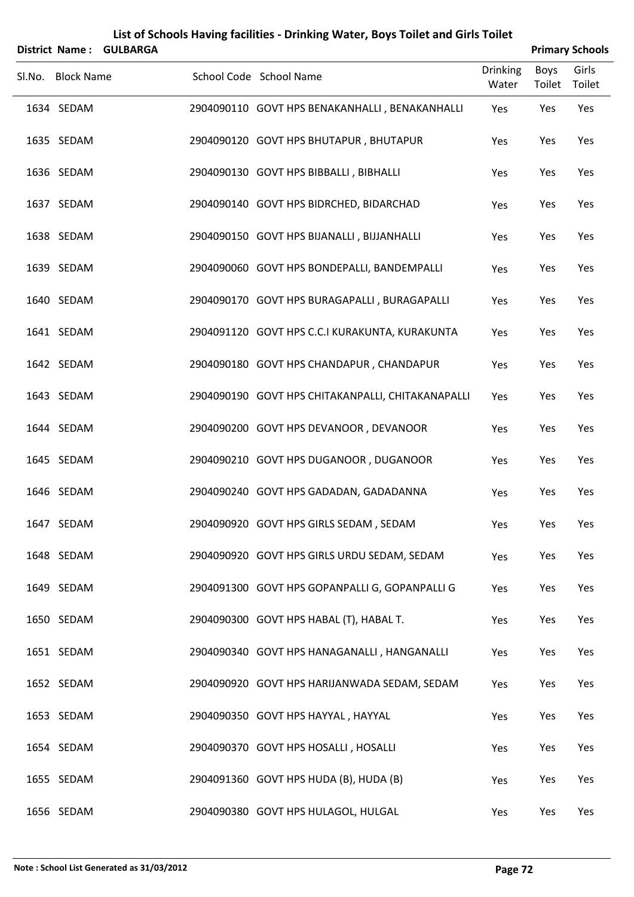|        | <b>District Name:</b> | <b>GULBARGA</b> |                                                   |                          | <b>Primary Schools</b> |                 |
|--------|-----------------------|-----------------|---------------------------------------------------|--------------------------|------------------------|-----------------|
| Sl.No. | <b>Block Name</b>     |                 | School Code School Name                           | <b>Drinking</b><br>Water | <b>Boys</b><br>Toilet  | Girls<br>Toilet |
|        | 1634 SEDAM            |                 | 2904090110 GOVT HPS BENAKANHALLI, BENAKANHALLI    | Yes                      | Yes                    | Yes             |
|        | 1635 SEDAM            |                 | 2904090120 GOVT HPS BHUTAPUR, BHUTAPUR            | Yes                      | Yes                    | Yes             |
|        | 1636 SEDAM            |                 | 2904090130 GOVT HPS BIBBALLI, BIBHALLI            | Yes                      | Yes                    | Yes             |
|        | 1637 SEDAM            |                 | 2904090140 GOVT HPS BIDRCHED, BIDARCHAD           | Yes                      | Yes                    | Yes             |
|        | 1638 SEDAM            |                 | 2904090150 GOVT HPS BIJANALLI, BIJJANHALLI        | Yes                      | Yes                    | Yes             |
|        | 1639 SEDAM            |                 | 2904090060 GOVT HPS BONDEPALLI, BANDEMPALLI       | Yes                      | Yes                    | Yes             |
|        | 1640 SEDAM            |                 | 2904090170 GOVT HPS BURAGAPALLI, BURAGAPALLI      | Yes                      | Yes                    | Yes             |
|        | 1641 SEDAM            |                 | 2904091120 GOVT HPS C.C.I KURAKUNTA, KURAKUNTA    | Yes                      | Yes                    | Yes             |
|        | 1642 SEDAM            |                 | 2904090180 GOVT HPS CHANDAPUR, CHANDAPUR          | Yes                      | Yes                    | Yes             |
|        | 1643 SEDAM            |                 | 2904090190 GOVT HPS CHITAKANPALLI, CHITAKANAPALLI | Yes                      | Yes                    | Yes             |
|        | 1644 SEDAM            |                 | 2904090200 GOVT HPS DEVANOOR, DEVANOOR            | Yes                      | Yes                    | Yes             |
|        | 1645 SEDAM            |                 | 2904090210 GOVT HPS DUGANOOR, DUGANOOR            | Yes                      | Yes                    | Yes             |
|        | 1646 SEDAM            |                 | 2904090240 GOVT HPS GADADAN, GADADANNA            | Yes                      | Yes                    | Yes             |
|        | 1647 SEDAM            |                 | 2904090920 GOVT HPS GIRLS SEDAM, SEDAM            | Yes                      | Yes                    | Yes             |
|        | 1648 SEDAM            |                 | 2904090920 GOVT HPS GIRLS URDU SEDAM, SEDAM       | Yes                      | Yes                    | Yes             |
|        | 1649 SEDAM            |                 | 2904091300 GOVT HPS GOPANPALLI G, GOPANPALLI G    | Yes                      | Yes                    | Yes             |
|        | 1650 SEDAM            |                 | 2904090300 GOVT HPS HABAL (T), HABAL T.           | Yes                      | Yes                    | Yes             |
|        | 1651 SEDAM            |                 | 2904090340 GOVT HPS HANAGANALLI, HANGANALLI       | Yes                      | Yes                    | Yes             |
|        | 1652 SEDAM            |                 | 2904090920 GOVT HPS HARIJANWADA SEDAM, SEDAM      | Yes                      | Yes                    | Yes             |
|        | 1653 SEDAM            |                 | 2904090350 GOVT HPS HAYYAL, HAYYAL                | Yes                      | Yes                    | Yes             |
|        | 1654 SEDAM            |                 | 2904090370 GOVT HPS HOSALLI, HOSALLI              | Yes                      | Yes                    | Yes             |
|        | 1655 SEDAM            |                 | 2904091360 GOVT HPS HUDA (B), HUDA (B)            | Yes                      | Yes                    | Yes             |
|        | 1656 SEDAM            |                 | 2904090380 GOVT HPS HULAGOL, HULGAL               | Yes                      | Yes                    | Yes             |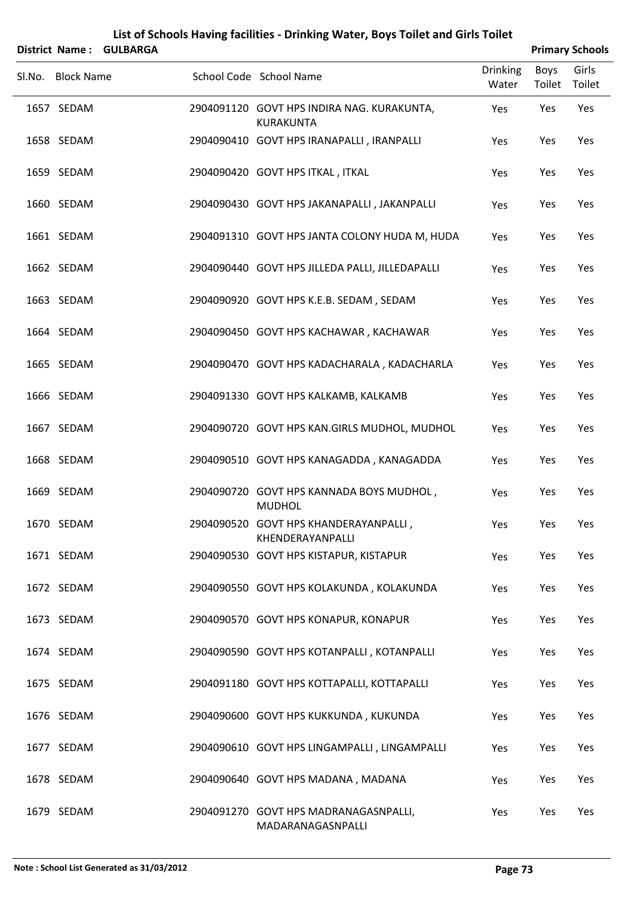| District Name:    | <b>GULBARGA</b> | List of Schools Having facilities - Drinking Water, Boys Toilet and Girls Toilet |                          |                | <b>Primary Schools</b> |
|-------------------|-----------------|----------------------------------------------------------------------------------|--------------------------|----------------|------------------------|
| Sl.No. Block Name |                 | School Code School Name                                                          | <b>Drinking</b><br>Water | Boys<br>Toilet | Girls<br>Toilet        |
| 1657 SEDAM        |                 | 2904091120 GOVT HPS INDIRA NAG. KURAKUNTA,<br><b>KURAKUNTA</b>                   | Yes                      | Yes            | Yes                    |
| 1658 SEDAM        |                 | 2904090410 GOVT HPS IRANAPALLI, IRANPALLI                                        | Yes                      | Yes            | Yes                    |
| 1659 SEDAM        |                 | 2904090420 GOVT HPS ITKAL, ITKAL                                                 | Yes                      | Yes            | Yes                    |
| 1660 SEDAM        |                 | 2904090430 GOVT HPS JAKANAPALLI, JAKANPALLI                                      | Yes                      | Yes            | Yes                    |
| 1661 SEDAM        |                 | 2904091310 GOVT HPS JANTA COLONY HUDA M, HUDA                                    | Yes                      | Yes            | Yes                    |
| 1662 SEDAM        |                 | 2904090440 GOVT HPS JILLEDA PALLI, JILLEDAPALLI                                  | Yes                      | Yes            | Yes                    |
| 1663 SEDAM        |                 | 2904090920 GOVT HPS K.E.B. SEDAM, SEDAM                                          | Yes                      | Yes            | Yes                    |
| 1664 SEDAM        |                 | 2904090450 GOVT HPS KACHAWAR, KACHAWAR                                           | Yes                      | Yes            | Yes                    |
| 1665 SEDAM        |                 | 2904090470 GOVT HPS KADACHARALA, KADACHARLA                                      | Yes                      | Yes            | Yes                    |
| 1666 SEDAM        |                 | 2904091330 GOVT HPS KALKAMB, KALKAMB                                             | Yes                      | Yes            | Yes                    |
| 1667 SEDAM        |                 | 2904090720 GOVT HPS KAN.GIRLS MUDHOL, MUDHOL                                     | Yes                      | Yes            | Yes                    |
| 1668 SEDAM        |                 | 2904090510 GOVT HPS KANAGADDA, KANAGADDA                                         | Yes                      | Yes            | Yes                    |
| 1669 SEDAM        |                 | 2904090720 GOVT HPS KANNADA BOYS MUDHOL,<br><b>MUDHOL</b>                        | Yes                      | Yes            | Yes                    |
| 1670 SEDAM        |                 | 2904090520 GOVT HPS KHANDERAYANPALLI,<br>KHENDERAYANPALLI                        | Yes                      | Yes            | Yes                    |
| 1671 SEDAM        |                 | 2904090530 GOVT HPS KISTAPUR, KISTAPUR                                           | Yes                      | Yes            | Yes                    |
| 1672 SEDAM        |                 | 2904090550 GOVT HPS KOLAKUNDA, KOLAKUNDA                                         | Yes                      | Yes            | Yes                    |
| 1673 SEDAM        |                 | 2904090570 GOVT HPS KONAPUR, KONAPUR                                             | Yes                      | Yes            | Yes                    |
| 1674 SEDAM        |                 | 2904090590 GOVT HPS KOTANPALLI, KOTANPALLI                                       | Yes                      | Yes            | Yes                    |
| 1675 SEDAM        |                 | 2904091180 GOVT HPS KOTTAPALLI, KOTTAPALLI                                       | Yes                      | Yes            | Yes                    |
| 1676 SEDAM        |                 | 2904090600 GOVT HPS KUKKUNDA, KUKUNDA                                            | Yes                      | Yes            | Yes                    |
| 1677 SEDAM        |                 | 2904090610 GOVT HPS LINGAMPALLI, LINGAMPALLI                                     | Yes                      | Yes            | Yes                    |
| 1678 SEDAM        |                 | 2904090640 GOVT HPS MADANA, MADANA                                               | Yes                      | Yes            | Yes                    |
| 1679 SEDAM        |                 | 2904091270 GOVT HPS MADRANAGASNPALLI,<br>MADARANAGASNPALLI                       | Yes                      | Yes            | Yes                    |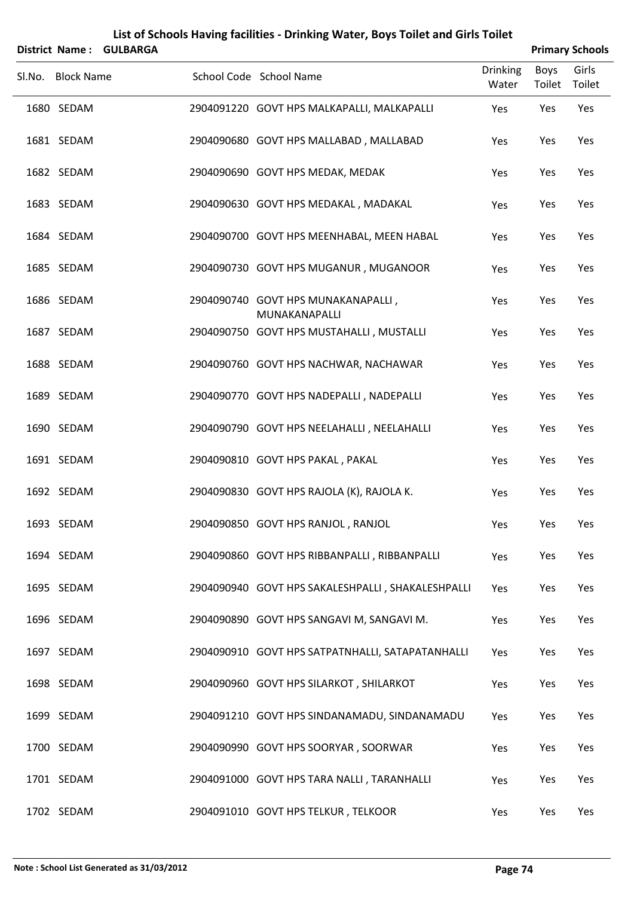|        |                   | District Name: GULBARGA |                                                     |                          |                | <b>Primary Schools</b> |
|--------|-------------------|-------------------------|-----------------------------------------------------|--------------------------|----------------|------------------------|
| Sl.No. | <b>Block Name</b> |                         | School Code School Name                             | <b>Drinking</b><br>Water | Boys<br>Toilet | Girls<br>Toilet        |
|        | 1680 SEDAM        |                         | 2904091220 GOVT HPS MALKAPALLI, MALKAPALLI          | Yes                      | Yes            | Yes                    |
|        | 1681 SEDAM        |                         | 2904090680 GOVT HPS MALLABAD, MALLABAD              | Yes                      | Yes            | Yes                    |
|        | 1682 SEDAM        |                         | 2904090690 GOVT HPS MEDAK, MEDAK                    | Yes                      | Yes            | Yes                    |
|        | 1683 SEDAM        |                         | 2904090630 GOVT HPS MEDAKAL, MADAKAL                | Yes                      | Yes            | Yes                    |
|        | 1684 SEDAM        |                         | 2904090700 GOVT HPS MEENHABAL, MEEN HABAL           | Yes                      | Yes            | Yes                    |
|        | 1685 SEDAM        |                         | 2904090730 GOVT HPS MUGANUR, MUGANOOR               | Yes                      | Yes            | Yes                    |
|        | 1686 SEDAM        |                         | 2904090740 GOVT HPS MUNAKANAPALLI,<br>MUNAKANAPALLI | Yes                      | Yes            | Yes                    |
|        | 1687 SEDAM        |                         | 2904090750 GOVT HPS MUSTAHALLI, MUSTALLI            | Yes                      | Yes            | Yes                    |
|        | 1688 SEDAM        |                         | 2904090760 GOVT HPS NACHWAR, NACHAWAR               | Yes                      | Yes            | Yes                    |
|        | 1689 SEDAM        |                         | 2904090770 GOVT HPS NADEPALLI, NADEPALLI            | Yes                      | Yes            | Yes                    |
|        | 1690 SEDAM        |                         | 2904090790 GOVT HPS NEELAHALLI, NEELAHALLI          | Yes                      | Yes            | Yes                    |
|        | 1691 SEDAM        |                         | 2904090810 GOVT HPS PAKAL, PAKAL                    | Yes                      | Yes            | Yes                    |
|        | 1692 SEDAM        |                         | 2904090830 GOVT HPS RAJOLA (K), RAJOLA K.           | Yes                      | Yes            | Yes                    |
|        | 1693 SEDAM        |                         | 2904090850 GOVT HPS RANJOL, RANJOL                  | Yes                      | Yes            | Yes                    |
|        | 1694 SEDAM        |                         | 2904090860 GOVT HPS RIBBANPALLI, RIBBANPALLI        | Yes                      | Yes            | Yes                    |
|        | 1695 SEDAM        |                         | 2904090940 GOVT HPS SAKALESHPALLI, SHAKALESHPALLI   | Yes                      | Yes            | Yes                    |
|        | 1696 SEDAM        |                         | 2904090890 GOVT HPS SANGAVI M, SANGAVI M.           | Yes                      | Yes            | Yes                    |
|        | 1697 SEDAM        |                         | 2904090910 GOVT HPS SATPATNHALLI, SATAPATANHALLI    | Yes                      | Yes            | Yes                    |
|        | 1698 SEDAM        |                         | 2904090960 GOVT HPS SILARKOT, SHILARKOT             | Yes                      | Yes            | Yes                    |
|        | 1699 SEDAM        |                         | 2904091210 GOVT HPS SINDANAMADU, SINDANAMADU        | Yes                      | Yes            | Yes                    |
|        | 1700 SEDAM        |                         | 2904090990 GOVT HPS SOORYAR, SOORWAR                | Yes                      | Yes            | Yes                    |
|        | 1701 SEDAM        |                         | 2904091000 GOVT HPS TARA NALLI, TARANHALLI          | Yes                      | Yes            | Yes                    |
|        | 1702 SEDAM        |                         | 2904091010 GOVT HPS TELKUR, TELKOOR                 | Yes                      | Yes            | Yes                    |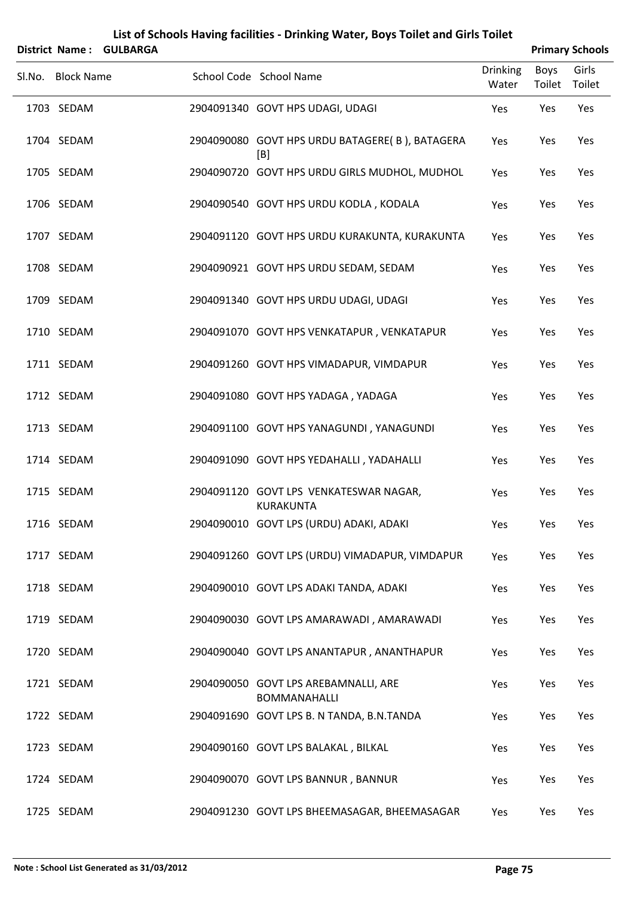|        | <b>District Name:</b> | <b>GULBARGA</b> |                                                             |                          | <b>Primary Schools</b> |                 |
|--------|-----------------------|-----------------|-------------------------------------------------------------|--------------------------|------------------------|-----------------|
| Sl.No. | <b>Block Name</b>     |                 | School Code School Name                                     | <b>Drinking</b><br>Water | <b>Boys</b><br>Toilet  | Girls<br>Toilet |
|        | 1703 SEDAM            |                 | 2904091340 GOVT HPS UDAGI, UDAGI                            | Yes                      | Yes                    | Yes             |
|        | 1704 SEDAM            |                 | 2904090080 GOVT HPS URDU BATAGERE(B), BATAGERA<br>[B]       | Yes                      | Yes                    | Yes             |
|        | 1705 SEDAM            |                 | 2904090720 GOVT HPS URDU GIRLS MUDHOL, MUDHOL               | Yes                      | Yes                    | Yes             |
|        | 1706 SEDAM            |                 | 2904090540 GOVT HPS URDU KODLA, KODALA                      | Yes                      | Yes                    | Yes             |
|        | 1707 SEDAM            |                 | 2904091120 GOVT HPS URDU KURAKUNTA, KURAKUNTA               | Yes                      | Yes                    | Yes             |
|        | 1708 SEDAM            |                 | 2904090921 GOVT HPS URDU SEDAM, SEDAM                       | Yes                      | Yes                    | Yes             |
|        | 1709 SEDAM            |                 | 2904091340 GOVT HPS URDU UDAGI, UDAGI                       | Yes                      | Yes                    | Yes             |
|        | 1710 SEDAM            |                 | 2904091070 GOVT HPS VENKATAPUR, VENKATAPUR                  | Yes                      | Yes                    | Yes             |
|        | 1711 SEDAM            |                 | 2904091260 GOVT HPS VIMADAPUR, VIMDAPUR                     | Yes                      | Yes                    | Yes             |
|        | 1712 SEDAM            |                 | 2904091080 GOVT HPS YADAGA, YADAGA                          | Yes                      | Yes                    | Yes             |
|        | 1713 SEDAM            |                 | 2904091100 GOVT HPS YANAGUNDI, YANAGUNDI                    | Yes                      | Yes                    | Yes             |
|        | 1714 SEDAM            |                 | 2904091090 GOVT HPS YEDAHALLI, YADAHALLI                    | Yes                      | Yes                    | Yes             |
|        | 1715 SEDAM            |                 | 2904091120 GOVT LPS VENKATESWAR NAGAR,<br><b>KURAKUNTA</b>  | Yes                      | Yes                    | Yes             |
|        | 1716 SEDAM            |                 | 2904090010 GOVT LPS (URDU) ADAKI, ADAKI                     | Yes                      | Yes                    | Yes             |
|        | 1717 SEDAM            |                 | 2904091260 GOVT LPS (URDU) VIMADAPUR, VIMDAPUR              | Yes                      | Yes                    | Yes             |
|        | 1718 SEDAM            |                 | 2904090010 GOVT LPS ADAKI TANDA, ADAKI                      | Yes                      | Yes                    | Yes             |
|        | 1719 SEDAM            |                 | 2904090030 GOVT LPS AMARAWADI, AMARAWADI                    | Yes                      | Yes                    | Yes             |
|        | 1720 SEDAM            |                 | 2904090040 GOVT LPS ANANTAPUR, ANANTHAPUR                   | Yes                      | Yes                    | Yes             |
|        | 1721 SEDAM            |                 | 2904090050 GOVT LPS AREBAMNALLI, ARE<br><b>BOMMANAHALLI</b> | Yes                      | Yes                    | Yes             |
|        | 1722 SEDAM            |                 | 2904091690 GOVT LPS B. N TANDA, B.N.TANDA                   | Yes                      | Yes                    | Yes             |
|        | 1723 SEDAM            |                 | 2904090160 GOVT LPS BALAKAL, BILKAL                         | Yes                      | Yes                    | Yes             |
|        | 1724 SEDAM            |                 | 2904090070 GOVT LPS BANNUR, BANNUR                          | Yes                      | Yes                    | Yes             |
|        | 1725 SEDAM            |                 | 2904091230 GOVT LPS BHEEMASAGAR, BHEEMASAGAR                | Yes                      | Yes                    | Yes             |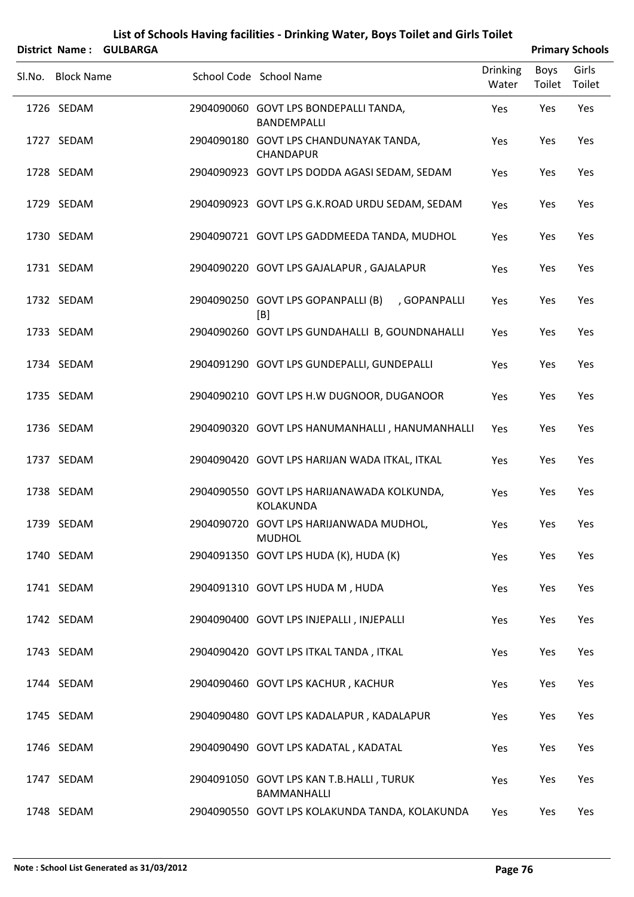|        | <b>District Name:</b> | <b>GULBARGA</b> | List of Schools Having facilities - Drinking Water, Boys Toilet and Girls Toilet |                          |                       | <b>Primary Schools</b> |
|--------|-----------------------|-----------------|----------------------------------------------------------------------------------|--------------------------|-----------------------|------------------------|
| Sl.No. | <b>Block Name</b>     |                 | School Code School Name                                                          | <b>Drinking</b><br>Water | <b>Boys</b><br>Toilet | Girls<br>Toilet        |
|        | 1726 SEDAM            |                 | 2904090060 GOVT LPS BONDEPALLI TANDA,<br><b>BANDEMPALLI</b>                      | Yes                      | Yes                   | Yes                    |
|        | 1727 SEDAM            |                 | 2904090180 GOVT LPS CHANDUNAYAK TANDA,<br><b>CHANDAPUR</b>                       | Yes                      | Yes                   | Yes                    |
|        | 1728 SEDAM            |                 | 2904090923 GOVT LPS DODDA AGASI SEDAM, SEDAM                                     | Yes                      | Yes                   | Yes                    |
|        | 1729 SEDAM            |                 | 2904090923 GOVT LPS G.K.ROAD URDU SEDAM, SEDAM                                   | Yes                      | Yes                   | Yes                    |
|        | 1730 SEDAM            |                 | 2904090721 GOVT LPS GADDMEEDA TANDA, MUDHOL                                      | Yes                      | Yes                   | Yes                    |
|        | 1731 SEDAM            |                 | 2904090220 GOVT LPS GAJALAPUR, GAJALAPUR                                         | Yes                      | Yes                   | Yes                    |
|        | 1732 SEDAM            |                 | 2904090250 GOVT LPS GOPANPALLI (B)<br>, GOPANPALLI<br>[B]                        | Yes                      | Yes                   | Yes                    |
|        | 1733 SEDAM            |                 | 2904090260 GOVT LPS GUNDAHALLI B, GOUNDNAHALLI                                   | Yes                      | Yes                   | Yes                    |
|        | 1734 SEDAM            |                 | 2904091290 GOVT LPS GUNDEPALLI, GUNDEPALLI                                       | Yes                      | Yes                   | Yes                    |
|        | 1735 SEDAM            |                 | 2904090210 GOVT LPS H.W DUGNOOR, DUGANOOR                                        | Yes                      | Yes                   | Yes                    |
|        | 1736 SEDAM            |                 | 2904090320 GOVT LPS HANUMANHALLI, HANUMANHALLI                                   | Yes                      | Yes                   | Yes                    |
|        | 1737 SEDAM            |                 | 2904090420 GOVT LPS HARIJAN WADA ITKAL, ITKAL                                    | Yes                      | Yes                   | Yes                    |
|        | 1738 SEDAM            |                 | 2904090550 GOVT LPS HARIJANAWADA KOLKUNDA,<br>KOLAKUNDA                          | Yes                      | Yes                   | Yes                    |
|        | 1739 SEDAM            |                 | 2904090720 GOVT LPS HARIJANWADA MUDHOL,<br><b>MUDHOL</b>                         | Yes                      | Yes                   | Yes                    |
|        | 1740 SEDAM            |                 | 2904091350 GOVT LPS HUDA (K), HUDA (K)                                           | Yes                      | Yes                   | Yes                    |
|        | 1741 SEDAM            |                 | 2904091310 GOVT LPS HUDA M, HUDA                                                 | Yes                      | Yes                   | Yes                    |
|        | 1742 SEDAM            |                 | 2904090400 GOVT LPS INJEPALLI, INJEPALLI                                         | Yes                      | Yes                   | Yes                    |
|        | 1743 SEDAM            |                 | 2904090420 GOVT LPS ITKAL TANDA, ITKAL                                           | Yes                      | Yes                   | Yes                    |
|        | 1744 SEDAM            |                 | 2904090460 GOVT LPS KACHUR, KACHUR                                               | Yes                      | Yes                   | Yes                    |
|        | 1745 SEDAM            |                 | 2904090480 GOVT LPS KADALAPUR, KADALAPUR                                         | Yes                      | Yes                   | Yes                    |
|        | 1746 SEDAM            |                 | 2904090490 GOVT LPS KADATAL, KADATAL                                             | Yes                      | Yes                   | Yes                    |
|        | 1747 SEDAM            |                 | 2904091050 GOVT LPS KAN T.B.HALLI, TURUK<br>BAMMANHALLI                          | Yes                      | Yes                   | Yes                    |
|        | 1748 SEDAM            |                 | 2904090550 GOVT LPS KOLAKUNDA TANDA, KOLAKUNDA                                   | Yes                      | Yes                   | Yes                    |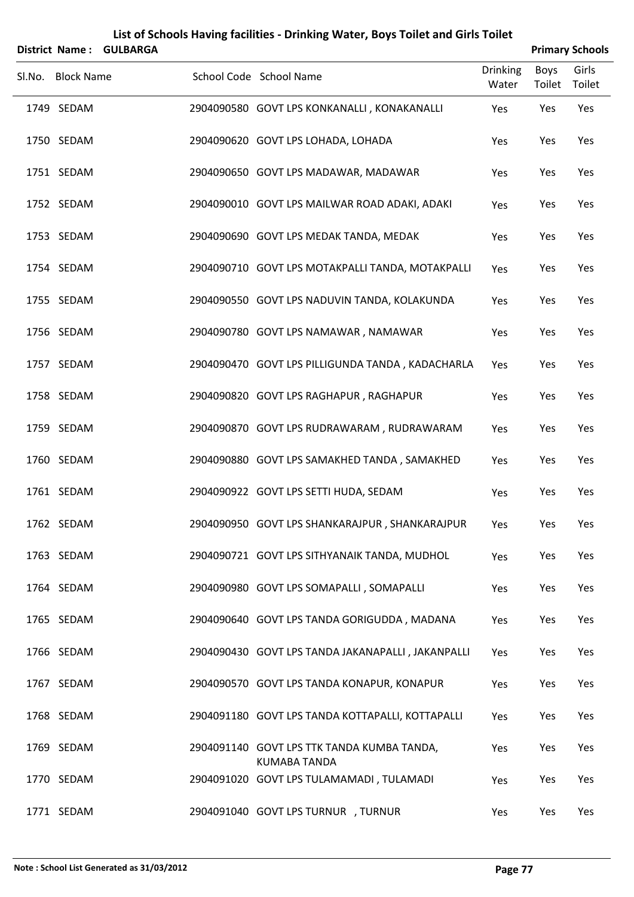|        | <b>District Name:</b> | <b>GULBARGA</b> |                                                            |                          |                | <b>Primary Schools</b> |
|--------|-----------------------|-----------------|------------------------------------------------------------|--------------------------|----------------|------------------------|
| Sl.No. | <b>Block Name</b>     |                 | School Code School Name                                    | <b>Drinking</b><br>Water | Boys<br>Toilet | Girls<br>Toilet        |
|        | 1749 SEDAM            |                 | 2904090580 GOVT LPS KONKANALLI, KONAKANALLI                | Yes                      | Yes            | Yes                    |
|        | 1750 SEDAM            |                 | 2904090620 GOVT LPS LOHADA, LOHADA                         | Yes                      | Yes            | Yes                    |
|        | 1751 SEDAM            |                 | 2904090650 GOVT LPS MADAWAR, MADAWAR                       | Yes                      | Yes            | Yes                    |
|        | 1752 SEDAM            |                 | 2904090010 GOVT LPS MAILWAR ROAD ADAKI, ADAKI              | Yes                      | Yes            | Yes                    |
|        | 1753 SEDAM            |                 | 2904090690 GOVT LPS MEDAK TANDA, MEDAK                     | Yes                      | Yes            | Yes                    |
|        | 1754 SEDAM            |                 | 2904090710 GOVT LPS MOTAKPALLI TANDA, MOTAKPALLI           | Yes                      | Yes            | Yes                    |
|        | 1755 SEDAM            |                 | 2904090550 GOVT LPS NADUVIN TANDA, KOLAKUNDA               | Yes                      | Yes            | Yes                    |
|        | 1756 SEDAM            |                 | 2904090780 GOVT LPS NAMAWAR, NAMAWAR                       | Yes                      | Yes            | Yes                    |
|        | 1757 SEDAM            |                 | 2904090470 GOVT LPS PILLIGUNDA TANDA, KADACHARLA           | Yes                      | Yes            | Yes                    |
|        | 1758 SEDAM            |                 | 2904090820 GOVT LPS RAGHAPUR, RAGHAPUR                     | Yes                      | Yes            | Yes                    |
|        | 1759 SEDAM            |                 | 2904090870 GOVT LPS RUDRAWARAM, RUDRAWARAM                 | Yes                      | Yes            | Yes                    |
|        | 1760 SEDAM            |                 | 2904090880 GOVT LPS SAMAKHED TANDA, SAMAKHED               | Yes                      | Yes            | Yes                    |
|        | 1761 SEDAM            |                 | 2904090922 GOVT LPS SETTI HUDA, SEDAM                      | Yes                      | Yes            | Yes                    |
|        | 1762 SEDAM            |                 | 2904090950 GOVT LPS SHANKARAJPUR, SHANKARAJPUR             | Yes                      | Yes            | Yes                    |
|        | 1763 SEDAM            |                 | 2904090721 GOVT LPS SITHYANAIK TANDA, MUDHOL               | Yes                      | Yes            | Yes                    |
|        | 1764 SEDAM            |                 | 2904090980 GOVT LPS SOMAPALLI, SOMAPALLI                   | Yes                      | Yes            | Yes                    |
|        | 1765 SEDAM            |                 | 2904090640 GOVT LPS TANDA GORIGUDDA, MADANA                | Yes                      | Yes            | Yes                    |
|        | 1766 SEDAM            |                 | 2904090430 GOVT LPS TANDA JAKANAPALLI, JAKANPALLI          | Yes                      | Yes            | Yes                    |
|        | 1767 SEDAM            |                 | 2904090570 GOVT LPS TANDA KONAPUR, KONAPUR                 | Yes                      | Yes            | Yes                    |
|        | 1768 SEDAM            |                 | 2904091180 GOVT LPS TANDA KOTTAPALLI, KOTTAPALLI           | Yes                      | Yes            | Yes                    |
|        | 1769 SEDAM            |                 | 2904091140 GOVT LPS TTK TANDA KUMBA TANDA,<br>KUMABA TANDA | Yes                      | Yes            | Yes                    |
|        | 1770 SEDAM            |                 | 2904091020 GOVT LPS TULAMAMADI, TULAMADI                   | Yes                      | Yes            | Yes                    |
|        | 1771 SEDAM            |                 | 2904091040 GOVT LPS TURNUR , TURNUR                        | Yes                      | Yes            | Yes                    |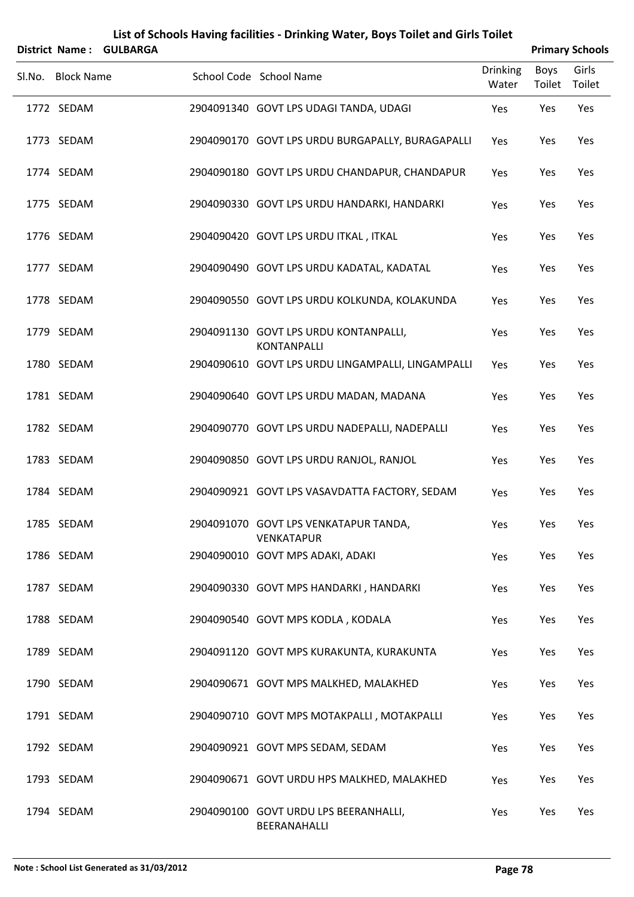| List of Schools Having facilities - Drinking Water, Boys Toilet and Girls Toilet |                   |                 |                                                             |                          |                       |                        |  |
|----------------------------------------------------------------------------------|-------------------|-----------------|-------------------------------------------------------------|--------------------------|-----------------------|------------------------|--|
|                                                                                  | District Name:    | <b>GULBARGA</b> |                                                             |                          |                       | <b>Primary Schools</b> |  |
| Sl.No.                                                                           | <b>Block Name</b> |                 | School Code School Name                                     | <b>Drinking</b><br>Water | <b>Boys</b><br>Toilet | Girls<br>Toilet        |  |
|                                                                                  | 1772 SEDAM        |                 | 2904091340 GOVT LPS UDAGI TANDA, UDAGI                      | Yes                      | Yes                   | Yes                    |  |
|                                                                                  | 1773 SEDAM        |                 | 2904090170 GOVT LPS URDU BURGAPALLY, BURAGAPALLI            | Yes                      | Yes                   | Yes                    |  |
|                                                                                  | 1774 SEDAM        |                 | 2904090180 GOVT LPS URDU CHANDAPUR, CHANDAPUR               | Yes                      | Yes                   | Yes                    |  |
|                                                                                  | 1775 SEDAM        |                 | 2904090330 GOVT LPS URDU HANDARKI, HANDARKI                 | Yes                      | Yes                   | Yes                    |  |
|                                                                                  | 1776 SEDAM        |                 | 2904090420 GOVT LPS URDU ITKAL, ITKAL                       | Yes                      | Yes                   | Yes                    |  |
|                                                                                  | 1777 SEDAM        |                 | 2904090490 GOVT LPS URDU KADATAL, KADATAL                   | Yes                      | Yes                   | Yes                    |  |
|                                                                                  | 1778 SEDAM        |                 | 2904090550 GOVT LPS URDU KOLKUNDA, KOLAKUNDA                | Yes                      | Yes                   | Yes                    |  |
|                                                                                  | 1779 SEDAM        |                 | 2904091130 GOVT LPS URDU KONTANPALLI,<br><b>KONTANPALLI</b> | Yes                      | Yes                   | Yes                    |  |
|                                                                                  | 1780 SEDAM        |                 | 2904090610 GOVT LPS URDU LINGAMPALLI, LINGAMPALLI           | Yes                      | Yes                   | Yes                    |  |
|                                                                                  | 1781 SEDAM        |                 | 2904090640 GOVT LPS URDU MADAN, MADANA                      | Yes                      | Yes                   | Yes                    |  |
|                                                                                  | 1782 SEDAM        |                 | 2904090770 GOVT LPS URDU NADEPALLI, NADEPALLI               | Yes                      | Yes                   | Yes                    |  |
|                                                                                  | 1783 SEDAM        |                 | 2904090850 GOVT LPS URDU RANJOL, RANJOL                     | Yes                      | Yes                   | Yes                    |  |
|                                                                                  | 1784 SEDAM        |                 | 2904090921 GOVT LPS VASAVDATTA FACTORY, SEDAM               | Yes                      | Yes                   | Yes                    |  |
|                                                                                  | 1785 SEDAM        |                 | 2904091070 GOVT LPS VENKATAPUR TANDA,<br><b>VENKATAPUR</b>  | Yes                      | Yes                   | Yes                    |  |
|                                                                                  | 1786 SEDAM        |                 | 2904090010 GOVT MPS ADAKI, ADAKI                            | Yes                      | Yes                   | Yes                    |  |
|                                                                                  | 1787 SEDAM        |                 | 2904090330 GOVT MPS HANDARKI, HANDARKI                      | Yes                      | Yes                   | Yes                    |  |
|                                                                                  | 1788 SEDAM        |                 | 2904090540 GOVT MPS KODLA, KODALA                           | Yes                      | Yes                   | Yes                    |  |
|                                                                                  | 1789 SEDAM        |                 | 2904091120 GOVT MPS KURAKUNTA, KURAKUNTA                    | Yes                      | Yes                   | Yes                    |  |
|                                                                                  | 1790 SEDAM        |                 | 2904090671 GOVT MPS MALKHED, MALAKHED                       | Yes                      | Yes                   | Yes                    |  |
|                                                                                  | 1791 SEDAM        |                 | 2904090710 GOVT MPS MOTAKPALLI, MOTAKPALLI                  | Yes                      | Yes                   | Yes                    |  |
|                                                                                  | 1792 SEDAM        |                 | 2904090921 GOVT MPS SEDAM, SEDAM                            | Yes                      | Yes                   | Yes                    |  |
|                                                                                  | 1793 SEDAM        |                 | 2904090671 GOVT URDU HPS MALKHED, MALAKHED                  | Yes                      | Yes                   | Yes                    |  |
|                                                                                  | 1794 SEDAM        |                 | 2904090100 GOVT URDU LPS BEERANHALLI,<br>BEERANAHALLI       | Yes                      | Yes                   | Yes                    |  |

#### **Note : School List Generated as 31/03/2012 Page 78**